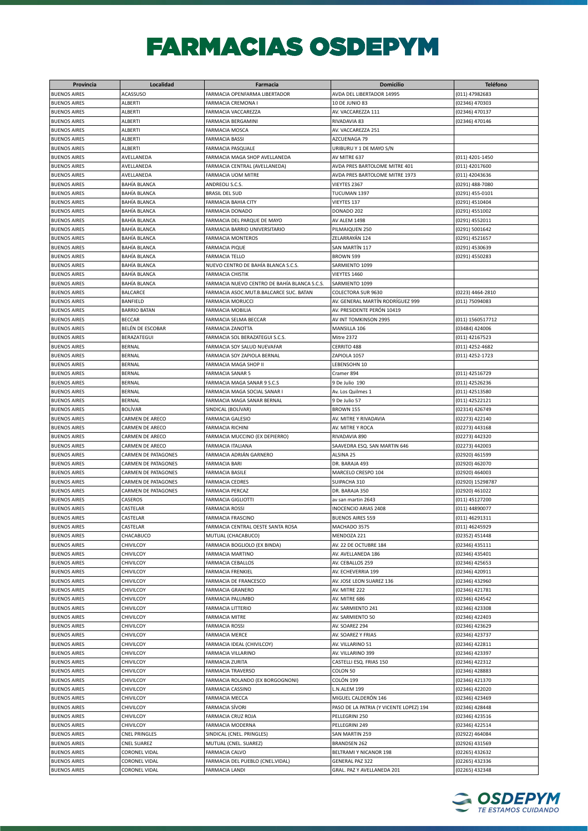## **FARMACIAS OSDEPYM**

| Provincia           | Localidad                  | Farmacia                                     | Domicilio                               | <b>Teléfono</b>  |
|---------------------|----------------------------|----------------------------------------------|-----------------------------------------|------------------|
| <b>BUENOS AIRES</b> | <b>ACASSUSO</b>            | FARMACIA OPENFARMA LIBERTADOR                | AVDA DEL LIBERTADOR 14995               | (011) 47982683   |
| <b>BUENOS AIRES</b> | <b>ALBERTI</b>             | FARMACIA CREMONA I                           | <b>10 DE JUNIO 83</b>                   | (02346) 470303   |
| <b>BUENOS AIRES</b> | <b>ALBERTI</b>             | FARMACIA VACCAREZZA                          | AV. VACCAREZZA 111                      | (02346) 470137   |
|                     |                            |                                              |                                         |                  |
| <b>BUENOS AIRES</b> | <b>ALBERTI</b>             | FARMACIA BERGAMINI                           | RIVADAVIA 83                            | (02346) 470146   |
| <b>BUENOS AIRES</b> | <b>ALBERTI</b>             | FARMACIA MOSCA                               | AV. VACCAREZZA 251                      |                  |
| <b>BUENOS AIRES</b> | <b>ALBERTI</b>             | <b>FARMACIA BASSI</b>                        | AZCUENAGA 79                            |                  |
| <b>BUENOS AIRES</b> | <b>ALBERTI</b>             | <b>FARMACIA PASQUALE</b>                     | URIBURU Y 1 DE MAYO S/N                 |                  |
| <b>BUENOS AIRES</b> | AVELLANEDA                 | FARMACIA MAGA SHOP AVELLANEDA                | AV MITRE 637                            | (011) 4201-1450  |
| <b>BUENOS AIRES</b> | AVELLANEDA                 | FARMACIA CENTRAL (AVELLANEDA)                | AVDA PRES BARTOLOME MITRE 401           | (011) 42017600   |
| <b>BUENOS AIRES</b> | AVELLANEDA                 | FARMACIA UOM MITRE                           | AVDA PRES BARTOLOME MITRE 1973          | (011) 42043636   |
| <b>BUENOS AIRES</b> | BAHÍA BLANCA               | ANDREOLI S.C.S.                              | VIEYTES 2367                            | (0291) 488-7080  |
| <b>BUENOS AIRES</b> | <b>BAHÍA BLANCA</b>        | <b>BRASIL DEL SUD</b>                        | TUCUMAN 1397                            | (0291) 455-0101  |
| <b>BUENOS AIRES</b> | <b>BAHÍA BLANCA</b>        | <b>FARMACIA BAHIA CITY</b>                   | VIEYTES 137                             | (0291) 4510404   |
|                     | <b>BAHÍA BLANCA</b>        |                                              |                                         |                  |
| <b>BUENOS AIRES</b> |                            | FARMACIA DONADO                              | DONADO 202                              | (0291) 4551002   |
| <b>BUENOS AIRES</b> | <b>BAHÍA BLANCA</b>        | FARMACIA DEL PARQUE DE MAYO                  | AV ALEM 1498                            | (0291) 4552011   |
| <b>BUENOS AIRES</b> | <b>BAHÍA BLANCA</b>        | FARMACIA BARRIO UNIVERSITARIO                | PILMAIQUEN 250                          | (0291) 5001642   |
| <b>BUENOS AIRES</b> | BAHÍA BLANCA               | <b>FARMACIA MONTEROS</b>                     | ZELARRAYÁN 124                          | (0291) 4521657   |
| <b>BUENOS AIRES</b> | BAHÍA BLANCA               | <b>FARMACIA PIQUE</b>                        | SAN MARTÍN 117                          | (0291) 4530639   |
| <b>BUENOS AIRES</b> | BAHÍA BLANCA               | <b>FARMACIA TELLO</b>                        | BROWN 599                               | (0291) 4550283   |
| <b>BUENOS AIRES</b> | BAHÍA BLANCA               | NUEVO CENTRO DE BAHÍA BLANCA S.C.S.          | SARMIENTO 1099                          |                  |
| <b>BUENOS AIRES</b> | BAHÍA BLANCA               | <b>FARMACIA CHISTIK</b>                      | VIEYTES 1460                            |                  |
| <b>BUENOS AIRES</b> | BAHÍA BLANCA               | FARMACIA NUEVO CENTRO DE BAHÍA BLANCA S.C.S. | SARMIENTO 1099                          |                  |
| <b>BUENOS AIRES</b> | <b>BALCARCE</b>            | FARMACIA ASOC.MUT.B.BALCARCE SUC. BATAN      | COLECTORA SUR 9630                      | (0223) 4464-2810 |
|                     |                            |                                              |                                         |                  |
| <b>BUENOS AIRES</b> | <b>BANFIELD</b>            | <b>FARMACIA MORUCCI</b>                      | AV. GENERAL MARTÍN RODRÍGUEZ 999        | (011) 75094083   |
| <b>BUENOS AIRES</b> | <b>BARRIO BATAN</b>        | <b>FARMACIA MOBILIA</b>                      | AV. PRESIDENTE PERÓN 10419              |                  |
| <b>BUENOS AIRES</b> | <b>BECCAR</b>              | FARMACIA SELMA BECCAR                        | AV INT TOMKINSON 2995                   | (011) 1560517712 |
| <b>BUENOS AIRES</b> | BELÉN DE ESCOBAR           | FARMACIA ZANOTTA                             | MANSILLA 106                            | (03484) 424006   |
| <b>BUENOS AIRES</b> | BERAZATEGUI                | FARMACIA SOL BERAZATEGUI S.C.S.              | <b>Mitre 2372</b>                       | (011) 42167523   |
| <b>BUENOS AIRES</b> | <b>BERNAL</b>              | FARMACIA SOY SALUD NUEVAFAR                  | CERRITO 488                             | (011) 4252-4682  |
| <b>BUENOS AIRES</b> | <b>BERNAL</b>              | FARMACIA SOY ZAPIOLA BERNAL                  | ZAPIOLA 1057                            | (011) 4252-1723  |
| <b>BUENOS AIRES</b> | <b>BERNAL</b>              | FARMACIA MAGA SHOP II                        | LEBENSOHN 10                            |                  |
| <b>BUENOS AIRES</b> | <b>BERNAL</b>              | <b>FARMACIA SANAR 5</b>                      | Cramer 894                              | (011) 42516729   |
| <b>BUENOS AIRES</b> | <b>BERNAL</b>              | FARMACIA MAGA SANAR 9 S.C.S                  | 9 De Julio 190                          | (011) 42526236   |
|                     |                            |                                              |                                         |                  |
| <b>BUENOS AIRES</b> | <b>BERNAL</b>              | FARMACIA MAGA SOCIAL SANAR I                 | Av. Los Quilmes 1                       | (011) 42513580   |
| <b>BUENOS AIRES</b> | <b>BERNAL</b>              | FARMACIA MAGA SANAR BERNAL                   | 9 De Julio 57                           | (011) 42522121   |
| <b>BUENOS AIRES</b> | <b>BOLÍVAR</b>             | SINDICAL (BOLÍVAR)                           | <b>BROWN 155</b>                        | (02314) 426749   |
| <b>BUENOS AIRES</b> | CARMEN DE ARECO            | <b>FARMACIA GALESIO</b>                      | AV. MITRE Y RIVADAVIA                   | (02273) 422140   |
| <b>BUENOS AIRES</b> | CARMEN DE ARECO            | <b>FARMACIA RICHINI</b>                      | AV. MITRE Y ROCA                        | (02273) 443168   |
| <b>BUENOS AIRES</b> | CARMEN DE ARECO            | FARMACIA MUCCINO (EX DEPIERRO)               | RIVADAVIA 890                           | (02273) 442320   |
| <b>BUENOS AIRES</b> | CARMEN DE ARECO            | FARMACIA ITALIANA                            | SAAVEDRA ESQ. SAN MARTIN 646            | (02273) 442003   |
| <b>BUENOS AIRES</b> | CARMEN DE PATAGONES        | FARMACIA ADRIÁN GARNERO                      | ALSINA 25                               | (02920) 461599   |
| <b>BUENOS AIRES</b> | <b>CARMEN DE PATAGONES</b> | <b>FARMACIA BARI</b>                         | DR. BARAJA 493                          | (02920) 462070   |
| <b>BUENOS AIRES</b> | <b>CARMEN DE PATAGONES</b> | <b>FARMACIA BASILE</b>                       | MARCELO CRESPO 104                      | (02920) 464003   |
|                     |                            |                                              |                                         |                  |
| <b>BUENOS AIRES</b> | <b>CARMEN DE PATAGONES</b> | <b>FARMACIA CEDRES</b>                       | SUIPACHA 310                            | (02920) 15298787 |
| <b>BUENOS AIRES</b> | <b>CARMEN DE PATAGONES</b> | <b>FARMACIA PERCAZ</b>                       | DR. BARAJA 350                          | (02920) 461022   |
| <b>BUENOS AIRES</b> | CASEROS                    | <b>FARMACIA GIGLIOTTI</b>                    | av san martin 2643                      | (011) 45127200   |
| <b>BUENOS AIRES</b> | CASTELAR                   | <b>FARMACIA ROSSI</b>                        | <b>INOCENCIO ARIAS 2408</b>             | (011) 44890077   |
| <b>BUENOS AIRES</b> | CASTELAR                   | <b>FARMACIA FRASCINO</b>                     | <b>BUENOS AIRES 559</b>                 | (011) 46291311   |
| <b>BUENOS AIRES</b> | CASTELAR                   | FARMACIA CENTRAL OESTE SANTA ROSA            | MACHADO 3575                            | (011) 46245929   |
| <b>BUENOS AIRES</b> | CHACABUCO                  | MUTUAL (CHACABUCO)                           | MENDOZA 221                             | (02352) 451448   |
| <b>BUENOS AIRES</b> | CHIVILCOY                  | FARMACIA BOGLIOLO (EX BINDA)                 | AV. 22 DE OCTUBRE 184                   | (02346) 435111   |
| <b>BUENOS AIRES</b> | CHIVILCOY                  | FARMACIA MARTINO                             | AV. AVELLANEDA 186                      | (02346) 435401   |
| <b>BUENOS AIRES</b> | CHIVILCOY                  | <b>FARMACIA CEBALLOS</b>                     | AV. CEBALLOS 259                        | (02346) 425653   |
| <b>BUENOS AIRES</b> | CHIVILCOY                  | <b>FARMACIA FRENKIEL</b>                     | AV. ECHEVERRIA 199                      | (02346) 420911   |
|                     |                            |                                              |                                         |                  |
| <b>BUENOS AIRES</b> | CHIVILCOY                  | FARMACIA DE FRANCESCO                        | AV. JOSE LEON SUAREZ 136                | (02346) 432960   |
| <b>BUENOS AIRES</b> | CHIVILCOY                  | FARMACIA GRANERO                             | AV. MITRE 222                           | (02346) 421781   |
| <b>BUENOS AIRES</b> | CHIVILCOY                  | FARMACIA PALUMBO                             | AV. MITRE 686                           | (02346) 424542   |
| <b>BUENOS AIRES</b> | CHIVILCOY                  | <b>FARMACIA LITTERIO</b>                     | AV. SARMIENTO 241                       | (02346) 423308   |
| <b>BUENOS AIRES</b> | CHIVILCOY                  | <b>FARMACIA MITRE</b>                        | AV. SARMIENTO 50                        | (02346) 422403   |
| <b>BUENOS AIRES</b> | CHIVILCOY                  | <b>FARMACIA ROSSI</b>                        | AV. SOAREZ 294                          | (02346) 423629   |
| <b>BUENOS AIRES</b> | CHIVILCOY                  | <b>FARMACIA MERCE</b>                        | AV. SOAREZ Y FRIAS                      | (02346) 423737   |
| <b>BUENOS AIRES</b> | CHIVILCOY                  | FARMACIA IDEAL (CHIVILCOY)                   | AV. VILLARINO 51                        | (02346) 422811   |
| <b>BUENOS AIRES</b> | CHIVILCOY                  | FARMACIA VILLARINO                           | AV. VILLARINO 399                       | (02346) 423397   |
|                     |                            |                                              |                                         |                  |
| <b>BUENOS AIRES</b> | CHIVILCOY                  | FARMACIA ZURITA                              | CASTELLI ESQ. FRIAS 150                 | (02346) 422312   |
| <b>BUENOS AIRES</b> | CHIVILCOY                  | <b>FARMACIA TRAVERSO</b>                     | COLON 50                                | (02346) 428883   |
| <b>BUENOS AIRES</b> | CHIVILCOY                  | FARMACIA ROLANDO (EX BORGOGNONI)             | COLÓN 199                               | (02346) 421370   |
| <b>BUENOS AIRES</b> | CHIVILCOY                  | FARMACIA CASSINO                             | L.N.ALEM 199                            | (02346) 422020   |
| <b>BUENOS AIRES</b> | CHIVILCOY                  | <b>FARMACIA MECCA</b>                        | MIGUEL CALDERÓN 146                     | (02346) 423469   |
| <b>BUENOS AIRES</b> | CHIVILCOY                  | FARMACIA SÍVORI                              | PASO DE LA PATRIA (Y VICENTE LOPEZ) 194 | (02346) 428448   |
| <b>BUENOS AIRES</b> | CHIVILCOY                  | FARMACIA CRUZ ROJA                           | PELLEGRINI 250                          | (02346) 423516   |
| <b>BUENOS AIRES</b> | CHIVILCOY                  | FARMACIA MODERNA                             | PELLEGRINI 249                          | (02346) 422514   |
| <b>BUENOS AIRES</b> | <b>CNEL PRINGLES</b>       | SINDICAL (CNEL. PRINGLES)                    | SAN MARTIN 259                          | (02922) 464084   |
|                     |                            |                                              |                                         |                  |
| <b>BUENOS AIRES</b> | <b>CNEL SUAREZ</b>         | MUTUAL (CNEL. SUAREZ)                        | <b>BRANDSEN 262</b>                     | (02926) 431569   |
| <b>BUENOS AIRES</b> | <b>CORONEL VIDAL</b>       | FARMACIA CALVO                               | BELTRAMI Y NICANOR 198                  | (02265) 432632   |
| <b>BUENOS AIRES</b> | <b>CORONEL VIDAL</b>       | FARMACIA DEL PUEBLO (CNEL.VIDAL)             | <b>GENERAL PAZ 322</b>                  | (02265) 432336   |
| <b>BUENOS AIRES</b> | <b>CORONEL VIDAL</b>       | <b>FARMACIA LANDI</b>                        | GRAL. PAZ Y AVELLANEDA 201              | (02265) 432348   |

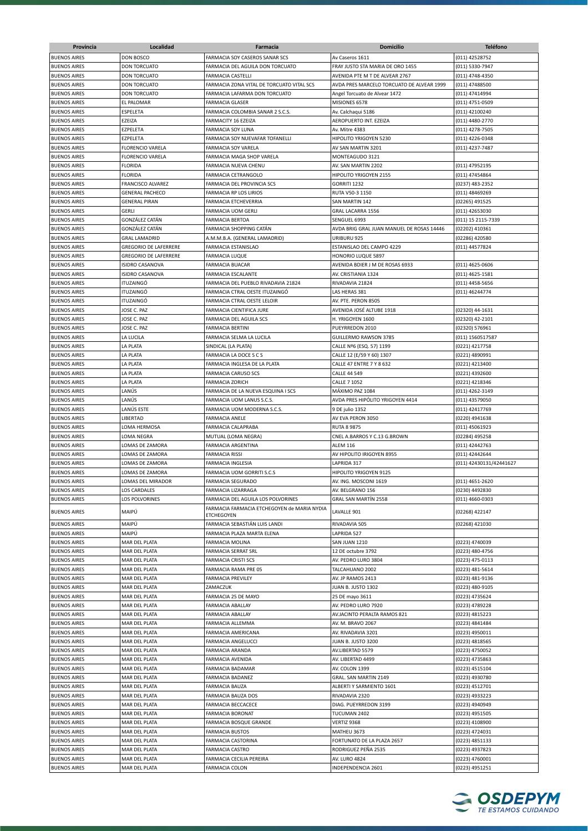| Provincia           | Localidad                    | Farmacia                                    | <b>Domicilio</b>                          | <b>Teléfono</b>         |
|---------------------|------------------------------|---------------------------------------------|-------------------------------------------|-------------------------|
| <b>BUENOS AIRES</b> | <b>DON BOSCO</b>             | <b>FARMACIA SOY CASEROS SANAR SCS</b>       | Av Caseros 1611                           | (011) 42528752          |
| <b>BUENOS AIRES</b> | <b>DON TORCUATO</b>          | FARMACIA DEL AGUILA DON TORCUATO            | FRAY JUSTO STA MARIA DE ORO 1455          | (011) 5330-7947         |
| <b>BUENOS AIRES</b> | <b>DON TORCUATO</b>          | <b>FARMACIA CASTELLI</b>                    | AVENIDA PTE M T DE ALVEAR 2767            |                         |
|                     | <b>DON TORCUATO</b>          |                                             |                                           | (011) 4748-4350         |
| <b>BUENOS AIRES</b> |                              | FARMACIA ZONA VITAL DE TORCUATO VITAL SCS   | AVDA PRES MARCELO TORCUATO DE ALVEAR 1999 | (011) 47488500          |
| <b>BUENOS AIRES</b> | <b>DON TORCUATO</b>          | FARMACIA LAFARMA DON TORCUATO               | Angel Torcuato de Alvear 1472             | (011) 47414994          |
| <b>BUENOS AIRES</b> | EL PALOMAR                   | <b>FARMACIA GLASER</b>                      | MISIONES 6578                             | (011) 4751-0509         |
| <b>BUENOS AIRES</b> | ESPELETA                     | FARMACIA COLOMBIA SANAR 2 S.C.S.            | Av. Calchaqui 5186                        | (011) 42100240          |
| <b>BUENOS AIRES</b> | EZEIZA                       | <b>FARMACITY 16 EZEIZA</b>                  | AEROPUERTO INT. EZEIZA                    | (011) 4480-2770         |
| <b>BUENOS AIRES</b> | EZPELETA                     | FARMACIA SOY LUNA                           | Av. Mitre 4383                            | (011) 4278-7505         |
| <b>BUENOS AIRES</b> | EZPELETA                     | FARMACIA SOY NUEVAFAR TOFANELLI             | HIPOLITO YRIGOYEN 5230                    | (011) 4226-0348         |
| <b>BUENOS AIRES</b> | <b>FLORENCIO VARELA</b>      | FARMACIA SOY VARELA                         | AV SAN MARTIN 3201                        | (011) 4237-7487         |
| <b>BUENOS AIRES</b> | <b>FLORENCIO VARELA</b>      | FARMACIA MAGA SHOP VARELA                   | MONTEAGUDO 3121                           |                         |
| <b>BUENOS AIRES</b> | <b>FLORIDA</b>               | FARMACIA NUEVA CHENU                        | AV. SAN MARTIN 2202                       | (011) 47952195          |
| <b>BUENOS AIRES</b> | <b>FLORIDA</b>               | <b>FARMACIA CETRANGOLO</b>                  | HIPOLITO YRIGOYEN 2155                    | (011) 47454864          |
| <b>BUENOS AIRES</b> | FRANCISCO ALVAREZ            | FARMACIA DEL PROVINCIA SCS                  | GORRITI 1232                              | (0237) 483-2352         |
| <b>BUENOS AIRES</b> | <b>GENERAL PACHECO</b>       | FARMACIA RP LOS LIRIOS                      | RUTA V50-3 1150                           | (011) 48469269          |
| <b>BUENOS AIRES</b> | <b>GENERAL PIRAN</b>         | FARMACIA ETCHEVERRIA                        | SAN MARTIN 142                            | (02265) 491525          |
| <b>BUENOS AIRES</b> | <b>GERLI</b>                 | <b>FARMACIA UOM GERLI</b>                   | GRAL LACARRA 1556                         | (011) 42653030          |
| <b>BUENOS AIRES</b> | GONZÁLEZ CATÁN               | <b>FARMACIA BERTOA</b>                      | SENGUEL 6993                              | (011) 15 2115-7339      |
| <b>BUENOS AIRES</b> | GONZÁLEZ CATÁN               | FARMACIA SHOPPING CATÁN                     | AVDA BRIG GRAL JUAN MANUEL DE ROSAS 14446 | (02202) 410361          |
| <b>BUENOS AIRES</b> | <b>GRAL LAMADRID</b>         | A.M.M.B.A. (GENERAL LAMADRID)               | URIBURU 925                               | (02286) 420580          |
| <b>BUENOS AIRES</b> | <b>GREGORIO DE LAFERRERE</b> | <b>FARMACIA ESTANISLAO</b>                  | ESTANISLAO DEL CAMPO 4229                 | (011) 44577824          |
| <b>BUENOS AIRES</b> | <b>GREGORIO DE LAFERRERE</b> | <b>FARMACIA LUQUE</b>                       | HONORIO LUQUE 5897                        |                         |
| <b>BUENOS AIRES</b> | ISIDRO CASANOVA              | <b>FARMACIA BUACAR</b>                      | AVENIDA BDIER J M DE ROSAS 6933           | (011) 4625-0606         |
| <b>BUENOS AIRES</b> | <b>ISIDRO CASANOVA</b>       | <b>FARMACIA ESCALANTE</b>                   | AV. CRISTIANIA 1324                       | $(011)$ 4625-1581       |
| <b>BUENOS AIRES</b> | <b>ITUZAINGÓ</b>             | FARMACIA DEL PUEBLO RIVADAVIA 21824         | RIVADAVIA 21824                           | (011) 4458-5656         |
| <b>BUENOS AIRES</b> | <b>ITUZAINGÓ</b>             | FARMACIA CTRAL OESTE ITUZAINGÓ              | LAS HERAS 381                             | (011) 46244774          |
| <b>BUENOS AIRES</b> | <b>ITUZAINGÓ</b>             | FARMACIA CTRAL OESTE LELOIR                 | AV. PTE. PERON 8505                       |                         |
| <b>BUENOS AIRES</b> | JOSE C. PAZ                  | FARMACIA CIENTIFICA JURE                    | AVENIDA JOSÉ ALTUBE 1918                  | (02320) 44-1631         |
| <b>BUENOS AIRES</b> | JOSE C. PAZ                  | FARMACIA DEL AGUILA SCS                     | H. YRIGOYEN 1600                          | (02320) 42-2101         |
| <b>BUENOS AIRES</b> | JOSE C. PAZ                  | <b>FARMACIA BERTINI</b>                     | PUEYRREDON 2010                           | (02320) 576961          |
| <b>BUENOS AIRES</b> | LA LUCILA                    | FARMACIA SELMA LA LUCILA                    | GUILLERMO RAWSON 3785                     | (011) 1560517587        |
| <b>BUENOS AIRES</b> | LA PLATA                     | SINDICAL (LA PLATA)                         | CALLE Nº6 (ESQ. 57) 1199                  | (0221) 4217758          |
| <b>BUENOS AIRES</b> | LA PLATA                     | FARMACIA LA DOCE S C S                      | CALLE 12 (E/59 Y 60) 1307                 | (0221) 4890991          |
| <b>BUENOS AIRES</b> | LA PLATA                     | FARMACIA INGLESA DE LA PLATA                | CALLE 47 ENTRE 7 Y 8 632                  | (0221) 4213400          |
| <b>BUENOS AIRES</b> | LA PLATA                     | <b>FARMACIA CARUSO SCS</b>                  | <b>CALLE 44 549</b>                       |                         |
|                     |                              |                                             |                                           | (0221) 4392600          |
| <b>BUENOS AIRES</b> | LA PLATA                     | <b>FARMACIA ZORICH</b>                      | <b>CALLE 7 1052</b>                       | (0221) 4218346          |
| <b>BUENOS AIRES</b> | LANÚS                        | FARMACIA DE LA NUEVA ESQUINA I SCS          | MÁXIMO PAZ 1084                           | (011) 4262-3149         |
| <b>BUENOS AIRES</b> | LANÚS                        | FARMACIA UOM LANUS S.C.S.                   | AVDA PRES HIPÓLITO YRIGOYEN 4414          | (011) 43579050          |
| <b>BUENOS AIRES</b> | LANÚS ESTE                   | FARMACIA UOM MODERNA S.C.S.                 | 9 DE julio 1352                           | (011) 42417769          |
| <b>BUENOS AIRES</b> | LIBERTAD                     | <b>FARMACIA ANELE</b>                       | AV EVA PERON 3050                         | (0220) 4941638          |
| <b>BUENOS AIRES</b> | LOMA HERMOSA                 | <b>FARMACIA CALAPRABA</b>                   | <b>RUTA 8 9875</b>                        | (011) 45061923          |
| <b>BUENOS AIRES</b> | LOMA NEGRA                   | MUTUAL (LOMA NEGRA)                         | CNEL A.BARROS Y C.13 G.BROWN              | (02284) 495258          |
| <b>BUENOS AIRES</b> | LOMAS DE ZAMORA              | <b>FARMACIA ARGENTINA</b>                   | <b>ALEM 116</b>                           | (011) 42442763          |
| <b>BUENOS AIRES</b> | LOMAS DE ZAMORA              | <b>FARMACIA RISSI</b>                       | AV HIPOLITO IRIGOYEN 8955                 | (011) 42442644          |
| <b>BUENOS AIRES</b> | LOMAS DE ZAMORA              | <b>FARMACIA INGLESIA</b>                    | LAPRIDA 317                               | (011) 42430131/42441627 |
| <b>BUENOS AIRES</b> | LOMAS DE ZAMORA              | FARMACIA UOM GORRITI S.C.S                  | HIPOLITO YRIGOYEN 9125                    |                         |
| <b>BUENOS AIRES</b> | LOMAS DEL MIRADOR            | <b>FARMACIA SEGURADO</b>                    | AV. ING. MOSCONI 1619                     | (011) 4651-2620         |
| <b>BUENOS AIRES</b> | <b>LOS CARDALES</b>          | FARMACIA LIZARRAGA                          | AV. BELGRANO 156                          | (0230) 4492830          |
| <b>BUENOS AIRES</b> | LOS POLVORINES               | FARMACIA DEL AGUILA LOS POLVORINES          | GRAL SAN MARTÍN 2558                      | (011) 4660-0303         |
| <b>BUENOS AIRES</b> | MAIPÚ                        | FARMACIA FARMACIA ETCHEGOYEN de MARIA NYDIA | LAVALLE 901                               | (02268) 422147          |
|                     |                              | <b>ETCHEGOYEN</b>                           |                                           |                         |
| <b>BUENOS AIRES</b> | MAIPÚ                        | FARMACIA SEBASTIÁN LUIS LANDI               | RIVADAVIA 505                             | (02268) 421030          |
| <b>BUENOS AIRES</b> | MAIPÚ                        | FARMACIA PLAZA MARTA ELENA                  | LAPRIDA 527                               |                         |
| <b>BUENOS AIRES</b> | MAR DEL PLATA                | FARMACIA MOLINA                             | SAN JUAN 1210                             | (0223) 4740039          |
| <b>BUENOS AIRES</b> | MAR DEL PLATA                | FARMACIA SERRAT SRL                         | 12 DE octubre 3792                        | (0223) 480-4756         |
| <b>BUENOS AIRES</b> | MAR DEL PLATA                | FARMACIA CRISTI SCS                         | AV. PEDRO LURO 3804                       | (0223) 475-0113         |
| <b>BUENOS AIRES</b> | MAR DEL PLATA                | FARMACIA RAMA PRE 05                        | TALCAHUANO 2002                           | (0223) 481-5614         |
| <b>BUENOS AIRES</b> | MAR DEL PLATA                | <b>FARMACIA PREVILEY</b>                    | AV. JP RAMOS 2413                         | (0223) 481-9136         |
| <b>BUENOS AIRES</b> | MAR DEL PLATA                | ZAMACZUK                                    | JUAN B. JUSTO 1302                        | (0223) 480-9105         |
| <b>BUENOS AIRES</b> | MAR DEL PLATA                | FARMACIA 25 DE MAYO                         | 25 DE mayo 3611                           | (0223) 4735624          |
| <b>BUENOS AIRES</b> | MAR DEL PLATA                | <b>FARMACIA ABALLAY</b>                     | AV. PEDRO LURO 7920                       | (0223) 4789228          |
| <b>BUENOS AIRES</b> | MAR DEL PLATA                | <b>FARMACIA ABALLAY</b>                     | AV.JACINTO PERALTA RAMOS 821              | (0223) 4815223          |
| <b>BUENOS AIRES</b> | MAR DEL PLATA                | FARMACIA ALLEMMA                            | AV. M. BRAVO 2067                         | (0223) 4841484          |
| <b>BUENOS AIRES</b> | MAR DEL PLATA                | FARMACIA AMERICANA                          | AV. RIVADAVIA 3201                        | (0223) 4950011          |
| <b>BUENOS AIRES</b> | MAR DEL PLATA                | FARMACIA ANGELUCCI                          | JUAN B. JUSTO 3200                        | (0223) 4818565          |
| <b>BUENOS AIRES</b> | MAR DEL PLATA                | FARMACIA ARANDA                             | AV.LIBERTAD 5579                          | (0223) 4750052          |
| <b>BUENOS AIRES</b> | MAR DEL PLATA                | FARMACIA AVENIDA                            | AV. LIBERTAD 4499                         | (0223) 4735863          |
| <b>BUENOS AIRES</b> | MAR DEL PLATA                | FARMACIA BADAMAR                            | AV. COLON 1399                            | (0223) 4515104          |
| <b>BUENOS AIRES</b> | MAR DEL PLATA                | FARMACIA BADANEZ                            | GRAL. SAN MARTIN 2149                     | (0223) 4930780          |
| <b>BUENOS AIRES</b> | MAR DEL PLATA                | FARMACIA BAUZA                              | ALBERTI Y SARMIENTO 1601                  | (0223) 4512701          |
| <b>BUENOS AIRES</b> | MAR DEL PLATA                | FARMACIA BAUZA DOS                          | RIVADAVIA 2320                            | (0223) 4933223          |
| <b>BUENOS AIRES</b> | MAR DEL PLATA                | FARMACIA BECCACECE                          | DIAG. PUEYRREDON 3199                     | (0223) 4940949          |
| <b>BUENOS AIRES</b> | MAR DEL PLATA                | FARMACIA BORONAT                            | TUCUMAN 2402                              | (0223) 4951505          |
| <b>BUENOS AIRES</b> | MAR DEL PLATA                | FARMACIA BOSQUE GRANDE                      | VERTIZ 9368                               | (0223) 4108900          |
|                     |                              |                                             |                                           |                         |
| <b>BUENOS AIRES</b> | MAR DEL PLATA                | <b>FARMACIA BUSTOS</b>                      | MATHEU 3673                               | (0223) 4724031          |
| <b>BUENOS AIRES</b> | MAR DEL PLATA                | FARMACIA CASTORINA                          | FORTUNATO DE LA PLAZA 2657                | (0223) 4851133          |
| <b>BUENOS AIRES</b> | MAR DEL PLATA                | <b>FARMACIA CASTRO</b>                      | RODRIGUEZ PEÑA 2535                       | (0223) 4937823          |
| <b>BUENOS AIRES</b> | MAR DEL PLATA                | FARMACIA CECILIA PEREIRA                    | <b>AV. LURO 4824</b>                      | (0223) 4760001          |
| <b>BUENOS AIRES</b> | MAR DEL PLATA                | <b>FARMACIA COLON</b>                       | INDEPENDENCIA 2601                        | (0223) 4951251          |

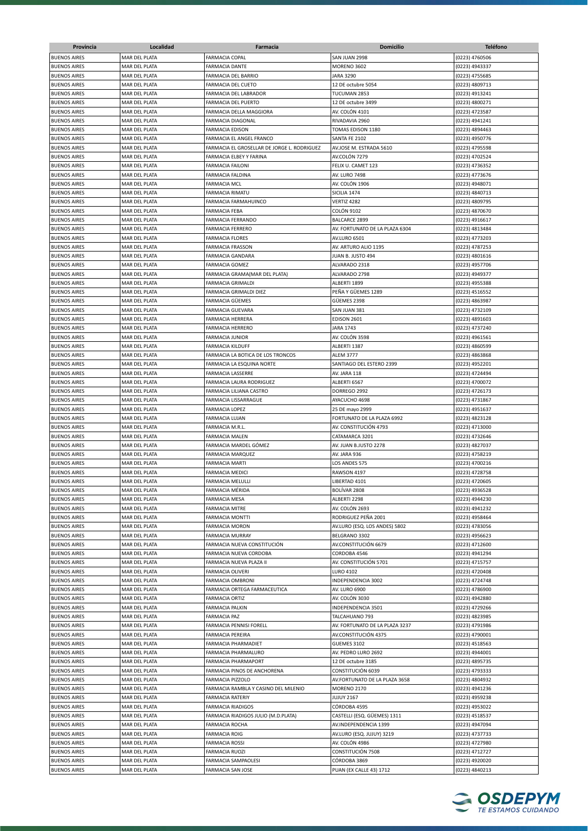| Provincia           | Localidad                      | Farmacia                                       | <b>Domicilio</b>               | <b>Teléfono</b> |
|---------------------|--------------------------------|------------------------------------------------|--------------------------------|-----------------|
| <b>BUENOS AIRES</b> | MAR DEL PLATA                  | <b>FARMACIA COPAL</b>                          | SAN JUAN 2998                  | (0223) 4760506  |
| <b>BUENOS AIRES</b> | MAR DEL PLATA                  | <b>FARMACIA DANTE</b>                          | <b>MORENO 3602</b>             | (0223) 4943337  |
| <b>BUENOS AIRES</b> | MAR DEL PLATA                  | FARMACIA DEL BARRIO                            | <b>JARA 3290</b>               | (0223) 4755685  |
| <b>BUENOS AIRES</b> | MAR DEL PLATA                  | FARMACIA DEL CUETO                             | 12 DE octubre 5054             | (0223) 4809713  |
| <b>BUENOS AIRES</b> | MAR DEL PLATA                  | FARMACIA DEL LABRADOR                          | TUCUMAN 2853                   | (0223) 4913241  |
| <b>BUENOS AIRES</b> |                                |                                                |                                |                 |
| <b>BUENOS AIRES</b> | MAR DEL PLATA<br>MAR DEL PLATA | FARMACIA DEL PUERTO<br>FARMACIA DELLA MAGGIORA | 12 DE octubre 3499             | (0223) 4800271  |
|                     |                                |                                                | AV. COLÓN 4101                 | (0223) 4723587  |
| <b>BUENOS AIRES</b> | MAR DEL PLATA                  | FARMACIA DIAGONAL                              | RIVADAVIA 2960                 | (0223) 4941241  |
| <b>BUENOS AIRES</b> | MAR DEL PLATA                  | FARMACIA EDISON                                | TOMAS EDISON 1180              | (0223) 4894463  |
| <b>BUENOS AIRES</b> | MAR DEL PLATA                  | FARMACIA EL ANGEL FRANCO                       | SANTA FE 2102                  | (0223) 4950776  |
| <b>BUENOS AIRES</b> | MAR DEL PLATA                  | FARMACIA EL GROSELLAR DE JORGE L. RODRIGUEZ    | AV.JOSE M. ESTRADA 5610        | (0223) 4795598  |
| <b>BUENOS AIRES</b> | MAR DEL PLATA                  | <b>FARMACIA ELBEY Y FARINA</b>                 | AV.COLÓN 7279                  | (0223) 4702524  |
| <b>BUENOS AIRES</b> | <b>MAR DEL PLATA</b>           | <b>FARMACIA FAILONI</b>                        | FELIX U. CAMET 123             | (0223) 4736352  |
| <b>BUENOS AIRES</b> | MAR DEL PLATA                  | FARMACIA FALDINA                               | <b>AV. LURO 7498</b>           | (0223) 4773676  |
| <b>BUENOS AIRES</b> | MAR DEL PLATA                  | <b>FARMACIA MCL</b>                            | AV. COLÓN 1906                 | (0223) 4948071  |
| <b>BUENOS AIRES</b> | MAR DEL PLATA                  | FARMACIA RIMATU                                | SICILIA 1474                   | (0223) 4840713  |
| <b>BUENOS AIRES</b> | MAR DEL PLATA                  | FARMACIA FARMAHUINCO                           | VERTIZ 4282                    | (0223) 4809795  |
| <b>BUENOS AIRES</b> | MAR DEL PLATA                  | FARMACIA FEBA                                  | <b>COLÓN 9102</b>              | (0223) 4870670  |
| <b>BUENOS AIRES</b> | MAR DEL PLATA                  | FARMACIA FERRANDO                              | <b>BALCARCE 2899</b>           | (0223) 4916617  |
| <b>BUENOS AIRES</b> | MAR DEL PLATA                  | <b>FARMACIA FERRERO</b>                        | AV. FORTUNATO DE LA PLAZA 6304 | (0223) 4813484  |
| <b>BUENOS AIRES</b> | MAR DEL PLATA                  | <b>FARMACIA FLORES</b>                         | <b>AV.LURO 6501</b>            | (0223) 4773203  |
| <b>BUENOS AIRES</b> | <b>MAR DEL PLATA</b>           | <b>FARMACIA FRASSON</b>                        | AV. ARTURO ALIO 1195           | (0223) 4787253  |
| <b>BUENOS AIRES</b> | MAR DEL PLATA                  | <b>FARMACIA GANDARA</b>                        | JUAN B. JUSTO 494              | (0223) 4801616  |
| <b>BUENOS AIRES</b> | MAR DEL PLATA                  | <b>FARMACIA GOMEZ</b>                          | ALVARADO 2318                  | (0223) 4957706  |
| <b>BUENOS AIRES</b> | MAR DEL PLATA                  | FARMACIA GRAMA(MAR DEL PLATA)                  | ALVARADO 2798                  |                 |
| <b>BUENOS AIRES</b> |                                |                                                |                                | (0223) 4949377  |
|                     | MAR DEL PLATA                  | <b>FARMACIA GRIMALDI</b>                       | ALBERTI 1899                   | (0223) 4955388  |
| <b>BUENOS AIRES</b> | MAR DEL PLATA                  | FARMACIA GRIMALDI DIEZ                         | PEÑA Y GÜEMES 1289             | (0223) 4516552  |
| <b>BUENOS AIRES</b> | MAR DEL PLATA                  | FARMACIA GÜEMES                                | GÜEMES 2398                    | (0223) 4863987  |
| <b>BUENOS AIRES</b> | MAR DEL PLATA                  | FARMACIA GUEVARA                               | SAN JUAN 381                   | (0223) 4732109  |
| <b>BUENOS AIRES</b> | MAR DEL PLATA                  | FARMACIA HERRERA                               | <b>EDISON 2601</b>             | (0223) 4891603  |
| <b>BUENOS AIRES</b> | MAR DEL PLATA                  | FARMACIA HERRERO                               | JARA 1743                      | (0223) 4737240  |
| <b>BUENOS AIRES</b> | MAR DEL PLATA                  | FARMACIA JUNIOR                                | AV. COLÓN 3598                 | (0223) 4961561  |
| <b>BUENOS AIRES</b> | MAR DEL PLATA                  | <b>FARMACIA KILDUFF</b>                        | ALBERTI 1387                   | (0223) 4860599  |
| <b>BUENOS AIRES</b> | MAR DEL PLATA                  | FARMACIA LA BOTICA DE LOS TRONCOS              | <b>ALEM 3777</b>               | (0223) 4863868  |
| <b>BUENOS AIRES</b> | MAR DEL PLATA                  | FARMACIA LA ESQUINA NORTE                      | SANTIAGO DEL ESTERO 2399       | (0223) 4952201  |
| <b>BUENOS AIRES</b> | MAR DEL PLATA                  | FARMACIA LASSERRE                              | AV. JARA 118                   | (0223) 4724494  |
| <b>BUENOS AIRES</b> | MAR DEL PLATA                  | FARMACIA LAURA RODRIGUEZ                       | ALBERTI 6567                   | (0223) 4700072  |
| <b>BUENOS AIRES</b> | MAR DEL PLATA                  | FARMACIA LILIANA CASTRO                        | DORREGO 2992                   | (0223) 4726173  |
| <b>BUENOS AIRES</b> | MAR DEL PLATA                  | FARMACIA LISSARRAGUE                           | AYACUCHO 4698                  | (0223) 4731867  |
| <b>BUENOS AIRES</b> | MAR DEL PLATA                  | FARMACIA LOPEZ                                 | 25 DE mayo 2999                | (0223) 4951637  |
|                     |                                |                                                |                                |                 |
| <b>BUENOS AIRES</b> | MAR DEL PLATA                  | FARMACIA LUJAN                                 | FORTUNATO DE LA PLAZA 6992     | (0223) 4823128  |
| <b>BUENOS AIRES</b> | MAR DEL PLATA                  | FARMACIA M.R.L.                                | AV. CONSTITUCIÓN 4793          | (0223) 4713000  |
| <b>BUENOS AIRES</b> | MAR DEL PLATA                  | <b>FARMACIA MALEN</b>                          | CATAMARCA 3201                 | (0223) 4732646  |
| <b>BUENOS AIRES</b> | MAR DEL PLATA                  | FARMACIA MARDEL GÓMEZ                          | AV. JUAN B.JUSTO 2278          | (0223) 4827037  |
| <b>BUENOS AIRES</b> | MAR DEL PLATA                  | <b>FARMACIA MARQUEZ</b>                        | AV. JARA 936                   | (0223) 4758219  |
| <b>BUENOS AIRES</b> | MAR DEL PLATA                  | <b>FARMACIA MARTI</b>                          | LOS ANDES 575                  | (0223) 4700216  |
| <b>BUENOS AIRES</b> | MAR DEL PLATA                  | <b>FARMACIA MEDICI</b>                         | RAWSON 4197                    | (0223) 4728758  |
| <b>BUENOS AIRES</b> | MAR DEL PLATA                  | <b>FARMACIA MELULLI</b>                        | LIBERTAD 4101                  | (0223) 4720605  |
| <b>BUENOS AIRES</b> | MAR DEL PLATA                  | FARMACIA MÉRIDA                                | BOLÍVAR 2808                   | (0223) 4936528  |
| <b>BUENOS AIRES</b> | MAR DEL PLATA                  | FARMACIA MESA                                  | ALBERTI 2298                   | (0223) 4944230  |
| <b>BUENOS AIRES</b> | MAR DEL PLATA                  | FARMACIA MITRE                                 | AV. COLÓN 2693                 | (0223) 4941232  |
| <b>BUENOS AIRES</b> | MAR DEL PLATA                  | <b>FARMACIA MONTTI</b>                         | RODRIGUEZ PEÑA 2001            | (0223) 4958464  |
| <b>BUENOS AIRES</b> | MAR DEL PLATA                  | FARMACIA MORON                                 | AV.LURO (ESQ. LOS ANDES) 5802  | (0223) 4783056  |
| <b>BUENOS AIRES</b> | MAR DEL PLATA                  | <b>FARMACIA MURRAY</b>                         | BELGRANO 3302                  | (0223) 4956623  |
| <b>BUENOS AIRES</b> | MAR DEL PLATA                  | FARMACIA NUEVA CONSTITUCIÓN                    | AV.CONSTITUCIÓN 6679           | (0223) 4712600  |
| <b>BUENOS AIRES</b> | MAR DEL PLATA                  | FARMACIA NUEVA CORDOBA                         | CORDOBA 4546                   | (0223) 4941294  |
| <b>BUENOS AIRES</b> | MAR DEL PLATA                  | FARMACIA NUEVA PLAZA II                        | AV. CONSTITUCIÓN 5701          | (0223) 4715757  |
| <b>BUENOS AIRES</b> | MAR DEL PLATA                  | <b>FARMACIA OLIVERI</b>                        | LURO 4102                      | (0223) 4720408  |
| <b>BUENOS AIRES</b> | MAR DEL PLATA                  | FARMACIA OMBRONI                               | INDEPENDENCIA 3002             | (0223) 4724748  |
| <b>BUENOS AIRES</b> | MAR DEL PLATA                  | FARMACIA ORTEGA FARMACEUTICA                   | AV. LURO 6900                  | (0223) 4786900  |
| <b>BUENOS AIRES</b> | MAR DEL PLATA                  | FARMACIA ORTIZ                                 | AV. COLÓN 3030                 | (0223) 4942880  |
| <b>BUENOS AIRES</b> | MAR DEL PLATA                  | FARMACIA PALKIN                                | INDEPENDENCIA 3501             | (0223) 4729266  |
|                     |                                |                                                |                                |                 |
| <b>BUENOS AIRES</b> | MAR DEL PLATA                  | FARMACIA PAZ                                   | TALCAHUANO 793                 | (0223) 4823985  |
| <b>BUENOS AIRES</b> | MAR DEL PLATA                  | FARMACIA PENNISI FORELL                        | AV. FORTUNATO DE LA PLAZA 3237 | (0223) 4791986  |
| <b>BUENOS AIRES</b> | MAR DEL PLATA                  | FARMACIA PEREIRA                               | AV.CONSTITUCIÓN 4375           | (0223) 4790001  |
| <b>BUENOS AIRES</b> | MAR DEL PLATA                  | FARMACIA PHARMADIET                            | GUEMES 3102                    | (0223) 4518563  |
| <b>BUENOS AIRES</b> | MAR DEL PLATA                  | FARMACIA PHARMALURO                            | AV. PEDRO LURO 2692            | (0223) 4944001  |
| <b>BUENOS AIRES</b> | MAR DEL PLATA                  | FARMACIA PHARMAPORT                            | 12 DE octubre 3185             | (0223) 4895735  |
| <b>BUENOS AIRES</b> | MAR DEL PLATA                  | FARMACIA PINOS DE ANCHORENA                    | CONSTITUCIÓN 6039              | (0223) 4793333  |
| <b>BUENOS AIRES</b> | MAR DEL PLATA                  | FARMACIA PIZZOLO                               | AV.FORTUNATO DE LA PLAZA 3658  | (0223) 4804932  |
| <b>BUENOS AIRES</b> | MAR DEL PLATA                  | FARMACIA RAMBLA Y CASINO DEL MILENIO           | <b>MORENO 2170</b>             | (0223) 4941236  |
| <b>BUENOS AIRES</b> | MAR DEL PLATA                  | <b>FARMACIA RATERIY</b>                        | <b>JUJUY 2167</b>              | (0223) 4959238  |
| <b>BUENOS AIRES</b> | MAR DEL PLATA                  | <b>FARMACIA RIADIGOS</b>                       | CÓRDOBA 4595                   | (0223) 4953022  |
| <b>BUENOS AIRES</b> | MAR DEL PLATA                  | FARMACIA RIADIGOS JULIO (M.D.PLATA)            | CASTELLI (ESQ. GÜEMES) 1311    | (0223) 4518537  |
| <b>BUENOS AIRES</b> | MAR DEL PLATA                  | <b>FARMACIA ROCHA</b>                          | AV.INDEPENDENCIA 1399          | (0223) 4947094  |
| <b>BUENOS AIRES</b> | MAR DEL PLATA                  | <b>FARMACIA ROIG</b>                           | AV.LURO (ESQ. JUJUY) 3219      | (0223) 4737733  |
| <b>BUENOS AIRES</b> | MAR DEL PLATA                  | <b>FARMACIA ROSSI</b>                          | AV. COLÓN 4986                 | (0223) 4727980  |
| <b>BUENOS AIRES</b> | MAR DEL PLATA                  | FARMACIA RUOZI                                 | CONSTITUCIÓN 7508              | (0223) 4712727  |
|                     |                                |                                                |                                |                 |
| <b>BUENOS AIRES</b> | MAR DEL PLATA                  | FARMACIA SAMPAOLESI                            | CÓRDOBA 3869                   | (0223) 4920020  |
| <b>BUENOS AIRES</b> | MAR DEL PLATA                  | FARMACIA SAN JOSE                              | PUAN (EX CALLE 43) 1712        | (0223) 4840213  |

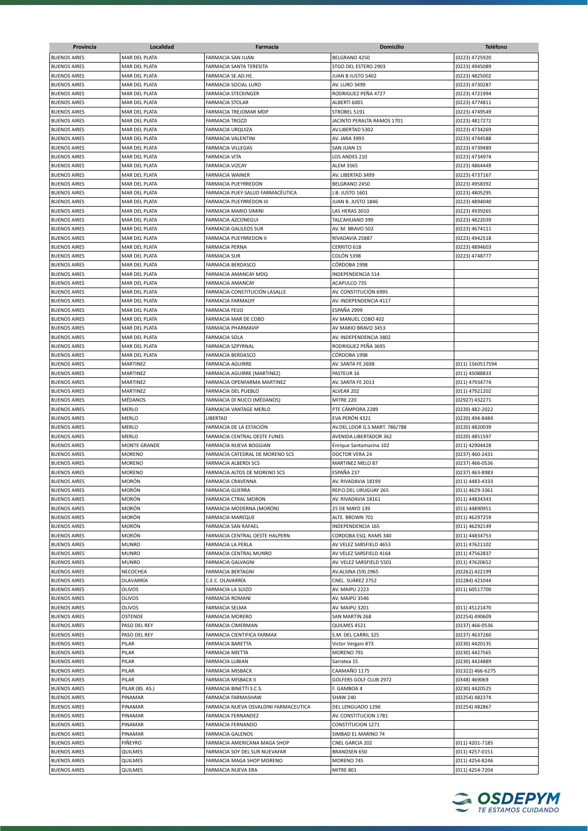| Provincia           | Localidad            | Farmacia                              | <b>Domicilio</b>              | <b>Teléfono</b>  |
|---------------------|----------------------|---------------------------------------|-------------------------------|------------------|
| <b>BUENOS AIRES</b> | MAR DEL PLATA        | FARMACIA SAN JUAN                     | BELGRANO 4250                 | (0223) 4725920   |
| <b>BUENOS AIRES</b> | MAR DEL PLATA        | FARMACIA SANTA TERESITA               | STGO.DEL ESTERO 2903          | (0223) 4945089   |
| <b>BUENOS AIRES</b> | MAR DEL PLATA        | FARMACIA SE.AD.HE.                    | JUAN B JUSTO 5402             | (0223) 4825002   |
| <b>BUENOS AIRES</b> | MAR DEL PLATA        | FARMACIA SOCIAL LURO                  | <b>AV. LURO 3499</b>          | (0223) 4730287   |
| <b>BUENOS AIRES</b> | MAR DEL PLATA        | FARMACIA STECKINGER                   | RODRIGUEZ PEÑA 4727           | (0223) 4721994   |
| <b>BUENOS AIRES</b> |                      | <b>FARMACIA STOLAR</b>                |                               | (0223) 4774811   |
|                     | MAR DEL PLATA        |                                       | ALBERTI 6001                  | (0223) 4749549   |
| <b>BUENOS AIRES</b> | MAR DEL PLATA        | FARMACIA TREJOMAR MDP                 | STROBEL 5191                  |                  |
| <b>BUENOS AIRES</b> | MAR DEL PLATA        | <b>FARMACIA TROZZI</b>                | JACINTO PERALTA RAMOS 1701    | (0223) 4817272   |
| <b>BUENOS AIRES</b> | MAR DEL PLATA        | FARMACIA URQUIZA                      | AV.LIBERTAD 5302              | (0223) 4734269   |
| <b>BUENOS AIRES</b> | MAR DEL PLATA        | FARMACIA VALENTINI                    | AV. JARA 3993                 | (0223) 4744588   |
| <b>BUENOS AIRES</b> | MAR DEL PLATA        | <b>FARMACIA VILLEGAS</b>              | SAN JUAN 15                   | (0223) 4739489   |
| <b>BUENOS AIRES</b> | <b>MAR DEL PLATA</b> | <b>FARMACIA VITA</b>                  | LOS ANDES 210                 | (0223) 4734974   |
| <b>BUENOS AIRES</b> | <b>MAR DEL PLATA</b> | FARMACIA VIZCAY                       | <b>ALEM 3565</b>              | (0223) 4864449   |
| <b>BUENOS AIRES</b> | MAR DEL PLATA        | <b>FARMACIA WAINER</b>                | AV. LIBERTAD 3499             | (0223) 4737167   |
| <b>BUENOS AIRES</b> | MAR DEL PLATA        | FARMACIA PUEYRREDON                   | BELGRANO 2450                 | (0223) 4958392   |
| <b>BUENOS AIRES</b> | MAR DEL PLATA        | FARMACIA PUEY-SALUD FARMACÉUTICA      | J.B. JUSTO 1601               | (0223) 4805295   |
| <b>BUENOS AIRES</b> | MAR DEL PLATA        | FARMACIA PUEYRREDON III               | JUAN B. JUSTO 1846            | (0223) 4894040   |
| <b>BUENOS AIRES</b> | MAR DEL PLATA        | FARMACIA MARIO SIMINI                 | LAS HERAS 3010                | (0223) 4939265   |
| <b>BUENOS AIRES</b> | MAR DEL PLATA        | FARMACIA AZCONEGUI                    | TALCAHUANO 399                | (0223) 4822039   |
| <b>BUENOS AIRES</b> | MAR DEL PLATA        | <b>FARMACIA GALILEOS SUR</b>          | AV. M. BRAVO 502              | (0223) 4674111   |
| <b>BUENOS AIRES</b> | MAR DEL PLATA        | FARMACIA PUEYRREDON II                | RIVADAVIA 25887               | (0223) 4942518   |
| <b>BUENOS AIRES</b> | MAR DEL PLATA        | <b>FARMACIA PERNA</b>                 | CERRITO 618                   | (0223) 4894603   |
| <b>BUENOS AIRES</b> | MAR DEL PLATA        | <b>FARMACIA SUR</b>                   | <b>COLÓN 5398</b>             | (0223) 4748777   |
| <b>BUENOS AIRES</b> | MAR DEL PLATA        | FARMACIA BERDASCO                     | CÓRDOBA 1998                  |                  |
| <b>BUENOS AIRES</b> | MAR DEL PLATA        | FARMACIA AMANCAY MDQ                  | INDEPENDENCIA 514             |                  |
| <b>BUENOS AIRES</b> | MAR DEL PLATA        | <b>FARMACIA AMANCAY</b>               | ACAPULCO 735                  |                  |
| <b>BUENOS AIRES</b> | MAR DEL PLATA        | FARMACIA CONSTITUCIÓN LASALLE         | AV. CONSTITUCIÓN 6995         |                  |
| <b>BUENOS AIRES</b> | MAR DEL PLATA        | <b>FARMACIA FARMALYF</b>              | AV. INDEPENDENCIA 4117        |                  |
| <b>BUENOS AIRES</b> | MAR DEL PLATA        | <b>FARMACIA FEIJO</b>                 | ESPAÑA 2999                   |                  |
| <b>BUENOS AIRES</b> | MAR DEL PLATA        | FARMACIA MAR DE COBO                  | AV MANUEL COBO 402            |                  |
| <b>BUENOS AIRES</b> | MAR DEL PLATA        | FARMACIA PHARMAVIP                    | AV MARIO BRAVO 3453           |                  |
| <b>BUENOS AIRES</b> | MAR DEL PLATA        | FARMACIA SOLA                         | AV. INDEPENDENCIA 3802        |                  |
| <b>BUENOS AIRES</b> | MAR DEL PLATA        | FARMACIA SZPYRNAL                     | RODRIGUEZ PEÑA 3695           |                  |
| <b>BUENOS AIRES</b> | MAR DEL PLATA        | FARMACIA BERDASCO                     | CÓRDOBA 1998                  |                  |
| <b>BUENOS AIRES</b> |                      | <b>FARMACIA AGUIRRE</b>               | AV. SANTA FE 2698             |                  |
|                     | MARTINEZ             |                                       |                               | (011) 1560517594 |
| <b>BUENOS AIRES</b> | MARTINEZ             | FARMACIA AGUIRRE (MARTINEZ)           | PASTEUR 16                    | (011) 45088833   |
| <b>BUENOS AIRES</b> | MARTINEZ             | FARMACIA OPENFARMA MARTINEZ           | AV. SANTA FE 2013             | (011) 47934774   |
| <b>BUENOS AIRES</b> | MARTINEZ             | FARMACIA DEL PUEBLO                   | ALVEAR 202                    | (011) 47921202   |
| <b>BUENOS AIRES</b> | MÉDANOS              | FARMACIA DI NUCCI (MÉDANOS)           | MITRE 220                     | (02927) 432271   |
| <b>BUENOS AIRES</b> | MERLO                | FARMACIA VANTAGE MERLO                | PTE CÁMPORA 2289              | (0220) 482-2022  |
| <b>BUENOS AIRES</b> | MERLO                | LIBERTAD                              | EVA PERÓN 4321                | (0220) 494-8484  |
| <b>BUENOS AIRES</b> | MERLO                | FARMACIA DE LA ESTACIÓN               | AV.DEL LDOR G.S.MART. 786/788 | (0220) 4820039   |
| <b>BUENOS AIRES</b> | <b>MERLO</b>         | FARMACIA CENTRAL OESTE FUNES          | AVENIDA LIBERTADOR 362        | (0220) 4851597   |
| <b>BUENOS AIRES</b> | <b>MONTE GRANDE</b>  | <b>FARMACIA NUEVA BOGGIAN</b>         | Enrique Santamarina 102       | (011) 42904428   |
| <b>BUENOS AIRES</b> | <b>MORENO</b>        | FARMACIA CATEDRAL DE MORENO SCS       | DOCTOR VERA 24                | (0237) 460-2431  |
| <b>BUENOS AIRES</b> | <b>MORENO</b>        | <b>FARMACIA ALBERDI SCS</b>           | MARTINEZ MELO 87              | (0237) 466-0536  |
| <b>BUENOS AIRES</b> | <b>MORENO</b>        | FARMACIA ALTOS DE MORENO SCS          | ESPAÑA 237                    | (0237) 463-8983  |
| <b>BUENOS AIRES</b> | <b>MORÓN</b>         | <b>FARMACIA CRAVENNA</b>              | AV. RIVADAVIA 18199           | (011) 4483-4333  |
| <b>BUENOS AIRES</b> | MORÓN                | <b>FARMACIA GUERRA</b>                | REP.O.DEL URUGUAY 265         | (011) 4629-3361  |
| <b>BUENOS AIRES</b> | MORÓN                | FARMACIA CTRAL MORON                  | AV. RIVADAVIA 18161           | (011) 44834343   |
| <b>BUENOS AIRES</b> | MORÓN                | FARMACIA MODERNA (MORÓN)              | 25 DE MAYO 139                | (011) 44890951   |
| <b>BUENOS AIRES</b> | MORÓN                | <b>FARMACIA MAREQUE</b>               | ALTE. BROWN 701               | (011) 46297259   |
| <b>BUENOS AIRES</b> | MORÓN                | FARMACIA SAN RAFAEL                   | INDEPENDENCIA 165             | (011) 46292149   |
| <b>BUENOS AIRES</b> | MORÓN                | FARMACIA CENTRAL OESTE HALPERN        | CORDOBA ESQ. RAMS 340         | (011) 44834753   |
| <b>BUENOS AIRES</b> | <b>MUNRO</b>         | FARMACIA LA PERLA                     | AV VELEZ SARSFIELD 4653       | (011) 47621102   |
| <b>BUENOS AIRES</b> | <b>MUNRO</b>         | FARMACIA CENTRAL MUNRO                | AV VELEZ SARSFIELD 4164       | (011) 47562837   |
| <b>BUENOS AIRES</b> | <b>MUNRO</b>         | FARMACIA GALVAGNI                     | AV. VELEZ SARSFIELD 5501      | (011) 47620652   |
| <b>BUENOS AIRES</b> | NECOCHEA             | FARMACIA BERTAGNI                     | AV.ALSINA (59) 2965           | (02262) 422199   |
| <b>BUENOS AIRES</b> | OLAVARRÍA            | C.E.C. OLAVARRÍA                      | CNEL. SUÁREZ 2752             | (02284) 421044   |
| <b>BUENOS AIRES</b> | OLIVOS               | FARMACIA LA SUIZO                     | AV. MAIPU 2223                | (011) 60517700   |
| <b>BUENOS AIRES</b> | OLIVOS               | FARMACIA ROMANI                       | AV. MAIPÚ 3546                |                  |
| <b>BUENOS AIRES</b> | OLIVOS               | FARMACIA SELMA                        | AV. MAIPU 3201                | (011) 45121470   |
|                     |                      |                                       |                               |                  |
| <b>BUENOS AIRES</b> | OSTENDE              | <b>FARMACIA MORERO</b>                | SAN MARTIN 268                | (02254) 490609   |
| <b>BUENOS AIRES</b> | PASO DEL REY         | FARMACIA CIMERMAN                     | QUILMES 4521                  | (0237) 466-0536  |
| <b>BUENOS AIRES</b> | PASO DEL REY         | FARMACIA CIENTIFICA FARMAX            | S.M. DEL CARRIL 325           | (0237) 4637260   |
| <b>BUENOS AIRES</b> | PILAR                | FARMACIA BARETTA                      | Victor Vergani 873            | (0230) 4420135   |
| <b>BUENOS AIRES</b> | PILAR                | FARMACIA MIETTA                       | MORENO 791                    | (0230) 4427565   |
| <b>BUENOS AIRES</b> | PILAR                | FARMACIA LUBIAN                       | Sarratea 15                   | (0230) 4424889   |
| <b>BUENOS AIRES</b> | PILAR                | <b>FARMACIA MISBACK</b>               | CAAMAÑO 1175                  | (02322) 466-6275 |
| <b>BUENOS AIRES</b> | PILAR                | FARMACIA MISBACK II                   | GOLFERS GOLF CLUB 2972        | (0348) 469069    |
| <b>BUENOS AIRES</b> | PILAR (BS. AS.)      | FARMACIA BINETTI S.C.S.               | F. GAMBOA 4                   | (0230) 4420525   |
| <b>BUENOS AIRES</b> | PINAMAR              | FARMACIA FARMASHAW                    | <b>SHAW 240</b>               | (02254) 482374   |
| <b>BUENOS AIRES</b> | PINAMAR              | FARMACIA NUEVA OSVALDINI FARMACEUTICA | DEL LENGUADO 1296             | (02254) 482867   |
| <b>BUENOS AIRES</b> | PINAMAR              | FARMACIA FERNANDEZ                    | AV. CONSTITUCION 1781         |                  |
| <b>BUENOS AIRES</b> | PINAMAR              | FARMACIA FERNANDO                     | <b>CONSTITUCION 1271</b>      |                  |
| <b>BUENOS AIRES</b> | PINAMAR              | <b>FARMACIA GALENOS</b>               | SIMBAD EL MARINO 74           |                  |
| <b>BUENOS AIRES</b> | PIÑEYRO              | FARMACIA AMERICANA MAGA SHOP          | CNEL GARCIA 202               | (011) 4201-7185  |
| <b>BUENOS AIRES</b> | QUILMES              | FARMACIA SOY DEL SUR NUEVAFAR         | <b>BRANDSEN 650</b>           | (011) 4257-0151  |
| <b>BUENOS AIRES</b> | QUILMES              | FARMACIA MAGA SHOP MORENO             | MORENO 745                    | (011) 4254-8246  |
| <b>BUENOS AIRES</b> | QUILMES              | FARMACIA NUEVA ERA                    | <b>MITRE 801</b>              | (011) 4254-7204  |
|                     |                      |                                       |                               |                  |

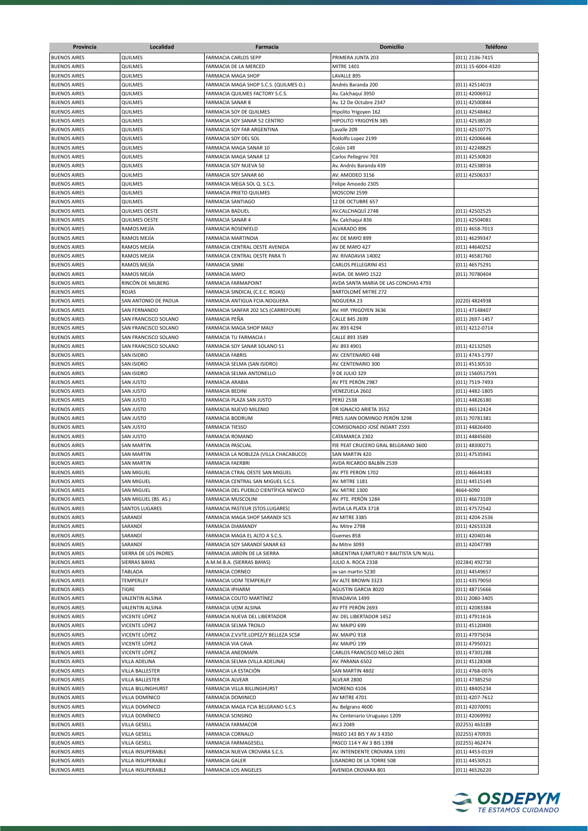| Provincia           | Localidad                 | Farmacia                                                          | Domicilio                              | <b>Teléfono</b>    |
|---------------------|---------------------------|-------------------------------------------------------------------|----------------------------------------|--------------------|
| <b>BUENOS AIRES</b> | QUILMES                   | <b>FARMACIA CARLOS SEPP</b>                                       | PRIMERA JUNTA 203                      | (011) 2136-7415    |
| <b>BUENOS AIRES</b> | QUILMES                   | FARMACIA DE LA MERCED                                             | <b>MITRE 1401</b>                      | (011) 15-6004-4320 |
| <b>BUENOS AIRES</b> | QUILMES                   | <b>FARMACIA MAGA SHOP</b>                                         | LAVALLE 895                            |                    |
| <b>BUENOS AIRES</b> | QUILMES                   | FARMACIA MAGA SHOP S.C.S. (QUILMES O.)                            | Andrés Baranda 200                     | (011) 42514019     |
| <b>BUENOS AIRES</b> | QUILMES                   | FARMACIA QUILMES FACTORY S.C.S.                                   | Av. Calchaquí 3950                     | (011) 42006912     |
| <b>BUENOS AIRES</b> | QUILMES                   |                                                                   | Av. 12 De Octubre 2347                 | (011) 42500844     |
|                     |                           | <b>FARMACIA SANAR 8</b>                                           |                                        |                    |
| <b>BUENOS AIRES</b> | QUILMES                   | FARMACIA SOY DE QUILMES                                           | Hipolito Yrigoyen 162                  | (011) 42548462     |
| <b>BUENOS AIRES</b> | QUILMES                   | FARMACIA SOY SANAR 52 CENTRO                                      | HIPOLITO YRIGOYEN 385                  | (011) 42538520     |
| <b>BUENOS AIRES</b> | QUILMES                   | FARMACIA SOY FAR ARGENTINA                                        | Lavalle 209                            | (011) 42510775     |
| <b>BUENOS AIRES</b> | QUILMES                   | FARMACIA SOY DEL SOL                                              | Rodolfo Lopez 2199                     | (011) 42006646     |
| <b>BUENOS AIRES</b> | QUILMES                   | FARMACIA MAGA SANAR 10                                            | Colón 149                              | (011) 42248825     |
| <b>BUENOS AIRES</b> | QUILMES                   | FARMACIA MAGA SANAR 12                                            | Carlos Pellegrini 703                  | (011) 42530820     |
| <b>BUENOS AIRES</b> | QUILMES                   | FARMACIA SOY NUEVA 50                                             | Av. Andrés Baranda 439                 | (011) 42538916     |
| <b>BUENOS AIRES</b> | QUILMES                   | FARMACIA SOY SANAR 60                                             | AV. AMODEO 3156                        | (011) 42506337     |
| <b>BUENOS AIRES</b> | QUILMES                   | FARMACIA MEGA SOL Q. S.C.S.                                       | Felipe Amoedo 2305                     |                    |
| <b>BUENOS AIRES</b> | QUILMES                   | FARMACIA PRIETO QUILMES                                           | MOSCONI 2599                           |                    |
| <b>BUENOS AIRES</b> | QUILMES                   | <b>FARMACIA SANTIAGO</b>                                          | 12 DE OCTUBRE 657                      |                    |
| <b>BUENOS AIRES</b> | <b>QUILMES OESTE</b>      | <b>FARMACIA BADUEL</b>                                            | AV.CALCHAQUÍ 2748                      | (011) 42502525     |
| <b>BUENOS AIRES</b> | QUILMES OESTE             | <b>FARMACIA SANAR 4</b>                                           | Av. Calchaquí 836                      | (011) 42504081     |
| <b>BUENOS AIRES</b> | RAMOS MEJÍA               | FARMACIA ROSENFELD                                                | ALVARADO 896                           | (011) 4658-7013    |
| <b>BUENOS AIRES</b> | RAMOS MEJÍA               | <b>FARMACIA MARTINOIA</b>                                         | AV. DE MAYO 899                        | (011) 46299347     |
| <b>BUENOS AIRES</b> | RAMOS MEJÍA               | FARMACIA CENTRAL OESTE AVENIDA                                    | AV DE MAYO 427                         | (011) 44640252     |
| <b>BUENOS AIRES</b> | RAMOS MEJÍA               | FARMACIA CENTRAL OESTE PARA TI                                    | AV. RIVADAVIA 14002                    | (011) 46581760     |
| <b>BUENOS AIRES</b> | RAMOS MEJÍA               | <b>FARMACIA SINNI</b>                                             | CARLOS PELLEGRINI 451                  | (011) 46575291     |
| <b>BUENOS AIRES</b> | RAMOS MEJÍA               | <b>FARMACIA MAYO</b>                                              | AVDA. DE MAYO 1522                     | (011) 70780404     |
| <b>BUENOS AIRES</b> | RINCÓN DE MILBERG         | <b>FARMACIA FARMAPOINT</b>                                        | AVDA SANTA MARIA DE LAS CONCHAS 4793   |                    |
|                     |                           |                                                                   |                                        |                    |
| <b>BUENOS AIRES</b> | ROJAS                     | FARMACIA SINDICAL (C.E.C. ROJAS)<br>FARMACIA ANTIGUA FCIA.NOGUERA | BARTOLOMÉ MITRE 272                    |                    |
| <b>BUENOS AIRES</b> | SAN ANTONIO DE PADUA      |                                                                   | NOGUERA 23                             | (0220) 4824938     |
| <b>BUENOS AIRES</b> | <b>SAN FERNANDO</b>       | FARMACIA SANFAR 202 SCS (CARREFOUR)                               | AV. HIP. YRIGOYEN 3636                 | (011) 47148407     |
| <b>BUENOS AIRES</b> | SAN FRANCISCO SOLANO      | FARMACIA PEÑA                                                     | CALLE 845 2699                         | (011) 2697-1457    |
| <b>BUENOS AIRES</b> | SAN FRANCISCO SOLANO      | FARMACIA MAGA SHOP MALY                                           | AV. 893 4294                           | (011) 4212-0714    |
| <b>BUENOS AIRES</b> | SAN FRANCISCO SOLANO      | FARMACIA TU FARMACIA I                                            | CALLE 893 3589                         |                    |
| <b>BUENOS AIRES</b> | SAN FRANCISCO SOLANO      | FARMACIA SOY SANAR SOLANO 51                                      | AV. 893 4901                           | (011) 42132505     |
| <b>BUENOS AIRES</b> | SAN ISIDRO                | <b>FARMACIA FABRIS</b>                                            | AV. CENTENARIO 448                     | (011) 4743-1797    |
| <b>BUENOS AIRES</b> | SAN ISIDRO                | FARMACIA SELMA (SAN ISIDRO)                                       | AV. CENTENARIO 300                     | (011) 45130510     |
| <b>BUENOS AIRES</b> | SAN ISIDRO                | FARMACIA SELMA ANTONELLO                                          | 9 DE JULIO 329                         | (011) 1560517591   |
| <b>BUENOS AIRES</b> | SAN JUSTO                 | <b>FARMACIA ARABIA</b>                                            | AV PTE PERÓN 2987                      | (011) 7519-7493    |
| <b>BUENOS AIRES</b> | SAN JUSTO                 | <b>FARMACIA BEDINI</b>                                            | VENEZUELA 2602                         | (011) 4482-1805    |
| <b>BUENOS AIRES</b> | SAN JUSTO                 | FARMACIA PLAZA SAN JUSTO                                          | <b>PERÚ 2538</b>                       | (011) 44826180     |
| <b>BUENOS AIRES</b> | SAN JUSTO                 | FARMACIA NUEVO MILENIO                                            | DR IGNACIO ARIETA 3552                 | (011) 46512424     |
| <b>BUENOS AIRES</b> | SAN JUSTO                 | <b>FARMACIA BODRUM</b>                                            | PRES JUAN DOMINGO PERÓN 3298           | (011) 70781381     |
| <b>BUENOS AIRES</b> | SAN JUSTO                 | <b>FARMACIA TIESSO</b>                                            | COMISIONADO JOSÉ INDART 2593           | (011) 44826400     |
| <b>BUENOS AIRES</b> | SAN JUSTO                 | FARMACIA ROMANO                                                   | CATAMARCA 2302                         | (011) 44845600     |
| <b>BUENOS AIRES</b> | SAN MARTIN                | <b>FARMACIA PASCUAL</b>                                           | PJE PEAT CRUCERO GRAL BELGRANO 3600    | (011) 48300271     |
| <b>BUENOS AIRES</b> | SAN MARTIN                | FARMACIA LA NOBLEZA (VILLA CHACABUCO)                             | <b>SAN MARTIN 420</b>                  | (011) 47535941     |
| <b>BUENOS AIRES</b> | SAN MARTIN                | <b>FARMACIA FAERBRI</b>                                           | AVDA RICARDO BALBÍN 2539               |                    |
| <b>BUENOS AIRES</b> | SAN MIGUEL                | FARMACIA CTRAL OESTE SAN MIGUEL                                   | AV. PTE PERON 1702                     | (011) 46644183     |
| <b>BUENOS AIRES</b> | <b>SAN MIGUEL</b>         | FARMACIA CENTRAL SAN MIGUEL S.C.S.                                | AV. MITRE 1181                         | (011) 44515149     |
| <b>BUENOS AIRES</b> | SAN MIGUEL                |                                                                   |                                        | 4664-6090          |
|                     |                           | FARMACIA DEL PUEBLO CIENTÍFICA NEWCO                              | AV. MITRE 1300                         |                    |
| <b>BUENOS AIRES</b> | SAN MIGUEL (BS. AS.)      | <b>FARMACIA MUSCOLINI</b>                                         | AV. PTE. PERÓN 1284                    | (011) 46673109     |
| <b>BUENOS AIRES</b> | <b>SANTOS LUGARES</b>     | FARMACIA PASTEUR (STOS.LUGARES)                                   | AVDA LA PLATA 3718                     | (011) 47572542     |
| <b>BUENOS AIRES</b> | SARANDÍ                   | FARMACIA MAGA SHOP SARANDI SCS                                    | AV MITRE 3385                          | (011) 4204-2536    |
| <b>BUENOS AIRES</b> | SARANDÍ                   | FARMACIA DIAMANDY                                                 | Av. Mitre 2798                         | (011) 42653328     |
| <b>BUENOS AIRES</b> | SARANDÍ                   | FARMACIA MAGA EL ALTO A S.C.S.                                    | Guemes 858                             | (011) 42040146     |
| <b>BUENOS AIRES</b> | SARANDÍ                   | FARMACIA SOY SARANDÍ SANAR 63                                     | Av Mitre 3093                          | (011) 42047789     |
| <b>BUENOS AIRES</b> | SIERRA DE LOS PADRES      | FARMACIA JARDÍN DE LA SIERRA                                      | ARGENTINA E/ARTURO Y BAUTISTA S/N NULL |                    |
| <b>BUENOS AIRES</b> | SIERRAS BAYAS             | A.M.M.B.A. (SIERRAS BAYAS)                                        | JULIO A. ROCA 2338                     | (02284) 492730     |
| <b>BUENOS AIRES</b> | TABLADA                   | FARMACIA CORNEO                                                   | av san martin 5230                     | (011) 44549657     |
| <b>BUENOS AIRES</b> | TEMPERLEY                 | FARMACIA UOM TEMPERLEY                                            | AV ALTE BROWN 3323                     | (011) 43579050     |
| <b>BUENOS AIRES</b> | TIGRE                     | <b>FARMACIA IPHARM</b>                                            | AGUSTIN GARCIA 8020                    | (011) 48715666     |
| <b>BUENOS AIRES</b> | VALENTIN ALSINA           | FARMACIA COUTO MARTÍNEZ                                           | RIVADAVIA 1499                         | (011) 2080-3405    |
| <b>BUENOS AIRES</b> | VALENTIN ALSINA           | FARMACIA UOM ALSINA                                               | AV PTE PERÓN 2693                      | (011) 42083384     |
| <b>BUENOS AIRES</b> | VICENTE LÓPEZ             | FARMACIA NUEVA DEL LIBERTADOR                                     | AV. DEL LIBERTADOR 1452                | (011) 47911616     |
| <b>BUENOS AIRES</b> | VICENTE LÓPEZ             | FARMACIA SELMA TROILO                                             | AV. MAIPÚ 699                          | (011) 45120400     |
| <b>BUENOS AIRES</b> | VICENTE LÓPEZ             | FARMACIA Z.V.VTE.LOPEZ/Y BELLEZA SCS#                             | AV. MAIPÚ 918                          | (011) 47975034     |
| <b>BUENOS AIRES</b> | VICENTE LÓPEZ             | FARMACIA VIA CAVA                                                 | AV. MAIPÚ 199                          | (011) 47950321     |
| <b>BUENOS AIRES</b> | VICENTE LÓPEZ             | FARMACIA ANEDMAPA                                                 | CARLOS FRANCISCO MELO 2801             | (011) 47301288     |
| <b>BUENOS AIRES</b> | VILLA ADELINA             | FARMACIA SELMA (VILLA ADELINA)                                    | AV. PARANA 6502                        | (011) 45128308     |
| <b>BUENOS AIRES</b> |                           | FARMACIA LA ESTACIÓN                                              |                                        |                    |
| <b>BUENOS AIRES</b> | VILLA BALLESTER           |                                                                   | SAN MARTIN 4802                        | (011) 4768-0076    |
|                     | VILLA BALLESTER           | <b>FARMACIA ALVEAR</b>                                            | ALVEAR 2800                            | (011) 47385250     |
| <b>BUENOS AIRES</b> | <b>VILLA BILLINGHURST</b> | FARMACIA VILLA BILLINGHURST                                       | <b>MORENO 4106</b>                     | (011) 48405234     |
| <b>BUENOS AIRES</b> | VILLA DOMÍNICO            | FARMACIA DOMINICO                                                 | AV MITRE 4701                          | (011) 4207-7612    |
| <b>BUENOS AIRES</b> | VILLA DOMÍNICO            | FARMACIA MAGA FCIA BELGRANO S.C.S                                 | Av. Belgrano 4600                      | (011) 42070091     |
| <b>BUENOS AIRES</b> | VILLA DOMÍNICO            | <b>FARMACIA SONSINO</b>                                           | Av. Centenario Uruguayo 1209           | (011) 42069992     |
| <b>BUENOS AIRES</b> | VILLA GESELL              | FARMACIA FARMACOR                                                 | AV.3 2049                              | (02255) 463189     |
| <b>BUENOS AIRES</b> | VILLA GESELL              | FARMACIA CORNALO                                                  | PASEO 143 BIS Y AV 3 4350              | (02255) 470935     |
| <b>BUENOS AIRES</b> | VILLA GESELL              | FARMACIA FARMAGESELL                                              | PASCO 114 Y AV 3 BIS 1398              | (02255) 462474     |
| <b>BUENOS AIRES</b> | VILLA INSUPERABLE         | FARMACIA NUEVA CROVARA S.C.S.                                     | AV. INTENDENTE CROVARA 1391            | (011) 4453-0139    |
| <b>BUENOS AIRES</b> | VILLA INSUPERABLE         | <b>FARMACIA GALER</b>                                             | LISANDRO DE LA TORRE 508               | (011) 44530521     |
| <b>BUENOS AIRES</b> | VILLA INSUPERABLE         | FARMACIA LOS ANGELES                                              | AVENIDA CROVARA 801                    | (011) 46526220     |
|                     |                           |                                                                   |                                        |                    |

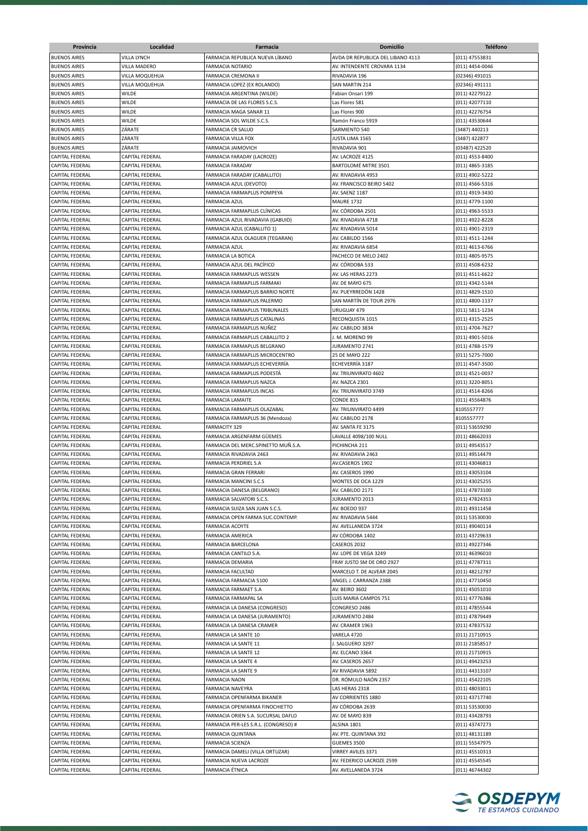| Provincia                                        | Localidad                          | Farmacia                                                | <b>Domicilio</b>                                | <b>Teléfono</b>                  |
|--------------------------------------------------|------------------------------------|---------------------------------------------------------|-------------------------------------------------|----------------------------------|
| <b>BUENOS AIRES</b>                              | VILLA LYNCH                        | FARMACIA REPUBLICA NUEVA LÍBANO                         | AVDA DR REPUBLICA DEL LIBANO 4113               | (011) 47553831                   |
| <b>BUENOS AIRES</b>                              | <b>VILLA MADERO</b>                | <b>FARMACIA NOTARIO</b>                                 | AV. INTENDENTE CROVARA 1134                     | (011) 4454-0046                  |
| <b>BUENOS AIRES</b>                              | VILLA MOQUEHUA                     | <b>FARMACIA CREMONA II</b>                              | RIVADAVIA 196                                   | (02346) 491015                   |
| <b>BUENOS AIRES</b>                              | VILLA MOQUEHUA                     | FARMACIA LOPEZ (EX ROLANDO)                             | <b>SAN MARTIN 214</b>                           | (02346) 491111                   |
| <b>BUENOS AIRES</b>                              | <b>WILDE</b>                       | FARMACIA ARGENTINA (WILDE)                              | Fabian Onsari 199                               | (011) 42279122                   |
| <b>BUENOS AIRES</b>                              | WILDE                              | FARMACIA DE LAS FLORES S.C.S.                           | Las Flores 581                                  | (011) 42077110                   |
| <b>BUENOS AIRES</b>                              | WILDE                              | FARMACIA MAGA SANAR 11                                  | Las Flores 900                                  | (011) 42276754                   |
| <b>BUENOS AIRES</b>                              | <b>WILDE</b>                       | FARMACIA SOL WILDE S.C.S.                               | Ramón Franco 5919                               | (011) 43530644                   |
| <b>BUENOS AIRES</b>                              | ZÁRATE                             | <b>FARMACIA CR SALUD</b>                                | SARMIENTO 540                                   | (3487) 440213                    |
| <b>BUENOS AIRES</b>                              | ZÁRATE                             | <b>FARMACIA VILLA FOX</b>                               | JUSTA LIMA 1565                                 | (3487) 422877                    |
| <b>BUENOS AIRES</b>                              | ZÁRATE                             | FARMACIA JAIMOVICH                                      | RIVADAVIA 901                                   | (03487) 422520                   |
| <b>CAPITAL FEDERAL</b>                           | CAPITAL FEDERAL                    | FARMACIA FARADAY (LACROZE)                              | AV. LACROZE 4125                                | (011) 4553-8400                  |
| <b>CAPITAL FEDERAL</b>                           | CAPITAL FEDERAL                    | FARMACIA FARADAY                                        | BARTOLOMÉ MITRE 3501                            | (011) 4865-3185                  |
| <b>CAPITAL FEDERAL</b>                           | CAPITAL FEDERAL                    | FARMACIA FARADAY (CABALLITO)                            | AV. RIVADAVIA 4953                              | (011) 4902-5222                  |
| <b>CAPITAL FEDERAL</b>                           | CAPITAL FEDERAL                    | FARMACIA AZUL (DEVOTO)                                  | AV. FRANCISCO BEIRO 5402                        | (011) 4566-5316                  |
| <b>CAPITAL FEDERAL</b>                           | CAPITAL FEDERAL                    | FARMACIA FARMAPLUS POMPEYA                              | AV. SAENZ 1187                                  | (011) 4919-3430                  |
| <b>CAPITAL FEDERAL</b>                           | CAPITAL FEDERAL                    | <b>FARMACIA AZUL</b>                                    | <b>MAURE 1732</b>                               | (011) 4779-1100                  |
| CAPITAL FEDERAL                                  | CAPITAL FEDERAL                    | FARMACIA FARMAPLUS CLÍNICAS                             | AV. CÓRDOBA 2501                                | (011) 4963-5533                  |
| CAPITAL FEDERAL                                  | CAPITAL FEDERAL                    | FARMACIA AZUL RIVADAVIA (GABUID)                        | AV. RIVADAVIA 4718                              | (011) 4922-8228                  |
| CAPITAL FEDERAL                                  | CAPITAL FEDERAL                    | FARMACIA AZUL (CABALLITO 1)                             | AV. RIVADAVIA 5014                              | (011) 4901-2319                  |
| <b>CAPITAL FEDERAL</b>                           | CAPITAL FEDERAL                    | FARMACIA AZUL OLAGUER (TEGARAN)                         | AV. CABILDO 1566                                | (011) 4511-1244                  |
| CAPITAL FEDERAL                                  | CAPITAL FEDERAL                    | <b>FARMACIA AZUL</b>                                    | AV. RIVADAVIA 6854                              | (011) 4613-6766                  |
| CAPITAL FEDERAL                                  | CAPITAL FEDERAL                    | <b>FARMACIA LA BOTICA</b>                               | PACHECO DE MELO 2402                            | (011) 4805-9575                  |
| <b>CAPITAL FEDERAL</b>                           | CAPITAL FEDERAL                    | FARMACIA AZUL DEL PACÍFICO                              | AV. CÓRDOBA 533                                 | (011) 4508-6232                  |
| <b>CAPITAL FEDERAL</b>                           | CAPITAL FEDERAL                    | FARMACIA FARMAPLUS WESSEN                               | AV. LAS HERAS 2273                              | (011) 4511-6622                  |
| <b>CAPITAL FEDERAL</b>                           | CAPITAL FEDERAL                    | FARMACIA FARMAPLUS FARMAKI                              | AV. DE MAYO 675                                 | (011) 4342-5144                  |
| CAPITAL FEDERAL                                  | CAPITAL FEDERAL                    | FARMACIA FARMAPLUS BARRIO NORTE                         | AV. PUEYRREDÓN 1428                             | (011) 4829-1510                  |
| CAPITAL FEDERAL                                  | CAPITAL FEDERAL                    | FARMACIA FARMAPLUS PALERMO                              | SAN MARTÍN DE TOUR 2976                         | (011) 4800-1137                  |
| <b>CAPITAL FEDERAL</b>                           | <b>CAPITAL FEDERAL</b>             | <b>FARMACIA FARMAPLUS TRIBUNALES</b>                    | URUGUAY 479                                     | (011) 5811-1234                  |
| CAPITAL FEDERAL                                  | CAPITAL FEDERAL                    | FARMACIA FARMAPLUS CATALINAS                            | RECONQUISTA 1015                                | (011) 4315-2525                  |
| CAPITAL FEDERAL                                  | CAPITAL FEDERAL                    | FARMACIA FARMAPLUS NUÑEZ                                | AV. CABILDO 3834                                | (011) 4704-7627                  |
| CAPITAL FEDERAL                                  | CAPITAL FEDERAL                    | FARMACIA FARMAPLUS CABALLITO 2                          | J. M. MORENO 99                                 | (011) 4901-5016                  |
| <b>CAPITAL FEDERAL</b>                           | CAPITAL FEDERAL                    | FARMACIA FARMAPLUS BELGRANO                             | JURAMENTO 2741                                  | (011) 4788-1579                  |
| <b>CAPITAL FEDERAL</b>                           | CAPITAL FEDERAL                    | FARMACIA FARMAPLUS MICROCENTRO                          | 25 DE MAYO 222                                  | (011) 5275-7000                  |
| CAPITAL FEDERAL                                  | CAPITAL FEDERAL                    | FARMACIA FARMAPLUS ECHEVERRÍA                           | ECHEVERRÍA 3187                                 | (011) 4547-3500                  |
| <b>CAPITAL FEDERAL</b>                           | CAPITAL FEDERAL                    | FARMACIA FARMAPLUS PODESTÁ                              | AV. TRIUNVIRATO 4602                            | (011) 4521-0037                  |
| <b>CAPITAL FEDERAL</b>                           | CAPITAL FEDERAL                    | FARMACIA FARMAPLUS NAZCA                                | AV. NAZCA 2301                                  | (011) 3220-8051                  |
| <b>CAPITAL FEDERAL</b>                           | CAPITAL FEDERAL                    | FARMACIA FARMAPLUS INCAS                                | AV. TRIUNVIRATO 3749                            | (011) 4514-8266                  |
| <b>CAPITAL FEDERAL</b><br><b>CAPITAL FEDERAL</b> | CAPITAL FEDERAL<br>CAPITAL FEDERAL | <b>FARMACIA LAMAITE</b><br>FARMACIA FARMAPLUS OLAZABAL  | CONDE 815<br>AV. TRIUNVIRATO 4499               | (011) 45564876<br>8105557777     |
| CAPITAL FEDERAL                                  | CAPITAL FEDERAL                    |                                                         | AV. CABILDO 2178                                | 8105557777                       |
| CAPITAL FEDERAL                                  | CAPITAL FEDERAL                    | FARMACIA FARMAPLUS 36 (Mendoza)<br><b>FARMACITY 329</b> | AV. SANTA FE 3175                               | (011) 53659290                   |
| CAPITAL FEDERAL                                  | CAPITAL FEDERAL                    | FARMACIA ARGENFARM GÜEMES                               | LAVALLE 4098/100 NULL                           | (011) 48662033                   |
| CAPITAL FEDERAL                                  | CAPITAL FEDERAL                    | FARMACIA DEL MERC.SPINETTO MUÑ.S.A.                     | PICHINCHA 211                                   | (011) 49543517                   |
| CAPITAL FEDERAL                                  | CAPITAL FEDERAL                    | FARMACIA RIVADAVIA 2463                                 | AV. RIVADAVIA 2463                              | (011) 49514479                   |
| <b>CAPITAL FEDERAL</b>                           | CAPITAL FEDERAL                    | FARMACIA PERDRIEL S.A                                   | AV.CASEROS 1902                                 | (011) 43046813                   |
| <b>CAPITAL FEDERAL</b>                           | CAPITAL FEDERAL                    | <b>FARMACIA GRAN FERRARI</b>                            | AV. CASEROS 1990                                | (011) 43053104                   |
| <b>CAPITAL FEDERAL</b>                           | CAPITAL FEDERAL                    | <b>FARMACIA MANCINI S.C.S</b>                           | MONTES DE OCA 1229                              | (011) 43025255                   |
| <b>CAPITAL FEDERAL</b>                           | CAPITAL FEDERAL                    | FARMACIA DANESA (BELGRANO)                              | AV. CABILDO 2171                                | (011) 47873100                   |
| <b>CAPITAL FEDERAL</b>                           | CAPITAL FEDERAL                    | FARMACIA SALVATORI S.C.S.                               | JURAMENTO 2013                                  | (011) 47824353                   |
| CAPITAL FEDERAL                                  | CAPITAL FEDERAL                    | FARMACIA SUIZA SAN JUAN S.C.S.                          | AV. BOEDO 937                                   | (011) 49311458                   |
| <b>CAPITAL FEDERAL</b>                           | CAPITAL FEDERAL                    | FARMACIA OPEN FARMA SUC.CONTEMP.                        | AV. RIVADAVIA 5444                              | (011) 53530030                   |
| CAPITAL FEDERAL                                  | CAPITAL FEDERAL                    | FARMACIA ACOYTE                                         | AV. AVELLANEDA 3724                             | (011) 49040114                   |
| <b>CAPITAL FEDERAL</b>                           | CAPITAL FEDERAL                    | <b>FARMACIA AMERICA</b>                                 | AV CÓRDOBA 1402                                 | (011) 43729633                   |
| CAPITAL FEDERAL                                  | CAPITAL FEDERAL                    | FARMACIA BARCELONA                                      | CASEROS 2032                                    | (011) 49227346                   |
| CAPITAL FEDERAL                                  | CAPITAL FEDERAL                    | FARMACIA CANTILO S.A.                                   | AV. LOPE DE VEGA 3249                           | (011) 46396010                   |
| CAPITAL FEDERAL                                  | CAPITAL FEDERAL                    | FARMACIA DEMARIA                                        | FRAY JUSTO SM DE ORO 2927                       | (011) 47787311                   |
| CAPITAL FEDERAL                                  | CAPITAL FEDERAL                    | FARMACIA FACULTAD                                       | MARCELO T. DE ALVEAR 2045                       | (011) 48212787                   |
| CAPITAL FEDERAL                                  | CAPITAL FEDERAL                    | FARMACIA FARMACIA 5100                                  | ANGEL J. CARRANZA 2388                          | (011) 47710450                   |
| CAPITAL FEDERAL                                  | CAPITAL FEDERAL                    | FARMACIA FARMAET S.A                                    | <b>AV. BEIRO 3602</b>                           | (011) 45051010                   |
| CAPITAL FEDERAL                                  | CAPITAL FEDERAL                    | FARMACIA FARMAPAL SA                                    | LUIS MARIA CAMPOS 751                           | (011) 47776386                   |
| CAPITAL FEDERAL                                  | CAPITAL FEDERAL                    | FARMACIA LA DANESA (CONGRESO)                           | CONGRESO 2486                                   | (011) 47855544                   |
| CAPITAL FEDERAL                                  | CAPITAL FEDERAL                    | FARMACIA LA DANESA (JURAMENTO)                          | <b>JURAMENTO 2484</b>                           | (011) 47879449                   |
| CAPITAL FEDERAL                                  | CAPITAL FEDERAL                    | FARMACIA LA DANESA CRAMER                               | AV. CRAMER 1963                                 | (011) 47837532                   |
| CAPITAL FEDERAL                                  | CAPITAL FEDERAL                    | FARMACIA LA SANTE 10                                    | VARELA 4720                                     | (011) 21710915                   |
| CAPITAL FEDERAL                                  | CAPITAL FEDERAL                    | FARMACIA LA SANTE 11                                    | J. SALGUERO 3297                                | (011) 21858517                   |
| CAPITAL FEDERAL                                  | CAPITAL FEDERAL                    | FARMACIA LA SANTE 12                                    | AV. ELCANO 3364                                 | (011) 21710915                   |
| CAPITAL FEDERAL                                  | CAPITAL FEDERAL                    | FARMACIA LA SANTE 4                                     | AV. CASEROS 2657                                | (011) 49423253                   |
| CAPITAL FEDERAL                                  | CAPITAL FEDERAL                    | FARMACIA LA SANTE 9                                     | AV RIVADAVIA 5892                               | (011) 44313107                   |
| CAPITAL FEDERAL                                  | CAPITAL FEDERAL                    | <b>FARMACIA NAON</b>                                    | DR. RÓMULO NAÓN 2357                            | (011) 45422105                   |
| <b>CAPITAL FEDERAL</b>                           | CAPITAL FEDERAL                    | FARMACIA NAVEYRA                                        | LAS HERAS 2318                                  | (011) 48033011                   |
| CAPITAL FEDERAL                                  | CAPITAL FEDERAL                    | FARMACIA OPENFARMA BIKANER                              | AV CORRIENTES 1880                              | (011) 43717740                   |
| CAPITAL FEDERAL                                  | CAPITAL FEDERAL                    | FARMACIA OPENFARMA FINOCHIETTO                          | AV CÓRDOBA 2639                                 | (011) 53530030                   |
| CAPITAL FEDERAL                                  | CAPITAL FEDERAL                    | FARMACIA ORIEN S.A. SUCURSAL DAFLO                      | AV. DE MAYO 839                                 | (011) 43428793                   |
| CAPITAL FEDERAL                                  | CAPITAL FEDERAL                    | FARMACIA PER-LES S.R.L. (CONGRESO) #                    | ALSINA 1801                                     | (011) 43747273                   |
| CAPITAL FEDERAL                                  | CAPITAL FEDERAL                    | FARMACIA QUINTANA                                       | AV. PTE. QUINTANA 392                           | (011) 48131189                   |
| CAPITAL FEDERAL<br>CAPITAL FEDERAL               | CAPITAL FEDERAL                    | FARMACIA SCIENZA<br>FARMACIA DAMELI (VILLA ORTUZAR)     | GUEMES 3500                                     | (011) 55547975                   |
| CAPITAL FEDERAL                                  | CAPITAL FEDERAL<br>CAPITAL FEDERAL | FARMACIA NUEVA LACROZE                                  | VIRREY AVILES 3371<br>AV. FEDERICO LACROZE 2599 | (011) 45510313<br>(011) 45545545 |
| CAPITAL FEDERAL                                  | CAPITAL FEDERAL                    | FARMACIA ÉTNICA                                         | AV. AVELLANEDA 3724                             | (011) 46744302                   |
|                                                  |                                    |                                                         |                                                 |                                  |

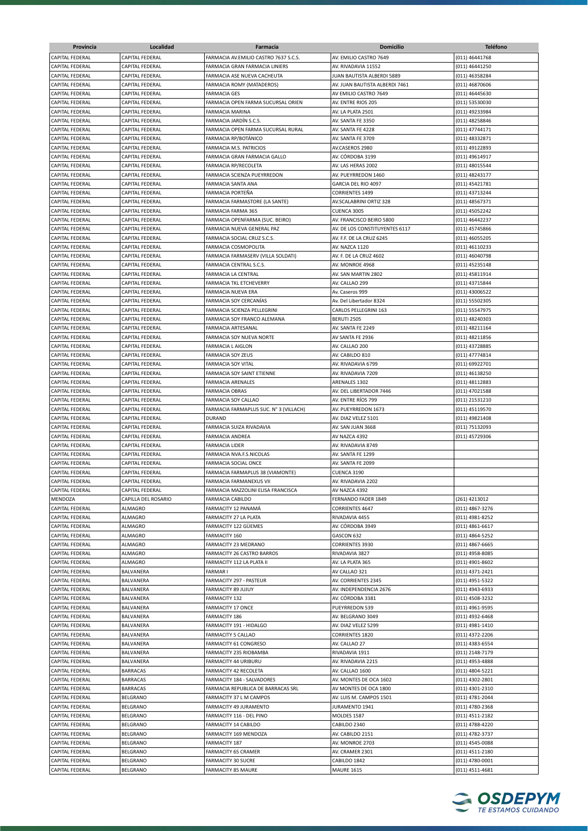| Provincia              | Localidad              | Farmacia                               | <b>Domicilio</b>               | <b>Teléfono</b>   |
|------------------------|------------------------|----------------------------------------|--------------------------------|-------------------|
| <b>CAPITAL FEDERAL</b> | <b>CAPITAL FEDERAL</b> | FARMACIA AV.EMILIO CASTRO 7637 S.C.S.  | AV. EMILIO CASTRO 7649         | (011) 46441768    |
| <b>CAPITAL FEDERAL</b> | <b>CAPITAL FEDERAL</b> | FARMACIA GRAN FARMACIA LINIERS         | AV. RIVADAVIA 11552            | (011) 46441250    |
| <b>CAPITAL FEDERAL</b> | CAPITAL FEDERAL        | FARMACIA ASE NUEVA CACHEUTA            | JUAN BAUTISTA ALBERDI 5889     | (011) 46358284    |
| CAPITAL FEDERAL        | CAPITAL FEDERAL        | FARMACIA ROMY (MATADEROS)              | AV. JUAN BAUTISTA ALBERDI 7461 | (011) 46870606    |
| CAPITAL FEDERAL        | <b>CAPITAL FEDERAL</b> | <b>FARMACIA GES</b>                    | AV EMILIO CASTRO 7649          | (011) 46445630    |
|                        |                        |                                        |                                |                   |
| CAPITAL FEDERAL        | CAPITAL FEDERAL        | FARMACIA OPEN FARMA SUCURSAL ORIEN     | AV. ENTRE RIOS 205             | (011) 53530030    |
| CAPITAL FEDERAL        | CAPITAL FEDERAL        | <b>FARMACIA MARINA</b>                 | AV. LA PLATA 2501              | (011) 49233984    |
| CAPITAL FEDERAL        | CAPITAL FEDERAL        | FARMACIA JARDÍN S.C.S.                 | AV. SANTA FE 3350              | (011) 48258846    |
| CAPITAL FEDERAL        | CAPITAL FEDERAL        | FARMACIA OPEN FARMA SUCURSAL RURAL     | AV. SANTA FE 4228              | (011) 47744171    |
| <b>CAPITAL FEDERAL</b> | CAPITAL FEDERAL        | FARMACIA RP/BOTÁNICO                   | AV. SANTA FE 3709              | (011) 48332871    |
| <b>CAPITAL FEDERAL</b> | CAPITAL FEDERAL        | FARMACIA M.S. PATRICIOS                | AV.CASEROS 2980                | (011) 49122893    |
| <b>CAPITAL FEDERAL</b> | CAPITAL FEDERAL        | FARMACIA GRAN FARMACIA GALLO           | AV. CÓRDOBA 3199               | (011) 49614917    |
| <b>CAPITAL FEDERAL</b> | CAPITAL FEDERAL        | FARMACIA RP/RECOLETA                   | AV. LAS HERAS 2002             | (011) 48015544    |
| CAPITAL FEDERAL        | <b>CAPITAL FEDERAL</b> | FARMACIA SCIENZA PUEYRREDON            | AV. PUEYRREDON 1460            | (011) 48243177    |
| CAPITAL FEDERAL        | <b>CAPITAL FEDERAL</b> | FARMACIA SANTA ANA                     | GARCIA DEL RIO 4097            | (011) 45421781    |
| CAPITAL FEDERAL        | CAPITAL FEDERAL        | FARMACIA PORTEÑA                       | <b>CORRIENTES 1499</b>         | (011) 43713244    |
| CAPITAL FEDERAL        | CAPITAL FEDERAL        | FARMACIA FARMASTORE (LA SANTE)         | AV.SCALABRINI ORTIZ 328        | (011) 48567371    |
| CAPITAL FEDERAL        | CAPITAL FEDERAL        | FARMACIA FARMA 365                     | CUENCA 3005                    | (011) 45052242    |
| CAPITAL FEDERAL        | CAPITAL FEDERAL        | FARMACIA OPENFARMA (SUC. BEIRO)        | AV. FRANCISCO BEIRO 5800       | (011) 46442237    |
| CAPITAL FEDERAL        | CAPITAL FEDERAL        | FARMACIA NUEVA GENERAL PAZ             | AV. DE LOS CONSTITUYENTES 6117 | (011) 45745866    |
| <b>CAPITAL FEDERAL</b> | CAPITAL FEDERAL        | FARMACIA SOCIAL CRUZ S.C.S.            | AV. F.F. DE LA CRUZ 6245       | (011) 46055205    |
| <b>CAPITAL FEDERAL</b> | CAPITAL FEDERAL        | FARMACIA COSMOPOLITA                   | AV. NAZCA 1120                 | (011) 46110233    |
| CAPITAL FEDERAL        | CAPITAL FEDERAL        | FARMACIA FARMASERV (VILLA SOLDATI)     | AV. F. DE LA CRUZ 4602         | (011) 46040798    |
| CAPITAL FEDERAL        | CAPITAL FEDERAL        | FARMACIA CENTRAL S.C.S.                | AV. MONROE 4968                | (011) 45235148    |
| <b>CAPITAL FEDERAL</b> | <b>CAPITAL FEDERAL</b> | <b>FARMACIA LA CENTRAL</b>             | AV. SAN MARTIN 2802            | (011) 45811914    |
| <b>CAPITAL FEDERAL</b> | CAPITAL FEDERAL        | FARMACIA TKL ETCHEVERRY                | AV. CALLAO 299                 | (011) 43715844    |
| <b>CAPITAL FEDERAL</b> | <b>CAPITAL FEDERAL</b> | FARMACIA NUEVA ERA                     | Av. Caseros 999                | (011) 43006522    |
| CAPITAL FEDERAL        | CAPITAL FEDERAL        | FARMACIA SOY CERCANIAS                 | Av. Del Libertador 8324        | (011) 55502305    |
| CAPITAL FEDERAL        | CAPITAL FEDERAL        | FARMACIA SCIENZA PELLEGRINI            | CARLOS PELLEGRINI 163          | (011) 55547975    |
| <b>CAPITAL FEDERAL</b> | CAPITAL FEDERAL        | FARMACIA SOY FRANCO ALEMANA            | <b>BERUTI 2505</b>             | (011) 48240303    |
| CAPITAL FEDERAL        | CAPITAL FEDERAL        | <b>FARMACIA ARTESANAL</b>              | AV. SANTA FE 2249              | (011) 48211164    |
| CAPITAL FEDERAL        | CAPITAL FEDERAL        | FARMACIA SOY NUEVA NORTE               | AV SANTA FE 2936               | (011) 48211856    |
| <b>CAPITAL FEDERAL</b> | CAPITAL FEDERAL        | <b>FARMACIA L AIGLON</b>               | AV. CALLAO 200                 | (011) 43728885    |
| <b>CAPITAL FEDERAL</b> | CAPITAL FEDERAL        | <b>FARMACIA SOY ZEUS</b>               | AV. CABILDO 810                | (011) 47774814    |
| CAPITAL FEDERAL        | <b>CAPITAL FEDERAL</b> | FARMACIA SOY VITAL                     | AV. RIVADAVIA 6799             | (011) 69922701    |
| <b>CAPITAL FEDERAL</b> | <b>CAPITAL FEDERAL</b> | FARMACIA SOY SAINT ETIENNE             | AV. RIVADAVIA 7209             | (011) 46138250    |
| CAPITAL FEDERAL        | <b>CAPITAL FEDERAL</b> | <b>FARMACIA ARENALES</b>               | ARENALES 1302                  | (011) 48112883    |
| CAPITAL FEDERAL        | CAPITAL FEDERAL        | <b>FARMACIA OBRAS</b>                  | AV. DEL LIBERTADOR 7446        | (011) 47021588    |
| CAPITAL FEDERAL        |                        | FARMACIA SOY CALLAO                    | AV. ENTRE RÍOS 799             |                   |
|                        | CAPITAL FEDERAL        |                                        |                                | (011) 21531210    |
| CAPITAL FEDERAL        | CAPITAL FEDERAL        | FARMACIA FARMAPLUS SUC. Nº 3 (VILLACH) | AV. PUEYRREDON 1673            | (011) 45119570    |
| CAPITAL FEDERAL        | CAPITAL FEDERAL        | <b>DURAND</b>                          | AV. DIAZ VELEZ 5101            | (011) 49821408    |
| CAPITAL FEDERAL        | <b>CAPITAL FEDERAL</b> | FARMACIA SUIZA RIVADAVIA               | AV. SAN JUAN 3668              | (011) 75132093    |
| CAPITAL FEDERAL        | CAPITAL FEDERAL        | <b>FARMACIA ANDREA</b>                 | AV NAZCA 4392                  | (011) 45729306    |
| <b>CAPITAL FEDERAL</b> | <b>CAPITAL FEDERAL</b> | <b>FARMACIA LIDER</b>                  | AV. RIVADAVIA 8749             |                   |
| <b>CAPITAL FEDERAL</b> | CAPITAL FEDERAL        | FARMACIA NVA.F.S.NICOLAS               | AV. SANTA FE 1299              |                   |
| CAPITAL FEDERAL        | CAPITAL FEDERAL        | FARMACIA SOCIAL ONCE                   | AV. SANTA FE 2099              |                   |
| CAPITAL FEDERAL        | <b>CAPITAL FEDERAL</b> | FARMACIA FARMAPLUS 38 (VIAMONTE)       | CUENCA 3190                    |                   |
| <b>CAPITAL FEDERAL</b> | CAPITAL FEDERAL        | FARMACIA FARMANEXUS VII                | AV. RIVADAVIA 2202             |                   |
| <b>CAPITAL FEDERAL</b> | CAPITAL FEDERAL        | FARMACIA MAZZOLINI ELISA FRANCISCA     | AV NAZCA 4392                  |                   |
| MENDOZA                | CAPILLA DEL ROSARIO    | FARMACIA CABILDO                       | FERNANDO FADER 1849            | (261) 4213012     |
| CAPITAL FEDERAL        | ALMAGRO                | FARMACITY 12 PANAMÁ                    | CORRIENTES 4647                | (011) 4867-3276   |
| <b>CAPITAL FEDERAL</b> | ALMAGRO                | FARMACITY 27 LA PLATA                  | RIVADAVIA 4455                 | (011) 4981-8252   |
| CAPITAL FEDERAL        | ALMAGRO                | FARMACITY 122 GÜEMES                   | AV. CÓRDOBA 3949               | $(011)$ 4861-6617 |
| CAPITAL FEDERAL        | ALMAGRO                | FARMACITY 160                          | GASCON 632                     | (011) 4864-5252   |
| CAPITAL FEDERAL        | ALMAGRO                | FARMACITY 23 MEDRANO                   | CORRIENTES 3930                | $(011)$ 4867-6665 |
| CAPITAL FEDERAL        | <b>ALMAGRO</b>         | FARMACITY 26 CASTRO BARROS             | RIVADAVIA 3827                 | (011) 4958-8085   |
| CAPITAL FEDERAL        | <b>ALMAGRO</b>         | FARMACITY 112 LA PLATA II              | av. La plata 365               | (011) 4901-8602   |
| CAPITAL FEDERAL        | <b>BALVANERA</b>       | <b>FARMAR I</b>                        | AV CALLAO 321                  | (011) 4371-2421   |
| CAPITAL FEDERAL        | BALVANERA              | FARMACITY 297 - PASTEUR                | AV. CORRIENTES 2345            | (011) 4951-5322   |
| CAPITAL FEDERAL        | BALVANERA              | FARMACITY 89 JUJUY                     | AV. INDEPENDENCIA 2676         | (011) 4943-6933   |
| CAPITAL FEDERAL        | BALVANERA              | FARMACITY 132                          | AV. CÓRDOBA 3381               | (011) 4508-3232   |
| CAPITAL FEDERAL        | BALVANERA              | FARMACITY 17 ONCE                      | PUEYRREDON 539                 | (011) 4961-9595   |
| CAPITAL FEDERAL        | BALVANERA              | FARMACITY 186                          | AV. BELGRANO 3049              | (011) 4932-6468   |
| CAPITAL FEDERAL        | BALVANERA              | FARMACITY 191 - HIDALGO                | AV. DIAZ VELEZ 5299            | (011) 4981-1410   |
| CAPITAL FEDERAL        | BALVANERA              | FARMACITY 5 CALLAO                     | CORRIENTES 1820                | (011) 4372-2206   |
| CAPITAL FEDERAL        | BALVANERA              | FARMACITY 61 CONGRESO                  | AV. CALLAO 27                  | (011) 4383-6554   |
| CAPITAL FEDERAL        | BALVANERA              | FARMACITY 235 RIOBAMBA                 | RIVADAVIA 1911                 | (011) 2148-7179   |
| CAPITAL FEDERAL        | BALVANERA              | FARMACITY 44 URIBURU                   | AV. RIVADAVIA 2215             | (011) 4953-4888   |
| <b>CAPITAL FEDERAL</b> | <b>BARRACAS</b>        | FARMACITY 42 RECOLETA                  | AV. CALLAO 1600                | (011) 4804-5221   |
| CAPITAL FEDERAL        | <b>BARRACAS</b>        | FARMACITY 184 - SALVADORES             | AV. MONTES DE OCA 1602         | (011) 4302-2801   |
| CAPITAL FEDERAL        | <b>BARRACAS</b>        | FARMACIA REPUBLICA DE BARRACAS SRL     | AV MONTES DE OCA 1800          | (011) 4301-2310   |
| CAPITAL FEDERAL        | BELGRANO               | FARMACITY 37 L M CAMPOS                | AV. LUIS M. CAMPOS 1501        | (011) 4781-2044   |
| CAPITAL FEDERAL        | BELGRANO               | FARMACITY 49 JURAMENTO                 | JURAMENTO 1941                 | (011) 4780-2368   |
|                        |                        |                                        |                                |                   |
| CAPITAL FEDERAL        | BELGRANO               | FARMACITY 116 - DEL PINO               | MOLDES 1587                    | (011) 4511-2182   |
| CAPITAL FEDERAL        | BELGRANO               | FARMACITY 14 CABILDO                   | CABILDO 2340                   | (011) 4788-4220   |
| CAPITAL FEDERAL        | <b>BELGRANO</b>        | FARMACITY 169 MENDOZA                  | AV. CABILDO 2151               | (011) 4782-3737   |
| CAPITAL FEDERAL        | BELGRANO               | <b>FARMACITY 187</b>                   | AV. MONROE 2703                | (011) 4545-0088   |
| CAPITAL FEDERAL        | BELGRANO               | FARMACITY 65 CRAMER                    | AV. CRAMER 2301                | (011) 4511-2180   |
| CAPITAL FEDERAL        | BELGRANO               | FARMACITY 30 SUCRE                     | CABILDO 1842                   | (011) 4780-0001   |
| CAPITAL FEDERAL        | BELGRANO               | FARMACITY 85 MAURE                     | <b>MAURE 1615</b>              | (011) 4511-4681   |

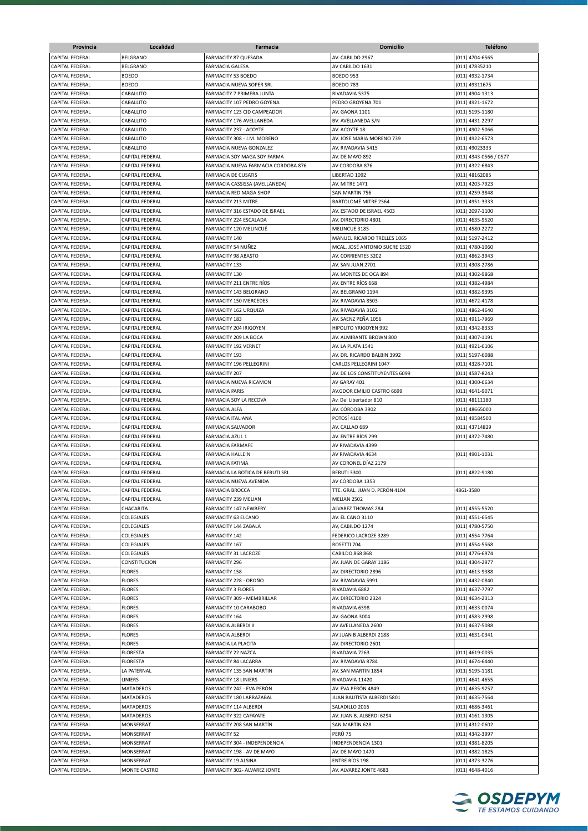| Provincia              | Localidad              | Farmacia                            | Domicilio                      | <b>Teléfono</b>        |
|------------------------|------------------------|-------------------------------------|--------------------------------|------------------------|
| <b>CAPITAL FEDERAL</b> | <b>BELGRANO</b>        | <b>FARMACITY 87 QUESADA</b>         | AV. CABILDO 2967               | (011) 4704-6565        |
| <b>CAPITAL FEDERAL</b> | <b>BELGRANO</b>        | <b>FARMACIA GALESA</b>              | AV CABILDO 1631                | (011) 47835210         |
| CAPITAL FEDERAL        | <b>BOEDO</b>           | <b>FARMACITY 53 BOEDO</b>           | <b>BOEDO 953</b>               | (011) 4932-1734        |
| CAPITAL FEDERAL        | <b>BOEDO</b>           | FARMACIA NUEVA SOPER SRL            | <b>BOEDO 783</b>               | (011) 49311675         |
| CAPITAL FEDERAL        | CABALLITO              | FARMACITY 7 PRIMERA JUNTA           | RIVADAVIA 5375                 | (011) 4904-1313        |
| CAPITAL FEDERAL        | CABALLITO              | FARMACITY 107 PEDRO GOYENA          | PEDRO GROYENA 701              | (011) 4921-1672        |
| CAPITAL FEDERAL        | CABALLITO              | FARMACITY 123 CID CAMPEADOR         | AV. GAONA 1101                 | (011) 5195-1180        |
|                        |                        |                                     |                                |                        |
| CAPITAL FEDERAL        | CABALLITO              | FARMACITY 176 AVELLANEDA            | BV. AVELLANEDA S/N             | (011) 4431-2297        |
| <b>CAPITAL FEDERAL</b> | CABALLITO              | FARMACITY 237 - ACOYTE              | AV. ACOYTE 18                  | (011) 4902-5066        |
| CAPITAL FEDERAL        | CABALLITO              | FARMACITY 308 - J.M. MORENO         | AV. JOSE MARIA MORENO 739      | (011) 4922-6573        |
| <b>CAPITAL FEDERAL</b> | CABALLITO              | FARMACIA NUEVA GONZALEZ             | AV. RIVADAVIA 5415             | (011) 49023333         |
| <b>CAPITAL FEDERAL</b> | CAPITAL FEDERAL        | FARMACIA SOY MAGA SOY FARMA         | AV. DE MAYO 892                | (011) 4343-0566 / 0577 |
| <b>CAPITAL FEDERAL</b> | CAPITAL FEDERAL        | FARMACIA NUEVA FARMACIA CORDOBA 876 | AV CORDOBA 876                 | (011) 4322-6843        |
| <b>CAPITAL FEDERAL</b> | CAPITAL FEDERAL        | <b>FARMACIA DE CUSATIS</b>          | LIBERTAD 1092                  | (011) 48162085         |
| <b>CAPITAL FEDERAL</b> | CAPITAL FEDERAL        | FARMACIA CASSISSA (AVELLANEDA)      | <b>AV. MITRE 1471</b>          | (011) 4203-7923        |
| CAPITAL FEDERAL        | CAPITAL FEDERAL        | FARMACIA RED MAGA SHOP              | SAN MARTIN 756                 | (011) 4259-3848        |
| CAPITAL FEDERAL        | CAPITAL FEDERAL        | FARMACITY 213 MITRE                 | BARTOLOMÉ MITRE 2564           | (011) 4951-3333        |
| CAPITAL FEDERAL        | CAPITAL FEDERAL        | FARMACITY 316 ESTADO DE ISRAEL      | AV. ESTADO DE ISRAEL 4503      | (011) 2097-1100        |
| CAPITAL FEDERAL        | CAPITAL FEDERAL        | FARMACITY 224 ESCALADA              | AV. DIRECTORIO 4801            | (011) 4635-9520        |
| <b>CAPITAL FEDERAL</b> | CAPITAL FEDERAL        | FARMACITY 120 MELINCUÉ              | MELINCUE 3185                  | (011) 4580-2272        |
| CAPITAL FEDERAL        | CAPITAL FEDERAL        | FARMACITY 140                       | MANUEL RICARDO TRELLES 1065    | (011) 5197-2412        |
| <b>CAPITAL FEDERAL</b> | CAPITAL FEDERAL        | FARMACITY 54 NUÑEZ                  | MCAL. JOSÉ ANTONIO SUCRE 1520  | (011) 4780-1060        |
| <b>CAPITAL FEDERAL</b> | CAPITAL FEDERAL        | FARMACITY 98 ABASTO                 | AV. CORRIENTES 3202            | (011) 4862-3943        |
| <b>CAPITAL FEDERAL</b> | CAPITAL FEDERAL        | <b>FARMACITY 133</b>                | AV. SAN JUAN 2701              | (011) 4308-2786        |
| CAPITAL FEDERAL        | <b>CAPITAL FEDERAL</b> | <b>FARMACITY 130</b>                | AV. MONTES DE OCA 894          | (011) 4302-9868        |
| CAPITAL FEDERAL        | CAPITAL FEDERAL        | FARMACITY 211 ENTRE RÍOS            | AV. ENTRE RÍOS 668             | (011) 4382-4984        |
| CAPITAL FEDERAL        | CAPITAL FEDERAL        | FARMACITY 143 BELGRANO              | AV. BELGRANO 1194              | (011) 4382-9395        |
| CAPITAL FEDERAL        | CAPITAL FEDERAL        | FARMACITY 150 MERCEDES              | AV. RIVADAVIA 8503             | (011) 4672-4178        |
| CAPITAL FEDERAL        | CAPITAL FEDERAL        | FARMACITY 162 URQUIZA               | AV. RIVADAVIA 3102             | (011) 4862-4640        |
| CAPITAL FEDERAL        | CAPITAL FEDERAL        | <b>FARMACITY 183</b>                | AV. SAENZ PEÑA 1056            | (011) 4911-7969        |
| <b>CAPITAL FEDERAL</b> | CAPITAL FEDERAL        | FARMACITY 204 IRIGOYEN              | HIPOLITO YRIGOYEN 992          | (011) 4342-8333        |
| <b>CAPITAL FEDERAL</b> | CAPITAL FEDERAL        | FARMACITY 209 LA BOCA               | AV. ALMIRANTE BROWN 800        | (011) 4307-1191        |
| CAPITAL FEDERAL        | CAPITAL FEDERAL        | FARMACITY 192 VERNET                | AV. LA PLATA 1541              | (011) 4921-6106        |
| <b>CAPITAL FEDERAL</b> | CAPITAL FEDERAL        | <b>FARMACITY 193</b>                | AV. DR. RICARDO BALBIN 3992    | (011) 5197-6088        |
| <b>CAPITAL FEDERAL</b> | CAPITAL FEDERAL        | FARMACITY 196 PELLEGRINI            | CARLOS PELLEGRINI 1047         | (011) 4328-7101        |
| <b>CAPITAL FEDERAL</b> | CAPITAL FEDERAL        | <b>FARMACITY 207</b>                | AV. DE LOS CONSTITUYENTES 6099 | (011) 4587-8243        |
| <b>CAPITAL FEDERAL</b> | <b>CAPITAL FEDERAL</b> | FARMACIA NUEVA RICAMON              | AV GARAY 401                   | (011) 4300-6634        |
|                        |                        | <b>FARMACIA PARIS</b>               | AV.GDOR EMILIO CASTRO 6699     |                        |
| CAPITAL FEDERAL        | CAPITAL FEDERAL        |                                     |                                | (011) 4641-9071        |
| CAPITAL FEDERAL        | CAPITAL FEDERAL        | FARMACIA SOY LA RECOVA              | Av. Del Libertador 810         | (011) 48111180         |
| CAPITAL FEDERAL        | CAPITAL FEDERAL        | FARMACIA ALFA                       | AV. CÓRDOBA 3902               | (011) 48665000         |
| CAPITAL FEDERAL        | CAPITAL FEDERAL        | <b>FARMACIA ITALIANA</b>            | POTOSÍ 4100                    | (011) 49584500         |
| CAPITAL FEDERAL        | CAPITAL FEDERAL        | FARMACIA SALVADOR                   | AV. CALLAO 689                 | (011) 43714829         |
| CAPITAL FEDERAL        | CAPITAL FEDERAL        | <b>FARMACIA AZUL 1</b>              | AV. ENTRE RIOS 299             | (011) 4372-7480        |
| CAPITAL FEDERAL        | CAPITAL FEDERAL        | <b>FARMACIA FARMAFE</b>             | AV RIVADAVIA 4399              |                        |
| <b>CAPITAL FEDERAL</b> | CAPITAL FEDERAL        | <b>FARMACIA HALLEIN</b>             | AV RIVADAVIA 4634              | (011) 4901-1031        |
| <b>CAPITAL FEDERAL</b> | CAPITAL FEDERAL        | <b>FARMACIA FATIMA</b>              | AV CORONEL DÍAZ 2179           |                        |
| CAPITAL FEDERAL        | CAPITAL FEDERAL        | FARMACIA LA BOTICA DE BERUTI SRL    | <b>BERUTI 3300</b>             | (011) 4822-9180        |
| <b>CAPITAL FEDERAL</b> | <b>CAPITAL FEDERAL</b> | FARMACIA NUEVA AVENIDA              | AV CÓRDOBA 1353                |                        |
| <b>CAPITAL FEDERAL</b> | CAPITAL FEDERAL        | <b>FARMACIA BROCCA</b>              | TTE. GRAL. JUAN D. PERÓN 4104  | 4861-3580              |
| CAPITAL FEDERAL        | CAPITAL FEDERAL        | FARMACITY 239 MELIAN                | MELIAN 2502                    |                        |
| CAPITAL FEDERAL        | CHACARITA              | FARMACITY 147 NEWBERY               | ALVAREZ THOMAS 284             | (011) 4555-5520        |
| CAPITAL FEDERAL        | COLEGIALES             | FARMACITY 63 ELCANO                 | AV. EL CANO 3110               | (011) 4551-6545        |
| CAPITAL FEDERAL        | COLEGIALES             | FARMACITY 144 ZABALA                | AV, CABILDO 1274               | (011) 4780-5750        |
| <b>CAPITAL FEDERAL</b> | COLEGIALES             | FARMACITY 142                       | FEDERICO LACROZE 3289          | (011) 4554-7764        |
| CAPITAL FEDERAL        | COLEGIALES             | FARMACITY 167                       | ROSETTI 704                    | (011) 4554-5568        |
| CAPITAL FEDERAL        | COLEGIALES             | FARMACITY 31 LACROZE                | CABILDO 868 868                | (011) 4776-6974        |
| CAPITAL FEDERAL        | CONSTITUCION           | <b>FARMACITY 296</b>                | AV. JUAN DE GARAY 1186         | (011) 4304-2977        |
| CAPITAL FEDERAL        | <b>FLORES</b>          | FARMACITY 158                       | AV. DIRECTORIO 2896            | (011) 4613-9388        |
| CAPITAL FEDERAL        | <b>FLORES</b>          | FARMACITY 228 - OROÑO               | AV. RIVADAVIA 5991             | (011) 4432-0840        |
| CAPITAL FEDERAL        | <b>FLORES</b>          | <b>FARMACITY 3 FLORES</b>           | RIVADAVIA 6882                 | (011) 4637-7797        |
| CAPITAL FEDERAL        | <b>FLORES</b>          | FARMACITY 309 - MEMBRILLAR          | AV. DIRECTORIO 2324            | (011) 4634-2313        |
| CAPITAL FEDERAL        | <b>FLORES</b>          | FARMACITY 10 CARABOBO               | RIVADAVIA 6398                 | (011) 4633-0074        |
| CAPITAL FEDERAL        | FLORES                 | FARMACITY 164                       | AV. GAONA 3004                 | (011) 4583-2998        |
| CAPITAL FEDERAL        | <b>FLORES</b>          | FARMACIA ALBERDI II                 | AV AVELLANEDA 2600             | (011) 4637-5088        |
| CAPITAL FEDERAL        | <b>FLORES</b>          | FARMACIA ALBERDI                    | AV JUAN B ALBERDI 2188         | (011) 4631-0341        |
| CAPITAL FEDERAL        | <b>FLORES</b>          | FARMACIA LA PLACITA                 | AV. DIRECTORIO 2601            |                        |
| CAPITAL FEDERAL        | <b>FLORESTA</b>        | FARMACITY 22 NAZCA                  | RIVADAVIA 7263                 | (011) 4619-0035        |
|                        |                        |                                     |                                |                        |
| CAPITAL FEDERAL        | FLORESTA               | FARMACITY 84 LACARRA                | AV. RIVADAVIA 8784             | (011) 4674-6440        |
| CAPITAL FEDERAL        | LA PATERNAL            | FARMACITY 135 SAN MARTIN            | AV. SAN MARTIN 1854            | (011) 5195-1181        |
| CAPITAL FEDERAL        | LINIERS                | <b>FARMACITY 18 LINIERS</b>         | RIVADAVIA 11420                | (011) 4641-4655        |
| CAPITAL FEDERAL        | <b>MATADEROS</b>       | FARMACITY 242 - EVA PERÓN           | AV. EVA PERÓN 4849             | (011) 4635-9257        |
| CAPITAL FEDERAL        | <b>MATADEROS</b>       | FARMACITY 180 LARRAZABAL            | JUAN BAUTISTA ALBERDI 5801     | (011) 4635-7564        |
| CAPITAL FEDERAL        | MATADEROS              | FARMACITY 114 ALBERDI               | SALADILLO 2016                 | $(011)$ 4686-3461      |
| CAPITAL FEDERAL        | MATADEROS              | FARMACITY 322 CAFAYATE              | AV. JUAN B. ALBERDI 6294       | (011) 4161-1305        |
| CAPITAL FEDERAL        | MONSERRAT              | FARMACITY 208 SAN MARTÍN            | SAN MARTIN 628                 | (011) 4312-0602        |
| CAPITAL FEDERAL        | MONSERRAT              | <b>FARMACITY 52</b>                 | PERÚ 75                        | (011) 4342-3997        |
| CAPITAL FEDERAL        | MONSERRAT              | FARMACITY 304 - INDEPENDENCIA       | INDEPENDENCIA 1301             | (011) 4381-8205        |
| CAPITAL FEDERAL        | MONSERRAT              | FARMACITY 198 - AV DE MAYO          | AV. DE MAYO 1470               | (011) 4382-1825        |
| CAPITAL FEDERAL        | MONSERRAT              | FARMACITY 19 ALSINA                 | <b>ENTRE RÍOS 198</b>          | (011) 4373-3276        |
| CAPITAL FEDERAL        | MONTE CASTRO           | FARMACITY 302- ALVAREZ JONTE        | AV. ALVAREZ JONTE 4683         | (011) 4648-4016        |
|                        |                        |                                     |                                |                        |

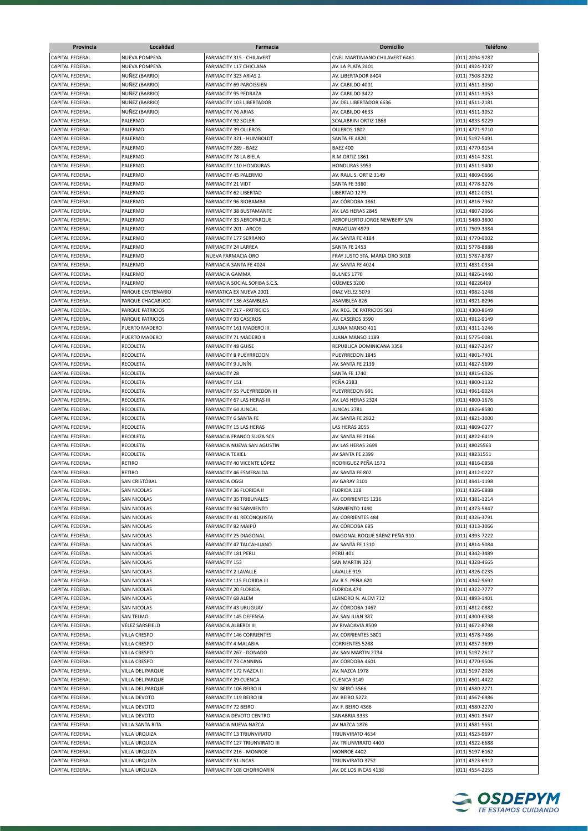| Provincia                                        | Localidad                                | Farmacia                                        | <b>Domicilio</b>                       | <b>Teléfono</b>                    |
|--------------------------------------------------|------------------------------------------|-------------------------------------------------|----------------------------------------|------------------------------------|
| <b>CAPITAL FEDERAL</b>                           | NUEVA POMPEYA                            | FARMACITY 315 - CHILAVERT                       | CNEL MARTINIANO CHILAVERT 6461         | (011) 2094-9787                    |
| <b>CAPITAL FEDERAL</b>                           | NUEVA POMPEYA                            | FARMACITY 117 CHICLANA                          | AV. LA PLATA 2401                      | (011) 4924-3237                    |
| CAPITAL FEDERAL                                  | NUÑEZ (BARRIO)                           | FARMACITY 323 ARIAS 2                           | AV. LIBERTADOR 8404                    | (011) 7508-3292                    |
| CAPITAL FEDERAL                                  | NUÑEZ (BARRIO)                           | FARMACITY 69 PAROISSIEN                         | AV. CABILDO 4001                       | (011) 4511-3050                    |
| CAPITAL FEDERAL                                  | NUÑEZ (BARRIO)                           | FARMACITY 95 PEDRAZA                            | AV. CABILDO 3422                       | (011) 4511-3053                    |
| <b>CAPITAL FEDERAL</b>                           | NUÑEZ (BARRIO)                           | FARMACITY 103 LIBERTADOR                        | AV. DEL LIBERTADOR 6636                | (011) 4511-2181                    |
| CAPITAL FEDERAL                                  | NUÑEZ (BARRIO)                           | <b>FARMACITY 76 ARIAS</b>                       | AV. CABILDO 4633                       | (011) 4511-3052                    |
| <b>CAPITAL FEDERAL</b>                           | PALERMO                                  | FARMACITY 92 SOLER                              | SCALABRINI ORTIZ 1868                  | (011) 4833-9229                    |
| <b>CAPITAL FEDERAL</b>                           | PALERMO                                  | FARMACITY 39 OLLEROS                            | OLLEROS 1802                           | (011) 4771-9710                    |
| <b>CAPITAL FEDERAL</b>                           | PALERMO                                  | FARMACITY 321 - HUMBOLDT                        | SANTA FE 4820                          | (011) 5197-5491                    |
| <b>CAPITAL FEDERAL</b>                           | PALERMO                                  | FARMACITY 289 - BAEZ                            | <b>BAEZ 400</b>                        | (011) 4770-9154                    |
| <b>CAPITAL FEDERAL</b><br><b>CAPITAL FEDERAL</b> | PALERMO<br>PALERMO                       | FARMACITY 78 LA BIELA<br>FARMACITY 110 HONDURAS | R.M.ORTIZ 1861<br><b>HONDURAS 3953</b> | (011) 4514-3231<br>(011) 4511-9400 |
| CAPITAL FEDERAL                                  | PALERMO                                  | FARMACITY 45 PALERMO                            | AV. RAUL S. ORTIZ 3149                 | (011) 4809-0666                    |
| CAPITAL FEDERAL                                  | PALERMO                                  | <b>FARMACITY 21 VIDT</b>                        | SANTA FE 3380                          | (011) 4778-3276                    |
| CAPITAL FEDERAL                                  | PALERMO                                  | FARMACITY 62 LIBERTAD                           | LIBERTAD 1279                          | (011) 4812-0051                    |
| CAPITAL FEDERAL                                  | PALERMO                                  | FARMACITY 96 RIOBAMBA                           | AV. CÓRDOBA 1861                       | (011) 4816-7362                    |
| <b>CAPITAL FEDERAL</b>                           | PALERMO                                  | FARMACITY 38 BUSTAMANTE                         | AV. LAS HERAS 2845                     | (011) 4807-2066                    |
| <b>CAPITAL FEDERAL</b>                           | PALERMO                                  | FARMACITY 33 AEROPARQUE                         | AEROPUERTO JORGE NEWBERY S/N           | (011) 5480-3800                    |
| CAPITAL FEDERAL                                  | PALERMO                                  | FARMACITY 201 - ARCOS                           | PARAGUAY 4979                          | (011) 7509-3384                    |
| CAPITAL FEDERAL                                  | PALERMO                                  | FARMACITY 177 SERRANO                           | AV. SANTA FE 4184                      | (011) 4770-9002                    |
| CAPITAL FEDERAL                                  | PALERMO                                  | FARMACITY 24 LARREA                             | SANTA FE 2453                          | (011) 5778-8888                    |
| CAPITAL FEDERAL                                  | PALERMO                                  | NUEVA FARMACIA ORO                              | FRAY JUSTO STA. MARIA ORO 3018         | (011) 5787-8787                    |
| CAPITAL FEDERAL                                  | PALERMO                                  | FARMACIA SANTA FE 4024                          | AV. SANTA FE 4024                      | (011) 4831-0334                    |
| CAPITAL FEDERAL                                  | PALERMO                                  | FARMACIA GAMMA                                  | BULNES 1770                            | (011) 4826-1440                    |
| <b>CAPITAL FEDERAL</b>                           | PALERMO                                  | FARMACIA SOCIAL SOFIBA S.C.S.                   | GÜEMES 3200                            | (011) 48226409                     |
| CAPITAL FEDERAL                                  | PARQUE CENTENARIO                        | FARMATICA EX NUEVA 2001                         | DIAZ VELEZ 5079                        | (011) 4982-1248                    |
| CAPITAL FEDERAL                                  | PARQUE CHACABUCO                         | FARMACITY 136 ASAMBLEA                          | ASAMBLEA 826                           | (011) 4921-8296                    |
| <b>CAPITAL FEDERAL</b>                           | PARQUE PATRICIOS                         | FARMACITY 217 - PATRICIOS                       | AV. REG. DE PATRICIOS 501              | (011) 4300-8649                    |
| CAPITAL FEDERAL                                  | PARQUE PATRICIOS                         | FARMACITY 93 CASEROS                            | AV. CASEROS 3590                       | (011) 4912-9149                    |
| <b>CAPITAL FEDERAL</b>                           | PUERTO MADERO                            | FARMACITY 161 MADERO III                        | JUANA MANSO 411                        | (011) 4311-1246                    |
| <b>CAPITAL FEDERAL</b>                           | PUERTO MADERO                            | FARMACITY 71 MADERO II                          | JUANA MANSO 1189                       | (011) 5775-0081                    |
| <b>CAPITAL FEDERAL</b>                           | RECOLETA                                 | FARMACITY 48 GUISE                              | REPUBLICA DOMINICANA 3358              | (011) 4827-2247                    |
| <b>CAPITAL FEDERAL</b>                           | RECOLETA                                 | FARMACITY 8 PUEYRREDON                          | PUEYRREDON 1845                        | (011) 4801-7401                    |
| <b>CAPITAL FEDERAL</b>                           | RECOLETA                                 | FARMACITY 9 JUNÍN                               | AV. SANTA FE 2139                      | (011) 4827-5699                    |
| CAPITAL FEDERAL<br>CAPITAL FEDERAL               | RECOLETA<br>RECOLETA                     | <b>FARMACITY 28</b><br><b>FARMACITY 151</b>     | SANTA FE 1740<br><b>PEÑA 2383</b>      | (011) 4815-6026                    |
| CAPITAL FEDERAL                                  | RECOLETA                                 | FARMACITY 55 PUEYRREDON III                     | PUEYRREDON 991                         | (011) 4800-1132<br>(011) 4961-9024 |
| CAPITAL FEDERAL                                  | RECOLETA                                 | FARMACITY 67 LAS HERAS III                      | AV. LAS HERAS 2324                     | (011) 4800-1676                    |
| CAPITAL FEDERAL                                  | RECOLETA                                 | FARMACITY 64 JUNCAL                             | JUNCAL 2781                            | (011) 4826-8580                    |
| <b>CAPITAL FEDERAL</b>                           | RECOLETA                                 | FARMACITY 6 SANTA FE                            | AV. SANTA FE 2822                      | (011) 4821-3000                    |
| CAPITAL FEDERAL                                  | RECOLETA                                 | FARMACITY 15 LAS HERAS                          | LAS HERAS 2055                         | (011) 4809-0277                    |
| CAPITAL FEDERAL                                  | RECOLETA                                 | FARMACIA FRANCO SUIZA SCS                       | AV. SANTA FE 2166                      | (011) 4822-6419                    |
| <b>CAPITAL FEDERAL</b>                           | RECOLETA                                 | FARMACIA NUEVA SAN AGUSTIN                      | AV. LAS HERAS 2699                     | (011) 48025563                     |
| CAPITAL FEDERAL                                  | RECOLETA                                 | <b>FARMACIA TEKIEL</b>                          | AV SANTA FE 2399                       | (011) 48231551                     |
| CAPITAL FEDERAL                                  | RETIRO                                   | FARMACITY 40 VICENTE LÓPEZ                      | RODRIGUEZ PEÑA 1572                    | (011) 4816-0858                    |
| CAPITAL FEDERAL                                  | RETIRO                                   | FARMACITY 46 ESMERALDA                          | AV. SANTA FE 802                       | (011) 4312-0227                    |
| <b>CAPITAL FEDERAL</b>                           | SAN CRISTÓBAL                            | <b>FARMACIA OGGI</b>                            | AV GARAY 3101                          | (011) 4941-1198                    |
| <b>CAPITAL FEDERAL</b>                           | <b>SAN NICOLAS</b>                       | FARMACITY 36 FLORIDA II                         | FLORIDA 118                            | (011) 4326-6888                    |
| CAPITAL FEDERAL                                  | SAN NICOLAS                              | <b>FARMACITY 35 TRIBUNALES</b>                  | AV. CORRIENTES 1236                    | (011) 4381-1214                    |
| CAPITAL FEDERAL                                  | SAN NICOLAS                              | <b>FARMACITY 94 SARMIENTO</b>                   | SARMIENTO 1490                         | (011) 4373-5847                    |
| CAPITAL FEDERAL                                  | <b>SAN NICOLAS</b>                       | FARMACITY 41 RECONQUISTA                        | AV. CORRIENTES 484                     | (011) 4326-3791                    |
| CAPITAL FEDERAL                                  | <b>SAN NICOLAS</b>                       | FARMACITY 82 MAIPÚ                              | AV. CÓRDOBA 685                        | (011) 4313-3066                    |
| CAPITAL FEDERAL                                  | <b>SAN NICOLAS</b>                       | FARMACITY 25 DIAGONAL                           | DIAGONAL ROQUE SÁENZ PEÑA 910          | (011) 4393-7222                    |
| CAPITAL FEDERAL                                  | <b>SAN NICOLAS</b>                       | FARMACITY 47 TALCAHUANO                         | AV. SANTA FE 1310                      | (011) 4814-5084                    |
| CAPITAL FEDERAL                                  | <b>SAN NICOLAS</b>                       | FARMACITY 181 PERU                              | PERÚ 401                               | (011) 4342-3489                    |
| CAPITAL FEDERAL                                  | <b>SAN NICOLAS</b>                       | FARMACITY 153<br>FARMACITY 2 LAVALLE            | SAN MARTIN 323                         | (011) 4328-4665                    |
| CAPITAL FEDERAL<br>CAPITAL FEDERAL               | <b>SAN NICOLAS</b><br><b>SAN NICOLAS</b> | FARMACITY 115 FLORIDA III                       | LAVALLE 919<br>AV. R.S. PEÑA 620       | (011) 4326-0235<br>(011) 4342-9692 |
| CAPITAL FEDERAL                                  | SAN NICOLAS                              | FARMACITY 20 FLORIDA                            | FLORIDA 474                            | (011) 4322-7777                    |
| CAPITAL FEDERAL                                  | SAN NICOLAS                              | FARMACITY 68 ALEM                               | LEANDRO N. ALEM 712                    | (011) 4893-1401                    |
| CAPITAL FEDERAL                                  | SAN NICOLAS                              | FARMACITY 43 URUGUAY                            | AV. CÓRDOBA 1467                       | (011) 4812-0882                    |
| CAPITAL FEDERAL                                  | SAN TELMO                                | FARMACITY 145 DEFENSA                           | AV. SAN JUAN 387                       | (011) 4300-6338                    |
| CAPITAL FEDERAL                                  | VÉLEZ SARSFIELD                          | FARMACIA ALBERDI III                            | AV RIVADAVIA 8509                      | (011) 4672-8798                    |
| <b>CAPITAL FEDERAL</b>                           | VILLA CRESPO                             | FARMACITY 146 CORRIENTES                        | AV. CORRIENTES 5801                    | (011) 4578-7486                    |
| CAPITAL FEDERAL                                  | VILLA CRESPO                             | FARMACITY 4 MALABIA                             | <b>CORRIENTES 5288</b>                 | (011) 4857-3699                    |
| <b>CAPITAL FEDERAL</b>                           | VILLA CRESPO                             | FARMACITY 267 - DONADO                          | AV. SAN MARTIN 2734                    | (011) 5197-2617                    |
| CAPITAL FEDERAL                                  | VILLA CRESPO                             | FARMACITY 73 CANNING                            | AV. CORDOBA 4601                       | (011) 4770-9506                    |
| <b>CAPITAL FEDERAL</b>                           | VILLA DEL PARQUE                         | FARMACITY 172 NAZCA II                          | AV. NAZCA 1978                         | (011) 5197-2026                    |
| CAPITAL FEDERAL                                  | VILLA DEL PARQUE                         | FARMACITY 29 CUENCA                             | CUENCA 3149                            | (011) 4501-4422                    |
| CAPITAL FEDERAL                                  | VILLA DEL PARQUE                         | FARMACITY 106 BEIRO II                          | <b>SV. BEIRÓ 3566</b>                  | (011) 4580-2271                    |
| CAPITAL FEDERAL                                  | VILLA DEVOTO                             | FARMACITY 119 BEIRO III                         | AV. BEIRO 5272                         | (011) 4567-6986                    |
| CAPITAL FEDERAL                                  | VILLA DEVOTO                             | FARMACITY 72 BEIRO                              | AV. F. BEIRO 4366                      | (011) 4580-2270                    |
| CAPITAL FEDERAL                                  | VILLA DEVOTO                             | FARMACIA DEVOTO CENTRO                          | SANABRIA 3333                          | (011) 4501-3547                    |
| CAPITAL FEDERAL                                  | VILLA SANTA RITA                         | FARMACIA NUEVA NAZCA                            | AV NAZCA 1876                          | (011) 4581-5551                    |
| CAPITAL FEDERAL                                  | VILLA URQUIZA                            | FARMACITY 13 TRIUNVIRATO                        | TRIUNVIRATO 4634                       | (011) 4523-9697                    |
| CAPITAL FEDERAL                                  | VILLA URQUIZA                            | FARMACITY 127 TRIUNVIRATO III                   | AV. TRIUNVIRATO 4400                   | (011) 4522-6688                    |
| CAPITAL FEDERAL                                  | VILLA URQUIZA                            | FARMACITY 216 - MONROE                          | <b>MONROE 4402</b>                     | (011) 5197-6162                    |
| CAPITAL FEDERAL                                  | VILLA URQUIZA                            | FARMACITY 51 INCAS                              | TRIUNVIRATO 3752                       | (011) 4523-6912                    |
| CAPITAL FEDERAL                                  | VILLA URQUIZA                            | FARMACITY 108 CHORROARIN                        | AV. DE LOS INCAS 4138                  | (011) 4554-2255                    |

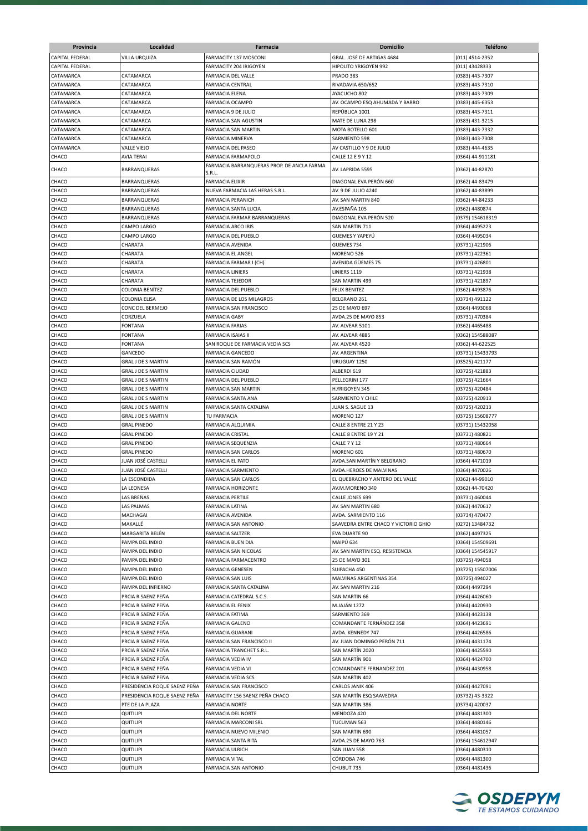| Provincia              | Localidad                                | Farmacia                                         | <b>Domicilio</b>                     | <b>Teléfono</b>                  |
|------------------------|------------------------------------------|--------------------------------------------------|--------------------------------------|----------------------------------|
| CAPITAL FEDERAL        | <b>VILLA URQUIZA</b>                     | FARMACITY 137 MOSCONI                            | GRAL. JOSÉ DE ARTIGAS 4684           | (011) 4514-2352                  |
| <b>CAPITAL FEDERAL</b> |                                          | FARMACITY 204 IRIGOYEN                           | HIPOLITO YRIGOYEN 992                | (011) 43428333                   |
| CATAMARCA              | CATAMARCA                                | FARMACIA DEL VALLE                               | PRADO 383                            | (0383) 443-7307                  |
| CATAMARCA              | CATAMARCA                                | <b>FARMACIA CENTRAL</b>                          | RIVADAVIA 650/652                    | (0383) 443-7310                  |
| CATAMARCA              | CATAMARCA                                | <b>FARMACIA ELENA</b>                            | AYACUCHO 802                         | (0383) 443-7309                  |
| CATAMARCA              | CATAMARCA                                | FARMACIA OCAMPO                                  | AV. OCAMPO ESQ AHUMADA Y BARRO       | (0383) 445-6353                  |
| CATAMARCA              | CATAMARCA                                | FARMACIA 9 DE JULIO                              | REPÚBLICA 1001                       | (0383) 443-7311                  |
| CATAMARCA              | CATAMARCA                                | FARMACIA SAN AGUSTIN                             | MATE DE LUNA 298                     | (0383) 431-3215                  |
| CATAMARCA              | CATAMARCA                                | <b>FARMACIA SAN MARTIN</b>                       | MOTA BOTELLO 601                     | (0383) 443-7332                  |
| CATAMARCA              | CATAMARCA                                | FARMACIA MINERVA                                 | SARMIENTO 598                        | (0383) 443-7308                  |
| CATAMARCA              | VALLE VIEJO                              | FARMACIA DEL PASEO                               | AV CASTILLO Y 9 DE JULIO             | (0383) 444-4635                  |
| CHACO                  | <b>AVIA TERAI</b>                        | FARMACIA FARMAPOLO                               | CALLE 12 E 9 Y 12                    | (0364) 44-911181                 |
| CHACO                  | BARRANQUERAS                             | FARMACIA BARRANQUERAS PROP. DE ANCLA FARMA       | AV. LAPRIDA 5595                     | (0362) 44-82870                  |
|                        |                                          | S.R.L.                                           |                                      |                                  |
| CHACO                  | BARRANQUERAS                             | <b>FARMACIA ELIXIR</b>                           | DIAGONAL EVA PERÓN 660               | (0362) 44-83479                  |
| CHACO                  | BARRANQUERAS                             | NUEVA FARMACIA LAS HERAS S.R.L.                  | AV. 9 DE JULIO 4240                  | (0362) 44-83899                  |
| CHACO                  | BARRANQUERAS                             | <b>FARMACIA PERANICH</b>                         | AV. SAN MARTIN 840                   | (0362) 44-84233                  |
| CHACO                  | BARRANQUERAS                             | FARMACIA SANTA LUCIA                             | AV.ESPAÑA 105                        | (0362) 4480874                   |
| CHACO                  | BARRANQUERAS                             | FARMACIA FARMAR BARRANQUERAS                     | DIAGONAL EVA PERÓN 520               | (0379) 154618319                 |
| CHACO                  | CAMPO LARGO                              | <b>FARMACIA ARCO IRIS</b>                        | SAN MARTIN 711                       | (0364) 4495223                   |
| CHACO                  | CAMPO LARGO                              | FARMACIA DEL PUEBLO                              | GUEMES Y YAPEYU                      | (0364) 4495034                   |
| CHACO                  | CHARATA                                  | FARMACIA AVENIDA                                 | GUEMES 734                           | (03731) 421906                   |
| CHACO                  | CHARATA                                  | FARMACIA EL ANGEL                                | MORENO 526                           | (03731) 422361                   |
| CHACO                  | CHARATA                                  | FARMACIA FARMAR I (CH)                           | AVENIDA GÜEMES 75                    | (03731) 426801                   |
| CHACO                  | CHARATA                                  | <b>FARMACIA LINIERS</b>                          | LINIERS 1119                         | (03731) 421938                   |
| CHACO                  | CHARATA                                  | <b>FARMACIA TEJEDOR</b>                          | SAN MARTIN 499                       | (03731) 421897                   |
| CHACO                  | COLONIA BENÍTEZ                          | FARMACIA DEL PUEBLO                              | FELIX BENITEZ                        | (0362) 4493876                   |
| CHACO                  | <b>COLONIA ELISA</b>                     | FARMACIA DE LOS MILAGROS                         | BELGRANO 261                         | (03734) 491122                   |
| CHACO                  | CONC DEL BERMEJO                         | FARMACIA SAN FRANCISCO                           | 25 DE MAYO 697                       | (0364) 4493068                   |
| CHACO                  | CORZUELA                                 | <b>FARMACIA GABY</b>                             | AVDA.25 DE MAYO 853                  | (03731) 470384                   |
| CHACO                  | <b>FONTANA</b>                           | <b>FARMACIA FARIAS</b>                           | AV. ALVEAR 5101                      | (0362) 4465488                   |
| CHACO                  | <b>FONTANA</b>                           | FARMACIA ISAIAS II                               | AV. ALVEAR 4885                      | (0362) 154588087                 |
| CHACO                  | <b>FONTANA</b>                           | SAN ROQUE DE FARMACIA VEDIA SCS                  | AV. ALVEAR 4520                      | (0362) 44-622525                 |
| CHACO                  | GANCEDO                                  | <b>FARMACIA GANCEDO</b>                          | AV. ARGENTINA                        | (03731) 15433793                 |
| CHACO                  | <b>GRAL J DE S MARTIN</b>                | FARMACIA SAN RAMÓN                               | URUGUAY 1250                         | (03525) 421177                   |
| CHACO                  | <b>GRAL J DE S MARTIN</b>                | <b>FARMACIA CIUDAD</b>                           | ALBERDI 619                          | (03725) 421883                   |
| CHACO                  | <b>GRAL J DE S MARTIN</b>                | FARMACIA DEL PUEBLO                              | PELLEGRINI 177                       | (03725) 421664                   |
| CHACO                  | <b>GRAL J DE S MARTIN</b>                | FARMACIA SAN MARTIN                              | <b>H.YRIGOYEN 345</b>                | (03725) 420484                   |
| CHACO                  | <b>GRAL J DE S MARTIN</b>                | FARMACIA SANTA ANA                               | SARMIENTO Y CHILE                    | (03725) 420913                   |
| CHACO                  | <b>GRAL J DE S MARTIN</b>                | FARMACIA SANTA CATALINA                          | JUAN S. SAGUE 13                     | (03725) 420213                   |
| CHACO                  | <b>GRAL J DE S MARTIN</b>                | TU FARMACIA                                      | MORENO 127<br>CALLE 8 ENTRE 21 Y 23  | (03725) 15608777                 |
| CHACO                  | <b>GRAL PINEDO</b>                       | FARMACIA ALQUIMIA                                |                                      | (03731) 15432058                 |
| CHACO                  | <b>GRAL PINEDO</b>                       | <b>FARMACIA CRISTAL</b>                          | CALLE 8 ENTRE 19 Y 21                | (03731) 480821<br>(03731) 480664 |
| CHACO<br>CHACO         | <b>GRAL PINEDO</b><br><b>GRAL PINEDO</b> | <b>FARMACIA SEQUENZIA</b><br>FARMACIA SAN CARLOS | CALLE 7 Y 12<br>MORENO 601           | (03731) 480670                   |
| CHACO                  | JUAN JOSÉ CASTELLI                       | <b>FARMACIA EL PATO</b>                          | AVDA.SAN MARTÍN Y BELGRANO           | (0364) 4471019                   |
| CHACO                  | JUAN JOSÉ CASTELLI                       | <b>FARMACIA SARMIENTO</b>                        | AVDA.HEROES DE MALVINAS              | (0364) 4470026                   |
| CHACO                  | LA ESCONDIDA                             | <b>FARMACIA SAN CARLOS</b>                       | EL QUEBRACHO Y ANTERO DEL VALLE      | (0362) 44-99010                  |
| CHACO                  | LA LEONESA                               | <b>FARMACIA HORIZONTE</b>                        | AV.M.MORENO 340                      | (0362) 44-70420                  |
| CHACO                  | LAS BREÑAS                               | <b>FARMACIA PERTILE</b>                          | CALLE JONES 699                      | (03731) 460044                   |
| CHACO                  | LAS PALMAS                               | <b>FARMACIA LATINA</b>                           | AV. SAN MARTIN 680                   | (0362) 4470617                   |
| CHACO                  | MACHAGAI                                 | FARMACIA AVENIDA                                 | AVDA. SARMIENTO 116                  | (03734) 470477                   |
| CHACO                  | MAKALLÉ                                  | FARMACIA SAN ANTONIO                             | SAAVEDRA ENTRE CHACO Y VICTORIO GHIO | (0272) 13484732                  |
| CHACO                  | MARGARITA BELÉN                          | FARMACIA SALTZER                                 | EVA DUARTE 90                        | (0362) 4497325                   |
| CHACO                  | PAMPA DEL INDIO                          | FARMACIA BUEN DIA                                | MAIPÚ 634                            | (0364) 154509691                 |
| CHACO                  | PAMPA DEL INDIO                          | FARMACIA SAN NICOLAS                             | AV. SAN MARTIN ESQ. RESISTENCIA      | (0364) 154545917                 |
| CHACO                  | PAMPA DEL INDIO                          | FARMACIA FARMACENTRO                             | 25 DE MAYO 301                       | (03725) 494058                   |
| CHACO                  | PAMPA DEL INDIO                          | <b>FARMACIA GENESEN</b>                          | SUIPACHA 450                         | (03725) 15507006                 |
| CHACO                  | PAMPA DEL INDIO                          | FARMACIA SAN LUIS                                | MALVINAS ARGENTINAS 354              | (03725) 494027                   |
| CHACO                  | PAMPA DEL INFIERNO                       | FARMACIA SANTA CATALINA                          | AV. SAN MARTIN 216                   | (0364) 4497294                   |
| CHACO                  | PRCIA R SAENZ PEÑA                       | FARMACIA CATEDRAL S.C.S.                         | SAN MARTIN 66                        | (0364) 4426060                   |
| CHACO                  | PRCIA R SAENZ PEÑA                       | <b>FARMACIA EL FENIX</b>                         | <b>M.JAJÁN 1272</b>                  | (0364) 4420930                   |
| CHACO                  | PRCIA R SAENZ PEÑA                       | FARMACIA FATIMA                                  | SARMIENTO 369                        | (0364) 4423138                   |
| CHACO                  | PRCIA R SAENZ PEÑA                       | <b>FARMACIA GALENO</b>                           | COMANDANTE FERNÁNDEZ 358             | (0364) 4423691                   |
| CHACO                  | PRCIA R SAENZ PEÑA                       | <b>FARMACIA GUARANI</b>                          | AVDA. KENNEDY 747                    | (0364) 4426586                   |
| CHACO                  | PRCIA R SAENZ PEÑA                       | FARMACIA SAN FRANCISCO II                        | AV. JUAN DOMINGO PERÓN 711           | (0364) 4431174                   |
| CHACO                  | PRCIA R SAENZ PEÑA                       | FARMACIA TRANCHET S.R.L.                         | SAN MARTÍN 2020                      | (0364) 4425590                   |
| CHACO                  | PRCIA R SAENZ PEÑA                       | FARMACIA VEDIA IV                                | SAN MARTÍN 901                       | (0364) 4424700                   |
| CHACO                  | PRCIA R SAENZ PEÑA                       | FARMACIA VEDIA VI                                | COMANDANTE FERNANDEZ 201             | (0364) 4430958                   |
| CHACO                  | PRCIA R SAENZ PEÑA                       | <b>FARMACIA VEDIA SCS</b>                        | SAN MARTIN 402                       |                                  |
| CHACO                  | PRESIDENCIA ROQUE SAENZ PEÑA             | FARMACIA SAN FRANCISCO                           | CARLOS JANIK 406                     | (0364) 4427091                   |
| CHACO                  | PRESIDENCIA ROQUE SAENZ PEÑA             | FARMACITY 156 SAENZ PEÑA CHACO                   | SAN MARTÍN ESQ SAAVEDRA              | (03732) 43-3322                  |
| CHACO                  | PTE DE LA PLAZA                          | <b>FARMACIA NORTE</b>                            | SAN MARTIN 386                       | (03734) 420037                   |
| CHACO                  | QUITILIPI                                | FARMACIA DEL NORTE                               | MENDOZA 420                          | (0364) 4481300                   |
| CHACO                  | QUITILIPI                                | FARMACIA MARCONI SRL                             | TUCUMAN 563                          | (0364) 4480146                   |
| CHACO                  | QUITILIPI                                | FARMACIA NUEVO MILENIO                           | SAN MARTIN 690                       | (0364) 4481057                   |
| CHACO                  | <b>QUITILIPI</b>                         | FARMACIA SANTA RITA                              | AVDA.25 DE MAYO 763                  | (0364) 154612947                 |
| CHACO                  | QUITILIPI                                | FARMACIA ULRICH                                  | SAN JUAN 558                         | (0364) 4480310                   |
| CHACO                  | QUITILIPI                                | <b>FARMACIA VITAL</b>                            | CÓRDOBA 746                          | (0364) 4481300                   |
| CHACO                  | QUITILIPI                                | FARMACIA SAN ANTONIO                             | CHUBUT 735                           | (0364) 4481436                   |
|                        |                                          |                                                  |                                      |                                  |

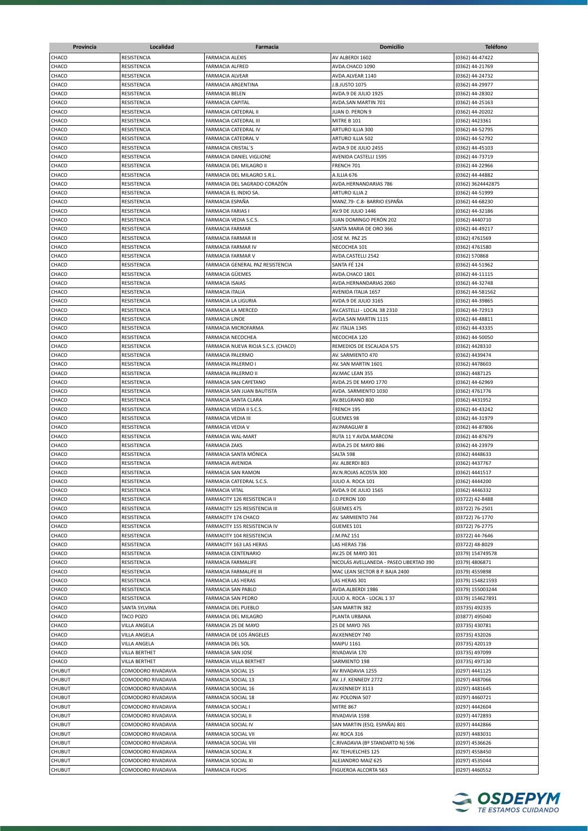| Provincia                      | Localidad                                | <b>Farmacia</b>                                      | <b>Domicilio</b>                         | <b>Teléfono</b>                    |
|--------------------------------|------------------------------------------|------------------------------------------------------|------------------------------------------|------------------------------------|
| CHACO                          | RESISTENCIA                              | <b>FARMACIA ALEXIS</b>                               | AV ALBERDI 1602                          | (0362) 44-47422                    |
| CHACO                          | RESISTENCIA                              | <b>FARMACIA ALFRED</b>                               | AVDA.CHACO 1090                          | (0362) 44-21769                    |
| CHACO                          | RESISTENCIA                              | <b>FARMACIA ALVEAR</b>                               | AVDA.ALVEAR 1140                         | (0362) 44-24732                    |
| CHACO                          | RESISTENCIA                              | FARMACIA ARGENTINA                                   | J.B.JUSTO 1075                           | (0362) 44-29977                    |
| CHACO                          | RESISTENCIA                              | <b>FARMACIA BELEN</b>                                | AVDA.9 DE JULIO 1925                     | (0362) 44-28302                    |
| CHACO                          | RESISTENCIA                              | <b>FARMACIA CAPITAL</b>                              | AVDA.SAN MARTIN 701                      | (0362) 44-25163                    |
| CHACO                          | RESISTENCIA                              | FARMACIA CATEDRAL II                                 | JUAN D. PERON 9                          | (0362) 44-20202                    |
| CHACO                          | RESISTENCIA                              | FARMACIA CATEDRAL III                                | MITRE B 101                              | (0362) 4423361                     |
| CHACO<br>CHACO                 | RESISTENCIA<br>RESISTENCIA               | FARMACIA CATEDRAL IV<br><b>FARMACIA CATEDRAL V</b>   | ARTURO ILLIA 300<br>ARTURO ILLIA 502     | (0362) 44-52795                    |
| CHACO                          | RESISTENCIA                              | <b>FARMACIA CRISTAL'S</b>                            | AVDA.9 DE JULIO 2455                     | (0362) 44-52792<br>(0362) 44-45103 |
| CHACO                          | RESISTENCIA                              | FARMACIA DANIEL VIGLIONE                             | AVENIDA CASTELLI 1595                    | (0362) 44-73719                    |
| CHACO                          | RESISTENCIA                              | FARMACIA DEL MILAGRO II                              | FRENCH 701                               | (0362) 44-22966                    |
| CHACO                          | RESISTENCIA                              | FARMACIA DEL MILAGRO S.R.L.                          | A.ILLIA 676                              | (0362) 44-44882                    |
| CHACO                          | RESISTENCIA                              | FARMACIA DEL SAGRADO CORAZÓN                         | AVDA.HERNANDARIAS 786                    | (0362) 3624442875                  |
| CHACO                          | RESISTENCIA                              | FARMACIA EL INDIO SA.                                | ARTURO ILLIA 2                           | (0362) 44-51999                    |
| CHACO                          | RESISTENCIA                              | <b>FARMACIA ESPAÑA</b>                               | MANZ.79- C.8- BARRIO ESPAÑA              | (0362) 44-68230                    |
| CHACO                          | RESISTENCIA                              | <b>FARMACIA FARIAS</b>                               | AV.9 DE JULIO 1446                       | (0362) 44-32186                    |
| CHACO                          | RESISTENCIA                              | FARMACIA VEDIA S.C.S.                                | JUAN DOMINGO PERÓN 202                   | (0362) 4440710                     |
| CHACO                          | RESISTENCIA                              | <b>FARMACIA FARMAR</b>                               | SANTA MARIA DE ORO 366                   | (0362) 44-49217                    |
| CHACO                          | RESISTENCIA                              | FARMACIA FARMAR III                                  | JOSE M. PAZ 25                           | (0362) 4761569                     |
| CHACO                          | RESISTENCIA                              | FARMACIA FARMAR IV                                   | NECOCHEA 101                             | (0362) 4761580                     |
| CHACO                          | RESISTENCIA                              | <b>FARMACIA FARMAR V</b>                             | AVDA.CASTELLI 2542<br>SANTA FÉ 124       | (0362) 570868                      |
| CHACO<br>CHACO                 | RESISTENCIA<br>RESISTENCIA               | FARMACIA GENERAL PAZ RESISTENCIA<br>FARMACIA GÜEMES  | AVDA.CHACO 1801                          | (0362) 44-51962<br>(0362) 44-11115 |
| CHACO                          | RESISTENCIA                              | <b>FARMACIA ISAIAS</b>                               | AVDA.HERNANDARIAS 2060                   | (0362) 44-32748                    |
| CHACO                          | RESISTENCIA                              | <b>FARMACIA ITALIA</b>                               | AVENIDA ITALIA 1657                      | (0362) 44-581562                   |
| CHACO                          | RESISTENCIA                              | FARMACIA LA LIGURIA                                  | AVDA.9 DE JULIO 3165                     | (0362) 44-39865                    |
| CHACO                          | RESISTENCIA                              | FARMACIA LA MERCED                                   | AV.CASTELLI - LOCAL 38 2310              | (0362) 44-72913                    |
| CHACO                          | RESISTENCIA                              | <b>FARMACIA LINOE</b>                                | AVDA.SAN MARTIN 1115                     | (0362) 44-48811                    |
| CHACO                          | RESISTENCIA                              | FARMACIA MICROFARMA                                  | AV. ITALIA 1345                          | (0362) 44-43335                    |
| CHACO                          | RESISTENCIA                              | FARMACIA NECOCHEA                                    | NECOCHEA 120                             | (0362) 44-50050                    |
| CHACO                          | RESISTENCIA                              | FARMACIA NUEVA RIOJA S.C.S. (CHACO)                  | REMEDIOS DE ESCALADA 575                 | (0362) 4428310                     |
| CHACO                          | RESISTENCIA                              | FARMACIA PALERMO                                     | AV. SARMIENTO 470                        | (0362) 4439474                     |
| CHACO                          | RESISTENCIA                              | FARMACIA PALERMO I                                   | AV. SAN MARTIN 1601                      | (0362) 4478603                     |
| CHACO                          | RESISTENCIA                              | FARMACIA PALERMO II                                  | AV.MAC LEAN 355                          | (0362) 4487125                     |
| CHACO                          | RESISTENCIA                              | FARMACIA SAN CAYETANO                                | AVDA.25 DE MAYO 1770                     | (0362) 44-62969                    |
| CHACO<br>CHACO                 | RESISTENCIA<br>RESISTENCIA               | FARMACIA SAN JUAN BAUTISTA<br>FARMACIA SANTA CLARA   | AVDA. SARMIENTO 1030<br>AV.BELGRANO 800  | (0362) 4761776<br>(0362) 4431952   |
| CHACO                          | RESISTENCIA                              | FARMACIA VEDIA II S.C.S.                             | FRENCH 195                               | (0362) 44-43242                    |
| CHACO                          | RESISTENCIA                              | FARMACIA VEDIA III                                   | <b>GUEMES 98</b>                         | (0362) 44-31979                    |
| CHACO                          | RESISTENCIA                              | <b>FARMACIA VEDIA V</b>                              | AV.PARAGUAY 8                            | (0362) 44-87806                    |
| CHACO                          | RESISTENCIA                              | FARMACIA WAL-MART                                    | RUTA 11 Y AVDA.MARCONI                   | (0362) 44-87679                    |
| CHACO                          | RESISTENCIA                              | <b>FARMACIA ZAKS</b>                                 | AVDA.25 DE MAYO 886                      | (0362) 44-23979                    |
| CHACO                          | RESISTENCIA                              | FARMACIA SANTA MÓNICA                                | SALTA 598                                | (0362) 4448633                     |
| CHACO                          | RESISTENCIA                              | FARMACIA AVENIDA                                     | AV. ALBERDI 803                          | (0362) 4437767                     |
| CHACO                          | RESISTENCIA                              | FARMACIA SAN RAMON                                   | AV.N.ROJAS ACOSTA 300                    | (0362) 4441517                     |
| CHACO                          | RESISTENCIA                              | FARMACIA CATEDRAL S.C.S.                             | JULIO A. ROCA 101                        | (0362) 4444200                     |
| CHACO                          | RESISTENCIA                              | <b>FARMACIA VITAL</b>                                | AVDA.9 DE JULIO 1565                     | (0362) 4446332                     |
| CHACO                          | RESISTENCIA                              | FARMACITY 126 RESISTENCIA II                         | J.D.PERON 100                            | (03722) 42-8488                    |
| CHACO<br>CHACO                 | RESISTENCIA<br>RESISTENCIA               | FARMACITY 125 RESISTENCIA III<br>FARMACITY 174 CHACO | GUEMES 475<br>AV. SARMIENTO 744          | (03722) 76-2501<br>(03722) 76-1770 |
| CHACO                          | RESISTENCIA                              | FARMACITY 155 RESISTENCIA IV                         | GUEMES 101                               | (03722) 76-2775                    |
| CHACO                          | RESISTENCIA                              | FARMACITY 104 RESISTENCIA                            | J.M.PAZ 151                              | (03722) 44-7646                    |
| CHACO                          | RESISTENCIA                              | FARMACITY 163 LAS HERAS                              | LAS HERAS 736                            | (03722) 48-8029                    |
| CHACO                          | RESISTENCIA                              | FARMACIA CENTENARIO                                  | AV.25 DE MAYO 301                        | (0379) 154749578                   |
| CHACO                          | RESISTENCIA                              | FARMACIA FARMALIFE                                   | NICOLÁS AVELLANEDA - PASEO LIBERTAD 390  | (0379) 4806871                     |
| CHACO                          | RESISTENCIA                              | FARMACIA FARMALIFE III                               | MAC LEAN SECTOR B P. BAJA 2400           | (0379) 4559898                     |
| CHACO                          | RESISTENCIA                              | <b>FARMACIA LAS HERAS</b>                            | LAS HERAS 301                            | (0379) 154821593                   |
| CHACO                          | RESISTENCIA                              | FARMACIA SAN PABLO                                   | AVDA.ALBERDI 1986                        | (0379) 155003244                   |
| CHACO                          | RESISTENCIA                              | <b>FARMACIA SAN PEDRO</b>                            | JULIO A. ROCA - LOCAL 1 37               | (0379) 154627891                   |
| CHACO                          | SANTA SYLVINA                            | FARMACIA DEL PUEBLO                                  | <b>SAN MARTIN 382</b>                    | (03735) 492335                     |
| CHACO                          | TACO POZO                                | FARMACIA DEL MILAGRO                                 | PLANTA URBANA                            | (03877) 495040                     |
| CHACO                          | VILLA ANGELA                             | FARMACIA 25 DE MAYO                                  | 25 DE MAYO 765                           | (03735) 430781                     |
| CHACO<br>CHACO                 | VILLA ANGELA<br>VILLA ANGELA             | FARMACIA DE LOS ÁNGELES<br>FARMACIA DEL SOL          | AV.KENNEDY 740<br><b>MAIPU 1161</b>      | (03735) 432026<br>(03735) 420119   |
| CHACO                          | VILLA BERTHET                            | FARMACIA SAN JOSE                                    | RIVADAVIA 170                            | (03735) 497099                     |
| CHACO                          | VILLA BERTHET                            | FARMACIA VILLA BERTHET                               | SARMIENTO 198                            | (03735) 497130                     |
| <b>CHUBUT</b>                  | COMODORO RIVADAVIA                       | FARMACIA SOCIAL 15                                   | AV RIVADAVIA 1255                        | (0297) 4441125                     |
| <b>CHUBUT</b>                  | COMODORO RIVADAVIA                       | FARMACIA SOCIAL 13                                   | AV. J.F. KENNEDY 2772                    | (0297) 4487066                     |
| <b>CHUBUT</b>                  | COMODORO RIVADAVIA                       | FARMACIA SOCIAL 16                                   | AV.KENNEDY 3113                          | (0297) 4481645                     |
| <b>CHUBUT</b>                  | COMODORO RIVADAVIA                       | FARMACIA SOCIAL 18                                   | AV. POLONIA 507                          | (0297) 4460721                     |
| CHUBUT                         | COMODORO RIVADAVIA                       | FARMACIA SOCIAL I                                    | <b>MITRE 867</b>                         | (0297) 4442604                     |
| CHUBUT                         | COMODORO RIVADAVIA                       | FARMACIA SOCIAL II                                   | RIVADAVIA 1598                           | (0297) 4472893                     |
| CHUBUT                         | COMODORO RIVADAVIA                       | FARMACIA SOCIAL IV                                   | SAN MARTIN (ESQ. ESPAÑA) 801             | (0297) 4442866                     |
| <b>CHUBUT</b>                  | COMODORO RIVADAVIA                       | FARMACIA SOCIAL VII                                  | AV. ROCA 316                             | (0297) 4483031                     |
| <b>CHUBUT</b>                  | COMODORO RIVADAVIA                       | FARMACIA SOCIAL VIII                                 | C.RIVADAVIA (Bº STANDARTD N) 596         | (0297) 4536626                     |
| <b>CHUBUT</b><br><b>CHUBUT</b> | COMODORO RIVADAVIA<br>COMODORO RIVADAVIA | FARMACIA SOCIAL X<br>FARMACIA SOCIAL XI              | AV. TEHUELCHES 125<br>ALEJANDRO MAIZ 625 | (0297) 4558450<br>(0297) 4535044   |
| CHUBUT                         | COMODORO RIVADAVIA                       | <b>FARMACIA FUCHS</b>                                | FIGUEROA ALCORTA 563                     | (0297) 4460552                     |
|                                |                                          |                                                      |                                          |                                    |

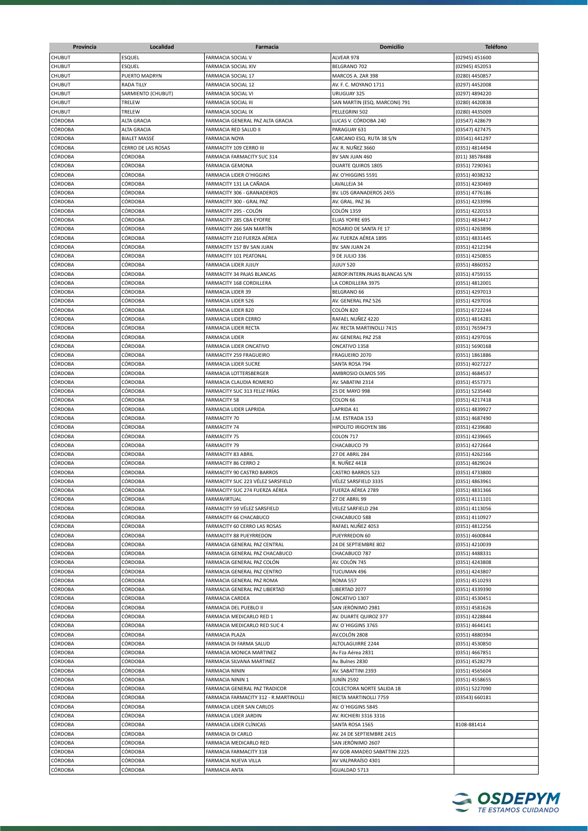| Provincia                 | Localidad                         | Farmacia                                                  | <b>Domicilio</b>                               | <b>Teléfono</b>                  |
|---------------------------|-----------------------------------|-----------------------------------------------------------|------------------------------------------------|----------------------------------|
| <b>CHUBUT</b>             | <b>ESQUEL</b>                     | FARMACIA SOCIAL V                                         | ALVEAR 978                                     | (02945) 451600                   |
| <b>CHUBUT</b>             | ESQUEL                            | FARMACIA SOCIAL XIV                                       | BELGRANO 702                                   | (02945) 452053                   |
| <b>CHUBUT</b>             | PUERTO MADRYN                     | <b>FARMACIA SOCIAL 17</b>                                 | MARCOS A. ZAR 398                              | (0280) 4450857                   |
| CHUBUT                    | <b>RADA TILLY</b>                 | <b>FARMACIA SOCIAL 12</b>                                 | AV. F. C. MOYANO 1711                          | (0297) 4452008                   |
| CHUBUT                    | SARMIENTO (CHUBUT)                | FARMACIA SOCIAL VI                                        | URUGUAY 325                                    | (0297) 4894220                   |
| CHUBUT                    | TRELEW                            | FARMACIA SOCIAL III                                       | SAN MARTIN (ESQ. MARCONI) 791                  | (0280) 4420838                   |
| CHUBUT                    | TRELEW                            | <b>FARMACIA SOCIAL IX</b>                                 | PELLEGRINI 502                                 | (0280) 4435009                   |
| CÓRDOBA<br>CÓRDOBA        | ALTA GRACIA<br><b>ALTA GRACIA</b> | FARMACIA GENERAL PAZ ALTA GRACIA<br>FARMACIA RED SALUD II | LUCAS V. CÓRDOBA 240<br>PARAGUAY 631           | (03547) 428679                   |
| CÓRDOBA                   | <b>BIALET MASSÉ</b>               | <b>FARMACIA NOYA</b>                                      | CARCANO ESQ. RUTA 38 S/N                       | (03547) 427475<br>(03541) 441297 |
| CÓRDOBA                   | CERRO DE LAS ROSAS                | FARMACITY 109 CERRO III                                   | AV. R. NUÑEZ 3660                              | (0351) 4814494                   |
| CÓRDOBA                   | CÓRDOBA                           | FARMACIA FARMACITY SUC 314                                | BV SAN JUAN 460                                | (011) 38578488                   |
| CÓRDOBA                   | CÓRDOBA                           | <b>FARMACIA GEMONA</b>                                    | DUARTE QUIROS 1805                             | (0351) 7290361                   |
| CÓRDOBA                   | CÓRDOBA                           | <b>FARMACIA LIDER O'HIGGINS</b>                           | AV. O'HIGGINS 5591                             | (0351) 4038232                   |
| CÓRDOBA                   | CÓRDOBA                           | FARMACITY 131 LA CAÑADA                                   | LAVALLEJA 34                                   | (0351) 4230469                   |
| CÓRDOBA                   | CÓRDOBA                           | FARMACITY 306 - GRANADEROS                                | BV. LOS GRANADEROS 2455                        | (0351) 4776186                   |
| CÓRDOBA                   | CÓRDOBA                           | FARMACITY 300 - GRAL PAZ                                  | AV. GRAL. PAZ 36                               | (0351) 4233996                   |
| CÓRDOBA                   | CÓRDOBA                           | FARMACITY 295 - COLÓN                                     | <b>COLÓN 1359</b>                              | (0351) 4220153                   |
| <b>CÓRDOBA</b>            | CÓRDOBA                           | FARMACITY 285 CBA EYOFRE                                  | <b>ELIAS YOFRE 695</b>                         | (0351) 4834417                   |
| <b>CÓRDOBA</b>            | <b>CÓRDOBA</b>                    | FARMACITY 266 SAN MARTÍN                                  | ROSARIO DE SANTA FE 17                         | (0351) 4263896                   |
| CÓRDOBA                   | CÓRDOBA                           | FARMACITY 210 FUERZA AÉREA                                | AV. FUERZA AÉREA 1895                          | (0351) 4831445                   |
| CÓRDOBA                   | CÓRDOBA                           | FARMACITY 157 BV SAN JUAN                                 | BV. SAN JUAN 24                                | (0351) 4212194                   |
| CÓRDOBA<br>CÓRDOBA        | CÓRDOBA<br>CÓRDOBA                | FARMACITY 101 PEATONAL<br><b>FARMACIA LIDER JUJUY</b>     | 9 DE JULIO 336<br>JUJUY 520                    | (0351) 4250855<br>(0351) 4860352 |
| CÓRDOBA                   | CÓRDOBA                           | FARMACITY 34 PAJAS BLANCAS                                | AEROP.INTERN.PAJAS BLANCAS S/N                 | (0351) 4759155                   |
| CÓRDOBA                   | CÓRDOBA                           | FARMACITY 168 CORDILLERA                                  | LA CORDILLERA 3975                             | (0351) 4812001                   |
| CÓRDOBA                   | CÓRDOBA                           | <b>FARMACIA LIDER 39</b>                                  | BELGRANO 66                                    | (0351) 4297013                   |
| CÓRDOBA                   | CÓRDOBA                           | <b>FARMACIA LIDER 526</b>                                 | AV. GENERAL PAZ 526                            | (0351) 4297016                   |
| CÓRDOBA                   | CÓRDOBA                           | <b>FARMACIA LIDER 820</b>                                 | COLÓN 820                                      | (0351) 6722244                   |
| CÓRDOBA                   | CÓRDOBA                           | <b>FARMACIA LIDER CERRO</b>                               | RAFAEL NUÑEZ 4220                              | (0351) 4814281                   |
| CÓRDOBA                   | CÓRDOBA                           | FARMACIA LIDER RECTA                                      | AV. RECTA MARTINOLLI 7415                      | (0351) 7659473                   |
| CÓRDOBA                   | CÓRDOBA                           | <b>FARMACIA LIDER</b>                                     | AV. GENERAL PAZ 258                            | (0351) 4297016                   |
| CÓRDOBA                   | CÓRDOBA                           | FARMACIA LIDER ONCATIVO                                   | ONCATIVO 1358                                  | (0351) 5690168                   |
| CÓRDOBA                   | CÓRDOBA                           | FARMACITY 259 FRAGUEIRO                                   | FRAGUEIRO 2070                                 | (0351) 1861886                   |
| CÓRDOBA                   | CÓRDOBA                           | <b>FARMACIA LIDER SUCRE</b>                               | SANTA ROSA 794                                 | (0351) 4027227                   |
| CÓRDOBA                   | CÓRDOBA                           | FARMACIA LOTTERSBERGER                                    | AMBROSIO OLMOS 595                             | (0351) 4684537                   |
| CÓRDOBA<br>CÓRDOBA        | CÓRDOBA<br>CÓRDOBA                | FARMACIA CLAUDIA ROMERO<br>FARMACITY SUC 313 FELIZ FRÍAS  | AV. SABATINI 2314<br>25 DE MAYO 998            | (0351) 4557371                   |
| CÓRDOBA                   | CÓRDOBA                           | <b>FARMACITY 58</b>                                       | COLON <sub>66</sub>                            | (0351) 5235440<br>(0351) 4217418 |
| <b>CÓRDOBA</b>            | CÓRDOBA                           | FARMACIA LIDER LAPRIDA                                    | LAPRIDA 41                                     | (0351) 4839927                   |
| <b>CÓRDOBA</b>            | CÓRDOBA                           | <b>FARMACITY 70</b>                                       | J.M. ESTRADA 153                               | (0351) 4687490                   |
| <b>CÓRDOBA</b>            | CÓRDOBA                           | <b>FARMACITY 74</b>                                       | HIPOLITO IRIGOYEN 386                          | (0351) 4239680                   |
| <b>CÓRDOBA</b>            | CÓRDOBA                           | <b>FARMACITY 75</b>                                       | COLON 717                                      | (0351) 4239665                   |
| CÓRDOBA                   | CÓRDOBA                           | <b>FARMACITY 79</b>                                       | CHACABUCO 79                                   | (0351) 4272664                   |
| CÓRDOBA                   | CÓRDOBA                           | <b>FARMACITY 83 ABRIL</b>                                 | <b>27 DE ABRIL 284</b>                         | (0351) 4262166                   |
| CÓRDOBA                   | CÓRDOBA                           | FARMACITY 86 CERRO 2                                      | R. NUÑEZ 4418                                  | (0351) 4829024                   |
| <b>CÓRDOBA</b>            | <b>CÓRDOBA</b>                    | FARMACITY 90 CASTRO BARROS                                | <b>CASTRO BARROS 523</b>                       | (0351) 4733800                   |
| <b>CÓRDOBA</b>            | CÓRDOBA                           | FARMACITY SUC 223 VÉLEZ SARSFIELD                         | VÉLEZ SARSFIELD 3335                           | (0351) 4863961                   |
| CÓRDOBA                   | CÓRDOBA                           | FARMACITY SUC 274 FUERZA AÉREA                            | FUERZA AÉREA 2789<br>27 DE ABRIL 99            | (0351) 4831366                   |
| CÓRDOBA<br>CÓRDOBA        | CÓRDOBA<br>CÓRDOBA                | <b>FARMAVIRTUAL</b><br>FARMACITY 59 VÉLEZ SARSFIELD       | VELEZ SARFIELD 294                             | (0351) 4111101<br>(0351) 4113056 |
| CÓRDOBA                   | CÓRDOBA                           | FARMACITY 66 CHACABUCO                                    | CHACABUCO 588                                  | (0351) 4110927                   |
| CÓRDOBA                   | CÓRDOBA                           | FARMACITY 60 CERRO LAS ROSAS                              | RAFAEL NUÑEZ 4053                              | (0351) 4812256                   |
| CÓRDOBA                   | CÓRDOBA                           | FARMACITY 88 PUEYRREDON                                   | PUEYRREDON 60                                  | (0351) 4600844                   |
| CÓRDOBA                   | CÓRDOBA                           | FARMACIA GENERAL PAZ CENTRAL                              | 24 DE SEPTIEMBRE 802                           | (0351) 4210039                   |
| CÓRDOBA                   | CÓRDOBA                           | FARMACIA GENERAL PAZ CHACABUCO                            | CHACABUCO 787                                  | (0351) 4488331                   |
| CÓRDOBA                   | CÓRDOBA                           | FARMACIA GENERAL PAZ COLÓN                                | AV. COLÓN 745                                  | (0351) 4243808                   |
| CÓRDOBA                   | CÓRDOBA                           | FARMACIA GENERAL PAZ CENTRO                               | TUCUMAN 496                                    | (0351) 4243807                   |
| CÓRDOBA                   | CÓRDOBA                           | FARMACIA GENERAL PAZ ROMA                                 | <b>ROMA 557</b>                                | (0351) 4510293                   |
| CÓRDOBA                   | CÓRDOBA                           | FARMACIA GENERAL PAZ LIBERTAD                             | LIBERTAD 2077                                  | (0351) 4339390                   |
| CÓRDOBA                   | CÓRDOBA                           | <b>FARMACIA CARDEA</b>                                    | ONCATIVO 1307                                  | (0351) 4530451                   |
| CÓRDOBA                   | CÓRDOBA                           | FARMACIA DEL PUEBLO II                                    | SAN JERÓNIMO 2981                              | (0351) 4581626                   |
| CÓRDOBA<br>CÓRDOBA        | CÓRDOBA<br>CÓRDOBA                | FARMACIA MEDICARLO RED 1<br>FARMACIA MEDICARLO RED SUC 4  | AV. DUARTE QUIROZ 377<br>AV. O'HIGGINS 3765    | (0351) 4228844<br>(0351) 4644141 |
| CÓRDOBA                   | CÓRDOBA                           | FARMACIA PLAZA                                            | AV.COLÓN 2808                                  | (0351) 4880394                   |
| CÓRDOBA                   | CÓRDOBA                           | FARMACIA DI FARMA SALUD                                   | ALTOLAGUIRRE 2244                              | (0351) 4530850                   |
| CÓRDOBA                   | CÓRDOBA                           | FARMACIA MONICA MARTINEZ                                  | Av Fza Aérea 2831                              | (0351) 4667851                   |
| CÓRDOBA                   | CÓRDOBA                           | FARMACIA SILVANA MARTINEZ                                 | Av. Bulnes 2830                                | (0351) 4528279                   |
| CÓRDOBA                   | CÓRDOBA                           | <b>FARMACIA NININ</b>                                     | AV. SABATTINI 2393                             | (0351) 4565604                   |
| CÓRDOBA                   | CÓRDOBA                           | FARMACIA NININ 1                                          | JUNÍN 2592                                     | (0351) 4558655                   |
| CÓRDOBA                   | CÓRDOBA                           | FARMACIA GENERAL PAZ TRADICOR                             | COLECTORA NORTE SALIDA 1B                      | (0351) 5227090                   |
| CÓRDOBA                   | CÓRDOBA                           | FARMACIA FARMACITY 312 - R.MARTINOLLI                     | RECTA MARTINOLLI 7759                          | (03543) 660181                   |
| CÓRDOBA                   | CÓRDOBA                           | FARMACIA LIDER SAN CARLOS                                 | AV. O'HIGGINS 5845                             |                                  |
| CÓRDOBA                   | CÓRDOBA                           | FARMACIA LIDER JARDIN                                     | AV. RICHIERI 3316 3316                         |                                  |
| CÓRDOBA                   | CÓRDOBA                           | FARMACIA LIDER CLÍNICAS                                   | SANTA ROSA 1565                                | 8108-881414                      |
| <b>CÓRDOBA</b><br>CÓRDOBA | CÓRDOBA<br>CÓRDOBA                | <b>FARMACIA DI CARLO</b>                                  | AV. 24 DE SEPTIEMBRE 2415<br>SAN JERÓNIMO 2607 |                                  |
| CÓRDOBA                   | CÓRDOBA                           | FARMACIA MEDICARLO RED<br>FARMACIA FARMACITY 318          | AV GOB AMADEO SABATTINI 2225                   |                                  |
| CÓRDOBA                   | CÓRDOBA                           | FARMACIA NUEVA VILLA                                      | AV VALPARAÍSO 4301                             |                                  |
| CÓRDOBA                   | CÓRDOBA                           | <b>FARMACIA ANTA</b>                                      | <b>IGUALDAD 5713</b>                           |                                  |
|                           |                                   |                                                           |                                                |                                  |

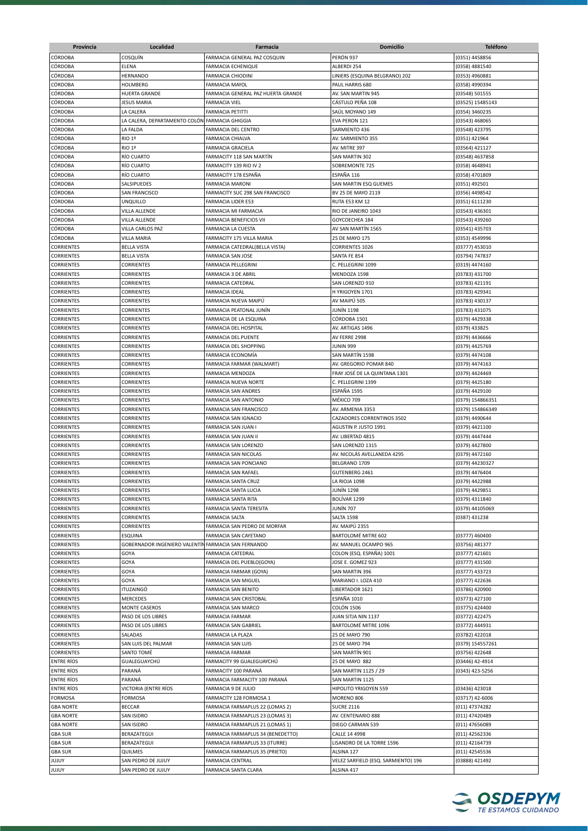| Provincia         | Localidad                     | Farmacia                           | <b>Domicilio</b>                    | <b>Teléfono</b>  |
|-------------------|-------------------------------|------------------------------------|-------------------------------------|------------------|
| <b>CÓRDOBA</b>    | COSQUÍN                       | FARMACIA GENERAL PAZ COSQUIN       | PERÓN 937                           | (0351) 4458856   |
| <b>CÓRDOBA</b>    | ELENA                         | <b>FARMACIA ECHENIQUE</b>          | ALBERDI 254                         | (0358) 4881540   |
| CÓRDOBA           | <b>HERNANDO</b>               | <b>FARMACIA CHIODINI</b>           | LINIERS (ESQUINA BELGRANO) 202      | (0353) 4960881   |
| CÓRDOBA           | <b>HOLMBERG</b>               | <b>FARMACIA MAYOL</b>              | PAUL HARRIS 680                     | (0358) 4990394   |
| CÓRDOBA           | <b>HUERTA GRANDE</b>          | FARMACIA GENERAL PAZ HUERTA GRANDE | AV. SAN MARTIN 945                  | (03548) 501555   |
| CÓRDOBA           | <b>JESUS MARIA</b>            |                                    | CÁSTULO PEÑA 108                    | (03525) 15485143 |
|                   |                               | <b>FARMACIA VIEL</b>               |                                     |                  |
| CÓRDOBA           | LA CALERA                     | <b>FARMACIA PETITTI</b>            | SAÚL MOYANO 149                     | (0354) 3460235   |
| CÓRDOBA           | LA CALERA, DEPARTAMENTO COLÓN | <b>FARMACIA GHIGGIA</b>            | EVA PERON 121                       | (03543) 468065   |
| CÓRDOBA           | LA FALDA                      | FARMACIA DEL CENTRO                | SARMIENTO 436                       | (03548) 423795   |
| CÓRDOBA           | RIO 1º                        | FARMACIA CHIALVA                   | AV. SARMIENTO 355                   | (0351) 421964    |
| CÓRDOBA           | RIO 1º                        | <b>FARMACIA GRACIELA</b>           | AV. MITRE 397                       | (03564) 421127   |
| CÓRDOBA           | RÍO CUARTO                    | FARMACITY 118 SAN MARTÍN           | SAN MARTIN 302                      | (03548) 4637858  |
| <b>CÓRDOBA</b>    | RÍO CUARTO                    | FARMACITY 139 RIO IV 2             | SOBREMONTE 725                      | (0358) 4648941   |
| <b>CÓRDOBA</b>    | RÍO CUARTO                    | FARMACITY 178 ESPAÑA               | ESPAÑA 116                          | (0358) 4701809   |
| <b>CÓRDOBA</b>    | SALSIPUEDES                   | <b>FARMACIA MARONI</b>             | SAN MARTIN ESQ GUEMES               | (0351) 492501    |
| CÓRDOBA           | <b>SAN FRANCISCO</b>          | FARMACITY SUC 298 SAN FRANCISCO    | BV 25 DE MAYO 2119                  | (0356) 4498542   |
| CÓRDOBA           | <b>UNQUILLO</b>               | FARMACIA LIDER E53                 | RUTA E53 KM 12                      | (0351) 6111230   |
| CÓRDOBA           | VILLA ALLENDE                 | FARMACIA MI FARMACIA               | RIO DE JANEIRO 1043                 | (03543) 436301   |
| CÓRDOBA           | VILLA ALLENDE                 | FARMACIA BENEFICIOS VII            | GOYCOECHEA 184                      | (03543) 439260   |
| CÓRDOBA           | VILLA CARLOS PAZ              | FARMACIA LA CUESTA                 | AV SAN MARTÍN 1565                  | (03541) 435703   |
| CÓRDOBA           | <b>VILLA MARIA</b>            | FARMACITY 175 VILLA MARIA          | 25 DE MAYO 175                      | (0353) 4549996   |
| <b>CORRIENTES</b> | <b>BELLA VISTA</b>            | FARMACIA CATEDRAL(BELLA VISTA)     | CORRIENTES 1026                     | (03777) 453010   |
| <b>CORRIENTES</b> | <b>BELLA VISTA</b>            | <b>FARMACIA SAN JOSE</b>           | SANTA FE 854                        | (03794) 747837   |
| CORRIENTES        | <b>CORRIENTES</b>             | FARMACIA PELLEGRINI                | C. PELLEGRINI 1099                  | (0319) 4474160   |
| <b>CORRIENTES</b> | <b>CORRIENTES</b>             | FARMACIA 3 DE ABRIL                | MENDOZA 1598                        | (03783) 431700   |
| <b>CORRIENTES</b> | <b>CORRIENTES</b>             | <b>FARMACIA CATEDRAL</b>           | SAN LORENZO 910                     | (03783) 421191   |
| CORRIENTES        | CORRIENTES                    | <b>FARMACIA IDEAL</b>              | H YRIGOYEN 1701                     | (03783) 429341   |
| CORRIENTES        | CORRIENTES                    | FARMACIA NUEVA MAIPÚ               | AV MAIPÚ 505                        | (03783) 430137   |
| <b>CORRIENTES</b> | CORRIENTES                    | FARMACIA PEATONAL JUNÍN            | JUNÍN 1198                          | (03783) 431075   |
| CORRIENTES        | CORRIENTES                    | FARMACIA DE LA ESQUINA             | CÓRDOBA 1501                        | (0379) 4429338   |
| CORRIENTES        | CORRIENTES                    | FARMACIA DEL HOSPITAL              | AV. ARTIGAS 1496                    | (0379) 433825    |
| CORRIENTES        | CORRIENTES                    | FARMACIA DEL PUENTE                | AV FERRE 2998                       | (0379) 4436666   |
| <b>CORRIENTES</b> | <b>CORRIENTES</b>             | FARMACIA DEL SHOPPING              | <b>JUNIN 999</b>                    | (0379) 4425769   |
| <b>CORRIENTES</b> | <b>CORRIENTES</b>             |                                    | SAN MARTÍN 1598                     |                  |
|                   |                               | FARMACIA ECONOMÍA                  |                                     | (0379) 4474108   |
| CORRIENTES        | <b>CORRIENTES</b>             | FARMACIA FARMAR (WALMART)          | AV. GREGORIO POMAR 840              | (0379) 4474163   |
| <b>CORRIENTES</b> | CORRIENTES                    | FARMACIA MENDOZA                   | FRAY JOSÉ DE LA QUINTANA 1301       | (0379) 4424469   |
| <b>CORRIENTES</b> | <b>CORRIENTES</b>             | FARMACIA NUEVA NORTE               | C. PELLEGRINI 1399                  | (0379) 4425180   |
| CORRIENTES        | CORRIENTES                    | FARMACIA SAN ANDRES                | ESPAÑA 1595                         | (0379) 4429100   |
| CORRIENTES        | CORRIENTES                    | FARMACIA SAN ANTONIO               | MÉXICO 709                          | (0379) 154866351 |
| CORRIENTES        | CORRIENTES                    | FARMACIA SAN FRANCISCO             | AV. ARMENIA 3353                    | (0379) 154866349 |
| CORRIENTES        | CORRIENTES                    | FARMACIA SAN IGNACIO               | CAZADORES CORRENTINOS 3502          | (0379) 4490644   |
| CORRIENTES        | CORRIENTES                    | FARMACIA SAN JUAN I                | AGUSTIN P. JUSTO 1991               | (0379) 4421100   |
| CORRIENTES        | CORRIENTES                    | FARMACIA SAN JUAN II               | AV. LIBERTAD 4815                   | (0379) 4447444   |
| CORRIENTES        | <b>CORRIENTES</b>             | FARMACIA SAN LORENZO               | SAN LORENZO 1315                    | (0379) 4427800   |
| CORRIENTES        | <b>CORRIENTES</b>             | FARMACIA SAN NICOLAS               | AV. NICOLÁS AVELLANEDA 4295         | (0379) 4472160   |
| <b>CORRIENTES</b> | CORRIENTES                    | FARMACIA SAN PONCIANO              | BELGRANO 1709                       | (0379) 44230327  |
| <b>CORRIENTES</b> | <b>CORRIENTES</b>             | <b>FARMACIA SAN RAFAEL</b>         | <b>GUTENBERG 2461</b>               | (0379) 4476404   |
| <b>CORRIENTES</b> | <b>CORRIENTES</b>             | FARMACIA SANTA CRUZ                | LA RIOJA 1098                       | (0379) 4422988   |
| <b>CORRIENTES</b> | <b>CORRIENTES</b>             | FARMACIA SANTA LUCIA               | <b>JUNÍN 1298</b>                   | (0379) 4429851   |
| <b>CORRIENTES</b> | <b>CORRIENTES</b>             | FARMACIA SANTA RITA                | BOLÍVAR 1299                        | (0379) 4311840   |
| <b>CORRIENTES</b> | <b>CORRIENTES</b>             | <b>FARMACIA SANTA TERESITA</b>     | JUNÍN 707                           | (0379) 44105069  |
| <b>CORRIENTES</b> | <b>CORRIENTES</b>             | <b>FARMACIA SALTA</b>              | <b>SALTA 1598</b>                   | (0387) 431238    |
| <b>CORRIENTES</b> | <b>CORRIENTES</b>             | FARMACIA SAN PEDRO DE MORFAR       | AV. MAIPÚ 2355                      |                  |
| <b>CORRIENTES</b> | ESQUINA                       | FARMACIA SAN CAYETANO              | BARTOLOMÉ MITRE 602                 | (03777) 460400   |
| CORRIENTES        | GOBERNADOR INGENIERO VALENTÍ  | FARMACIA SAN FERNANDO              | AV. MANUEL OCAMPO 965               | (03756) 481377   |
| CORRIENTES        | GOYA                          | FARMACIA CATEDRAL                  | COLON (ESQ. ESPAÑA) 1001            | (03777) 421601   |
| CORRIENTES        | GOYA                          | FARMACIA DEL PUEBLO(GOYA)          | JOSE E. GOMEZ 923                   | (03777) 431500   |
| <b>CORRIENTES</b> | GOYA                          | <b>FARMACIA FARMAR (GOYA)</b>      | <b>SAN MARTIN 396</b>               | (03777) 433723   |
| CORRIENTES        | GOYA                          | FARMACIA SAN MIGUEL                | MARIANO I. LOZA 410                 | (03777) 422636   |
| CORRIENTES        | <b>ITUZAINGÓ</b>              | FARMACIA SAN BENITO                | LIBERTADOR 1621                     |                  |
| CORRIENTES        | MERCEDES                      |                                    |                                     | (03786) 420900   |
|                   |                               | FARMACIA SAN CRISTOBAL             | ESPAÑA 1010                         | (03773) 427100   |
| CORRIENTES        | MONTE CASEROS                 | FARMACIA SAN MARCO                 | COLÓN 1506                          | (03775) 424400   |
| CORRIENTES        | PASO DE LOS LIBRES            | FARMACIA FARMAR                    | JUAN SITJA NIN 1137                 | (03772) 422475   |
| CORRIENTES        | PASO DE LOS LIBRES            | FARMACIA SAN GABRIEL               | BARTOLOMÉ MITRE 1096                | (03772) 444931   |
| CORRIENTES        | SALADAS                       | FARMACIA LA PLAZA                  | 25 DE MAYO 790                      | (03782) 422018   |
| CORRIENTES        | SAN LUIS DEL PALMAR           | FARMACIA SAN LUIS                  | 25 DE MAYO 794                      | (0379) 154557261 |
| <b>CORRIENTES</b> | SANTO TOMÉ                    | FARMACIA FARMAR                    | SAN MARTÍN 901                      | (03756) 422648   |
| <b>ENTRE RÍOS</b> | GUALEGUAYCHÚ                  | FARMACITY 99 GUALEGUAYCHÚ          | 25 DE MAYO 882                      | (03446) 42-4914  |
| <b>ENTRE RÍOS</b> | PARANÁ                        | FARMACITY 100 PARANÁ               | SAN MARTIN 1125 / 29                | (0343) 423-5256  |
| <b>ENTRE RÍOS</b> | PARANÁ                        | FARMACIA FARMACITY 100 PARANÁ      | SAN MARTIN 1125                     |                  |
| <b>ENTRE RÍOS</b> | VICTORIA (ENTRE RÍOS          | FARMACIA 9 DE JULIO                | HIPOLITO YRIGOYEN 559               | (03436) 423018   |
| <b>FORMOSA</b>    | <b>FORMOSA</b>                | FARMACITY 128 FORMOSA 1            | MORENO 806                          | (03717) 42-6006  |
| <b>GBA NORTE</b>  | <b>BECCAR</b>                 | FARMACIA FARMAPLUS 22 (LOMAS 2)    | <b>SUCRE 2116</b>                   | (011) 47374282   |
| <b>GBA NORTE</b>  | SAN ISIDRO                    | FARMACIA FARMAPLUS 23 (LOMAS 3)    | AV. CENTENARIO 888                  | (011) 47420489   |
| <b>GBA NORTE</b>  | <b>SAN ISIDRO</b>             | FARMACIA FARMAPLUS 21 (LOMAS 1)    | DIEGO CARMAN 539                    | (011) 47656089   |
| <b>GBA SUR</b>    | BERAZATEGUI                   | FARMACIA FARMAPLUS 34 (BENEDETTO)  | CALLE 14 4998                       | (011) 42562336   |
| <b>GBA SUR</b>    | BERAZATEGUI                   | FARMACIA FARMAPLUS 33 (ITURRE)     | LISANDRO DE LA TORRE 1596           | (011) 42164739   |
| <b>GBA SUR</b>    | QUILMES                       | FARMACIA FARMAPLUS 35 (PRIETO)     | ALSINA 127                          | (011) 42545536   |
| YUJUY             | SAN PEDRO DE JUJUY            | <b>FARMACIA CENTRAL</b>            | VELEZ SARFIELD (ESQ. SARMIENTO) 196 | (03888) 421492   |
| <b>YUJUY</b>      | SAN PEDRO DE JUJUY            | FARMACIA SANTA CLARA               | ALSINA 417                          |                  |
|                   |                               |                                    |                                     |                  |

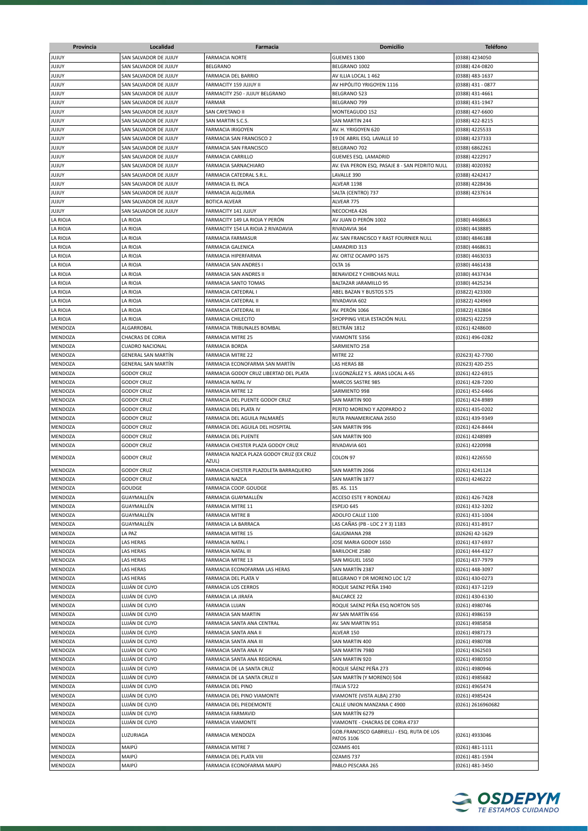| Provincia                        | Localidad                                      | Farmacia                                                 | <b>Domicilio</b>                                      | <b>Teléfono</b>                  |
|----------------------------------|------------------------------------------------|----------------------------------------------------------|-------------------------------------------------------|----------------------------------|
| JUJUY                            | SAN SALVADOR DE JUJUY                          | <b>FARMACIA NORTE</b>                                    | GUEMES 1300                                           | (0388) 4234050                   |
| JUJUY                            | SAN SALVADOR DE JUJUY                          | BELGRANO                                                 | BELGRANO 1002                                         | (0388) 424-0820                  |
| JUJUY                            | SAN SALVADOR DE JUJUY                          | <b>FARMACIA DEL BARRIO</b>                               | AV ILLIA LOCAL 1 462                                  | (0388) 483-1637                  |
| JUJUY                            | SAN SALVADOR DE JUJUY                          | FARMACITY 159 JUJUY II                                   | AV HIPÓLITO YRIGOYEN 1116                             | (0388) 431 - 0877                |
| JUJUY                            | SAN SALVADOR DE JUJUY                          | FARMACITY 250 - JUJUY BELGRANO                           | BELGRANO 523                                          | (0388) 431-4661                  |
| JUJUY                            | SAN SALVADOR DE JUJUY                          | <b>FARMAR</b>                                            | BELGRANO 799                                          | (0388) 431-1947                  |
| JUJUY                            | SAN SALVADOR DE JUJUY                          | SAN CAYETANO II                                          | MONTEAGUDO 152                                        | (0388) 427-6600                  |
| JUJUY                            | SAN SALVADOR DE JUJUY                          | SAN MARTIN S.C.S.                                        | SAN MARTIN 244                                        | (0388) 422-8215                  |
| JUJUY                            | SAN SALVADOR DE JUJUY                          | <b>FARMACIA IRIGOYEN</b>                                 | AV. H. YRIGOYEN 620                                   | (0388) 4225533                   |
| JUJUY                            | SAN SALVADOR DE JUJUY                          | FARMACIA SAN FRANCISCO 2                                 | 19 DE ABRIL ESQ. LAVALLE 10                           | (0388) 4237333                   |
| YUJUY                            | SAN SALVADOR DE JUJUY                          | FARMACIA SAN FRANCISCO                                   | BELGRANO 702                                          | (0388) 6862261                   |
| <b>YUJUY</b>                     | SAN SALVADOR DE JUJUY<br>SAN SALVADOR DE JUJUY | <b>FARMACIA CARRILLO</b>                                 | GUEMES ESQ. LAMADRID                                  | (0388) 4222917                   |
| <b>YUJUY</b><br>YUJUY            | SAN SALVADOR DE JUJUY                          | FARMACIA SARNACHIARO<br>FARMACIA CATEDRAL S.R.L.         | AV. EVA PERON ESQ. PASAJE 8 - SAN PEDRITO NULL        | (0388) 4020392                   |
| JUJUY                            | SAN SALVADOR DE JUJUY                          | FARMACIA EL INCA                                         | LAVALLE 390<br>ALVEAR 1198                            | (0388) 4242417<br>(0388) 4228436 |
| JUJUY                            | SAN SALVADOR DE JUJUY                          | FARMACIA ALQUIMIA                                        | SALTA (CENTRO) 737                                    | (0388) 4237614                   |
| JUJUY                            | SAN SALVADOR DE JUJUY                          | <b>BOTICA ALVEAR</b>                                     | ALVEAR 775                                            |                                  |
| JUJUY                            | SAN SALVADOR DE JUJUY                          | FARMACITY 141 JUJUY                                      | NECOCHEA 426                                          |                                  |
| LA RIOJA                         | LA RIOJA                                       | FARMACITY 149 LA RIOJA Y PERÓN                           | AV JUAN D PERÓN 1002                                  | (0380) 4468663                   |
| LA RIOJA                         | LA RIOJA                                       | FARMACITY 154 LA RIOJA 2 RIVADAVIA                       | RIVADAVIA 364                                         | (0380) 4438885                   |
| LA RIOJA                         | LA RIOJA                                       | FARMACIA FARMASUR                                        | AV. SAN FRANCISCO Y RAST FOURNIER NULL                | (0380) 4846188                   |
| LA RIOJA                         | LA RIOJA                                       | <b>FARMACIA GALENICA</b>                                 | LAMADRID 313                                          | (0380) 4468631                   |
| LA RIOJA                         | LA RIOJA                                       | FARMACIA HIPERFARMA                                      | AV. ORTIZ OCAMPO 1675                                 | (0380) 4463033                   |
| LA RIOJA                         | LA RIOJA                                       | FARMACIA SAN ANDRES I                                    | OLTA <sub>16</sub>                                    | (0380) 4461438                   |
| LA RIOJA                         | LA RIOJA                                       | FARMACIA SAN ANDRES II                                   | BENAVIDEZ Y CHIBCHAS NULL                             | (0380) 4437434                   |
| LA RIOJA                         | LA RIOJA                                       | <b>FARMACIA SANTO TOMAS</b>                              | BALTAZAR JARAMILLO 95                                 | (0380) 4425234                   |
| LA RIOJA                         | LA RIOJA                                       | FARMACIA CATEDRAL I                                      | ABEL BAZAN Y BUSTOS 575                               | (03822) 423300                   |
| LA RIOJA                         | LA RIOJA                                       | FARMACIA CATEDRAL II                                     | RIVADAVIA 602                                         | (03822) 424969                   |
| LA RIOJA                         | LA RIOJA                                       | FARMACIA CATEDRAL III                                    | AV. PERÓN 1066                                        | (03822) 432804                   |
| LA RIOJA                         | LA RIOJA                                       | <b>FARMACIA CHILECITO</b>                                | SHOPPING VIEJA ESTACIÓN NULL                          | (03825) 422259                   |
| MENDOZA                          | ALGARROBAL                                     | FARMACIA TRIBUNALES BOMBAL                               | BELTRÁN 1812                                          | (0261) 4248600                   |
| MENDOZA                          | <b>CHACRAS DE CORIA</b>                        | <b>FARMACIA MITRE 25</b>                                 | VIAMONTE 5356                                         | (0261) 496-0282                  |
| MENDOZA                          | <b>CUADRO NACIONAL</b>                         | <b>FARMACIA BORDA</b>                                    | SARMIENTO 258                                         |                                  |
| MENDOZA                          | <b>GENERAL SAN MARTIN</b>                      | <b>FARMACIA MITRE 22</b>                                 | MITRE 22                                              | (02623) 42-7700                  |
| MENDOZA                          | <b>GENERAL SAN MARTÍN</b>                      | FARMACIA ECONOFARMA SAN MARTÍN                           | LAS HERAS 88                                          | (02623) 420-255                  |
| MENDOZA                          | <b>GODOY CRUZ</b>                              | FARMACIA GODOY CRUZ LIBERTAD DEL PLATA                   | J.V.GONZÁLEZ Y S. ARIAS LOCAL A-65                    | (0261) 422-6915                  |
| MENDOZA                          | <b>GODOY CRUZ</b>                              | FARMACIA NATAL IV                                        | MARCOS SASTRE 985                                     | (0261) 428-7200                  |
| MENDOZA                          | <b>GODOY CRUZ</b>                              | <b>FARMACIA MITRE 12</b>                                 | SARMIENTO 998                                         | (0261) 452-6466                  |
| MENDOZA                          | <b>GODOY CRUZ</b>                              | FARMACIA DEL PUENTE GODOY CRUZ                           | SAN MARTIN 900                                        | (0261) 424-8989                  |
| MENDOZA                          | <b>GODOY CRUZ</b>                              | FARMACIA DEL PLATA IV                                    | PERITO MORENO Y AZOPARDO 2                            | (0261) 435-0202                  |
| MENDOZA                          | <b>GODOY CRUZ</b>                              | FARMACIA DEL AGUILA PALMARÉS                             | RUTA PANAMERICANA 2650                                | (0261) 439-9349                  |
| MENDOZA<br>MENDOZA               | <b>GODOY CRUZ</b><br><b>GODOY CRUZ</b>         | FARMACIA DEL AGUILA DEL HOSPITAL                         | <b>SAN MARTIN 996</b>                                 | (0261) 424-8444                  |
| MENDOZA                          | <b>GODOY CRUZ</b>                              | FARMACIA DEL PUENTE<br>FARMACIA CHESTER PLAZA GODOY CRUZ | SAN MARTIN 900<br>RIVADAVIA 601                       | (0261) 4248989                   |
|                                  |                                                | FARMACIA NAZCA PLAZA GODOY CRUZ (EX CRUZ                 |                                                       | (0261) 4220998                   |
| MENDOZA                          | <b>GODOY CRUZ</b>                              | AZUL)                                                    | COLON 97                                              | (0261) 4226550                   |
| MENDOZA                          | <b>GODOY CRUZ</b>                              | FARMACIA CHESTER PLAZOLETA BARRAQUERO                    | SAN MARTIN 2066                                       | (0261) 4241124                   |
| MENDOZA                          | <b>GODOY CRUZ</b>                              | <b>FARMACIA NAZCA</b>                                    | SAN MARTÍN 1877                                       | (0261) 4246222                   |
| MENDOZA                          | GOUDGE                                         | FARMACIA COOP. GOUDGE                                    | BS. AS. 115                                           |                                  |
| <b>MENDOZA</b>                   | GUAYMALLÉN                                     | FARMACIA GUAYMALLÉN                                      | ACCESO ESTE Y RONDEAU                                 | (0261) 426-7428                  |
| MENDOZA                          | GUAYMALLÉN                                     | <b>FARMACIA MITRE 11</b>                                 | ESPEJO 645                                            | (0261) 432-3202                  |
| MENDOZA                          | GUAYMALLÉN                                     | <b>FARMACIA MITRE 8</b>                                  | ADOLFO CALLE 1100                                     | (0261) 431-1004                  |
| MENDOZA                          | GUAYMALLÉN                                     | FARMACIA LA BARRACA                                      | LAS CAÑAS (PB - LOC 2 Y 3) 1183                       | (0261) 431-8917                  |
| MENDOZA                          | LA PAZ                                         | <b>FARMACIA MITRE 15</b>                                 | <b>GALIGNIANA 298</b>                                 | (02626) 42-1629                  |
| MENDOZA                          | LAS HERAS                                      | <b>FARMACIA NATAL I</b>                                  | JOSE MARIA GODOY 1650                                 | (0261) 437-6937                  |
| MENDOZA                          | LAS HERAS                                      | FARMACIA NATAL III                                       | BARILOCHE 2580                                        | (0261) 444-4327                  |
| MENDOZA                          | LAS HERAS                                      | FARMACIA MITRE 13                                        | SAN MIGUEL 1650                                       | (0261) 437-7979                  |
| MENDOZA                          | LAS HERAS                                      | FARMACIA ECONOFARMA LAS HERAS                            | SAN MARTÍN 2387                                       | (0261) 448-3097                  |
| <b>MENDOZA</b>                   | LAS HERAS                                      | FARMACIA DEL PLATA V                                     | BELGRANO Y DR MORENO LOC 1/2                          | (0261) 430-0273                  |
| <b>MENDOZA</b>                   | LUJÁN DE CUYO                                  | <b>FARMACIA LOS CERROS</b>                               | ROQUE SAENZ PEÑA 1940                                 | (0261) 437-1219                  |
| MENDOZA                          | LUJÁN DE CUYO                                  | FARMACIA LA JIRAFA                                       | <b>BALCARCE 22</b><br>ROQUE SAENZ PEÑA ESO NORTON 505 | (0261) 430-6130                  |
| <b>MENDOZA</b><br><b>MENDOZA</b> | LUJÁN DE CUYO<br>LUJÁN DE CUYO                 | <b>FARMACIA LUJAN</b><br>FARMACIA SAN MARTIN             | AV SAN MARTÍN 656                                     | (0261) 4980746<br>(0261) 4986159 |
| <b>MENDOZA</b>                   | LUJÁN DE CUYO                                  | FARMACIA SANTA ANA CENTRAL                               | AV. SAN MARTIN 951                                    | (0261) 4985858                   |
| <b>MENDOZA</b>                   | LUJÁN DE CUYO                                  | FARMACIA SANTA ANA II                                    | ALVEAR 150                                            | (0261) 4987173                   |
| MENDOZA                          | LUJÁN DE CUYO                                  | FARMACIA SANTA ANA III                                   | SAN MARTIN 400                                        | (0261) 4980708                   |
| <b>MENDOZA</b>                   | LUJÁN DE CUYO                                  | FARMACIA SANTA ANA IV                                    | SAN MARTIN 7980                                       | (0261) 4362503                   |
| <b>MENDOZA</b>                   | LUJÁN DE CUYO                                  | FARMACIA SANTA ANA REGIONAL                              | SAN MARTIN 920                                        | (0261) 4980350                   |
| MENDOZA                          | LUJÁN DE CUYO                                  | FARMACIA DE LA SANTA CRUZ                                | ROQUE SÁENZ PEÑA 273                                  | (0261) 4980946                   |
| MENDOZA                          | LUJÁN DE CUYO                                  | FARMACIA DE LA SANTA CRUZ II                             | SAN MARTÍN (Y MORENO) 504                             | (0261) 4985682                   |
| MENDOZA                          | LUJÁN DE CUYO                                  | FARMACIA DEL PINO                                        | ITALIA 5722                                           | (0261) 4965474                   |
| MENDOZA                          | LUJÁN DE CUYO                                  | FARMACIA DEL PINO VIAMONTE                               | VIAMONTE (VISTA ALBA) 2730                            | (0261) 4985424                   |
| MENDOZA                          | LUJÁN DE CUYO                                  | FARMACIA DEL PIEDEMONTE                                  | CALLE UNION MANZANA C 4900                            | (0261) 2616960682                |
| MENDOZA                          | LUJÁN DE CUYO                                  | FARMACIA FARMAVID                                        | SAN MARTÍN 6279                                       |                                  |
| MENDOZA                          | LUJÁN DE CUYO                                  | FARMACIA VIAMONTE                                        | VIAMONTE - CHACRAS DE CORIA 4737                      |                                  |
| MENDOZA                          | LUZURIAGA                                      | FARMACIA MENDOZA                                         | GOB.FRANCISCO GABRIELLI - ESQ. RUTA DE LOS            | (0261) 4933046                   |
|                                  |                                                |                                                          | <b>PATOS 3106</b>                                     |                                  |
| <b>MENDOZA</b>                   | MAIPÚ                                          | <b>FARMACIA MITRE 7</b>                                  | OZAMIS 401                                            | (0261) 481-1111                  |
| MENDOZA                          | MAIPÚ                                          | FARMACIA DEL PLATA VIII                                  | OZAMIS 737                                            | (0261) 481-1594                  |
| MENDOZA                          | MAIPÚ                                          | FARMACIA ECONOFARMA MAIPÚ                                | PABLO PESCARA 265                                     | (0261) 481-3450                  |

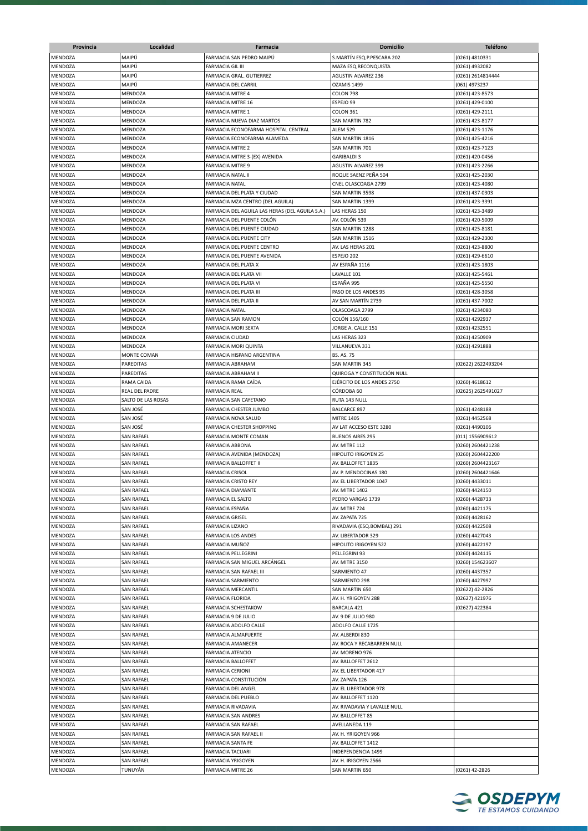| Provincia | Localidad          | Farmacia                                        | <b>Domicilio</b>             | <b>Teléfono</b>    |
|-----------|--------------------|-------------------------------------------------|------------------------------|--------------------|
| MENDOZA   | MAIPÚ              | FARMACIA SAN PEDRO MAIPU                        | S.MARTÍN ESQ.P.PESCARA 202   | (0261) 4810331     |
| MENDOZA   | MAIPÚ              | <b>FARMACIA GIL III</b>                         | MAZA ESQ.RECONQUISTA         | (0261) 4932082     |
| MENDOZA   | MAIPÚ              | <b>FARMACIA GRAL. GUTIERREZ</b>                 | <b>AGUSTIN ALVAREZ 236</b>   | (0261) 2614814444  |
| MENDOZA   | MAIPÚ              | <b>FARMACIA DEL CARRIL</b>                      | OZAMIS 1499                  | (061) 4973237      |
| MENDOZA   | MENDOZA            | <b>FARMACIA MITRE 4</b>                         | COLON 798                    | (0261) 423-8573    |
| MENDOZA   |                    |                                                 | ESPEJO 99                    | (0261) 429-0100    |
| MENDOZA   | MENDOZA<br>MENDOZA | <b>FARMACIA MITRE 16</b>                        |                              |                    |
|           |                    | <b>FARMACIA MITRE 1</b>                         | COLON 361                    | (0261) 429-2111    |
| MENDOZA   | MENDOZA            | FARMACIA NUEVA DIAZ MARTOS                      | SAN MARTIN 782               | (0261) 423-8177    |
| MENDOZA   | MENDOZA            | FARMACIA ECONOFARMA HOSPITAL CENTRAL            | <b>ALEM 529</b>              | (0261) 423-1176    |
| MENDOZA   | MENDOZA            | FARMACIA ECONOFARMA ALAMEDA                     | SAN MARTIN 1816              | (0261) 425-4216    |
| MENDOZA   | MENDOZA            | <b>FARMACIA MITRE 2</b>                         | SAN MARTIN 701               | (0261) 423-7123    |
| MENDOZA   | MENDOZA            | FARMACIA MITRE 3-(EX) AVENIDA                   | <b>GARIBALDI 3</b>           | (0261) 420-0456    |
| MENDOZA   | MENDOZA            | <b>FARMACIA MITRE 9</b>                         | <b>AGUSTIN ALVAREZ 399</b>   | (0261) 423-2266    |
| MENDOZA   | MENDOZA            | FARMACIA NATAL II                               | ROQUE SAENZ PEÑA 504         | (0261) 425-2030    |
| MENDOZA   | MENDOZA            | <b>FARMACIA NATAL</b>                           | CNEL OLASCOAGA 2799          | (0261) 423-4080    |
| MENDOZA   | MENDOZA            | FARMACIA DEL PLATA Y CIUDAD                     | SAN MARTIN 3598              | (0261) 437-0303    |
| MENDOZA   | MENDOZA            | FARMACIA MZA CENTRO (DEL AGUILA)                | SAN MARTIN 1399              | (0261) 423-3391    |
| MENDOZA   | MENDOZA            | FARMACIA DEL AGUILA LAS HERAS (DEL AGUILA S.A.) | LAS HERAS 150                | (0261) 423-3489    |
| MENDOZA   | MENDOZA            | FARMACIA DEL PUENTE COLÓN                       | AV. COLÓN 539                | (0261) 420-5009    |
| MENDOZA   | MENDOZA            | FARMACIA DEL PUENTE CIUDAD                      | SAN MARTIN 1288              | (0261) 425-8181    |
| MENDOZA   | MENDOZA            | FARMACIA DEL PUENTE CITY                        | SAN MARTIN 1516              | (0261) 429-2300    |
| MENDOZA   | MENDOZA            | FARMACIA DEL PUENTE CENTRO                      | AV. LAS HERAS 201            | (0261) 423-8800    |
| MENDOZA   | MENDOZA            | FARMACIA DEL PUENTE AVENIDA                     | ESPEJO 202                   | (0261) 429-6610    |
| MENDOZA   | MENDOZA            | FARMACIA DEL PLATA X                            | AV ESPAÑA 1116               | (0261) 423-1803    |
| MENDOZA   | MENDOZA            | FARMACIA DEL PLATA VII                          | LAVALLE 101                  | (0261) 425-5461    |
| MENDOZA   | MENDOZA            | FARMACIA DEL PLATA VI                           | ESPAÑA 995                   | (0261) 425-5550    |
|           |                    | FARMACIA DEL PLATA III                          | PASO DE LOS ANDES 95         | (0261) 428-3058    |
| MENDOZA   | MENDOZA            |                                                 |                              |                    |
| MENDOZA   | MENDOZA            | FARMACIA DEL PLATA II                           | AV SAN MARTÍN 2739           | (0261) 437-7002    |
| MENDOZA   | MENDOZA            | <b>FARMACIA NATAL</b>                           | OLASCOAGA 2799               | (0261) 4234080     |
| MENDOZA   | MENDOZA            | FARMACIA SAN RAMON                              | COLÓN 156/160                | (0261) 4292937     |
| MENDOZA   | MENDOZA            | FARMACIA MORI SEXTA                             | JORGE A. CALLE 151           | (0261) 4232551     |
| MENDOZA   | MENDOZA            | <b>FARMACIA CIUDAD</b>                          | LAS HERAS 323                | (0261) 4250909     |
| MENDOZA   | MENDOZA            | FARMACIA MORI QUINTA                            | VILLANUEVA 331               | (0261) 4291888     |
| MENDOZA   | MONTE COMAN        | FARMACIA HISPANO ARGENTINA                      | <b>BS. AS. 75</b>            |                    |
| MENDOZA   | PAREDITAS          | FARMACIA ABRAHAM                                | SAN MARTIN 345               | (02622) 2622493204 |
| MENDOZA   | PAREDITAS          | FARMACIA ABRAHAM II                             | QUIROGA Y CONSTITUCIÓN NULL  |                    |
| MENDOZA   | RAMA CAIDA         | FARMACIA RAMA CAÍDA                             | EJÉRCITO DE LOS ANDES 2750   | (0260) 4618612     |
| MENDOZA   | REAL DEL PADRE     | <b>FARMACIA REAL</b>                            | CÓRDOBA 60                   | (02625) 2625491027 |
| MENDOZA   | SALTO DE LAS ROSAS | FARMACIA SAN CAYETANO                           | RUTA 143 NULL                |                    |
| MENDOZA   | SAN JOSÉ           | FARMACIA CHESTER JUMBO                          | <b>BALCARCE 897</b>          | (0261) 4248188     |
| MENDOZA   | SAN JOSÉ           | FARMACIA NOVA SALUD                             | <b>MITRE 1405</b>            | (0261) 4452568     |
| MENDOZA   | SAN JOSÉ           | FARMACIA CHESTER SHOPPING                       | AV LAT ACCESO ESTE 3280      | (0261) 4490106     |
| MENDOZA   | SAN RAFAEL         | FARMACIA MONTE COMAN                            | <b>BUENOS AIRES 295</b>      | (011) 1556909612   |
| MENDOZA   | SAN RAFAEL         | <b>FARMACIA ABBONA</b>                          | AV. MITRE 112                | (0260) 2604421238  |
| MENDOZA   | <b>SAN RAFAEL</b>  | FARMACIA AVENIDA (MENDOZA)                      | <b>HIPOLITO IRIGOYEN 25</b>  | (0260) 2604422200  |
| MENDOZA   | SAN RAFAEL         | <b>FARMACIA BALLOFFET II</b>                    | AV. BALLOFFET 1835           | (0260) 2604423167  |
| MENDOZA   | SAN RAFAEL         | <b>FARMACIA CRISOL</b>                          | AV. P. MENDOCINAS 180        | (0260) 2604421646  |
| MENDOZA   | <b>SAN RAFAEL</b>  | <b>FARMACIA CRISTO REY</b>                      | AV. EL LIBERTADOR 1047       | (0260) 4433011     |
|           |                    |                                                 |                              |                    |
| MENDOZA   | <b>SAN RAFAEL</b>  | <b>FARMACIA DIAMANTE</b>                        | AV. MITRE 1402               | (0260) 4424150     |
| MENDOZA   | SAN RAFAEL         | <b>FARMACIA EL SALTO</b>                        | PEDRO VARGAS 1739            | (0260) 4428733     |
| MENDOZA   | SAN RAFAEL         | FARMACIA ESPAÑA                                 | AV. MITRE 724                | (0260) 4421175     |
| MENDOZA   | SAN RAFAEL         | <b>FARMACIA GRISEL</b>                          | AV. ZAPATA 725               | (0260) 4428162     |
| MENDOZA   | SAN RAFAEL         | <b>FARMACIA LIZANO</b>                          | RIVADAVIA (ESQ.BOMBAL) 291   | (0260) 4422508     |
| MENDOZA   | <b>SAN RAFAEL</b>  | <b>FARMACIA LOS ANDES</b>                       | AV. LIBERTADOR 329           | (0260) 4427043     |
| MENDOZA   | <b>SAN RAFAEL</b>  | FARMACIA MUÑOZ                                  | HIPOLITO IRIGOYEN 522        | (0260) 4422197     |
| MENDOZA   | <b>SAN RAFAEL</b>  | FARMACIA PELLEGRINI                             | PELLEGRINI 93                | (0260) 4424115     |
| MENDOZA   | SAN RAFAEL         | FARMACIA SAN MIGUEL ARCÁNGEL                    | AV. MITRE 3150               | (0260) 154623607   |
| MENDOZA   | SAN RAFAEL         | FARMACIA SAN RAFAEL III                         | SARMIENTO 47                 | (0260) 4437357     |
| MENDOZA   | SAN RAFAEL         | FARMACIA SARMIENTO                              | SARMIENTO 298                | (0260) 4427997     |
| MENDOZA   | SAN RAFAEL         | FARMACIA MERCANTIL                              | SAN MARTIN 650               | (02622) 42-2826    |
| MENDOZA   | SAN RAFAEL         | <b>FARMACIA FLORIDA</b>                         | AV. H. YRIGOYEN 288          | (02627) 421976     |
| MENDOZA   | SAN RAFAEL         | FARMACIA SCHESTAKOW                             | BARCALA 421                  | (02627) 422384     |
| MENDOZA   | SAN RAFAEL         | FARMACIA 9 DE JULIO                             | AV. 9 DE JULIO 980           |                    |
| MENDOZA   | SAN RAFAEL         | FARMACIA ADOLFO CALLE                           | ADOLFO CALLE 1725            |                    |
| MENDOZA   | <b>SAN RAFAEL</b>  | FARMACIA ALMAFUERTE                             | AV. ALBERDI 830              |                    |
| MENDOZA   | <b>SAN RAFAEL</b>  | FARMACIA AMANECER                               | AV. ROCA Y RECABARREN NULL   |                    |
| MENDOZA   | <b>SAN RAFAEL</b>  | <b>FARMACIA ATENCIO</b>                         | AV. MORENO 976               |                    |
|           | SAN RAFAEL         | FARMACIA BALLOFFET                              | AV. BALLOFFET 2612           |                    |
| MENDOZA   | SAN RAFAEL         | <b>FARMACIA CERIONI</b>                         | AV. EL LIBERTADOR 417        |                    |
| MENDOZA   |                    |                                                 |                              |                    |
| MENDOZA   | SAN RAFAEL         | FARMACIA CONSTITUCIÓN                           | AV. ZAPATA 126               |                    |
| MENDOZA   | <b>SAN RAFAEL</b>  | FARMACIA DEL ANGEL                              | AV. EL LIBERTADOR 978        |                    |
| MENDOZA   | SAN RAFAEL         | FARMACIA DEL PUEBLO                             | AV. BALLOFFET 1120           |                    |
| MENDOZA   | SAN RAFAEL         | FARMACIA RIVADAVIA                              | AV. RIVADAVIA Y LAVALLE NULL |                    |
| MENDOZA   | SAN RAFAEL         | FARMACIA SAN ANDRES                             | AV. BALLOFFET 85             |                    |
| MENDOZA   | SAN RAFAEL         | FARMACIA SAN RAFAEL                             | AVELLANEDA 119               |                    |
| MENDOZA   | SAN RAFAEL         | FARMACIA SAN RAFAEL II                          | AV. H. YRIGOYEN 966          |                    |
| MENDOZA   | <b>SAN RAFAEL</b>  | FARMACIA SANTA FE                               | AV. BALLOFFET 1412           |                    |
| MENDOZA   | SAN RAFAEL         | <b>FARMACIA TACUARI</b>                         | INDEPENDENCIA 1499           |                    |
| MENDOZA   | SAN RAFAEL         | FARMACIA YRIGOYEN                               | AV. H. IRIGOYEN 2566         |                    |
| MENDOZA   | TUNUYÁN            | <b>FARMACIA MITRE 26</b>                        | SAN MARTIN 650               | (0261) 42-2826     |
|           |                    |                                                 |                              |                    |

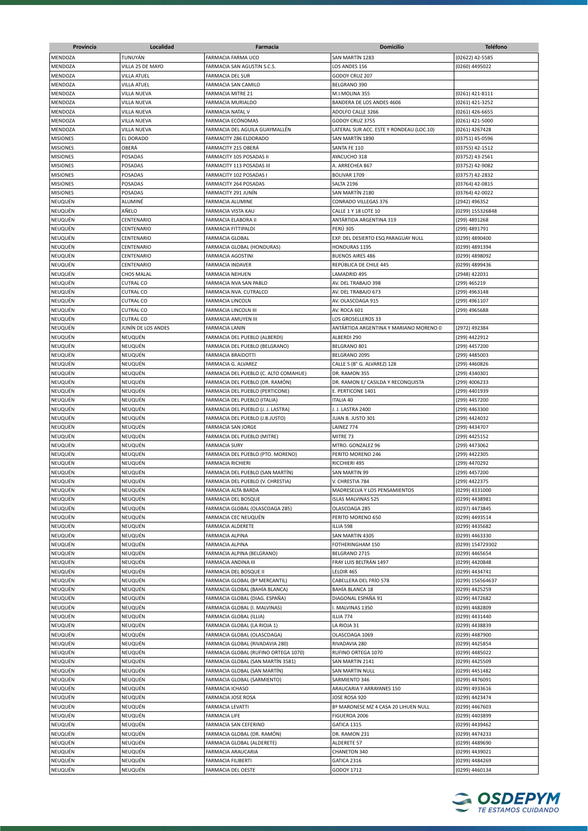| Provincia       | Localidad          | Farmacia                              | <b>Domicilio</b>                         | <b>Teléfono</b>  |
|-----------------|--------------------|---------------------------------------|------------------------------------------|------------------|
| <b>MENDOZA</b>  | TUNUYÁN            | <b>FARMACIA FARMA UCO</b>             | SAN MARTÍN 1283                          | (02622) 42-5585  |
| MENDOZA         | VILLA 25 DE MAYO   | FARMACIA SAN AGUSTIN S.C.S.           | LOS ANDES 156                            | (0260) 4495022   |
| MENDOZA         | VILLA ATUEL        | <b>FARMACIA DEL SUR</b>               | GODOY CRUZ 207                           |                  |
| MENDOZA         | VILLA ATUEL        | FARMACIA SAN CAMILO                   | BELGRANO 390                             |                  |
| MENDOZA         | VILLA NUEVA        | <b>FARMACIA MITRE 21</b>              | M.I.MOLINA 355                           | (0261) 421-8111  |
| MENDOZA         | VILLA NUEVA        | FARMACIA MURIALDO                     | BANDERA DE LOS ANDES 4606                | (0261) 421-3252  |
|                 |                    |                                       |                                          |                  |
| MENDOZA         | VILLA NUEVA        | FARMACIA NATAL V                      | ADOLFO CALLE 3266                        | (0261) 426-6655  |
| MENDOZA         | VILLA NUEVA        | FARMACIA ECÓNOMAS                     | GODOY CRUZ 3755                          | (0261) 421-5000  |
| MENDOZA         | VILLA NUEVA        | FARMACIA DEL AGUILA GUAYMALLÉN        | LATERAL SUR ACC. ESTE Y RONDEAU (LOC.10) | (0261) 4267428   |
| <b>MISIONES</b> | EL DORADO          | FARMACITY 286 ELDORADO                | SAN MARTÍN 1890                          | (03751) 45-0596  |
| <b>MISIONES</b> | OBERÁ              | FARMACITY 215 OBERÁ                   | SANTA FE 110                             | (03755) 42-1512  |
| <b>MISIONES</b> | POSADAS            | FARMACITY 105 POSADAS II              | AYACUCHO 318                             | (03752) 43-2561  |
| <b>MISIONES</b> | POSADAS            | FARMACITY 113 POSADAS III             | A. ARRECHEA 867                          | (03752) 42-9082  |
| <b>MISIONES</b> | POSADAS            | FARMACITY 102 POSADAS I               | BOLIVAR 1709                             | (03757) 42-2832  |
| <b>MISIONES</b> | POSADAS            | FARMACITY 264 POSADAS                 | SALTA 2196                               | (03764) 42-0815  |
| <b>MISIONES</b> | POSADAS            | FARMACITY 291 JUNÍN                   | SAN MARTÍN 2180                          | (03764) 42-0022  |
| NEUQUÉN         | ALUMINÉ            | FARMACIA ALUMINE                      | CONRADO VILLEGAS 376                     | (2942) 496352    |
| NEUQUÉN         | AÑELO              | FARMACIA VISTA KAU                    | CALLE 1 Y 18 LOTE 10                     | (0299) 155326848 |
| NEUQUÉN         | CENTENARIO         | FARMACIA ELABORA II                   | ANTÁRTIDA ARGENTINA 319                  | (299) 4891268    |
| NEUQUÉN         | CENTENARIO         | FARMACIA FITTIPALDI                   | <b>PERU 305</b>                          | (299) 4891791    |
| NEUQUÉN         | CENTENARIO         | <b>FARMACIA GLOBAL</b>                | EXP. DEL DESIERTO ESQ PARAGUAY NULL      | (0299) 4890400   |
| NEUQUÉN         | CENTENARIO         | FARMACIA GLOBAL (HONDURAS)            | HONDURAS 1195                            | (0299) 4891394   |
| NEUQUÉN         | CENTENARIO         | <b>FARMACIA AGOSTINI</b>              | <b>BUENOS AIRES 486</b>                  | (0299) 4898092   |
| NEUQUÉN         | CENTENARIO         | <b>FARMACIA INDAVER</b>               | REPÚBLICA DE CHILE 445                   | (0299) 4899436   |
| NEUQUÉN         | <b>CHOS MALAL</b>  | <b>FARMACIA NEHUEN</b>                | LAMADRID 495                             | (2948) 422031    |
| NEUQUÉN         | <b>CUTRAL CO</b>   | FARMACIA NVA SAN PABLO                | AV. DEL TRABAJO 398                      | (299) 465219     |
|                 |                    |                                       |                                          |                  |
| NEUQUÉN         | <b>CUTRAL CO</b>   | FARMACIA NVA. CUTRALCO                | AV. DEL TRABAJO 673                      | (299) 4963148    |
| NEUQUÉN         | <b>CUTRAL CO</b>   | <b>FARMACIA LINCOLN</b>               | AV. OLASCOAGA 915                        | (299) 4961107    |
| NEUQUÉN         | <b>CUTRAL CO</b>   | FARMACIA LINCOLN III                  | AV. ROCA 601                             | (299) 4965688    |
| NEUQUÉN         | CUTRAL CO          | FARMACIA AMUYEN III                   | LOS GROSELLEROS 33                       |                  |
| NEUQUÉN         | JUNÍN DE LOS ANDES | <b>FARMACIA LANIN</b>                 | ANTÁRTIDA ARGENTINA Y MARIANO MORENO 0   | (2972) 492384    |
| NEUQUÉN         | NEUQUÉN            | FARMACIA DEL PUEBLO (ALBERDI)         | ALBERDI 290                              | (299) 4422912    |
| NEUQUÉN         | NEUQUÉN            | FARMACIA DEL PUEBLO (BELGRANO)        | BELGRANO 801                             | (299) 4457200    |
| NEUQUÉN         | NEUQUÉN            | <b>FARMACIA BRAIDOTTI</b>             | BELGRANO 2095                            | (299) 4485003    |
| NEUQUÉN         | NEUQUÉN            | FARMACIA G. ALVAREZ                   | CALLE 5 (B° G. ALVAREZ) 128              | (299) 4460826    |
| NEUQUÉN         | NEUQUÉN            | FARMACIA DEL PUEBLO (C. ALTO COMAHUE) | DR. RAMON 355                            | (299) 4340301    |
| NEUQUÉN         | NEUQUÉN            | FARMACIA DEL PUEBLO (DR. RAMÓN)       | DR. RAMON E/ CASILDA Y RECONQUISTA       | (299) 4006233    |
| NEUQUÉN         | NEUQUÉN            | FARMACIA DEL PUEBLO (PERTICONE)       | E. PERTICONE 1401                        | (299) 4401939    |
| NEUQUÉN         | NEUQUÉN            | FARMACIA DEL PUEBLO (ITALIA)          | <b>ITALIA 40</b>                         | (299) 4457200    |
| NEUQUÉN         | NEUQUÉN            | FARMACIA DEL PUEBLO (J. J. LASTRA)    | J. J. LASTRA 2400                        | (299) 4463300    |
| NEUQUÉN         | NEUQUÉN            | FARMACIA DEL PUEBLO (J.B.JUSTO)       | JUAN B. JUSTO 301                        | (299) 4424032    |
| NEUQUÉN         | NEUQUÊN            | <b>FARMACIA SAN JORGE</b>             | LAINEZ 774                               | (299) 4434707    |
| NEUQUÉN         | NEUQUÉN            | FARMACIA DEL PUEBLO (MITRE)           | MITRE 73                                 | (299) 4425152    |
| NEUQUÉN         | NEUQUÉN            | <b>FARMACIA SURY</b>                  | MTRO. GONZALEZ 96                        | (299) 4473062    |
| NEUQUÉN         | NEUQUÉN            | FARMACIA DEL PUEBLO (PTO. MORENO)     | PERITO MORENO 246                        | (299) 4422305    |
|                 |                    |                                       |                                          |                  |
| NEUQUÉN         | NEUQUÉN            | <b>FARMACIA RICHIERI</b>              | RICCHIERI 495                            | (299) 4470292    |
| NEUQUÉN         | NEUQUÉN            | FARMACIA DEL PUEBLO (SAN MARTÍN)      | <b>SAN MARTIN 99</b>                     | (299) 4457200    |
| NEUQUÉN         | NEUQUÉN            | FARMACIA DEL PUEBLO (V. CHRESTIA)     | V. CHRESTIA 784                          | (299) 4422375    |
| NEUQUÉN         | NEUQUÉN            | FARMACIA ALTA BARDA                   | MADRESELVA Y LOS PENSAMIENTOS            | (0299) 4331000   |
| NEUQUÉN         | NEUQUÉN            | FARMACIA DEL BOSQUE                   | <b>ISLAS MALVINAS 525</b>                | (0299) 4438981   |
| NEUQUÉN         | NEUQUÉN            | FARMACIA GLOBAL (OLASCOAGA 285)       | OLASCOAGA 285                            | (0297) 4473845   |
| NEUQUÉN         | NEUQUÉN            | FARMACIA CEC NEUQUÉN                  | PERITO MORENO 650                        | (0299) 4493514   |
| NEUQUÉN         | NEUQUÉN            | FARMACIA ALDERETE                     | ILLIA 598                                | (0299) 4435682   |
| NEUQUÉN         | NEUQUÉN            | FARMACIA ALPINA                       | SAN MARTIN 4305                          | (0299) 4463330   |
| NEUQUÉN         | NEUQUÉN            | FARMACIA ALPINA                       | FOTHERINGHAM 150                         | (0299) 154729302 |
| NEUQUÉN         | NEUQUÉN            | FARMACIA ALPINA (BELGRANO)            | BELGRANO 2715                            | (0299) 4465654   |
| NEUQUÉN         | NEUQUÉN            | FARMACIA ANDINA III                   | FRAY LUIS BELTRÁN 1497                   | (0299) 4420848   |
| NEUQUÉN         | NEUQUÉN            | FARMACIA DEL BOSQUE II                | LELOIR 465                               | (0299) 4434741   |
| NEUQUÉN         | NEUQUÉN            | FARMACIA GLOBAL (Bº MERCANTIL)        | CABELLERA DEL FRÍO 578                   | (0299) 156564637 |
| NEUQUÉN         | NEUQUÉN            | FARMACIA GLOBAL (BAHÍA BLANCA)        | BAHÍA BLANCA 18                          | (0299) 4425259   |
| NEUQUÉN         | NEUQUÉN            | FARMACIA GLOBAL (DIAG. ESPAÑA)        | DIAGONAL ESPAÑA 91                       | (0299) 4472682   |
| NEUQUÉN         | NEUQUÉN            | FARMACIA GLOBAL (I. MALVINAS)         | I. MALVINAS 1350                         | (0299) 4482809   |
| NEUQUÉN         | NEUQUÉN            | FARMACIA GLOBAL (ILLIA)               | ILLIA 774                                | (0299) 4431440   |
| NEUQUÉN         | NEUQUÉN            | FARMACIA GLOBAL (LA RIOJA 1)          | LA RIOJA 31                              | (0299) 4438839   |
| NEUQUÉN         | NEUQUÉN            | FARMACIA GLOBAL (OLASCOAGA)           | OLASCOAGA 1069                           | (0299) 4487900   |
| NEUQUÉN         | NEUQUÉN            | FARMACIA GLOBAL (RIVADAVIA 280)       | RIVADAVIA 280                            | (0299) 4425854   |
| NEUQUÉN         | NEUQUÉN            |                                       | RUFINO ORTEGA 1070                       |                  |
|                 |                    | FARMACIA GLOBAL (RUFINO ORTEGA 1070)  |                                          | (0299) 4485022   |
| NEUQUÉN         | NEUQUÉN            | FARMACIA GLOBAL (SAN MARTÍN 3581)     | SAN MARTIN 2141                          | (0299) 4425509   |
| NEUQUÉN         | NEUQUÉN            | FARMACIA GLOBAL (SAN MARTÍN)          | SAN MARTIN NULL                          | (0299) 4451482   |
| NEUQUÉN         | NEUQUÉN            | FARMACIA GLOBAL (SARMIENTO)           | SARMIENTO 346                            | (0299) 4476091   |
| NEUQUÉN         | NEUQUÉN            | <b>FARMACIA ICHASO</b>                | ARAUCARIA Y ARRAYANES 150                | (0299) 4933616   |
| NEUQUÉN         | NEUQUÉN            | FARMACIA JOSE ROSA                    | JOSE ROSA 920                            | (0299) 4423474   |
| NEUQUÉN         | NEUQUÉN            | <b>FARMACIA LEVATTI</b>               | Bº MARONESE MZ 4 CASA 20 LIHUEN NULL     | (0299) 4467603   |
| NEUQUÉN         | NEUQUÉN            | <b>FARMACIA LIFE</b>                  | FIGUEROA 2006                            | (0299) 4403899   |
| NEUQUÉN         | NEUQUÉN            | FARMACIA SAN CEFERINO                 | GATICA 1315                              | (0299) 4439462   |
| NEUQUÉN         | NEUQUÉN            | FARMACIA GLOBAL (DR. RAMÓN)           | DR. RAMON 231                            | (0299) 4474233   |
| NEUQUÉN         | NEUQUÉN            | FARMACIA GLOBAL (ALDERETE)            | ALDERETE 57                              | (0299) 4489690   |
| NEUQUÉN         | NEUQUÉN            | FARMACIA ARAUCARIA                    | CHANETON 340                             | (0299) 4439021   |
| NEUQUÉN         | NEUQUÉN            | <b>FARMACIA FILIBERTI</b>             | GATICA 2316                              | (0299) 4484269   |
| NEUQUÉN         | NEUQUÉN            | FARMACIA DEL OESTE                    | GODOY 1712                               | (0299) 4460134   |
|                 |                    |                                       |                                          |                  |

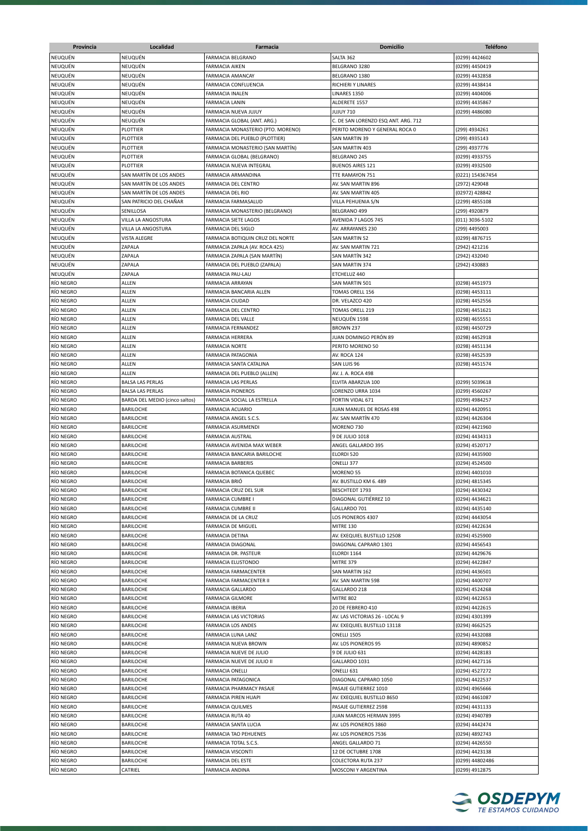| NEUQUÉN<br>FARMACIA BELGRANO<br>SALTA 362<br>(0299) 4424602<br>NEUQUÉN<br>BELGRANO 3280<br>(0299) 4450419<br><b>FARMACIA AIKEN</b><br>NEUQUÉN<br>(0299) 4432858<br>FARMACIA AMANCAY<br>BELGRANO 1380<br>NEUQUÉN<br>NEUQUÉN<br>RICHIERI Y LINARES<br>(0299) 4438414<br>FARMACIA CONFLUENCIA<br>NEUQUÉN<br>LINARES 1350<br>(0299) 4404006<br>FARMACIA INALEN<br>NEUQUÉN<br>NEUQUÉN<br><b>FARMACIA LANIN</b><br>ALDERETE 1557<br>(0299) 4435867<br>NEUQUÉN<br>NEUQUÉN<br>FARMACIA NUEVA JUJUY<br><b>JUJUY 710</b><br>(0299) 4486080<br>NEUQUÉN<br>FARMACIA GLOBAL (ANT. ARG.)<br>C. DE SAN LORENZO ESQ ANT. ARG. 712<br>NEUQUÉN<br>PLOTTIER<br>FARMACIA MONASTERIO (PTO. MORENO)<br>PERITO MORENO Y GENERAL ROCA 0<br>(299) 4934261<br>PLOTTIER<br>FARMACIA DEL PUEBLO (PLOTTIER)<br><b>SAN MARTIN 39</b><br>(299) 4935143<br>NEUQUÉN<br>PLOTTIER<br>FARMACIA MONASTERIO (SAN MARTÍN)<br>SAN MARTIN 403<br>(299) 4937776<br>PLOTTIER<br>FARMACIA GLOBAL (BELGRANO)<br>BELGRANO 245<br>(0299) 4933755<br>NEUQUÉN<br>PLOTTIER<br>(0299) 4932500<br>FARMACIA NUEVA INTEGRAL<br><b>BUENOS AIRES 121</b><br>SAN MARTÍN DE LOS ANDES<br>TTE RAMAYON 751<br>FARMACIA ARMANDINA<br>(0221) 154367454<br>NEUQUÉN<br>SAN MARTÍN DE LOS ANDES<br>FARMACIA DEL CENTRO<br>AV. SAN MARTIN 896<br>(2972) 429048<br>NEUQUÉN<br>SAN MARTÍN DE LOS ANDES<br>FARMACIA DEL RIO<br>AV. SAN MARTIN 405<br>(02972) 428842<br>NEUQUÉN<br>SAN PATRICIO DEL CHAÑAR<br>FARMACIA FARMASALUD<br>VILLA PEHUENIA S/N<br>(2299) 4855108<br>NEUQUÉN<br>SENILLOSA<br>FARMACIA MONASTERIO (BELGRANO)<br>BELGRANO 499<br>(299) 4920879<br>NEUQUÉN<br>VILLA LA ANGOSTURA<br>AVENIDA 7 LAGOS 745<br>(011) 3036-5102<br>FARMACIA SIETE LAGOS<br>NEUQUÉN<br>VILLA LA ANGOSTURA<br>FARMACIA DEL SIGLO<br>AV. ARRAYANES 230<br>(299) 4495003<br>NEUQUÉN<br><b>VISTA ALEGRE</b><br>FARMACIA BOTIQUIN CRUZ DEL NORTE<br><b>SAN MARTIN 52</b><br>(0299) 4876715<br>NEUQUÉN<br>ZAPALA<br>AV. SAN MARTIN 721<br>(2942) 421216<br>FARMACIA ZAPALA (AV. ROCA 425)<br>NEUQUÉN<br>ZAPALA<br>SAN MARTÍN 342<br>(2942) 432040<br>FARMACIA ZAPALA (SAN MARTÍN)<br>NEUQUÉN<br>ZAPALA<br>FARMACIA DEL PUEBLO (ZAPALA)<br>SAN MARTIN 374<br>(2942) 430883<br>NEUQUÉN<br>ZAPALA<br>FARMACIA PAU-LAU<br>ETCHELUZ 440<br>RÍO NEGRO<br>ALLEN<br>(0298) 4451973<br><b>FARMACIA ARRAYAN</b><br>SAN MARTIN 501<br>RÍO NEGRO<br><b>ALLEN</b><br>FARMACIA BANCARIA ALLEN<br>TOMAS ORELL 156<br>(0298) 4453111<br>RÍO NEGRO<br>ALLEN<br>DR. VELAZCO 420<br>(0298) 4452556<br><b>FARMACIA CIUDAD</b><br>RÍO NEGRO<br>ALLEN<br>FARMACIA DEL CENTRO<br>TOMAS ORELL 219<br>(0298) 4451621<br>RÍO NEGRO<br><b>ALLEN</b><br>FARMACIA DEL VALLE<br>NEUQUÉN 1598<br>(0298) 4655551<br>RÍO NEGRO<br><b>ALLEN</b><br>FARMACIA FERNANDEZ<br>(0298) 4450729<br>BROWN 237<br><b>ALLEN</b><br>RÍO NEGRO<br><b>FARMACIA HERRERA</b><br>JUAN DOMINGO PERÓN 89<br>(0298) 4452918<br>RÍO NEGRO<br>ALLEN<br><b>FARMACIA NORTE</b><br>PERITO MORENO 50<br>(0298) 4451134<br>RÍO NEGRO<br>ALLEN<br>FARMACIA PATAGONIA<br>AV. ROCA 124<br>(0298) 4452539<br>RÍO NEGRO<br>ALLEN<br>FARMACIA SANTA CATALINA<br>SAN LUIS 96<br>(0298) 4451574<br>RÍO NEGRO<br>ALLEN<br>FARMACIA DEL PUEBLO (ALLEN)<br>av. J. A. Roca 498<br>RÍO NEGRO<br><b>BALSA LAS PERLAS</b><br>FARMACIA LAS PERLAS<br>ELVITA ABARZUA 100<br>(0299) 5039618<br>RÍO NEGRO<br><b>BALSA LAS PERLAS</b><br><b>FARMACIA PIONEROS</b><br>LORENZO URRA 1034<br>(0299) 4560267<br>RÍO NEGRO<br>BARDA DEL MEDIO (cinco saltos)<br>FARMACIA SOCIAL LA ESTRELLA<br>FORTIN VIDAL 671<br>(0299) 4984257<br>RÍO NEGRO<br><b>BARILOCHE</b><br>FARMACIA ACUARIO<br>JUAN MANUEL DE ROSAS 498<br>(0294) 4420951<br><b>BARILOCHE</b><br>FARMACIA ANGEL S.C.S.<br>AV. SAN MARTÍN 470<br>(0294) 4426304<br><b>BARILOCHE</b><br><b>FARMACIA ASURMENDI</b><br>MORENO 730<br>(0294) 4421960<br>RÍO NEGRO<br><b>BARILOCHE</b><br><b>FARMACIA AUSTRAL</b><br>9 DE JULIO 1018<br>(0294) 4434313<br>RÍO NEGRO<br>BARILOCHE<br>FARMACIA AVENIDA MAX WEBER<br>ANGEL GALLARDO 395<br>(0294) 4520717<br>RÍO NEGRO<br>BARILOCHE<br>FARMACIA BANCARIA BARILOCHE<br>ELORDI 520<br>(0294) 4435900<br>RÍO NEGRO<br>BARILOCHE<br><b>FARMACIA BARBERIS</b><br>ONELLI 377<br>(0294) 4524500<br>RÍO NEGRO<br><b>BARILOCHE</b><br>(0294) 4401010<br>FARMACIA BOTANICA QUEBEC<br>MORENO 55<br>RÍO NEGRO<br><b>BARILOCHE</b><br><b>FARMACIA BRIÓ</b><br>AV. BUSTILLO KM 6, 489<br>(0294) 4815345<br>RÍO NEGRO<br>BARILOCHE<br>FARMACIA CRUZ DEL SUR<br>BESCHTEDT 1793<br>(0294) 4430342<br>RÍO NEGRO<br><b>BARILOCHE</b><br>FARMACIA CUMBRE I<br>DIAGONAL GUTIÉRREZ 10<br>(0294) 4434621<br>RÍO NEGRO<br>BARILOCHE<br><b>FARMACIA CUMBRE II</b><br>GALLARDO 701<br>(0294) 4435140<br>RÍO NEGRO<br><b>BARILOCHE</b><br>FARMACIA DE LA CRUZ<br>LOS PIONEROS 4307<br>(0294) 4443054<br>RÍO NEGRO<br><b>BARILOCHE</b><br>FARMACIA DE MIGUEL<br>MITRE 130<br>(0294) 4422634<br>RÍO NEGRO<br><b>BARILOCHE</b><br>FARMACIA DETINA<br>AV. EXEQUIEL BUSTILLO 12508<br>(0294) 4525900<br>RÍO NEGRO<br>BARILOCHE<br>DIAGONAL CAPRARO 1301<br>(0294) 4456543<br>FARMACIA DIAGONAL<br>RÍO NEGRO<br><b>BARILOCHE</b><br>FARMACIA DR. PASTEUR<br>ELORDI 1164<br>(0294) 4429676<br>RÍO NEGRO<br><b>BARILOCHE</b><br>(0294) 4422847<br>FARMACIA ELUSTONDO<br>MITRE 379<br>RÍO NEGRO<br><b>BARILOCHE</b><br>FARMACIA FARMACENTER<br>SAN MARTIN 162<br>(0294) 4436501<br>RÍO NEGRO<br><b>BARILOCHE</b><br>FARMACIA FARMACENTER II<br>AV. SAN MARTIN 598<br>(0294) 4400707<br>RÍO NEGRO<br>BARILOCHE<br><b>FARMACIA GALLARDO</b><br>GALLARDO 218<br>(0294) 4524268<br>RÍO NEGRO<br><b>BARILOCHE</b><br><b>FARMACIA GILMORE</b><br><b>MITRE 802</b><br>(0294) 4422653<br>RÍO NEGRO<br>BARILOCHE<br><b>FARMACIA IBERIA</b><br>20 DE FEBRERO 410<br>(0294) 4422615<br>BARILOCHE<br>FARMACIA LAS VICTORIAS<br>AV. LAS VICTORIAS 26 - LOCAL 9<br>(0294) 4301399<br>BARILOCHE<br>FARMACIA LOS ANDES<br>AV. EXEQUIEL BUSTILLO 13118<br>(0294) 4662525<br>(0294) 4432088<br>BARILOCHE<br>FARMACIA LUNA LANZ<br>ONELLI 1505<br>RÍO NEGRO<br><b>BARILOCHE</b><br>(0294) 4890852<br>FARMACIA NUEVA BROWN<br>AV. LOS PIONEROS 95<br>RÍO NEGRO<br>BARILOCHE<br>FARMACIA NUEVE DE JULIO<br>9 DE JULIO 631<br>(0294) 4428183<br>RÍO NEGRO<br>BARILOCHE<br>FARMACIA NUEVE DE JULIO II<br>GALLARDO 1031<br>(0294) 4427116<br>RÍO NEGRO<br>BARILOCHE<br>(0294) 4527272<br>FARMACIA ONELLI<br>ONELLI 631<br>RÍO NEGRO<br>BARILOCHE<br>FARMACIA PATAGONICA<br>DIAGONAL CAPRARO 1050<br>(0294) 4422537<br>RÍO NEGRO<br>BARILOCHE<br>FARMACIA PHARMACY PASAJE<br>PASAJE GUTIERREZ 1010<br>(0294) 4965666<br>RÍO NEGRO<br>BARILOCHE<br>FARMACIA PIREN HUAPI<br>AV. EXEQUIEL BUSTILLO 8650<br>(0294) 4461087<br>RÍO NEGRO<br><b>BARILOCHE</b><br><b>FARMACIA QUILMES</b><br>PASAJE GUTIERREZ 2598<br>(0294) 4431133<br>RÍO NEGRO<br>BARILOCHE<br>FARMACIA RUTA 40<br>JUAN MARCOS HERMAN 3995<br>(0294) 4940789<br><b>BARILOCHE</b><br>FARMACIA SANTA LUCIA<br>AV. LOS PIONEROS 3860<br>(0294) 4442474<br>BARILOCHE<br><b>FARMACIA TAO PEHUENES</b><br>AV. LOS PIONEROS 7536<br>(0294) 4892743<br><b>BARILOCHE</b><br>FARMACIA TOTAL S.C.S.<br>ANGEL GALLARDO 71<br>(0294) 4426550<br>RÍO NEGRO<br>BARILOCHE<br><b>FARMACIA VISCONTI</b><br>12 DE OCTUBRE 1708<br>(0294) 4423138<br>RÍO NEGRO<br><b>BARILOCHE</b><br>FARMACIA DEL ESTE<br>COLECTORA RUTA 237<br>(0299) 44802486<br>CATRIEL<br>FARMACIA ANDINA<br>MOSCONI Y ARGENTINA<br>(0299) 4912875 | Provincia | Localidad | <b>Farmacia</b> | Domicilio | <b>Teléfono</b> |
|-----------------------------------------------------------------------------------------------------------------------------------------------------------------------------------------------------------------------------------------------------------------------------------------------------------------------------------------------------------------------------------------------------------------------------------------------------------------------------------------------------------------------------------------------------------------------------------------------------------------------------------------------------------------------------------------------------------------------------------------------------------------------------------------------------------------------------------------------------------------------------------------------------------------------------------------------------------------------------------------------------------------------------------------------------------------------------------------------------------------------------------------------------------------------------------------------------------------------------------------------------------------------------------------------------------------------------------------------------------------------------------------------------------------------------------------------------------------------------------------------------------------------------------------------------------------------------------------------------------------------------------------------------------------------------------------------------------------------------------------------------------------------------------------------------------------------------------------------------------------------------------------------------------------------------------------------------------------------------------------------------------------------------------------------------------------------------------------------------------------------------------------------------------------------------------------------------------------------------------------------------------------------------------------------------------------------------------------------------------------------------------------------------------------------------------------------------------------------------------------------------------------------------------------------------------------------------------------------------------------------------------------------------------------------------------------------------------------------------------------------------------------------------------------------------------------------------------------------------------------------------------------------------------------------------------------------------------------------------------------------------------------------------------------------------------------------------------------------------------------------------------------------------------------------------------------------------------------------------------------------------------------------------------------------------------------------------------------------------------------------------------------------------------------------------------------------------------------------------------------------------------------------------------------------------------------------------------------------------------------------------------------------------------------------------------------------------------------------------------------------------------------------------------------------------------------------------------------------------------------------------------------------------------------------------------------------------------------------------------------------------------------------------------------------------------------------------------------------------------------------------------------------------------------------------------------------------------------------------------------------------------------------------------------------------------------------------------------------------------------------------------------------------------------------------------------------------------------------------------------------------------------------------------------------------------------------------------------------------------------------------------------------------------------------------------------------------------------------------------------------------------------------------------------------------------------------------------------------------------------------------------------------------------------------------------------------------------------------------------------------------------------------------------------------------------------------------------------------------------------------------------------------------------------------------------------------------------------------------------------------------------------------------------------------------------------------------------------------------------------------------------------------------------------------------------------------------------------------------------------------------------------------------------------------------------------------------------------------------------------------------------------------------------------------------------------------------------------------------------------------------------------------------------------------------------------------------------------------------------------------------------------------------------------------------------------------------------------------------------------------------------------------------------------------------------------------------------------------------------------------------------------------------------------------------------------------------------------------------------------------------------------------------------------------------------------------------------------------------------------------------------------------------------------------------------------------------------------------------------------------------------------------------------------------------------------------------------------------------------------------------------------------------------------------------------------------------------------------------------------------------------------------------------------------------------------------------------------------------------------------------------------------------------------------------------------------------------------------------------------------------------------------------------------------------------------------------------------------------------------------------------------------------------------------------------------------------------------------------------------------------------------------------------------------------------------------------------------------------------------------------------------------------------------------------------|-----------|-----------|-----------------|-----------|-----------------|
|                                                                                                                                                                                                                                                                                                                                                                                                                                                                                                                                                                                                                                                                                                                                                                                                                                                                                                                                                                                                                                                                                                                                                                                                                                                                                                                                                                                                                                                                                                                                                                                                                                                                                                                                                                                                                                                                                                                                                                                                                                                                                                                                                                                                                                                                                                                                                                                                                                                                                                                                                                                                                                                                                                                                                                                                                                                                                                                                                                                                                                                                                                                                                                                                                                                                                                                                                                                                                                                                                                                                                                                                                                                                                                                                                                                                                                                                                                                                                                                                                                                                                                                                                                                                                                                                                                                                                                                                                                                                                                                                                                                                                                                                                                                                                                                                                                                                                                                                                                                                                                                                                                                                                                                                                                                                                                                                                                                                                                                                                                                                                                                                                                                                                                                                                                                                                                                                                                                                                                                                                                                                                                                                                                                                                                                                                                                                                                                                                                                                                                                                                                                                                                                                                                                                                                                                                                                                                                                                                                                                                                                                                                                                                                                                                                                                                                                                                                                                                                   | NEUQUÉN   |           |                 |           |                 |
|                                                                                                                                                                                                                                                                                                                                                                                                                                                                                                                                                                                                                                                                                                                                                                                                                                                                                                                                                                                                                                                                                                                                                                                                                                                                                                                                                                                                                                                                                                                                                                                                                                                                                                                                                                                                                                                                                                                                                                                                                                                                                                                                                                                                                                                                                                                                                                                                                                                                                                                                                                                                                                                                                                                                                                                                                                                                                                                                                                                                                                                                                                                                                                                                                                                                                                                                                                                                                                                                                                                                                                                                                                                                                                                                                                                                                                                                                                                                                                                                                                                                                                                                                                                                                                                                                                                                                                                                                                                                                                                                                                                                                                                                                                                                                                                                                                                                                                                                                                                                                                                                                                                                                                                                                                                                                                                                                                                                                                                                                                                                                                                                                                                                                                                                                                                                                                                                                                                                                                                                                                                                                                                                                                                                                                                                                                                                                                                                                                                                                                                                                                                                                                                                                                                                                                                                                                                                                                                                                                                                                                                                                                                                                                                                                                                                                                                                                                                                                                   | NEUQUÉN   |           |                 |           |                 |
|                                                                                                                                                                                                                                                                                                                                                                                                                                                                                                                                                                                                                                                                                                                                                                                                                                                                                                                                                                                                                                                                                                                                                                                                                                                                                                                                                                                                                                                                                                                                                                                                                                                                                                                                                                                                                                                                                                                                                                                                                                                                                                                                                                                                                                                                                                                                                                                                                                                                                                                                                                                                                                                                                                                                                                                                                                                                                                                                                                                                                                                                                                                                                                                                                                                                                                                                                                                                                                                                                                                                                                                                                                                                                                                                                                                                                                                                                                                                                                                                                                                                                                                                                                                                                                                                                                                                                                                                                                                                                                                                                                                                                                                                                                                                                                                                                                                                                                                                                                                                                                                                                                                                                                                                                                                                                                                                                                                                                                                                                                                                                                                                                                                                                                                                                                                                                                                                                                                                                                                                                                                                                                                                                                                                                                                                                                                                                                                                                                                                                                                                                                                                                                                                                                                                                                                                                                                                                                                                                                                                                                                                                                                                                                                                                                                                                                                                                                                                                                   | NEUQUÉN   |           |                 |           |                 |
|                                                                                                                                                                                                                                                                                                                                                                                                                                                                                                                                                                                                                                                                                                                                                                                                                                                                                                                                                                                                                                                                                                                                                                                                                                                                                                                                                                                                                                                                                                                                                                                                                                                                                                                                                                                                                                                                                                                                                                                                                                                                                                                                                                                                                                                                                                                                                                                                                                                                                                                                                                                                                                                                                                                                                                                                                                                                                                                                                                                                                                                                                                                                                                                                                                                                                                                                                                                                                                                                                                                                                                                                                                                                                                                                                                                                                                                                                                                                                                                                                                                                                                                                                                                                                                                                                                                                                                                                                                                                                                                                                                                                                                                                                                                                                                                                                                                                                                                                                                                                                                                                                                                                                                                                                                                                                                                                                                                                                                                                                                                                                                                                                                                                                                                                                                                                                                                                                                                                                                                                                                                                                                                                                                                                                                                                                                                                                                                                                                                                                                                                                                                                                                                                                                                                                                                                                                                                                                                                                                                                                                                                                                                                                                                                                                                                                                                                                                                                                                   |           |           |                 |           |                 |
|                                                                                                                                                                                                                                                                                                                                                                                                                                                                                                                                                                                                                                                                                                                                                                                                                                                                                                                                                                                                                                                                                                                                                                                                                                                                                                                                                                                                                                                                                                                                                                                                                                                                                                                                                                                                                                                                                                                                                                                                                                                                                                                                                                                                                                                                                                                                                                                                                                                                                                                                                                                                                                                                                                                                                                                                                                                                                                                                                                                                                                                                                                                                                                                                                                                                                                                                                                                                                                                                                                                                                                                                                                                                                                                                                                                                                                                                                                                                                                                                                                                                                                                                                                                                                                                                                                                                                                                                                                                                                                                                                                                                                                                                                                                                                                                                                                                                                                                                                                                                                                                                                                                                                                                                                                                                                                                                                                                                                                                                                                                                                                                                                                                                                                                                                                                                                                                                                                                                                                                                                                                                                                                                                                                                                                                                                                                                                                                                                                                                                                                                                                                                                                                                                                                                                                                                                                                                                                                                                                                                                                                                                                                                                                                                                                                                                                                                                                                                                                   | NEUQUÉN   |           |                 |           |                 |
|                                                                                                                                                                                                                                                                                                                                                                                                                                                                                                                                                                                                                                                                                                                                                                                                                                                                                                                                                                                                                                                                                                                                                                                                                                                                                                                                                                                                                                                                                                                                                                                                                                                                                                                                                                                                                                                                                                                                                                                                                                                                                                                                                                                                                                                                                                                                                                                                                                                                                                                                                                                                                                                                                                                                                                                                                                                                                                                                                                                                                                                                                                                                                                                                                                                                                                                                                                                                                                                                                                                                                                                                                                                                                                                                                                                                                                                                                                                                                                                                                                                                                                                                                                                                                                                                                                                                                                                                                                                                                                                                                                                                                                                                                                                                                                                                                                                                                                                                                                                                                                                                                                                                                                                                                                                                                                                                                                                                                                                                                                                                                                                                                                                                                                                                                                                                                                                                                                                                                                                                                                                                                                                                                                                                                                                                                                                                                                                                                                                                                                                                                                                                                                                                                                                                                                                                                                                                                                                                                                                                                                                                                                                                                                                                                                                                                                                                                                                                                                   |           |           |                 |           |                 |
|                                                                                                                                                                                                                                                                                                                                                                                                                                                                                                                                                                                                                                                                                                                                                                                                                                                                                                                                                                                                                                                                                                                                                                                                                                                                                                                                                                                                                                                                                                                                                                                                                                                                                                                                                                                                                                                                                                                                                                                                                                                                                                                                                                                                                                                                                                                                                                                                                                                                                                                                                                                                                                                                                                                                                                                                                                                                                                                                                                                                                                                                                                                                                                                                                                                                                                                                                                                                                                                                                                                                                                                                                                                                                                                                                                                                                                                                                                                                                                                                                                                                                                                                                                                                                                                                                                                                                                                                                                                                                                                                                                                                                                                                                                                                                                                                                                                                                                                                                                                                                                                                                                                                                                                                                                                                                                                                                                                                                                                                                                                                                                                                                                                                                                                                                                                                                                                                                                                                                                                                                                                                                                                                                                                                                                                                                                                                                                                                                                                                                                                                                                                                                                                                                                                                                                                                                                                                                                                                                                                                                                                                                                                                                                                                                                                                                                                                                                                                                                   |           |           |                 |           |                 |
|                                                                                                                                                                                                                                                                                                                                                                                                                                                                                                                                                                                                                                                                                                                                                                                                                                                                                                                                                                                                                                                                                                                                                                                                                                                                                                                                                                                                                                                                                                                                                                                                                                                                                                                                                                                                                                                                                                                                                                                                                                                                                                                                                                                                                                                                                                                                                                                                                                                                                                                                                                                                                                                                                                                                                                                                                                                                                                                                                                                                                                                                                                                                                                                                                                                                                                                                                                                                                                                                                                                                                                                                                                                                                                                                                                                                                                                                                                                                                                                                                                                                                                                                                                                                                                                                                                                                                                                                                                                                                                                                                                                                                                                                                                                                                                                                                                                                                                                                                                                                                                                                                                                                                                                                                                                                                                                                                                                                                                                                                                                                                                                                                                                                                                                                                                                                                                                                                                                                                                                                                                                                                                                                                                                                                                                                                                                                                                                                                                                                                                                                                                                                                                                                                                                                                                                                                                                                                                                                                                                                                                                                                                                                                                                                                                                                                                                                                                                                                                   | NEUQUÉN   |           |                 |           |                 |
|                                                                                                                                                                                                                                                                                                                                                                                                                                                                                                                                                                                                                                                                                                                                                                                                                                                                                                                                                                                                                                                                                                                                                                                                                                                                                                                                                                                                                                                                                                                                                                                                                                                                                                                                                                                                                                                                                                                                                                                                                                                                                                                                                                                                                                                                                                                                                                                                                                                                                                                                                                                                                                                                                                                                                                                                                                                                                                                                                                                                                                                                                                                                                                                                                                                                                                                                                                                                                                                                                                                                                                                                                                                                                                                                                                                                                                                                                                                                                                                                                                                                                                                                                                                                                                                                                                                                                                                                                                                                                                                                                                                                                                                                                                                                                                                                                                                                                                                                                                                                                                                                                                                                                                                                                                                                                                                                                                                                                                                                                                                                                                                                                                                                                                                                                                                                                                                                                                                                                                                                                                                                                                                                                                                                                                                                                                                                                                                                                                                                                                                                                                                                                                                                                                                                                                                                                                                                                                                                                                                                                                                                                                                                                                                                                                                                                                                                                                                                                                   |           |           |                 |           |                 |
|                                                                                                                                                                                                                                                                                                                                                                                                                                                                                                                                                                                                                                                                                                                                                                                                                                                                                                                                                                                                                                                                                                                                                                                                                                                                                                                                                                                                                                                                                                                                                                                                                                                                                                                                                                                                                                                                                                                                                                                                                                                                                                                                                                                                                                                                                                                                                                                                                                                                                                                                                                                                                                                                                                                                                                                                                                                                                                                                                                                                                                                                                                                                                                                                                                                                                                                                                                                                                                                                                                                                                                                                                                                                                                                                                                                                                                                                                                                                                                                                                                                                                                                                                                                                                                                                                                                                                                                                                                                                                                                                                                                                                                                                                                                                                                                                                                                                                                                                                                                                                                                                                                                                                                                                                                                                                                                                                                                                                                                                                                                                                                                                                                                                                                                                                                                                                                                                                                                                                                                                                                                                                                                                                                                                                                                                                                                                                                                                                                                                                                                                                                                                                                                                                                                                                                                                                                                                                                                                                                                                                                                                                                                                                                                                                                                                                                                                                                                                                                   | NEUQUÉN   |           |                 |           |                 |
|                                                                                                                                                                                                                                                                                                                                                                                                                                                                                                                                                                                                                                                                                                                                                                                                                                                                                                                                                                                                                                                                                                                                                                                                                                                                                                                                                                                                                                                                                                                                                                                                                                                                                                                                                                                                                                                                                                                                                                                                                                                                                                                                                                                                                                                                                                                                                                                                                                                                                                                                                                                                                                                                                                                                                                                                                                                                                                                                                                                                                                                                                                                                                                                                                                                                                                                                                                                                                                                                                                                                                                                                                                                                                                                                                                                                                                                                                                                                                                                                                                                                                                                                                                                                                                                                                                                                                                                                                                                                                                                                                                                                                                                                                                                                                                                                                                                                                                                                                                                                                                                                                                                                                                                                                                                                                                                                                                                                                                                                                                                                                                                                                                                                                                                                                                                                                                                                                                                                                                                                                                                                                                                                                                                                                                                                                                                                                                                                                                                                                                                                                                                                                                                                                                                                                                                                                                                                                                                                                                                                                                                                                                                                                                                                                                                                                                                                                                                                                                   |           |           |                 |           |                 |
|                                                                                                                                                                                                                                                                                                                                                                                                                                                                                                                                                                                                                                                                                                                                                                                                                                                                                                                                                                                                                                                                                                                                                                                                                                                                                                                                                                                                                                                                                                                                                                                                                                                                                                                                                                                                                                                                                                                                                                                                                                                                                                                                                                                                                                                                                                                                                                                                                                                                                                                                                                                                                                                                                                                                                                                                                                                                                                                                                                                                                                                                                                                                                                                                                                                                                                                                                                                                                                                                                                                                                                                                                                                                                                                                                                                                                                                                                                                                                                                                                                                                                                                                                                                                                                                                                                                                                                                                                                                                                                                                                                                                                                                                                                                                                                                                                                                                                                                                                                                                                                                                                                                                                                                                                                                                                                                                                                                                                                                                                                                                                                                                                                                                                                                                                                                                                                                                                                                                                                                                                                                                                                                                                                                                                                                                                                                                                                                                                                                                                                                                                                                                                                                                                                                                                                                                                                                                                                                                                                                                                                                                                                                                                                                                                                                                                                                                                                                                                                   | NEUQUÉN   |           |                 |           |                 |
|                                                                                                                                                                                                                                                                                                                                                                                                                                                                                                                                                                                                                                                                                                                                                                                                                                                                                                                                                                                                                                                                                                                                                                                                                                                                                                                                                                                                                                                                                                                                                                                                                                                                                                                                                                                                                                                                                                                                                                                                                                                                                                                                                                                                                                                                                                                                                                                                                                                                                                                                                                                                                                                                                                                                                                                                                                                                                                                                                                                                                                                                                                                                                                                                                                                                                                                                                                                                                                                                                                                                                                                                                                                                                                                                                                                                                                                                                                                                                                                                                                                                                                                                                                                                                                                                                                                                                                                                                                                                                                                                                                                                                                                                                                                                                                                                                                                                                                                                                                                                                                                                                                                                                                                                                                                                                                                                                                                                                                                                                                                                                                                                                                                                                                                                                                                                                                                                                                                                                                                                                                                                                                                                                                                                                                                                                                                                                                                                                                                                                                                                                                                                                                                                                                                                                                                                                                                                                                                                                                                                                                                                                                                                                                                                                                                                                                                                                                                                                                   |           |           |                 |           |                 |
|                                                                                                                                                                                                                                                                                                                                                                                                                                                                                                                                                                                                                                                                                                                                                                                                                                                                                                                                                                                                                                                                                                                                                                                                                                                                                                                                                                                                                                                                                                                                                                                                                                                                                                                                                                                                                                                                                                                                                                                                                                                                                                                                                                                                                                                                                                                                                                                                                                                                                                                                                                                                                                                                                                                                                                                                                                                                                                                                                                                                                                                                                                                                                                                                                                                                                                                                                                                                                                                                                                                                                                                                                                                                                                                                                                                                                                                                                                                                                                                                                                                                                                                                                                                                                                                                                                                                                                                                                                                                                                                                                                                                                                                                                                                                                                                                                                                                                                                                                                                                                                                                                                                                                                                                                                                                                                                                                                                                                                                                                                                                                                                                                                                                                                                                                                                                                                                                                                                                                                                                                                                                                                                                                                                                                                                                                                                                                                                                                                                                                                                                                                                                                                                                                                                                                                                                                                                                                                                                                                                                                                                                                                                                                                                                                                                                                                                                                                                                                                   | NEUQUÉN   |           |                 |           |                 |
|                                                                                                                                                                                                                                                                                                                                                                                                                                                                                                                                                                                                                                                                                                                                                                                                                                                                                                                                                                                                                                                                                                                                                                                                                                                                                                                                                                                                                                                                                                                                                                                                                                                                                                                                                                                                                                                                                                                                                                                                                                                                                                                                                                                                                                                                                                                                                                                                                                                                                                                                                                                                                                                                                                                                                                                                                                                                                                                                                                                                                                                                                                                                                                                                                                                                                                                                                                                                                                                                                                                                                                                                                                                                                                                                                                                                                                                                                                                                                                                                                                                                                                                                                                                                                                                                                                                                                                                                                                                                                                                                                                                                                                                                                                                                                                                                                                                                                                                                                                                                                                                                                                                                                                                                                                                                                                                                                                                                                                                                                                                                                                                                                                                                                                                                                                                                                                                                                                                                                                                                                                                                                                                                                                                                                                                                                                                                                                                                                                                                                                                                                                                                                                                                                                                                                                                                                                                                                                                                                                                                                                                                                                                                                                                                                                                                                                                                                                                                                                   |           |           |                 |           |                 |
|                                                                                                                                                                                                                                                                                                                                                                                                                                                                                                                                                                                                                                                                                                                                                                                                                                                                                                                                                                                                                                                                                                                                                                                                                                                                                                                                                                                                                                                                                                                                                                                                                                                                                                                                                                                                                                                                                                                                                                                                                                                                                                                                                                                                                                                                                                                                                                                                                                                                                                                                                                                                                                                                                                                                                                                                                                                                                                                                                                                                                                                                                                                                                                                                                                                                                                                                                                                                                                                                                                                                                                                                                                                                                                                                                                                                                                                                                                                                                                                                                                                                                                                                                                                                                                                                                                                                                                                                                                                                                                                                                                                                                                                                                                                                                                                                                                                                                                                                                                                                                                                                                                                                                                                                                                                                                                                                                                                                                                                                                                                                                                                                                                                                                                                                                                                                                                                                                                                                                                                                                                                                                                                                                                                                                                                                                                                                                                                                                                                                                                                                                                                                                                                                                                                                                                                                                                                                                                                                                                                                                                                                                                                                                                                                                                                                                                                                                                                                                                   |           |           |                 |           |                 |
|                                                                                                                                                                                                                                                                                                                                                                                                                                                                                                                                                                                                                                                                                                                                                                                                                                                                                                                                                                                                                                                                                                                                                                                                                                                                                                                                                                                                                                                                                                                                                                                                                                                                                                                                                                                                                                                                                                                                                                                                                                                                                                                                                                                                                                                                                                                                                                                                                                                                                                                                                                                                                                                                                                                                                                                                                                                                                                                                                                                                                                                                                                                                                                                                                                                                                                                                                                                                                                                                                                                                                                                                                                                                                                                                                                                                                                                                                                                                                                                                                                                                                                                                                                                                                                                                                                                                                                                                                                                                                                                                                                                                                                                                                                                                                                                                                                                                                                                                                                                                                                                                                                                                                                                                                                                                                                                                                                                                                                                                                                                                                                                                                                                                                                                                                                                                                                                                                                                                                                                                                                                                                                                                                                                                                                                                                                                                                                                                                                                                                                                                                                                                                                                                                                                                                                                                                                                                                                                                                                                                                                                                                                                                                                                                                                                                                                                                                                                                                                   |           |           |                 |           |                 |
|                                                                                                                                                                                                                                                                                                                                                                                                                                                                                                                                                                                                                                                                                                                                                                                                                                                                                                                                                                                                                                                                                                                                                                                                                                                                                                                                                                                                                                                                                                                                                                                                                                                                                                                                                                                                                                                                                                                                                                                                                                                                                                                                                                                                                                                                                                                                                                                                                                                                                                                                                                                                                                                                                                                                                                                                                                                                                                                                                                                                                                                                                                                                                                                                                                                                                                                                                                                                                                                                                                                                                                                                                                                                                                                                                                                                                                                                                                                                                                                                                                                                                                                                                                                                                                                                                                                                                                                                                                                                                                                                                                                                                                                                                                                                                                                                                                                                                                                                                                                                                                                                                                                                                                                                                                                                                                                                                                                                                                                                                                                                                                                                                                                                                                                                                                                                                                                                                                                                                                                                                                                                                                                                                                                                                                                                                                                                                                                                                                                                                                                                                                                                                                                                                                                                                                                                                                                                                                                                                                                                                                                                                                                                                                                                                                                                                                                                                                                                                                   |           |           |                 |           |                 |
|                                                                                                                                                                                                                                                                                                                                                                                                                                                                                                                                                                                                                                                                                                                                                                                                                                                                                                                                                                                                                                                                                                                                                                                                                                                                                                                                                                                                                                                                                                                                                                                                                                                                                                                                                                                                                                                                                                                                                                                                                                                                                                                                                                                                                                                                                                                                                                                                                                                                                                                                                                                                                                                                                                                                                                                                                                                                                                                                                                                                                                                                                                                                                                                                                                                                                                                                                                                                                                                                                                                                                                                                                                                                                                                                                                                                                                                                                                                                                                                                                                                                                                                                                                                                                                                                                                                                                                                                                                                                                                                                                                                                                                                                                                                                                                                                                                                                                                                                                                                                                                                                                                                                                                                                                                                                                                                                                                                                                                                                                                                                                                                                                                                                                                                                                                                                                                                                                                                                                                                                                                                                                                                                                                                                                                                                                                                                                                                                                                                                                                                                                                                                                                                                                                                                                                                                                                                                                                                                                                                                                                                                                                                                                                                                                                                                                                                                                                                                                                   |           |           |                 |           |                 |
|                                                                                                                                                                                                                                                                                                                                                                                                                                                                                                                                                                                                                                                                                                                                                                                                                                                                                                                                                                                                                                                                                                                                                                                                                                                                                                                                                                                                                                                                                                                                                                                                                                                                                                                                                                                                                                                                                                                                                                                                                                                                                                                                                                                                                                                                                                                                                                                                                                                                                                                                                                                                                                                                                                                                                                                                                                                                                                                                                                                                                                                                                                                                                                                                                                                                                                                                                                                                                                                                                                                                                                                                                                                                                                                                                                                                                                                                                                                                                                                                                                                                                                                                                                                                                                                                                                                                                                                                                                                                                                                                                                                                                                                                                                                                                                                                                                                                                                                                                                                                                                                                                                                                                                                                                                                                                                                                                                                                                                                                                                                                                                                                                                                                                                                                                                                                                                                                                                                                                                                                                                                                                                                                                                                                                                                                                                                                                                                                                                                                                                                                                                                                                                                                                                                                                                                                                                                                                                                                                                                                                                                                                                                                                                                                                                                                                                                                                                                                                                   |           |           |                 |           |                 |
|                                                                                                                                                                                                                                                                                                                                                                                                                                                                                                                                                                                                                                                                                                                                                                                                                                                                                                                                                                                                                                                                                                                                                                                                                                                                                                                                                                                                                                                                                                                                                                                                                                                                                                                                                                                                                                                                                                                                                                                                                                                                                                                                                                                                                                                                                                                                                                                                                                                                                                                                                                                                                                                                                                                                                                                                                                                                                                                                                                                                                                                                                                                                                                                                                                                                                                                                                                                                                                                                                                                                                                                                                                                                                                                                                                                                                                                                                                                                                                                                                                                                                                                                                                                                                                                                                                                                                                                                                                                                                                                                                                                                                                                                                                                                                                                                                                                                                                                                                                                                                                                                                                                                                                                                                                                                                                                                                                                                                                                                                                                                                                                                                                                                                                                                                                                                                                                                                                                                                                                                                                                                                                                                                                                                                                                                                                                                                                                                                                                                                                                                                                                                                                                                                                                                                                                                                                                                                                                                                                                                                                                                                                                                                                                                                                                                                                                                                                                                                                   |           |           |                 |           |                 |
|                                                                                                                                                                                                                                                                                                                                                                                                                                                                                                                                                                                                                                                                                                                                                                                                                                                                                                                                                                                                                                                                                                                                                                                                                                                                                                                                                                                                                                                                                                                                                                                                                                                                                                                                                                                                                                                                                                                                                                                                                                                                                                                                                                                                                                                                                                                                                                                                                                                                                                                                                                                                                                                                                                                                                                                                                                                                                                                                                                                                                                                                                                                                                                                                                                                                                                                                                                                                                                                                                                                                                                                                                                                                                                                                                                                                                                                                                                                                                                                                                                                                                                                                                                                                                                                                                                                                                                                                                                                                                                                                                                                                                                                                                                                                                                                                                                                                                                                                                                                                                                                                                                                                                                                                                                                                                                                                                                                                                                                                                                                                                                                                                                                                                                                                                                                                                                                                                                                                                                                                                                                                                                                                                                                                                                                                                                                                                                                                                                                                                                                                                                                                                                                                                                                                                                                                                                                                                                                                                                                                                                                                                                                                                                                                                                                                                                                                                                                                                                   |           |           |                 |           |                 |
|                                                                                                                                                                                                                                                                                                                                                                                                                                                                                                                                                                                                                                                                                                                                                                                                                                                                                                                                                                                                                                                                                                                                                                                                                                                                                                                                                                                                                                                                                                                                                                                                                                                                                                                                                                                                                                                                                                                                                                                                                                                                                                                                                                                                                                                                                                                                                                                                                                                                                                                                                                                                                                                                                                                                                                                                                                                                                                                                                                                                                                                                                                                                                                                                                                                                                                                                                                                                                                                                                                                                                                                                                                                                                                                                                                                                                                                                                                                                                                                                                                                                                                                                                                                                                                                                                                                                                                                                                                                                                                                                                                                                                                                                                                                                                                                                                                                                                                                                                                                                                                                                                                                                                                                                                                                                                                                                                                                                                                                                                                                                                                                                                                                                                                                                                                                                                                                                                                                                                                                                                                                                                                                                                                                                                                                                                                                                                                                                                                                                                                                                                                                                                                                                                                                                                                                                                                                                                                                                                                                                                                                                                                                                                                                                                                                                                                                                                                                                                                   |           |           |                 |           |                 |
|                                                                                                                                                                                                                                                                                                                                                                                                                                                                                                                                                                                                                                                                                                                                                                                                                                                                                                                                                                                                                                                                                                                                                                                                                                                                                                                                                                                                                                                                                                                                                                                                                                                                                                                                                                                                                                                                                                                                                                                                                                                                                                                                                                                                                                                                                                                                                                                                                                                                                                                                                                                                                                                                                                                                                                                                                                                                                                                                                                                                                                                                                                                                                                                                                                                                                                                                                                                                                                                                                                                                                                                                                                                                                                                                                                                                                                                                                                                                                                                                                                                                                                                                                                                                                                                                                                                                                                                                                                                                                                                                                                                                                                                                                                                                                                                                                                                                                                                                                                                                                                                                                                                                                                                                                                                                                                                                                                                                                                                                                                                                                                                                                                                                                                                                                                                                                                                                                                                                                                                                                                                                                                                                                                                                                                                                                                                                                                                                                                                                                                                                                                                                                                                                                                                                                                                                                                                                                                                                                                                                                                                                                                                                                                                                                                                                                                                                                                                                                                   |           |           |                 |           |                 |
|                                                                                                                                                                                                                                                                                                                                                                                                                                                                                                                                                                                                                                                                                                                                                                                                                                                                                                                                                                                                                                                                                                                                                                                                                                                                                                                                                                                                                                                                                                                                                                                                                                                                                                                                                                                                                                                                                                                                                                                                                                                                                                                                                                                                                                                                                                                                                                                                                                                                                                                                                                                                                                                                                                                                                                                                                                                                                                                                                                                                                                                                                                                                                                                                                                                                                                                                                                                                                                                                                                                                                                                                                                                                                                                                                                                                                                                                                                                                                                                                                                                                                                                                                                                                                                                                                                                                                                                                                                                                                                                                                                                                                                                                                                                                                                                                                                                                                                                                                                                                                                                                                                                                                                                                                                                                                                                                                                                                                                                                                                                                                                                                                                                                                                                                                                                                                                                                                                                                                                                                                                                                                                                                                                                                                                                                                                                                                                                                                                                                                                                                                                                                                                                                                                                                                                                                                                                                                                                                                                                                                                                                                                                                                                                                                                                                                                                                                                                                                                   |           |           |                 |           |                 |
|                                                                                                                                                                                                                                                                                                                                                                                                                                                                                                                                                                                                                                                                                                                                                                                                                                                                                                                                                                                                                                                                                                                                                                                                                                                                                                                                                                                                                                                                                                                                                                                                                                                                                                                                                                                                                                                                                                                                                                                                                                                                                                                                                                                                                                                                                                                                                                                                                                                                                                                                                                                                                                                                                                                                                                                                                                                                                                                                                                                                                                                                                                                                                                                                                                                                                                                                                                                                                                                                                                                                                                                                                                                                                                                                                                                                                                                                                                                                                                                                                                                                                                                                                                                                                                                                                                                                                                                                                                                                                                                                                                                                                                                                                                                                                                                                                                                                                                                                                                                                                                                                                                                                                                                                                                                                                                                                                                                                                                                                                                                                                                                                                                                                                                                                                                                                                                                                                                                                                                                                                                                                                                                                                                                                                                                                                                                                                                                                                                                                                                                                                                                                                                                                                                                                                                                                                                                                                                                                                                                                                                                                                                                                                                                                                                                                                                                                                                                                                                   |           |           |                 |           |                 |
|                                                                                                                                                                                                                                                                                                                                                                                                                                                                                                                                                                                                                                                                                                                                                                                                                                                                                                                                                                                                                                                                                                                                                                                                                                                                                                                                                                                                                                                                                                                                                                                                                                                                                                                                                                                                                                                                                                                                                                                                                                                                                                                                                                                                                                                                                                                                                                                                                                                                                                                                                                                                                                                                                                                                                                                                                                                                                                                                                                                                                                                                                                                                                                                                                                                                                                                                                                                                                                                                                                                                                                                                                                                                                                                                                                                                                                                                                                                                                                                                                                                                                                                                                                                                                                                                                                                                                                                                                                                                                                                                                                                                                                                                                                                                                                                                                                                                                                                                                                                                                                                                                                                                                                                                                                                                                                                                                                                                                                                                                                                                                                                                                                                                                                                                                                                                                                                                                                                                                                                                                                                                                                                                                                                                                                                                                                                                                                                                                                                                                                                                                                                                                                                                                                                                                                                                                                                                                                                                                                                                                                                                                                                                                                                                                                                                                                                                                                                                                                   |           |           |                 |           |                 |
|                                                                                                                                                                                                                                                                                                                                                                                                                                                                                                                                                                                                                                                                                                                                                                                                                                                                                                                                                                                                                                                                                                                                                                                                                                                                                                                                                                                                                                                                                                                                                                                                                                                                                                                                                                                                                                                                                                                                                                                                                                                                                                                                                                                                                                                                                                                                                                                                                                                                                                                                                                                                                                                                                                                                                                                                                                                                                                                                                                                                                                                                                                                                                                                                                                                                                                                                                                                                                                                                                                                                                                                                                                                                                                                                                                                                                                                                                                                                                                                                                                                                                                                                                                                                                                                                                                                                                                                                                                                                                                                                                                                                                                                                                                                                                                                                                                                                                                                                                                                                                                                                                                                                                                                                                                                                                                                                                                                                                                                                                                                                                                                                                                                                                                                                                                                                                                                                                                                                                                                                                                                                                                                                                                                                                                                                                                                                                                                                                                                                                                                                                                                                                                                                                                                                                                                                                                                                                                                                                                                                                                                                                                                                                                                                                                                                                                                                                                                                                                   |           |           |                 |           |                 |
|                                                                                                                                                                                                                                                                                                                                                                                                                                                                                                                                                                                                                                                                                                                                                                                                                                                                                                                                                                                                                                                                                                                                                                                                                                                                                                                                                                                                                                                                                                                                                                                                                                                                                                                                                                                                                                                                                                                                                                                                                                                                                                                                                                                                                                                                                                                                                                                                                                                                                                                                                                                                                                                                                                                                                                                                                                                                                                                                                                                                                                                                                                                                                                                                                                                                                                                                                                                                                                                                                                                                                                                                                                                                                                                                                                                                                                                                                                                                                                                                                                                                                                                                                                                                                                                                                                                                                                                                                                                                                                                                                                                                                                                                                                                                                                                                                                                                                                                                                                                                                                                                                                                                                                                                                                                                                                                                                                                                                                                                                                                                                                                                                                                                                                                                                                                                                                                                                                                                                                                                                                                                                                                                                                                                                                                                                                                                                                                                                                                                                                                                                                                                                                                                                                                                                                                                                                                                                                                                                                                                                                                                                                                                                                                                                                                                                                                                                                                                                                   |           |           |                 |           |                 |
|                                                                                                                                                                                                                                                                                                                                                                                                                                                                                                                                                                                                                                                                                                                                                                                                                                                                                                                                                                                                                                                                                                                                                                                                                                                                                                                                                                                                                                                                                                                                                                                                                                                                                                                                                                                                                                                                                                                                                                                                                                                                                                                                                                                                                                                                                                                                                                                                                                                                                                                                                                                                                                                                                                                                                                                                                                                                                                                                                                                                                                                                                                                                                                                                                                                                                                                                                                                                                                                                                                                                                                                                                                                                                                                                                                                                                                                                                                                                                                                                                                                                                                                                                                                                                                                                                                                                                                                                                                                                                                                                                                                                                                                                                                                                                                                                                                                                                                                                                                                                                                                                                                                                                                                                                                                                                                                                                                                                                                                                                                                                                                                                                                                                                                                                                                                                                                                                                                                                                                                                                                                                                                                                                                                                                                                                                                                                                                                                                                                                                                                                                                                                                                                                                                                                                                                                                                                                                                                                                                                                                                                                                                                                                                                                                                                                                                                                                                                                                                   |           |           |                 |           |                 |
|                                                                                                                                                                                                                                                                                                                                                                                                                                                                                                                                                                                                                                                                                                                                                                                                                                                                                                                                                                                                                                                                                                                                                                                                                                                                                                                                                                                                                                                                                                                                                                                                                                                                                                                                                                                                                                                                                                                                                                                                                                                                                                                                                                                                                                                                                                                                                                                                                                                                                                                                                                                                                                                                                                                                                                                                                                                                                                                                                                                                                                                                                                                                                                                                                                                                                                                                                                                                                                                                                                                                                                                                                                                                                                                                                                                                                                                                                                                                                                                                                                                                                                                                                                                                                                                                                                                                                                                                                                                                                                                                                                                                                                                                                                                                                                                                                                                                                                                                                                                                                                                                                                                                                                                                                                                                                                                                                                                                                                                                                                                                                                                                                                                                                                                                                                                                                                                                                                                                                                                                                                                                                                                                                                                                                                                                                                                                                                                                                                                                                                                                                                                                                                                                                                                                                                                                                                                                                                                                                                                                                                                                                                                                                                                                                                                                                                                                                                                                                                   |           |           |                 |           |                 |
|                                                                                                                                                                                                                                                                                                                                                                                                                                                                                                                                                                                                                                                                                                                                                                                                                                                                                                                                                                                                                                                                                                                                                                                                                                                                                                                                                                                                                                                                                                                                                                                                                                                                                                                                                                                                                                                                                                                                                                                                                                                                                                                                                                                                                                                                                                                                                                                                                                                                                                                                                                                                                                                                                                                                                                                                                                                                                                                                                                                                                                                                                                                                                                                                                                                                                                                                                                                                                                                                                                                                                                                                                                                                                                                                                                                                                                                                                                                                                                                                                                                                                                                                                                                                                                                                                                                                                                                                                                                                                                                                                                                                                                                                                                                                                                                                                                                                                                                                                                                                                                                                                                                                                                                                                                                                                                                                                                                                                                                                                                                                                                                                                                                                                                                                                                                                                                                                                                                                                                                                                                                                                                                                                                                                                                                                                                                                                                                                                                                                                                                                                                                                                                                                                                                                                                                                                                                                                                                                                                                                                                                                                                                                                                                                                                                                                                                                                                                                                                   |           |           |                 |           |                 |
|                                                                                                                                                                                                                                                                                                                                                                                                                                                                                                                                                                                                                                                                                                                                                                                                                                                                                                                                                                                                                                                                                                                                                                                                                                                                                                                                                                                                                                                                                                                                                                                                                                                                                                                                                                                                                                                                                                                                                                                                                                                                                                                                                                                                                                                                                                                                                                                                                                                                                                                                                                                                                                                                                                                                                                                                                                                                                                                                                                                                                                                                                                                                                                                                                                                                                                                                                                                                                                                                                                                                                                                                                                                                                                                                                                                                                                                                                                                                                                                                                                                                                                                                                                                                                                                                                                                                                                                                                                                                                                                                                                                                                                                                                                                                                                                                                                                                                                                                                                                                                                                                                                                                                                                                                                                                                                                                                                                                                                                                                                                                                                                                                                                                                                                                                                                                                                                                                                                                                                                                                                                                                                                                                                                                                                                                                                                                                                                                                                                                                                                                                                                                                                                                                                                                                                                                                                                                                                                                                                                                                                                                                                                                                                                                                                                                                                                                                                                                                                   |           |           |                 |           |                 |
|                                                                                                                                                                                                                                                                                                                                                                                                                                                                                                                                                                                                                                                                                                                                                                                                                                                                                                                                                                                                                                                                                                                                                                                                                                                                                                                                                                                                                                                                                                                                                                                                                                                                                                                                                                                                                                                                                                                                                                                                                                                                                                                                                                                                                                                                                                                                                                                                                                                                                                                                                                                                                                                                                                                                                                                                                                                                                                                                                                                                                                                                                                                                                                                                                                                                                                                                                                                                                                                                                                                                                                                                                                                                                                                                                                                                                                                                                                                                                                                                                                                                                                                                                                                                                                                                                                                                                                                                                                                                                                                                                                                                                                                                                                                                                                                                                                                                                                                                                                                                                                                                                                                                                                                                                                                                                                                                                                                                                                                                                                                                                                                                                                                                                                                                                                                                                                                                                                                                                                                                                                                                                                                                                                                                                                                                                                                                                                                                                                                                                                                                                                                                                                                                                                                                                                                                                                                                                                                                                                                                                                                                                                                                                                                                                                                                                                                                                                                                                                   |           |           |                 |           |                 |
|                                                                                                                                                                                                                                                                                                                                                                                                                                                                                                                                                                                                                                                                                                                                                                                                                                                                                                                                                                                                                                                                                                                                                                                                                                                                                                                                                                                                                                                                                                                                                                                                                                                                                                                                                                                                                                                                                                                                                                                                                                                                                                                                                                                                                                                                                                                                                                                                                                                                                                                                                                                                                                                                                                                                                                                                                                                                                                                                                                                                                                                                                                                                                                                                                                                                                                                                                                                                                                                                                                                                                                                                                                                                                                                                                                                                                                                                                                                                                                                                                                                                                                                                                                                                                                                                                                                                                                                                                                                                                                                                                                                                                                                                                                                                                                                                                                                                                                                                                                                                                                                                                                                                                                                                                                                                                                                                                                                                                                                                                                                                                                                                                                                                                                                                                                                                                                                                                                                                                                                                                                                                                                                                                                                                                                                                                                                                                                                                                                                                                                                                                                                                                                                                                                                                                                                                                                                                                                                                                                                                                                                                                                                                                                                                                                                                                                                                                                                                                                   |           |           |                 |           |                 |
|                                                                                                                                                                                                                                                                                                                                                                                                                                                                                                                                                                                                                                                                                                                                                                                                                                                                                                                                                                                                                                                                                                                                                                                                                                                                                                                                                                                                                                                                                                                                                                                                                                                                                                                                                                                                                                                                                                                                                                                                                                                                                                                                                                                                                                                                                                                                                                                                                                                                                                                                                                                                                                                                                                                                                                                                                                                                                                                                                                                                                                                                                                                                                                                                                                                                                                                                                                                                                                                                                                                                                                                                                                                                                                                                                                                                                                                                                                                                                                                                                                                                                                                                                                                                                                                                                                                                                                                                                                                                                                                                                                                                                                                                                                                                                                                                                                                                                                                                                                                                                                                                                                                                                                                                                                                                                                                                                                                                                                                                                                                                                                                                                                                                                                                                                                                                                                                                                                                                                                                                                                                                                                                                                                                                                                                                                                                                                                                                                                                                                                                                                                                                                                                                                                                                                                                                                                                                                                                                                                                                                                                                                                                                                                                                                                                                                                                                                                                                                                   |           |           |                 |           |                 |
|                                                                                                                                                                                                                                                                                                                                                                                                                                                                                                                                                                                                                                                                                                                                                                                                                                                                                                                                                                                                                                                                                                                                                                                                                                                                                                                                                                                                                                                                                                                                                                                                                                                                                                                                                                                                                                                                                                                                                                                                                                                                                                                                                                                                                                                                                                                                                                                                                                                                                                                                                                                                                                                                                                                                                                                                                                                                                                                                                                                                                                                                                                                                                                                                                                                                                                                                                                                                                                                                                                                                                                                                                                                                                                                                                                                                                                                                                                                                                                                                                                                                                                                                                                                                                                                                                                                                                                                                                                                                                                                                                                                                                                                                                                                                                                                                                                                                                                                                                                                                                                                                                                                                                                                                                                                                                                                                                                                                                                                                                                                                                                                                                                                                                                                                                                                                                                                                                                                                                                                                                                                                                                                                                                                                                                                                                                                                                                                                                                                                                                                                                                                                                                                                                                                                                                                                                                                                                                                                                                                                                                                                                                                                                                                                                                                                                                                                                                                                                                   |           |           |                 |           |                 |
|                                                                                                                                                                                                                                                                                                                                                                                                                                                                                                                                                                                                                                                                                                                                                                                                                                                                                                                                                                                                                                                                                                                                                                                                                                                                                                                                                                                                                                                                                                                                                                                                                                                                                                                                                                                                                                                                                                                                                                                                                                                                                                                                                                                                                                                                                                                                                                                                                                                                                                                                                                                                                                                                                                                                                                                                                                                                                                                                                                                                                                                                                                                                                                                                                                                                                                                                                                                                                                                                                                                                                                                                                                                                                                                                                                                                                                                                                                                                                                                                                                                                                                                                                                                                                                                                                                                                                                                                                                                                                                                                                                                                                                                                                                                                                                                                                                                                                                                                                                                                                                                                                                                                                                                                                                                                                                                                                                                                                                                                                                                                                                                                                                                                                                                                                                                                                                                                                                                                                                                                                                                                                                                                                                                                                                                                                                                                                                                                                                                                                                                                                                                                                                                                                                                                                                                                                                                                                                                                                                                                                                                                                                                                                                                                                                                                                                                                                                                                                                   |           |           |                 |           |                 |
|                                                                                                                                                                                                                                                                                                                                                                                                                                                                                                                                                                                                                                                                                                                                                                                                                                                                                                                                                                                                                                                                                                                                                                                                                                                                                                                                                                                                                                                                                                                                                                                                                                                                                                                                                                                                                                                                                                                                                                                                                                                                                                                                                                                                                                                                                                                                                                                                                                                                                                                                                                                                                                                                                                                                                                                                                                                                                                                                                                                                                                                                                                                                                                                                                                                                                                                                                                                                                                                                                                                                                                                                                                                                                                                                                                                                                                                                                                                                                                                                                                                                                                                                                                                                                                                                                                                                                                                                                                                                                                                                                                                                                                                                                                                                                                                                                                                                                                                                                                                                                                                                                                                                                                                                                                                                                                                                                                                                                                                                                                                                                                                                                                                                                                                                                                                                                                                                                                                                                                                                                                                                                                                                                                                                                                                                                                                                                                                                                                                                                                                                                                                                                                                                                                                                                                                                                                                                                                                                                                                                                                                                                                                                                                                                                                                                                                                                                                                                                                   |           |           |                 |           |                 |
|                                                                                                                                                                                                                                                                                                                                                                                                                                                                                                                                                                                                                                                                                                                                                                                                                                                                                                                                                                                                                                                                                                                                                                                                                                                                                                                                                                                                                                                                                                                                                                                                                                                                                                                                                                                                                                                                                                                                                                                                                                                                                                                                                                                                                                                                                                                                                                                                                                                                                                                                                                                                                                                                                                                                                                                                                                                                                                                                                                                                                                                                                                                                                                                                                                                                                                                                                                                                                                                                                                                                                                                                                                                                                                                                                                                                                                                                                                                                                                                                                                                                                                                                                                                                                                                                                                                                                                                                                                                                                                                                                                                                                                                                                                                                                                                                                                                                                                                                                                                                                                                                                                                                                                                                                                                                                                                                                                                                                                                                                                                                                                                                                                                                                                                                                                                                                                                                                                                                                                                                                                                                                                                                                                                                                                                                                                                                                                                                                                                                                                                                                                                                                                                                                                                                                                                                                                                                                                                                                                                                                                                                                                                                                                                                                                                                                                                                                                                                                                   | RÍO NEGRO |           |                 |           |                 |
|                                                                                                                                                                                                                                                                                                                                                                                                                                                                                                                                                                                                                                                                                                                                                                                                                                                                                                                                                                                                                                                                                                                                                                                                                                                                                                                                                                                                                                                                                                                                                                                                                                                                                                                                                                                                                                                                                                                                                                                                                                                                                                                                                                                                                                                                                                                                                                                                                                                                                                                                                                                                                                                                                                                                                                                                                                                                                                                                                                                                                                                                                                                                                                                                                                                                                                                                                                                                                                                                                                                                                                                                                                                                                                                                                                                                                                                                                                                                                                                                                                                                                                                                                                                                                                                                                                                                                                                                                                                                                                                                                                                                                                                                                                                                                                                                                                                                                                                                                                                                                                                                                                                                                                                                                                                                                                                                                                                                                                                                                                                                                                                                                                                                                                                                                                                                                                                                                                                                                                                                                                                                                                                                                                                                                                                                                                                                                                                                                                                                                                                                                                                                                                                                                                                                                                                                                                                                                                                                                                                                                                                                                                                                                                                                                                                                                                                                                                                                                                   | RÍO NEGRO |           |                 |           |                 |
|                                                                                                                                                                                                                                                                                                                                                                                                                                                                                                                                                                                                                                                                                                                                                                                                                                                                                                                                                                                                                                                                                                                                                                                                                                                                                                                                                                                                                                                                                                                                                                                                                                                                                                                                                                                                                                                                                                                                                                                                                                                                                                                                                                                                                                                                                                                                                                                                                                                                                                                                                                                                                                                                                                                                                                                                                                                                                                                                                                                                                                                                                                                                                                                                                                                                                                                                                                                                                                                                                                                                                                                                                                                                                                                                                                                                                                                                                                                                                                                                                                                                                                                                                                                                                                                                                                                                                                                                                                                                                                                                                                                                                                                                                                                                                                                                                                                                                                                                                                                                                                                                                                                                                                                                                                                                                                                                                                                                                                                                                                                                                                                                                                                                                                                                                                                                                                                                                                                                                                                                                                                                                                                                                                                                                                                                                                                                                                                                                                                                                                                                                                                                                                                                                                                                                                                                                                                                                                                                                                                                                                                                                                                                                                                                                                                                                                                                                                                                                                   |           |           |                 |           |                 |
|                                                                                                                                                                                                                                                                                                                                                                                                                                                                                                                                                                                                                                                                                                                                                                                                                                                                                                                                                                                                                                                                                                                                                                                                                                                                                                                                                                                                                                                                                                                                                                                                                                                                                                                                                                                                                                                                                                                                                                                                                                                                                                                                                                                                                                                                                                                                                                                                                                                                                                                                                                                                                                                                                                                                                                                                                                                                                                                                                                                                                                                                                                                                                                                                                                                                                                                                                                                                                                                                                                                                                                                                                                                                                                                                                                                                                                                                                                                                                                                                                                                                                                                                                                                                                                                                                                                                                                                                                                                                                                                                                                                                                                                                                                                                                                                                                                                                                                                                                                                                                                                                                                                                                                                                                                                                                                                                                                                                                                                                                                                                                                                                                                                                                                                                                                                                                                                                                                                                                                                                                                                                                                                                                                                                                                                                                                                                                                                                                                                                                                                                                                                                                                                                                                                                                                                                                                                                                                                                                                                                                                                                                                                                                                                                                                                                                                                                                                                                                                   |           |           |                 |           |                 |
|                                                                                                                                                                                                                                                                                                                                                                                                                                                                                                                                                                                                                                                                                                                                                                                                                                                                                                                                                                                                                                                                                                                                                                                                                                                                                                                                                                                                                                                                                                                                                                                                                                                                                                                                                                                                                                                                                                                                                                                                                                                                                                                                                                                                                                                                                                                                                                                                                                                                                                                                                                                                                                                                                                                                                                                                                                                                                                                                                                                                                                                                                                                                                                                                                                                                                                                                                                                                                                                                                                                                                                                                                                                                                                                                                                                                                                                                                                                                                                                                                                                                                                                                                                                                                                                                                                                                                                                                                                                                                                                                                                                                                                                                                                                                                                                                                                                                                                                                                                                                                                                                                                                                                                                                                                                                                                                                                                                                                                                                                                                                                                                                                                                                                                                                                                                                                                                                                                                                                                                                                                                                                                                                                                                                                                                                                                                                                                                                                                                                                                                                                                                                                                                                                                                                                                                                                                                                                                                                                                                                                                                                                                                                                                                                                                                                                                                                                                                                                                   |           |           |                 |           |                 |
|                                                                                                                                                                                                                                                                                                                                                                                                                                                                                                                                                                                                                                                                                                                                                                                                                                                                                                                                                                                                                                                                                                                                                                                                                                                                                                                                                                                                                                                                                                                                                                                                                                                                                                                                                                                                                                                                                                                                                                                                                                                                                                                                                                                                                                                                                                                                                                                                                                                                                                                                                                                                                                                                                                                                                                                                                                                                                                                                                                                                                                                                                                                                                                                                                                                                                                                                                                                                                                                                                                                                                                                                                                                                                                                                                                                                                                                                                                                                                                                                                                                                                                                                                                                                                                                                                                                                                                                                                                                                                                                                                                                                                                                                                                                                                                                                                                                                                                                                                                                                                                                                                                                                                                                                                                                                                                                                                                                                                                                                                                                                                                                                                                                                                                                                                                                                                                                                                                                                                                                                                                                                                                                                                                                                                                                                                                                                                                                                                                                                                                                                                                                                                                                                                                                                                                                                                                                                                                                                                                                                                                                                                                                                                                                                                                                                                                                                                                                                                                   |           |           |                 |           |                 |
|                                                                                                                                                                                                                                                                                                                                                                                                                                                                                                                                                                                                                                                                                                                                                                                                                                                                                                                                                                                                                                                                                                                                                                                                                                                                                                                                                                                                                                                                                                                                                                                                                                                                                                                                                                                                                                                                                                                                                                                                                                                                                                                                                                                                                                                                                                                                                                                                                                                                                                                                                                                                                                                                                                                                                                                                                                                                                                                                                                                                                                                                                                                                                                                                                                                                                                                                                                                                                                                                                                                                                                                                                                                                                                                                                                                                                                                                                                                                                                                                                                                                                                                                                                                                                                                                                                                                                                                                                                                                                                                                                                                                                                                                                                                                                                                                                                                                                                                                                                                                                                                                                                                                                                                                                                                                                                                                                                                                                                                                                                                                                                                                                                                                                                                                                                                                                                                                                                                                                                                                                                                                                                                                                                                                                                                                                                                                                                                                                                                                                                                                                                                                                                                                                                                                                                                                                                                                                                                                                                                                                                                                                                                                                                                                                                                                                                                                                                                                                                   |           |           |                 |           |                 |
|                                                                                                                                                                                                                                                                                                                                                                                                                                                                                                                                                                                                                                                                                                                                                                                                                                                                                                                                                                                                                                                                                                                                                                                                                                                                                                                                                                                                                                                                                                                                                                                                                                                                                                                                                                                                                                                                                                                                                                                                                                                                                                                                                                                                                                                                                                                                                                                                                                                                                                                                                                                                                                                                                                                                                                                                                                                                                                                                                                                                                                                                                                                                                                                                                                                                                                                                                                                                                                                                                                                                                                                                                                                                                                                                                                                                                                                                                                                                                                                                                                                                                                                                                                                                                                                                                                                                                                                                                                                                                                                                                                                                                                                                                                                                                                                                                                                                                                                                                                                                                                                                                                                                                                                                                                                                                                                                                                                                                                                                                                                                                                                                                                                                                                                                                                                                                                                                                                                                                                                                                                                                                                                                                                                                                                                                                                                                                                                                                                                                                                                                                                                                                                                                                                                                                                                                                                                                                                                                                                                                                                                                                                                                                                                                                                                                                                                                                                                                                                   |           |           |                 |           |                 |
|                                                                                                                                                                                                                                                                                                                                                                                                                                                                                                                                                                                                                                                                                                                                                                                                                                                                                                                                                                                                                                                                                                                                                                                                                                                                                                                                                                                                                                                                                                                                                                                                                                                                                                                                                                                                                                                                                                                                                                                                                                                                                                                                                                                                                                                                                                                                                                                                                                                                                                                                                                                                                                                                                                                                                                                                                                                                                                                                                                                                                                                                                                                                                                                                                                                                                                                                                                                                                                                                                                                                                                                                                                                                                                                                                                                                                                                                                                                                                                                                                                                                                                                                                                                                                                                                                                                                                                                                                                                                                                                                                                                                                                                                                                                                                                                                                                                                                                                                                                                                                                                                                                                                                                                                                                                                                                                                                                                                                                                                                                                                                                                                                                                                                                                                                                                                                                                                                                                                                                                                                                                                                                                                                                                                                                                                                                                                                                                                                                                                                                                                                                                                                                                                                                                                                                                                                                                                                                                                                                                                                                                                                                                                                                                                                                                                                                                                                                                                                                   |           |           |                 |           |                 |
|                                                                                                                                                                                                                                                                                                                                                                                                                                                                                                                                                                                                                                                                                                                                                                                                                                                                                                                                                                                                                                                                                                                                                                                                                                                                                                                                                                                                                                                                                                                                                                                                                                                                                                                                                                                                                                                                                                                                                                                                                                                                                                                                                                                                                                                                                                                                                                                                                                                                                                                                                                                                                                                                                                                                                                                                                                                                                                                                                                                                                                                                                                                                                                                                                                                                                                                                                                                                                                                                                                                                                                                                                                                                                                                                                                                                                                                                                                                                                                                                                                                                                                                                                                                                                                                                                                                                                                                                                                                                                                                                                                                                                                                                                                                                                                                                                                                                                                                                                                                                                                                                                                                                                                                                                                                                                                                                                                                                                                                                                                                                                                                                                                                                                                                                                                                                                                                                                                                                                                                                                                                                                                                                                                                                                                                                                                                                                                                                                                                                                                                                                                                                                                                                                                                                                                                                                                                                                                                                                                                                                                                                                                                                                                                                                                                                                                                                                                                                                                   |           |           |                 |           |                 |
|                                                                                                                                                                                                                                                                                                                                                                                                                                                                                                                                                                                                                                                                                                                                                                                                                                                                                                                                                                                                                                                                                                                                                                                                                                                                                                                                                                                                                                                                                                                                                                                                                                                                                                                                                                                                                                                                                                                                                                                                                                                                                                                                                                                                                                                                                                                                                                                                                                                                                                                                                                                                                                                                                                                                                                                                                                                                                                                                                                                                                                                                                                                                                                                                                                                                                                                                                                                                                                                                                                                                                                                                                                                                                                                                                                                                                                                                                                                                                                                                                                                                                                                                                                                                                                                                                                                                                                                                                                                                                                                                                                                                                                                                                                                                                                                                                                                                                                                                                                                                                                                                                                                                                                                                                                                                                                                                                                                                                                                                                                                                                                                                                                                                                                                                                                                                                                                                                                                                                                                                                                                                                                                                                                                                                                                                                                                                                                                                                                                                                                                                                                                                                                                                                                                                                                                                                                                                                                                                                                                                                                                                                                                                                                                                                                                                                                                                                                                                                                   |           |           |                 |           |                 |
|                                                                                                                                                                                                                                                                                                                                                                                                                                                                                                                                                                                                                                                                                                                                                                                                                                                                                                                                                                                                                                                                                                                                                                                                                                                                                                                                                                                                                                                                                                                                                                                                                                                                                                                                                                                                                                                                                                                                                                                                                                                                                                                                                                                                                                                                                                                                                                                                                                                                                                                                                                                                                                                                                                                                                                                                                                                                                                                                                                                                                                                                                                                                                                                                                                                                                                                                                                                                                                                                                                                                                                                                                                                                                                                                                                                                                                                                                                                                                                                                                                                                                                                                                                                                                                                                                                                                                                                                                                                                                                                                                                                                                                                                                                                                                                                                                                                                                                                                                                                                                                                                                                                                                                                                                                                                                                                                                                                                                                                                                                                                                                                                                                                                                                                                                                                                                                                                                                                                                                                                                                                                                                                                                                                                                                                                                                                                                                                                                                                                                                                                                                                                                                                                                                                                                                                                                                                                                                                                                                                                                                                                                                                                                                                                                                                                                                                                                                                                                                   |           |           |                 |           |                 |
|                                                                                                                                                                                                                                                                                                                                                                                                                                                                                                                                                                                                                                                                                                                                                                                                                                                                                                                                                                                                                                                                                                                                                                                                                                                                                                                                                                                                                                                                                                                                                                                                                                                                                                                                                                                                                                                                                                                                                                                                                                                                                                                                                                                                                                                                                                                                                                                                                                                                                                                                                                                                                                                                                                                                                                                                                                                                                                                                                                                                                                                                                                                                                                                                                                                                                                                                                                                                                                                                                                                                                                                                                                                                                                                                                                                                                                                                                                                                                                                                                                                                                                                                                                                                                                                                                                                                                                                                                                                                                                                                                                                                                                                                                                                                                                                                                                                                                                                                                                                                                                                                                                                                                                                                                                                                                                                                                                                                                                                                                                                                                                                                                                                                                                                                                                                                                                                                                                                                                                                                                                                                                                                                                                                                                                                                                                                                                                                                                                                                                                                                                                                                                                                                                                                                                                                                                                                                                                                                                                                                                                                                                                                                                                                                                                                                                                                                                                                                                                   |           |           |                 |           |                 |
|                                                                                                                                                                                                                                                                                                                                                                                                                                                                                                                                                                                                                                                                                                                                                                                                                                                                                                                                                                                                                                                                                                                                                                                                                                                                                                                                                                                                                                                                                                                                                                                                                                                                                                                                                                                                                                                                                                                                                                                                                                                                                                                                                                                                                                                                                                                                                                                                                                                                                                                                                                                                                                                                                                                                                                                                                                                                                                                                                                                                                                                                                                                                                                                                                                                                                                                                                                                                                                                                                                                                                                                                                                                                                                                                                                                                                                                                                                                                                                                                                                                                                                                                                                                                                                                                                                                                                                                                                                                                                                                                                                                                                                                                                                                                                                                                                                                                                                                                                                                                                                                                                                                                                                                                                                                                                                                                                                                                                                                                                                                                                                                                                                                                                                                                                                                                                                                                                                                                                                                                                                                                                                                                                                                                                                                                                                                                                                                                                                                                                                                                                                                                                                                                                                                                                                                                                                                                                                                                                                                                                                                                                                                                                                                                                                                                                                                                                                                                                                   |           |           |                 |           |                 |
|                                                                                                                                                                                                                                                                                                                                                                                                                                                                                                                                                                                                                                                                                                                                                                                                                                                                                                                                                                                                                                                                                                                                                                                                                                                                                                                                                                                                                                                                                                                                                                                                                                                                                                                                                                                                                                                                                                                                                                                                                                                                                                                                                                                                                                                                                                                                                                                                                                                                                                                                                                                                                                                                                                                                                                                                                                                                                                                                                                                                                                                                                                                                                                                                                                                                                                                                                                                                                                                                                                                                                                                                                                                                                                                                                                                                                                                                                                                                                                                                                                                                                                                                                                                                                                                                                                                                                                                                                                                                                                                                                                                                                                                                                                                                                                                                                                                                                                                                                                                                                                                                                                                                                                                                                                                                                                                                                                                                                                                                                                                                                                                                                                                                                                                                                                                                                                                                                                                                                                                                                                                                                                                                                                                                                                                                                                                                                                                                                                                                                                                                                                                                                                                                                                                                                                                                                                                                                                                                                                                                                                                                                                                                                                                                                                                                                                                                                                                                                                   |           |           |                 |           |                 |
|                                                                                                                                                                                                                                                                                                                                                                                                                                                                                                                                                                                                                                                                                                                                                                                                                                                                                                                                                                                                                                                                                                                                                                                                                                                                                                                                                                                                                                                                                                                                                                                                                                                                                                                                                                                                                                                                                                                                                                                                                                                                                                                                                                                                                                                                                                                                                                                                                                                                                                                                                                                                                                                                                                                                                                                                                                                                                                                                                                                                                                                                                                                                                                                                                                                                                                                                                                                                                                                                                                                                                                                                                                                                                                                                                                                                                                                                                                                                                                                                                                                                                                                                                                                                                                                                                                                                                                                                                                                                                                                                                                                                                                                                                                                                                                                                                                                                                                                                                                                                                                                                                                                                                                                                                                                                                                                                                                                                                                                                                                                                                                                                                                                                                                                                                                                                                                                                                                                                                                                                                                                                                                                                                                                                                                                                                                                                                                                                                                                                                                                                                                                                                                                                                                                                                                                                                                                                                                                                                                                                                                                                                                                                                                                                                                                                                                                                                                                                                                   |           |           |                 |           |                 |
|                                                                                                                                                                                                                                                                                                                                                                                                                                                                                                                                                                                                                                                                                                                                                                                                                                                                                                                                                                                                                                                                                                                                                                                                                                                                                                                                                                                                                                                                                                                                                                                                                                                                                                                                                                                                                                                                                                                                                                                                                                                                                                                                                                                                                                                                                                                                                                                                                                                                                                                                                                                                                                                                                                                                                                                                                                                                                                                                                                                                                                                                                                                                                                                                                                                                                                                                                                                                                                                                                                                                                                                                                                                                                                                                                                                                                                                                                                                                                                                                                                                                                                                                                                                                                                                                                                                                                                                                                                                                                                                                                                                                                                                                                                                                                                                                                                                                                                                                                                                                                                                                                                                                                                                                                                                                                                                                                                                                                                                                                                                                                                                                                                                                                                                                                                                                                                                                                                                                                                                                                                                                                                                                                                                                                                                                                                                                                                                                                                                                                                                                                                                                                                                                                                                                                                                                                                                                                                                                                                                                                                                                                                                                                                                                                                                                                                                                                                                                                                   |           |           |                 |           |                 |
|                                                                                                                                                                                                                                                                                                                                                                                                                                                                                                                                                                                                                                                                                                                                                                                                                                                                                                                                                                                                                                                                                                                                                                                                                                                                                                                                                                                                                                                                                                                                                                                                                                                                                                                                                                                                                                                                                                                                                                                                                                                                                                                                                                                                                                                                                                                                                                                                                                                                                                                                                                                                                                                                                                                                                                                                                                                                                                                                                                                                                                                                                                                                                                                                                                                                                                                                                                                                                                                                                                                                                                                                                                                                                                                                                                                                                                                                                                                                                                                                                                                                                                                                                                                                                                                                                                                                                                                                                                                                                                                                                                                                                                                                                                                                                                                                                                                                                                                                                                                                                                                                                                                                                                                                                                                                                                                                                                                                                                                                                                                                                                                                                                                                                                                                                                                                                                                                                                                                                                                                                                                                                                                                                                                                                                                                                                                                                                                                                                                                                                                                                                                                                                                                                                                                                                                                                                                                                                                                                                                                                                                                                                                                                                                                                                                                                                                                                                                                                                   |           |           |                 |           |                 |
|                                                                                                                                                                                                                                                                                                                                                                                                                                                                                                                                                                                                                                                                                                                                                                                                                                                                                                                                                                                                                                                                                                                                                                                                                                                                                                                                                                                                                                                                                                                                                                                                                                                                                                                                                                                                                                                                                                                                                                                                                                                                                                                                                                                                                                                                                                                                                                                                                                                                                                                                                                                                                                                                                                                                                                                                                                                                                                                                                                                                                                                                                                                                                                                                                                                                                                                                                                                                                                                                                                                                                                                                                                                                                                                                                                                                                                                                                                                                                                                                                                                                                                                                                                                                                                                                                                                                                                                                                                                                                                                                                                                                                                                                                                                                                                                                                                                                                                                                                                                                                                                                                                                                                                                                                                                                                                                                                                                                                                                                                                                                                                                                                                                                                                                                                                                                                                                                                                                                                                                                                                                                                                                                                                                                                                                                                                                                                                                                                                                                                                                                                                                                                                                                                                                                                                                                                                                                                                                                                                                                                                                                                                                                                                                                                                                                                                                                                                                                                                   |           |           |                 |           |                 |
|                                                                                                                                                                                                                                                                                                                                                                                                                                                                                                                                                                                                                                                                                                                                                                                                                                                                                                                                                                                                                                                                                                                                                                                                                                                                                                                                                                                                                                                                                                                                                                                                                                                                                                                                                                                                                                                                                                                                                                                                                                                                                                                                                                                                                                                                                                                                                                                                                                                                                                                                                                                                                                                                                                                                                                                                                                                                                                                                                                                                                                                                                                                                                                                                                                                                                                                                                                                                                                                                                                                                                                                                                                                                                                                                                                                                                                                                                                                                                                                                                                                                                                                                                                                                                                                                                                                                                                                                                                                                                                                                                                                                                                                                                                                                                                                                                                                                                                                                                                                                                                                                                                                                                                                                                                                                                                                                                                                                                                                                                                                                                                                                                                                                                                                                                                                                                                                                                                                                                                                                                                                                                                                                                                                                                                                                                                                                                                                                                                                                                                                                                                                                                                                                                                                                                                                                                                                                                                                                                                                                                                                                                                                                                                                                                                                                                                                                                                                                                                   |           |           |                 |           |                 |
|                                                                                                                                                                                                                                                                                                                                                                                                                                                                                                                                                                                                                                                                                                                                                                                                                                                                                                                                                                                                                                                                                                                                                                                                                                                                                                                                                                                                                                                                                                                                                                                                                                                                                                                                                                                                                                                                                                                                                                                                                                                                                                                                                                                                                                                                                                                                                                                                                                                                                                                                                                                                                                                                                                                                                                                                                                                                                                                                                                                                                                                                                                                                                                                                                                                                                                                                                                                                                                                                                                                                                                                                                                                                                                                                                                                                                                                                                                                                                                                                                                                                                                                                                                                                                                                                                                                                                                                                                                                                                                                                                                                                                                                                                                                                                                                                                                                                                                                                                                                                                                                                                                                                                                                                                                                                                                                                                                                                                                                                                                                                                                                                                                                                                                                                                                                                                                                                                                                                                                                                                                                                                                                                                                                                                                                                                                                                                                                                                                                                                                                                                                                                                                                                                                                                                                                                                                                                                                                                                                                                                                                                                                                                                                                                                                                                                                                                                                                                                                   |           |           |                 |           |                 |
|                                                                                                                                                                                                                                                                                                                                                                                                                                                                                                                                                                                                                                                                                                                                                                                                                                                                                                                                                                                                                                                                                                                                                                                                                                                                                                                                                                                                                                                                                                                                                                                                                                                                                                                                                                                                                                                                                                                                                                                                                                                                                                                                                                                                                                                                                                                                                                                                                                                                                                                                                                                                                                                                                                                                                                                                                                                                                                                                                                                                                                                                                                                                                                                                                                                                                                                                                                                                                                                                                                                                                                                                                                                                                                                                                                                                                                                                                                                                                                                                                                                                                                                                                                                                                                                                                                                                                                                                                                                                                                                                                                                                                                                                                                                                                                                                                                                                                                                                                                                                                                                                                                                                                                                                                                                                                                                                                                                                                                                                                                                                                                                                                                                                                                                                                                                                                                                                                                                                                                                                                                                                                                                                                                                                                                                                                                                                                                                                                                                                                                                                                                                                                                                                                                                                                                                                                                                                                                                                                                                                                                                                                                                                                                                                                                                                                                                                                                                                                                   | RÍO NEGRO |           |                 |           |                 |
|                                                                                                                                                                                                                                                                                                                                                                                                                                                                                                                                                                                                                                                                                                                                                                                                                                                                                                                                                                                                                                                                                                                                                                                                                                                                                                                                                                                                                                                                                                                                                                                                                                                                                                                                                                                                                                                                                                                                                                                                                                                                                                                                                                                                                                                                                                                                                                                                                                                                                                                                                                                                                                                                                                                                                                                                                                                                                                                                                                                                                                                                                                                                                                                                                                                                                                                                                                                                                                                                                                                                                                                                                                                                                                                                                                                                                                                                                                                                                                                                                                                                                                                                                                                                                                                                                                                                                                                                                                                                                                                                                                                                                                                                                                                                                                                                                                                                                                                                                                                                                                                                                                                                                                                                                                                                                                                                                                                                                                                                                                                                                                                                                                                                                                                                                                                                                                                                                                                                                                                                                                                                                                                                                                                                                                                                                                                                                                                                                                                                                                                                                                                                                                                                                                                                                                                                                                                                                                                                                                                                                                                                                                                                                                                                                                                                                                                                                                                                                                   | RÍO NEGRO |           |                 |           |                 |
|                                                                                                                                                                                                                                                                                                                                                                                                                                                                                                                                                                                                                                                                                                                                                                                                                                                                                                                                                                                                                                                                                                                                                                                                                                                                                                                                                                                                                                                                                                                                                                                                                                                                                                                                                                                                                                                                                                                                                                                                                                                                                                                                                                                                                                                                                                                                                                                                                                                                                                                                                                                                                                                                                                                                                                                                                                                                                                                                                                                                                                                                                                                                                                                                                                                                                                                                                                                                                                                                                                                                                                                                                                                                                                                                                                                                                                                                                                                                                                                                                                                                                                                                                                                                                                                                                                                                                                                                                                                                                                                                                                                                                                                                                                                                                                                                                                                                                                                                                                                                                                                                                                                                                                                                                                                                                                                                                                                                                                                                                                                                                                                                                                                                                                                                                                                                                                                                                                                                                                                                                                                                                                                                                                                                                                                                                                                                                                                                                                                                                                                                                                                                                                                                                                                                                                                                                                                                                                                                                                                                                                                                                                                                                                                                                                                                                                                                                                                                                                   | RÍO NEGRO |           |                 |           |                 |
|                                                                                                                                                                                                                                                                                                                                                                                                                                                                                                                                                                                                                                                                                                                                                                                                                                                                                                                                                                                                                                                                                                                                                                                                                                                                                                                                                                                                                                                                                                                                                                                                                                                                                                                                                                                                                                                                                                                                                                                                                                                                                                                                                                                                                                                                                                                                                                                                                                                                                                                                                                                                                                                                                                                                                                                                                                                                                                                                                                                                                                                                                                                                                                                                                                                                                                                                                                                                                                                                                                                                                                                                                                                                                                                                                                                                                                                                                                                                                                                                                                                                                                                                                                                                                                                                                                                                                                                                                                                                                                                                                                                                                                                                                                                                                                                                                                                                                                                                                                                                                                                                                                                                                                                                                                                                                                                                                                                                                                                                                                                                                                                                                                                                                                                                                                                                                                                                                                                                                                                                                                                                                                                                                                                                                                                                                                                                                                                                                                                                                                                                                                                                                                                                                                                                                                                                                                                                                                                                                                                                                                                                                                                                                                                                                                                                                                                                                                                                                                   |           |           |                 |           |                 |
|                                                                                                                                                                                                                                                                                                                                                                                                                                                                                                                                                                                                                                                                                                                                                                                                                                                                                                                                                                                                                                                                                                                                                                                                                                                                                                                                                                                                                                                                                                                                                                                                                                                                                                                                                                                                                                                                                                                                                                                                                                                                                                                                                                                                                                                                                                                                                                                                                                                                                                                                                                                                                                                                                                                                                                                                                                                                                                                                                                                                                                                                                                                                                                                                                                                                                                                                                                                                                                                                                                                                                                                                                                                                                                                                                                                                                                                                                                                                                                                                                                                                                                                                                                                                                                                                                                                                                                                                                                                                                                                                                                                                                                                                                                                                                                                                                                                                                                                                                                                                                                                                                                                                                                                                                                                                                                                                                                                                                                                                                                                                                                                                                                                                                                                                                                                                                                                                                                                                                                                                                                                                                                                                                                                                                                                                                                                                                                                                                                                                                                                                                                                                                                                                                                                                                                                                                                                                                                                                                                                                                                                                                                                                                                                                                                                                                                                                                                                                                                   |           |           |                 |           |                 |
|                                                                                                                                                                                                                                                                                                                                                                                                                                                                                                                                                                                                                                                                                                                                                                                                                                                                                                                                                                                                                                                                                                                                                                                                                                                                                                                                                                                                                                                                                                                                                                                                                                                                                                                                                                                                                                                                                                                                                                                                                                                                                                                                                                                                                                                                                                                                                                                                                                                                                                                                                                                                                                                                                                                                                                                                                                                                                                                                                                                                                                                                                                                                                                                                                                                                                                                                                                                                                                                                                                                                                                                                                                                                                                                                                                                                                                                                                                                                                                                                                                                                                                                                                                                                                                                                                                                                                                                                                                                                                                                                                                                                                                                                                                                                                                                                                                                                                                                                                                                                                                                                                                                                                                                                                                                                                                                                                                                                                                                                                                                                                                                                                                                                                                                                                                                                                                                                                                                                                                                                                                                                                                                                                                                                                                                                                                                                                                                                                                                                                                                                                                                                                                                                                                                                                                                                                                                                                                                                                                                                                                                                                                                                                                                                                                                                                                                                                                                                                                   |           |           |                 |           |                 |
|                                                                                                                                                                                                                                                                                                                                                                                                                                                                                                                                                                                                                                                                                                                                                                                                                                                                                                                                                                                                                                                                                                                                                                                                                                                                                                                                                                                                                                                                                                                                                                                                                                                                                                                                                                                                                                                                                                                                                                                                                                                                                                                                                                                                                                                                                                                                                                                                                                                                                                                                                                                                                                                                                                                                                                                                                                                                                                                                                                                                                                                                                                                                                                                                                                                                                                                                                                                                                                                                                                                                                                                                                                                                                                                                                                                                                                                                                                                                                                                                                                                                                                                                                                                                                                                                                                                                                                                                                                                                                                                                                                                                                                                                                                                                                                                                                                                                                                                                                                                                                                                                                                                                                                                                                                                                                                                                                                                                                                                                                                                                                                                                                                                                                                                                                                                                                                                                                                                                                                                                                                                                                                                                                                                                                                                                                                                                                                                                                                                                                                                                                                                                                                                                                                                                                                                                                                                                                                                                                                                                                                                                                                                                                                                                                                                                                                                                                                                                                                   |           |           |                 |           |                 |
|                                                                                                                                                                                                                                                                                                                                                                                                                                                                                                                                                                                                                                                                                                                                                                                                                                                                                                                                                                                                                                                                                                                                                                                                                                                                                                                                                                                                                                                                                                                                                                                                                                                                                                                                                                                                                                                                                                                                                                                                                                                                                                                                                                                                                                                                                                                                                                                                                                                                                                                                                                                                                                                                                                                                                                                                                                                                                                                                                                                                                                                                                                                                                                                                                                                                                                                                                                                                                                                                                                                                                                                                                                                                                                                                                                                                                                                                                                                                                                                                                                                                                                                                                                                                                                                                                                                                                                                                                                                                                                                                                                                                                                                                                                                                                                                                                                                                                                                                                                                                                                                                                                                                                                                                                                                                                                                                                                                                                                                                                                                                                                                                                                                                                                                                                                                                                                                                                                                                                                                                                                                                                                                                                                                                                                                                                                                                                                                                                                                                                                                                                                                                                                                                                                                                                                                                                                                                                                                                                                                                                                                                                                                                                                                                                                                                                                                                                                                                                                   |           |           |                 |           |                 |
|                                                                                                                                                                                                                                                                                                                                                                                                                                                                                                                                                                                                                                                                                                                                                                                                                                                                                                                                                                                                                                                                                                                                                                                                                                                                                                                                                                                                                                                                                                                                                                                                                                                                                                                                                                                                                                                                                                                                                                                                                                                                                                                                                                                                                                                                                                                                                                                                                                                                                                                                                                                                                                                                                                                                                                                                                                                                                                                                                                                                                                                                                                                                                                                                                                                                                                                                                                                                                                                                                                                                                                                                                                                                                                                                                                                                                                                                                                                                                                                                                                                                                                                                                                                                                                                                                                                                                                                                                                                                                                                                                                                                                                                                                                                                                                                                                                                                                                                                                                                                                                                                                                                                                                                                                                                                                                                                                                                                                                                                                                                                                                                                                                                                                                                                                                                                                                                                                                                                                                                                                                                                                                                                                                                                                                                                                                                                                                                                                                                                                                                                                                                                                                                                                                                                                                                                                                                                                                                                                                                                                                                                                                                                                                                                                                                                                                                                                                                                                                   |           |           |                 |           |                 |
|                                                                                                                                                                                                                                                                                                                                                                                                                                                                                                                                                                                                                                                                                                                                                                                                                                                                                                                                                                                                                                                                                                                                                                                                                                                                                                                                                                                                                                                                                                                                                                                                                                                                                                                                                                                                                                                                                                                                                                                                                                                                                                                                                                                                                                                                                                                                                                                                                                                                                                                                                                                                                                                                                                                                                                                                                                                                                                                                                                                                                                                                                                                                                                                                                                                                                                                                                                                                                                                                                                                                                                                                                                                                                                                                                                                                                                                                                                                                                                                                                                                                                                                                                                                                                                                                                                                                                                                                                                                                                                                                                                                                                                                                                                                                                                                                                                                                                                                                                                                                                                                                                                                                                                                                                                                                                                                                                                                                                                                                                                                                                                                                                                                                                                                                                                                                                                                                                                                                                                                                                                                                                                                                                                                                                                                                                                                                                                                                                                                                                                                                                                                                                                                                                                                                                                                                                                                                                                                                                                                                                                                                                                                                                                                                                                                                                                                                                                                                                                   |           |           |                 |           |                 |
|                                                                                                                                                                                                                                                                                                                                                                                                                                                                                                                                                                                                                                                                                                                                                                                                                                                                                                                                                                                                                                                                                                                                                                                                                                                                                                                                                                                                                                                                                                                                                                                                                                                                                                                                                                                                                                                                                                                                                                                                                                                                                                                                                                                                                                                                                                                                                                                                                                                                                                                                                                                                                                                                                                                                                                                                                                                                                                                                                                                                                                                                                                                                                                                                                                                                                                                                                                                                                                                                                                                                                                                                                                                                                                                                                                                                                                                                                                                                                                                                                                                                                                                                                                                                                                                                                                                                                                                                                                                                                                                                                                                                                                                                                                                                                                                                                                                                                                                                                                                                                                                                                                                                                                                                                                                                                                                                                                                                                                                                                                                                                                                                                                                                                                                                                                                                                                                                                                                                                                                                                                                                                                                                                                                                                                                                                                                                                                                                                                                                                                                                                                                                                                                                                                                                                                                                                                                                                                                                                                                                                                                                                                                                                                                                                                                                                                                                                                                                                                   |           |           |                 |           |                 |
|                                                                                                                                                                                                                                                                                                                                                                                                                                                                                                                                                                                                                                                                                                                                                                                                                                                                                                                                                                                                                                                                                                                                                                                                                                                                                                                                                                                                                                                                                                                                                                                                                                                                                                                                                                                                                                                                                                                                                                                                                                                                                                                                                                                                                                                                                                                                                                                                                                                                                                                                                                                                                                                                                                                                                                                                                                                                                                                                                                                                                                                                                                                                                                                                                                                                                                                                                                                                                                                                                                                                                                                                                                                                                                                                                                                                                                                                                                                                                                                                                                                                                                                                                                                                                                                                                                                                                                                                                                                                                                                                                                                                                                                                                                                                                                                                                                                                                                                                                                                                                                                                                                                                                                                                                                                                                                                                                                                                                                                                                                                                                                                                                                                                                                                                                                                                                                                                                                                                                                                                                                                                                                                                                                                                                                                                                                                                                                                                                                                                                                                                                                                                                                                                                                                                                                                                                                                                                                                                                                                                                                                                                                                                                                                                                                                                                                                                                                                                                                   | RÍO NEGRO |           |                 |           |                 |
|                                                                                                                                                                                                                                                                                                                                                                                                                                                                                                                                                                                                                                                                                                                                                                                                                                                                                                                                                                                                                                                                                                                                                                                                                                                                                                                                                                                                                                                                                                                                                                                                                                                                                                                                                                                                                                                                                                                                                                                                                                                                                                                                                                                                                                                                                                                                                                                                                                                                                                                                                                                                                                                                                                                                                                                                                                                                                                                                                                                                                                                                                                                                                                                                                                                                                                                                                                                                                                                                                                                                                                                                                                                                                                                                                                                                                                                                                                                                                                                                                                                                                                                                                                                                                                                                                                                                                                                                                                                                                                                                                                                                                                                                                                                                                                                                                                                                                                                                                                                                                                                                                                                                                                                                                                                                                                                                                                                                                                                                                                                                                                                                                                                                                                                                                                                                                                                                                                                                                                                                                                                                                                                                                                                                                                                                                                                                                                                                                                                                                                                                                                                                                                                                                                                                                                                                                                                                                                                                                                                                                                                                                                                                                                                                                                                                                                                                                                                                                                   | RÍO NEGRO |           |                 |           |                 |
|                                                                                                                                                                                                                                                                                                                                                                                                                                                                                                                                                                                                                                                                                                                                                                                                                                                                                                                                                                                                                                                                                                                                                                                                                                                                                                                                                                                                                                                                                                                                                                                                                                                                                                                                                                                                                                                                                                                                                                                                                                                                                                                                                                                                                                                                                                                                                                                                                                                                                                                                                                                                                                                                                                                                                                                                                                                                                                                                                                                                                                                                                                                                                                                                                                                                                                                                                                                                                                                                                                                                                                                                                                                                                                                                                                                                                                                                                                                                                                                                                                                                                                                                                                                                                                                                                                                                                                                                                                                                                                                                                                                                                                                                                                                                                                                                                                                                                                                                                                                                                                                                                                                                                                                                                                                                                                                                                                                                                                                                                                                                                                                                                                                                                                                                                                                                                                                                                                                                                                                                                                                                                                                                                                                                                                                                                                                                                                                                                                                                                                                                                                                                                                                                                                                                                                                                                                                                                                                                                                                                                                                                                                                                                                                                                                                                                                                                                                                                                                   | RÍO NEGRO |           |                 |           |                 |
|                                                                                                                                                                                                                                                                                                                                                                                                                                                                                                                                                                                                                                                                                                                                                                                                                                                                                                                                                                                                                                                                                                                                                                                                                                                                                                                                                                                                                                                                                                                                                                                                                                                                                                                                                                                                                                                                                                                                                                                                                                                                                                                                                                                                                                                                                                                                                                                                                                                                                                                                                                                                                                                                                                                                                                                                                                                                                                                                                                                                                                                                                                                                                                                                                                                                                                                                                                                                                                                                                                                                                                                                                                                                                                                                                                                                                                                                                                                                                                                                                                                                                                                                                                                                                                                                                                                                                                                                                                                                                                                                                                                                                                                                                                                                                                                                                                                                                                                                                                                                                                                                                                                                                                                                                                                                                                                                                                                                                                                                                                                                                                                                                                                                                                                                                                                                                                                                                                                                                                                                                                                                                                                                                                                                                                                                                                                                                                                                                                                                                                                                                                                                                                                                                                                                                                                                                                                                                                                                                                                                                                                                                                                                                                                                                                                                                                                                                                                                                                   |           |           |                 |           |                 |
|                                                                                                                                                                                                                                                                                                                                                                                                                                                                                                                                                                                                                                                                                                                                                                                                                                                                                                                                                                                                                                                                                                                                                                                                                                                                                                                                                                                                                                                                                                                                                                                                                                                                                                                                                                                                                                                                                                                                                                                                                                                                                                                                                                                                                                                                                                                                                                                                                                                                                                                                                                                                                                                                                                                                                                                                                                                                                                                                                                                                                                                                                                                                                                                                                                                                                                                                                                                                                                                                                                                                                                                                                                                                                                                                                                                                                                                                                                                                                                                                                                                                                                                                                                                                                                                                                                                                                                                                                                                                                                                                                                                                                                                                                                                                                                                                                                                                                                                                                                                                                                                                                                                                                                                                                                                                                                                                                                                                                                                                                                                                                                                                                                                                                                                                                                                                                                                                                                                                                                                                                                                                                                                                                                                                                                                                                                                                                                                                                                                                                                                                                                                                                                                                                                                                                                                                                                                                                                                                                                                                                                                                                                                                                                                                                                                                                                                                                                                                                                   |           |           |                 |           |                 |
|                                                                                                                                                                                                                                                                                                                                                                                                                                                                                                                                                                                                                                                                                                                                                                                                                                                                                                                                                                                                                                                                                                                                                                                                                                                                                                                                                                                                                                                                                                                                                                                                                                                                                                                                                                                                                                                                                                                                                                                                                                                                                                                                                                                                                                                                                                                                                                                                                                                                                                                                                                                                                                                                                                                                                                                                                                                                                                                                                                                                                                                                                                                                                                                                                                                                                                                                                                                                                                                                                                                                                                                                                                                                                                                                                                                                                                                                                                                                                                                                                                                                                                                                                                                                                                                                                                                                                                                                                                                                                                                                                                                                                                                                                                                                                                                                                                                                                                                                                                                                                                                                                                                                                                                                                                                                                                                                                                                                                                                                                                                                                                                                                                                                                                                                                                                                                                                                                                                                                                                                                                                                                                                                                                                                                                                                                                                                                                                                                                                                                                                                                                                                                                                                                                                                                                                                                                                                                                                                                                                                                                                                                                                                                                                                                                                                                                                                                                                                                                   | RÍO NEGRO |           |                 |           |                 |

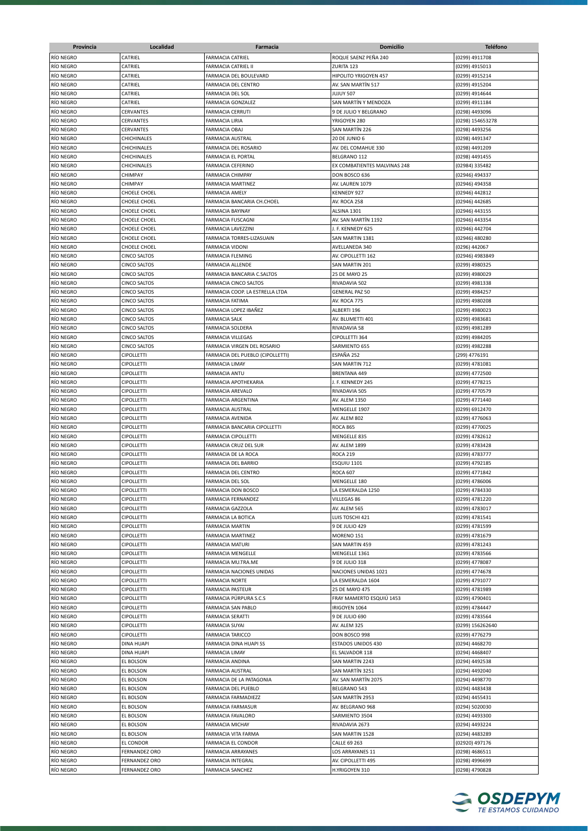| Provincia | Localidad           | Farmacia                         | <b>Domicilio</b>             | <b>Teléfono</b>  |
|-----------|---------------------|----------------------------------|------------------------------|------------------|
| RÍO NEGRO | CATRIEL             | <b>FARMACIA CATRIEL</b>          | ROQUE SAENZ PEÑA 240         | (0299) 4911708   |
| RÍO NEGRO | CATRIEL             | <b>FARMACIA CATRIEL II</b>       | ZURITA 123                   | (0299) 4915013   |
|           |                     |                                  |                              |                  |
| RÍO NEGRO | CATRIEL             | FARMACIA DEL BOULEVARD           | HIPOLITO YRIGOYEN 457        | (0299) 4915214   |
| RÍO NEGRO | CATRIEL             | <b>FARMACIA DEL CENTRO</b>       | AV. SAN MARTÍN 517           | (0299) 4915204   |
| RÍO NEGRO | CATRIEL             | FARMACIA DEL SOL                 | JUJUY 507                    | (0299) 4914644   |
| RÍO NEGRO | CATRIEL             | <b>FARMACIA GONZALEZ</b>         | SAN MARTÍN Y MENDOZA         | (0299) 4911184   |
| RÍO NEGRO | CERVANTES           | <b>FARMACIA CERRUTI</b>          | 9 DE JULIO Y BELGRANO        | (0298) 4493096   |
| RÍO NEGRO | CERVANTES           | <b>FARMACIA LIRIA</b>            | YRIGOYEN 280                 | (0298) 154653278 |
| RÍO NEGRO | CERVANTES           | <b>FARMACIA OBAJ</b>             | SAN MARTIN 226               | (0298) 4493256   |
| RÍO NEGRO | CHICHINALES         | <b>FARMACIA AUSTRAL</b>          | 20 DE JUNIO 6                | (0298) 4491347   |
| RÍO NEGRO | CHICHINALES         | FARMACIA DEL ROSARIO             | AV. DEL COMAHUE 330          | (0298) 4491209   |
| RÍO NEGRO | CHICHINALES         | FARMACIA EL PORTAL               | BELGRANO 112                 | (0298) 4491455   |
| RÍO NEGRO | CHICHINALES         | <b>FARMACIA CEFERINO</b>         | EX COMBATIENTES MALVINAS 248 |                  |
|           |                     |                                  |                              | (02984) 335482   |
| RÍO NEGRO | CHIMPAY             | <b>FARMACIA CHIMPAY</b>          | DON BOSCO 636                | (02946) 494337   |
| RÍO NEGRO | CHIMPAY             | <b>FARMACIA MARTINEZ</b>         | AV. LAUREN 1079              | (02946) 494358   |
| RÍO NEGRO | CHOELE CHOEL        | <b>FARMACIA AMELY</b>            | KENNEDY 927                  | (02946) 442812   |
| RÍO NEGRO | CHOELE CHOEL        | FARMACIA BANCARIA CH.CHOEL       | AV. ROCA 258                 | (02946) 442685   |
| RÍO NEGRO | CHOELE CHOEL        | FARMACIA BAYINAY                 | ALSINA 1301                  | (02946) 443155   |
| RÍO NEGRO | CHOELE CHOEL        | <b>FARMACIA FUSCAGNI</b>         | AV. SAN MARTIN 1192          | (02946) 443354   |
| RÍO NEGRO | CHOELE CHOEL        | FARMACIA LAVEZZINI               | J. F. KENNEDY 625            | (02946) 442704   |
| RÍO NEGRO | CHOELE CHOEL        | FARMACIA TORRES-LIZASUAIN        | SAN MARTIN 1381              | (02946) 480280   |
| RÍO NEGRO | CHOELE CHOEL        | <b>FARMACIA VIDONI</b>           | AVELLANEDA 340               | (0296) 442067    |
| RÍO NEGRO | CINCO SALTOS        | <b>FARMACIA FLEMING</b>          | AV. CIPOLLETTI 162           | (02946) 4983849  |
| RÍO NEGRO | CINCO SALTOS        | <b>FARMACIA ALLENDE</b>          | SAN MARTIN 201               | (0299) 4980325   |
|           |                     |                                  |                              |                  |
| RÍO NEGRO | <b>CINCO SALTOS</b> | FARMACIA BANCARIA C.SALTOS       | 25 DE MAYO 25                | (0299) 4980029   |
| RÍO NEGRO | CINCO SALTOS        | <b>FARMACIA CINCO SALTOS</b>     | RIVADAVIA 502                | (0299) 4981338   |
| RÍO NEGRO | CINCO SALTOS        | FARMACIA COOP. LA ESTRELLA LTDA  | <b>GENERAL PAZ 50</b>        | (0299) 4984257   |
| RÍO NEGRO | <b>CINCO SALTOS</b> | <b>FARMACIA FATIMA</b>           | AV. ROCA 775                 | (0299) 4980208   |
| RÍO NEGRO | CINCO SALTOS        | FARMACIA LOPEZ IBAÑEZ            | ALBERTI 196                  | (0299) 4980023   |
| RÍO NEGRO | CINCO SALTOS        | <b>FARMACIA SALK</b>             | AV. BLUMETTI 401             | (0299) 4983681   |
| RÍO NEGRO | CINCO SALTOS        | FARMACIA SOLDERA                 | RIVADAVIA 58                 | (0299) 4981289   |
| RÍO NEGRO | CINCO SALTOS        | <b>FARMACIA VILLEGAS</b>         | CIPOLLETTI 364               | (0299) 4984205   |
| RÍO NEGRO | <b>CINCO SALTOS</b> | FARMACIA VIRGEN DEL ROSARIO      | SARMIENTO 655                | (0299) 4982288   |
| RÍO NEGRO | <b>CIPOLLETTI</b>   | FARMACIA DEL PUEBLO (CIPOLLETTI) | ESPAÑA 252                   | (299) 4776191    |
| RÍO NEGRO |                     | <b>FARMACIA LIMAY</b>            |                              |                  |
|           | <b>CIPOLLETTI</b>   |                                  | SAN MARTIN 712               | (0299) 4781081   |
| RÍO NEGRO | <b>CIPOLLETTI</b>   | <b>FARMACIA ANTU</b>             | BRENTANA 449                 | (0299) 4772500   |
| RÍO NEGRO | <b>CIPOLLETTI</b>   | <b>FARMACIA APOTHEKARIA</b>      | J. F. KENNEDY 245            | (0299) 4778215   |
| RÍO NEGRO | CIPOLLETTI          | FARMACIA AREVALO                 | RIVADAVIA 505                | (0299) 4770579   |
| RÍO NEGRO | CIPOLLETTI          | FARMACIA ARGENTINA               | AV. ALEM 1350                | (0299) 4771440   |
| RÍO NEGRO | CIPOLLETTI          | FARMACIA AUSTRAL                 | MENGELLE 1907                | (0299) 6912470   |
| RÍO NEGRO | CIPOLLETTI          | FARMACIA AVENIDA                 | AV. ALEM 802                 | (0299) 4776063   |
| RÍO NEGRO | <b>CIPOLLETTI</b>   | FARMACIA BANCARIA CIPOLLETTI     | <b>ROCA 865</b>              | (0299) 4770025   |
| RÍO NEGRO | <b>CIPOLLETTI</b>   | FARMACIA CIPOLLETTI              | MENGELLE 835                 | (0299) 4782612   |
| RÍO NEGRO | CIPOLLETTI          | FARMACIA CRUZ DEL SUR            | AV. ALEM 1899                | (0299) 4783428   |
|           |                     |                                  |                              |                  |
| RÍO NEGRO | CIPOLLETTI          | FARMACIA DE LA ROCA              | <b>ROCA 219</b>              | (0299) 4783777   |
| RÍO NEGRO | <b>CIPOLLETTI</b>   | <b>FARMACIA DEL BARRIO</b>       | ESQUIU 1101                  | (0299) 4792185   |
| RÍO NEGRO | <b>CIPOLLETTI</b>   | <b>FARMACIA DEL CENTRO</b>       | <b>ROCA 607</b>              | (0299) 4771842   |
| RÍO NEGRO | <b>CIPOLLETTI</b>   | <b>FARMACIA DEL SOL</b>          | MENGELLE 180                 | (0299) 4786006   |
| RÍO NEGRO | <b>CIPOLLETTI</b>   | <b>FARMACIA DON BOSCO</b>        | LA ESMERALDA 1250            | (0299) 4784330   |
| RÍO NEGRO | <b>CIPOLLETTI</b>   | FARMACIA FERNANDEZ               | VILLEGAS 86                  | (0299) 4781220   |
| RÍO NEGRO | <b>CIPOLLETTI</b>   | FARMACIA GAZZOLA                 | AV. ALEM 565                 | (0299) 4783017   |
| RÍO NEGRO | <b>CIPOLLETTI</b>   | FARMACIA LA BOTICA               | LUIS TOSCHI 421              | (0299) 4781541   |
| RÍO NEGRO | CIPOLLETTI          | <b>FARMACIA MARTIN</b>           | 9 DE JULIO 429               | (0299) 4781599   |
| RÍO NEGRO | <b>CIPOLLETTI</b>   | FARMACIA MARTINEZ                | MORENO 151                   | (0299) 4781679   |
| RÍO NEGRO | <b>CIPOLLETTI</b>   | <b>FARMACIA MATURI</b>           | SAN MARTIN 459               | (0299) 4781243   |
| RÍO NEGRO | <b>CIPOLLETTI</b>   | FARMACIA MENGELLE                | MENGELLE 1361                | (0299) 4783566   |
|           |                     |                                  |                              |                  |
| RÍO NEGRO | <b>CIPOLLETTI</b>   | FARMACIA MU.TRA.ME               | 9 DE JULIO 318               | (0299) 4778087   |
| RÍO NEGRO | <b>CIPOLLETTI</b>   | FARMACIA NACIONES UNIDAS         | NACIONES UNIDAS 1021         | (0299) 4774678   |
| RÍO NEGRO | <b>CIPOLLETTI</b>   | <b>FARMACIA NORTE</b>            | LA ESMERALDA 1604            | (0299) 4791077   |
| RÍO NEGRO | <b>CIPOLLETTI</b>   | <b>FARMACIA PASTEUR</b>          | 25 DE MAYO 475               | (0299) 4781989   |
| RÍO NEGRO | <b>CIPOLLETTI</b>   | FARMACIA PÚRPURA S.C.S           | FRAY MAMERTO ESQUIÚ 1453     | (0299) 4790401   |
| RÍO NEGRO | <b>CIPOLLETTI</b>   | FARMACIA SAN PABLO               | IRIGOYEN 1064                | (0299) 4784447   |
| RÍO NEGRO | CIPOLLETTI          | <b>FARMACIA SERATTI</b>          | 9 DE JULIO 690               | (0299) 4783564   |
| RÍO NEGRO | CIPOLLETTI          | <b>FARMACIA SUYAI</b>            | AV. ALEM 325                 | (0299) 156262640 |
| RÍO NEGRO | <b>CIPOLLETTI</b>   | <b>FARMACIA TARICCO</b>          | DON BOSCO 998                | (0299) 4776279   |
| RÍO NEGRO | DINA HUAPI          | FARMACIA DINA HUAPI SS           | ESTADOS UNIDOS 430           | (0294) 4468270   |
| RÍO NEGRO | DINA HUAPI          | <b>FARMACIA LIMAY</b>            | EL SALVADOR 118              | (0294) 4468407   |
|           |                     |                                  |                              |                  |
| RÍO NEGRO | EL BOLSON           | FARMACIA ANDINA                  | SAN MARTIN 2243              | (0294) 4492538   |
| RÍO NEGRO | EL BOLSON           | <b>FARMACIA AUSTRAL</b>          | SAN MARTÍN 3251              | (0294) 4492040   |
| RÍO NEGRO | EL BOLSON           | FARMACIA DE LA PATAGONIA         | AV. SAN MARTÍN 2075          | (0294) 4498770   |
| RÍO NEGRO | EL BOLSON           | FARMACIA DEL PUEBLO              | BELGRANO 543                 | (0294) 4483438   |
| RÍO NEGRO | EL BOLSON           | FARMACIA FARMADIEZZ              | SAN MARTÍN 2953              | (0294) 4455431   |
| RÍO NEGRO | EL BOLSON           | FARMACIA FARMASUR                | AV. BELGRANO 968             | (0294) 5020030   |
| RÍO NEGRO | EL BOLSON           | FARMACIA FAVALORO                | SARMIENTO 3504               | (0294) 4493300   |
| RÍO NEGRO | EL BOLSON           | <b>FARMACIA MICHAY</b>           | RIVADAVIA 2673               | (0294) 4493224   |
| RÍO NEGRO | EL BOLSON           | FARMACIA VITA FARMA              | SAN MARTIN 1528              | (0294) 4483289   |
| RÍO NEGRO | EL CONDOR           | FARMACIA EL CONDOR               | CALLE 69 263                 | (02920) 497176   |
| RÍO NEGRO | FERNANDEZ ORO       | FARMACIA ARRAYANES               | LOS ARRAYANES 11             | (0298) 4686511   |
|           |                     |                                  |                              |                  |
| RÍO NEGRO | FERNANDEZ ORO       | FARMACIA INTEGRAL                | AV. CIPOLLETTI 495           | (0298) 4996699   |
| RÍO NEGRO | FERNANDEZ ORO       | <b>FARMACIA SANCHEZ</b>          | H.YRIGOYEN 310               | (0298) 4790828   |

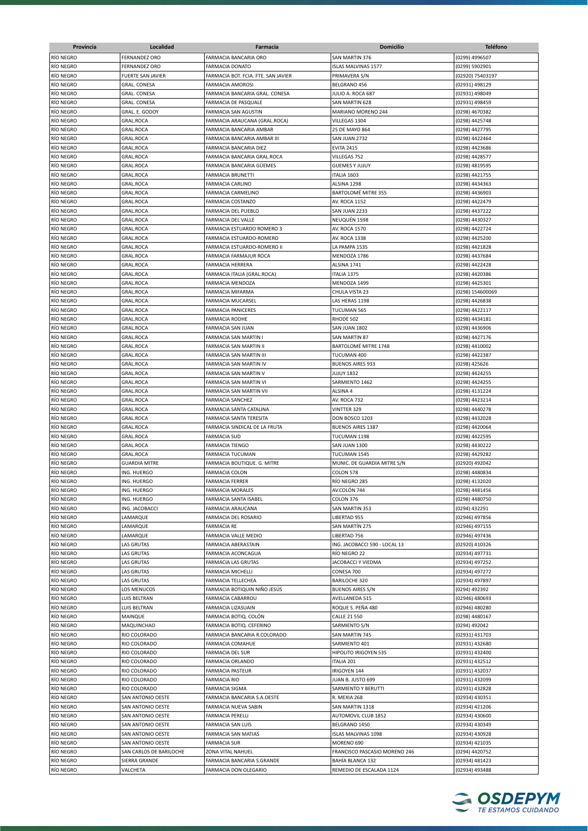| Provincia              | Localidad                | <b>Farmacia</b>                                      | <b>Domicilio</b>                           | <b>Teléfono</b>                  |
|------------------------|--------------------------|------------------------------------------------------|--------------------------------------------|----------------------------------|
| RÍO NEGRO              | <b>FERNANDEZ ORO</b>     | FARMACIA BANCARIA ORO                                | SAN MARTIN 376                             | (0299) 4996507                   |
| RÍO NEGRO              | <b>FERNANDEZ ORO</b>     | <b>FARMACIA DONATO</b>                               | <b>ISLAS MALVINAS 1577</b>                 | (0299) 5902901                   |
| RÍO NEGRO              | <b>FUERTE SAN JAVIER</b> | FARMACIA BOT. FCIA. FTE. SAN JAVIER                  | PRIMAVERA S/N                              | (02920) 75403197                 |
| RÍO NEGRO              | <b>GRAL. CONESA</b>      | <b>FARMACIA AMOROSI</b>                              | BELGRANO 456                               | (02931) 498129                   |
| RÍO NEGRO              | <b>GRAL. CONESA</b>      | FARMACIA BANCARIA GRAL. CONESA                       | JULIO A. ROCA 687                          | (02931) 498049                   |
| RÍO NEGRO              | <b>GRAL. CONESA</b>      | FARMACIA DE PASQUALE                                 | <b>SAN MARTIN 628</b>                      | (02931) 498459                   |
| RÍO NEGRO              | GRAL. E. GODOY           | FARMACIA SAN AGUSTIN                                 | MARIANO MORENO 244                         | (0298) 4670382                   |
| RÍO NEGRO              | GRAL.ROCA                | FARMACIA ARAUCANA (GRAL.ROCA)                        | VILLEGAS 1304                              | (0298) 4425748                   |
| RÍO NEGRO              | GRAL.ROCA                | FARMACIA BANCARIA AMBAR                              | 25 DE MAYO 864                             | (0298) 4427795                   |
| RÍO NEGRO              | GRAL.ROCA                | FARMACIA BANCARIA AMBAR III                          | SAN JUAN 2732                              | (0298) 4422464                   |
| RÍO NEGRO              | GRAL.ROCA                | FARMACIA BANCARIA DIEZ                               | <b>EVITA 2415</b>                          | (0298) 4423686                   |
| RÍO NEGRO              | GRAL.ROCA                | FARMACIA BANCARIA GRAL.ROCA                          | VILLEGAS 752                               | (0298) 4428577                   |
| RÍO NEGRO              | GRAL.ROCA                | FARMACIA BANCARIA GÜEMES                             | <b>GUEMES Y JUJUY</b>                      | (0298) 4819595                   |
| RÍO NEGRO              | <b>GRAL.ROCA</b>         | <b>FARMACIA BRUNETTI</b>                             | ITALIA 1603                                | (0298) 4421755                   |
| RÍO NEGRO              | GRAL.ROCA                | <b>FARMACIA CARLINO</b>                              | ALSINA 1298                                | (0298) 4434363                   |
| RÍO NEGRO              | <b>GRAL.ROCA</b>         | <b>FARMACIA CARMELINO</b>                            | BARTOLOMÉ MITRE 355                        | (0298) 4436903                   |
| RÍO NEGRO              | <b>GRAL.ROCA</b>         | <b>FARMACIA COSTANZO</b>                             | AV. ROCA 1152                              | (0298) 4422479                   |
| RÍO NEGRO              | GRAL.ROCA                | FARMACIA DEL PUEBLO                                  | SAN JUAN 2233                              | (0298) 4437222                   |
| RÍO NEGRO              | GRAL.ROCA                | FARMACIA DEL VALLE                                   | NEUQUÊN 1598                               | (0298) 4430327                   |
| RÍO NEGRO              | GRAL.ROCA                | FARMACIA ESTUARDO ROMERO 3                           | AV. ROCA 1570                              | (0298) 4422724                   |
| RÍO NEGRO              | GRAL.ROCA                | FARMACIA ESTUARDO-ROMERO                             | AV. ROCA 1338                              | (0298) 4425200                   |
| RÍO NEGRO              | GRAL.ROCA                | FARMACIA ESTUARDO-ROMERO II                          | LA PAMPA 1535                              | (0298) 4421828                   |
| RÍO NEGRO              | GRAL.ROCA                | FARMACIA FARMAJUR ROCA                               | MENDOZA 1786                               | (0298) 4437684                   |
| RÍO NEGRO              | GRAL.ROCA                | <b>FARMACIA HERRERA</b>                              | ALSINA 1741                                | (0298) 4422428                   |
| RÍO NEGRO              | <b>GRAL.ROCA</b>         | FARMACIA ITALIA (GRAL.ROCA)                          | ITALIA 1375                                | (0298) 4420386                   |
| RÍO NEGRO              | <b>GRAL.ROCA</b>         | FARMACIA MENDOZA                                     | MENDOZA 1499                               | (0298) 4425301                   |
| RÍO NEGRO              | GRAL.ROCA                | FARMACIA MIFARMA                                     | CHULA VISTA 23                             | (0298) 154600069                 |
| RÍO NEGRO              | GRAL.ROCA                | FARMACIA MUCARSEL                                    | LAS HERAS 1198                             | (0298) 4426838                   |
| RÍO NEGRO              | GRAL.ROCA                | <b>FARMACIA PANICERES</b>                            | TUCUMAN 565                                | (0298) 4422117                   |
| RÍO NEGRO              | GRAL.ROCA                | <b>FARMACIA RODHE</b>                                | RHODE 502                                  | (0298) 4434181                   |
| RÍO NEGRO              | GRAL.ROCA                | FARMACIA SAN JUAN                                    | SAN JUAN 1802                              | (0298) 4436906                   |
| RÍO NEGRO              | GRAL.ROCA                | FARMACIA SAN MARTIN I                                | <b>SAN MARTIN 87</b>                       | (0298) 4427176                   |
| RÍO NEGRO              | GRAL.ROCA                | FARMACIA SAN MARTIN II                               | BARTOLOMÉ MITRE 1748                       | (0298) 4410002                   |
| RÍO NEGRO              | GRAL.ROCA                | FARMACIA SAN MARTIN III                              | TUCUMAN 400                                | (0298) 4422387                   |
| RÍO NEGRO              | GRAL.ROCA                | FARMACIA SAN MARTIN IV                               | <b>BUENOS AIRES 933</b>                    | (0298) 425626                    |
| RÍO NEGRO              | <b>GRAL.ROCA</b>         | FARMACIA SAN MARTIN V                                | <b>JUJUY 1832</b>                          | (0298) 4424255                   |
| RÍO NEGRO              | <b>GRAL.ROCA</b>         | FARMACIA SAN MARTIN VI                               | SARMIENTO 1462                             | (0298) 4424255                   |
| RÍO NEGRO              | <b>GRAL.ROCA</b>         | FARMACIA SAN MARTIN VII                              | ALSINA 4                                   | (0298) 4131224                   |
| RÍO NEGRO              | GRAL.ROCA                | <b>FARMACIA SANCHEZ</b>                              | AV. ROCA 732                               | (0298) 4423214                   |
| RÍO NEGRO              | GRAL.ROCA                | FARMACIA SANTA CATALINA                              | VINTTER 329                                | (0298) 4440278                   |
| RÍO NEGRO<br>RÍO NEGRO | GRAL.ROCA                | FARMACIA SANTA TERESITA                              | DON BOSCO 1203<br><b>BUENOS AIRES 1387</b> | (0298) 4432028<br>(0298) 4420064 |
| RÍO NEGRO              | GRAL.ROCA<br>GRAL.ROCA   | FARMACIA SINDICAL DE LA FRUTA<br><b>FARMACIA SUD</b> | TUCUMAN 1198                               | (0298) 4422595                   |
| RÍO NEGRO              | GRAL.ROCA                | <b>FARMACIA TIENGO</b>                               | SAN JUAN 1300                              | (0298) 4430222                   |
| RÍO NEGRO              | GRAL.ROCA                | <b>FARMACIA TUCUMAN</b>                              | TUCUMAN 1545                               | (0298) 4429282                   |
| RÍO NEGRO              | <b>GUARDIA MITRE</b>     | FARMACIA BOUTIQUE. G. MITRE                          | MUNIC. DE GUARDIA MITRE S/N                | (02920) 492042                   |
| RÍO NEGRO              | ING. HUERGO              | <b>FARMACIA COLON</b>                                | COLON 578                                  | (0298) 4480834                   |
| RÍO NEGRO              | ING. HUERGO              | <b>FARMACIA FERRER</b>                               | RÍO NEGRO 285                              | (0298) 4132020                   |
| RÍO NEGRO              | ING. HUERGO              | <b>FARMACIA MORALES</b>                              | AV.COLÓN 744                               | (0298) 4481456                   |
| RÍO NEGRO              | ING. HUERGO              | FARMACIA SANTA ISABEL                                | COLON 376                                  | (0298) 4480750                   |
| RÍO NEGRO              | ING. JACOBACCI           | FARMACIA ARAUCANA                                    | SAN MARTIN 353                             | (0294) 432291                    |
| RÍO NEGRO              | LAMARQUE                 | FARMACIA DEL ROSARIO                                 | LIBERTAD 955                               | (02946) 497856                   |
| RÍO NEGRO              | LAMARQUE                 | <b>FARMACIA RE</b>                                   | SAN MARTÍN 275                             | (02946) 497155                   |
| RÍO NEGRO              | LAMARQUE                 | FARMACIA VALLE MEDIO                                 | LIBERTAD 756                               | (02946) 497436                   |
| RÍO NEGRO              | LAS GRUTAS               | FARMACIA ABERASTAIN                                  | ING. JACOBACCI 590 - LOCAL 13              | (02920) 410326                   |
| RÍO NEGRO              | LAS GRUTAS               | FARMACIA ACONCAGUA                                   | RÍO NEGRO 22                               | (02934) 497731                   |
| RÍO NEGRO              | LAS GRUTAS               | FARMACIA LAS GRUTAS                                  | JACOBACCI Y VIEDMA                         | (02934) 497252                   |
| RÍO NEGRO              | <b>LAS GRUTAS</b>        | FARMACIA MICHELLI                                    | CONESA 700                                 | (02934) 497272                   |
| RÍO NEGRO              | <b>LAS GRUTAS</b>        | FARMACIA TELLECHEA                                   | <b>BARILOCHE 320</b>                       | (02934) 497897                   |
| RÍO NEGRO              | LOS MENUCOS              | FARMACIA BOTIQUIN NIÑO JESÚS                         | <b>BUENOS AIRES S/N</b>                    | (0294) 492392                    |
| RÍO NEGRO              | LUIS BELTRAN             | FARMACIA CABARROU                                    | AVELLANEDA 515                             | (02946) 480693                   |
| RÍO NEGRO              | LUIS BELTRAN             | FARMACIA LIZASUAIN                                   | ROQUE S. PEÑA 480                          | (02946) 480280                   |
| RÍO NEGRO              | MAINQUE                  | FARMACIA BOTIQ. COLÓN                                | <b>CALLE 21 550</b>                        | (0298) 4480167                   |
| RÍO NEGRO              | MAQUINCHAO               | FARMACIA BOTIQ. CEFERINO                             | SARMIENTO S/N                              | (0294) 492042                    |
| RÍO NEGRO              | RIO COLORADO             | FARMACIA BANCARIA R.COLORADO                         | SAN MARTIN 745                             | (02931) 431703                   |
| RÍO NEGRO              | RIO COLORADO             | <b>FARMACIA COMAHUE</b>                              | SARMIENTO 401                              | (02931) 432680                   |
| RÍO NEGRO              | RIO COLORADO             | <b>FARMACIA DEL SUR</b>                              | HIPOLITO IRIGOYEN 535                      | (02931) 432400                   |
| RÍO NEGRO              | RIO COLORADO             | FARMACIA ORLANDO                                     | <b>ITALIA 201</b>                          | (02931) 432512                   |
| RÍO NEGRO              | RIO COLORADO             | <b>FARMACIA PASTEUR</b>                              | IRIGOYEN 144                               | (02931) 432037                   |
| RÍO NEGRO              | RIO COLORADO             | <b>FARMACIA RIO</b>                                  | JUAN B. JUSTO 699                          | (02931) 432099                   |
| RÍO NEGRO              | RIO COLORADO             | <b>FARMACIA SIGMA</b>                                | SARMIENTO Y BERUTTI                        | (02931) 432828                   |
| RÍO NEGRO              | SAN ANTONIO OESTE        | FARMACIA BANCARIA S.A.OESTE                          | R. MEXIA 268                               | (02934) 430351                   |
| RÍO NEGRO              | SAN ANTONIO OESTE        | FARMACIA NUEVA SABIN                                 | SAN MARTIN 1318                            | (02934) 421206                   |
| RÍO NEGRO              | SAN ANTONIO OESTE        | <b>FARMACIA PERELLI</b>                              | AUTOMOVIL CLUB 1852                        | (02934) 430600                   |
| RÍO NEGRO              | SAN ANTONIO OESTE        | FARMACIA SAN LUIS                                    | BELGRANO 1450                              | (02934) 430349                   |
| RÍO NEGRO              | SAN ANTONIO OESTE        | FARMACIA SAN MATIAS                                  | ISLAS MALVINAS 1098                        | (02934) 430928                   |
| RÍO NEGRO              | SAN ANTONIO OESTE        | <b>FARMACIA SUR</b>                                  | MORENO 690                                 | (02934) 421035                   |
| RÍO NEGRO              | SAN CARLOS DE BARILOCHE  | ZONA VITAL NAHUEL                                    | FRANCISCO PASCASIO MORENO 246              | (0294) 4420752                   |
| RÍO NEGRO              | SIERRA GRANDE            | FARMACIA BANCARIA S.GRANDE                           | BAHÍA BLANCA 132                           | (02934) 481423                   |
| RÍO NEGRO              | VALCHETA                 | FARMACIA DON OLEGARIO                                | REMEDIO DE ESCALADA 1124                   | (02934) 493488                   |

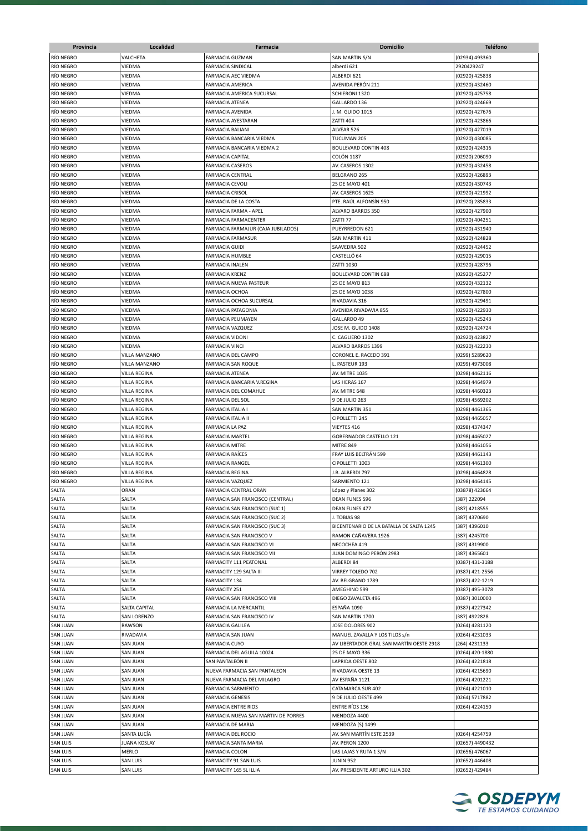| Provincia       | Localidad           | Farmacia                            | <b>Domicilio</b>                         | <b>Teléfono</b> |
|-----------------|---------------------|-------------------------------------|------------------------------------------|-----------------|
| RÍO NEGRO       | VALCHETA            | <b>FARMACIA GUZMAN</b>              | SAN MARTIN S/N                           | (02934) 493360  |
| RÍO NEGRO       | VIEDMA              | <b>FARMACIA SINDICAL</b>            | alberdi 621                              | 2920429247      |
| RÍO NEGRO       | VIEDMA              | FARMACIA AEC VIEDMA                 | ALBERDI 621                              | (02920) 425838  |
| RÍO NEGRO       | VIEDMA              | <b>FARMACIA AMERICA</b>             | AVENIDA PERÓN 211                        | (02920) 432460  |
| RÍO NEGRO       | VIEDMA              | FARMACIA AMERICA SUCURSAL           | SCHIERONI 1320                           | (02920) 425758  |
| RÍO NEGRO       | VIEDMA              | <b>FARMACIA ATENEA</b>              | GALLARDO 136                             |                 |
|                 |                     |                                     |                                          | (02920) 424669  |
| RÍO NEGRO       | VIEDMA              | FARMACIA AVENIDA                    | J. M. GUIDO 1015                         | (02920) 427676  |
| RÍO NEGRO       | VIEDMA              | FARMACIA AYESTARAN                  | <b>ZATTI 404</b>                         | (02920) 423866  |
| RÍO NEGRO       | VIEDMA              | FARMACIA BALIANI                    | ALVEAR 526                               | (02920) 427019  |
| RÍO NEGRO       | VIEDMA              | FARMACIA BANCARIA VIEDMA            | TUCUMAN 205                              | (02920) 430085  |
| RÍO NEGRO       | VIEDMA              | FARMACIA BANCARIA VIEDMA 2          | <b>BOULEVARD CONTIN 408</b>              | (02920) 424316  |
| RÍO NEGRO       | VIEDMA              | <b>FARMACIA CAPITAL</b>             | COLÓN 1187                               | (02920) 206090  |
| RÍO NEGRO       | VIEDMA              | <b>FARMACIA CASEROS</b>             | AV. CASEROS 1302                         | (02920) 432458  |
| RÍO NEGRO       | VIEDMA              | FARMACIA CENTRAL                    | BELGRANO 265                             | (02920) 426893  |
| RÍO NEGRO       | VIEDMA              | FARMACIA CEVOLI                     | 25 DE MAYO 401                           | (02920) 430743  |
| RÍO NEGRO       | VIEDMA              | FARMACIA CRISOL                     | AV. CASEROS 1625                         | (02920) 421992  |
| RÍO NEGRO       | VIEDMA              | FARMACIA DE LA COSTA                | PTE. RAÚL ALFONSÍN 950                   | (02920) 285833  |
| RÍO NEGRO       | VIEDMA              | FARMACIA FARMA - APEL               | ALVARO BARROS 350                        | (02920) 427900  |
| RÍO NEGRO       | VIEDMA              | FARMACIA FARMACENTER                | ZATTI 77                                 | (02920) 404251  |
| RÍO NEGRO       | VIEDMA              | FARMACIA FARMAJUR (CAJA JUBILADOS)  | PUEYRREDON 621                           | (02920) 431940  |
| RÍO NEGRO       | VIEDMA              | <b>FARMACIA FARMASUR</b>            | SAN MARTIN 411                           | (02920) 424828  |
| RÍO NEGRO       | VIEDMA              | <b>FARMACIA GUIDI</b>               | SAAVEDRA 502                             | (02920) 424452  |
| RÍO NEGRO       | VIEDMA              | FARMACIA HUMBLE                     | CASTELLÓ 64                              | (02920) 429015  |
| RÍO NEGRO       | VIEDMA              | <b>FARMACIA INALEN</b>              | ZATTI 1030                               | (02920) 428796  |
| RÍO NEGRO       | VIEDMA              | <b>FARMACIA KRENZ</b>               | <b>BOULEVARD CONTIN 688</b>              | (02920) 425277  |
| RÍO NEGRO       | VIEDMA              | FARMACIA NUEVA PASTEUR              | 25 DE MAYO 813                           | (02920) 432132  |
| RÍO NEGRO       |                     |                                     | 25 DE MAYO 1038                          |                 |
|                 | VIEDMA              | FARMACIA OCHOA                      |                                          | (02920) 427800  |
| RÍO NEGRO       | VIEDMA              | FARMACIA OCHOA SUCURSAL             | RIVADAVIA 316                            | (02920) 429491  |
| RÍO NEGRO       | VIEDMA              | FARMACIA PATAGONIA                  | AVENIDA RIVADAVIA 855                    | (02920) 422930  |
| RÍO NEGRO       | VIEDMA              | FARMACIA PEUMAYEN                   | GALLARDO 49                              | (02920) 425243  |
| RÍO NEGRO       | VIEDMA              | FARMACIA VAZQUEZ                    | JOSE M. GUIDO 1408                       | (02920) 424724  |
| RÍO NEGRO       | VIEDMA              | FARMACIA VIDONI                     | C. CAGLIERO 1302                         | (02920) 423827  |
| RÍO NEGRO       | VIEDMA              | <b>FARMACIA VINCI</b>               | ALVARO BARROS 1399                       | (02920) 422230  |
| RÍO NEGRO       | VILLA MANZANO       | FARMACIA DEL CAMPO                  | CORONEL E. RACEDO 391                    | (0299) 5289620  |
| RÍO NEGRO       | VILLA MANZANO       | FARMACIA SAN ROQUE                  | L. PASTEUR 193                           | (0299) 4973008  |
| RÍO NEGRO       | <b>VILLA REGINA</b> | <b>FARMACIA ATENEA</b>              | AV. MITRE 1035                           | (0298) 4462116  |
| RÍO NEGRO       | <b>VILLA REGINA</b> | FARMACIA BANCARIA V.REGINA          | LAS HERAS 167                            | (0298) 4464979  |
| RÍO NEGRO       | VILLA REGINA        | FARMACIA DEL COMAHUE                | AV. MITRE 648                            | (0298) 4460323  |
| RÍO NEGRO       | <b>VILLA REGINA</b> | FARMACIA DEL SOL                    | 9 DE JULIO 263                           | (0298) 4569202  |
| RÍO NEGRO       | <b>VILLA REGINA</b> | FARMACIA ITALIA I                   | SAN MARTIN 351                           | (0298) 4461365  |
| RÍO NEGRO       | <b>VILLA REGINA</b> | FARMACIA ITALIA II                  | CIPOLLETTI 245                           | (0298) 4465057  |
| RÍO NEGRO       | VILLA REGINA        | FARMACIA LA PAZ                     | VIEYTES 416                              | (0298) 4374347  |
| RÍO NEGRO       | VILLA REGINA        | FARMACIA MARTEL                     | GOBERNADOR CASTELLO 121                  | (0298) 4465027  |
| RÍO NEGRO       | VILLA REGINA        | FARMACIA MITRE                      | MITRE 849                                | (0298) 4461056  |
| RÍO NEGRO       | VILLA REGINA        | <b>FARMACIA RAÍCES</b>              | FRAY LUIS BELTRÁN 599                    | (0298) 4461143  |
| RÍO NEGRO       | <b>VILLA REGINA</b> | FARMACIA RANGEL                     | CIPOLLETTI 1003                          | (0298) 4461300  |
| RÍO NEGRO       | <b>VILLA REGINA</b> | <b>FARMACIA REGINA</b>              | J.B. ALBERDI 797                         | (0298) 4464828  |
| RÍO NEGRO       | <b>VILLA REGINA</b> | FARMACIA VAZQUEZ                    | SARMIENTO 121                            | (0298) 4464145  |
|                 |                     |                                     |                                          |                 |
| <b>SALTA</b>    | ORAN                | FARMACIA CENTRAL ORAN               | López y Planes 302                       | (03878) 423664  |
| <b>SALTA</b>    | SALTA               | FARMACIA SAN FRANCISCO (CENTRAL)    | <b>DEAN FUNES 596</b>                    | (387) 222094    |
| <b>SALTA</b>    | SALTA               | FARMACIA SAN FRANCISCO (SUC 1)      | DEAN FUNES 477                           | (387) 4218555   |
| SALTA           | SALTA               | FARMACIA SAN FRANCISCO (SUC 2)      | J. TOBIAS 98                             | (387) 4370690   |
| SALTA           | SALTA               | FARMACIA SAN FRANCISCO (SUC 3)      | BICENTENARIO DE LA BATALLA DE SALTA 1245 | (387) 4396010   |
| SALTA           | SALTA               | FARMACIA SAN FRANCISCO V            | RAMON CAÑAVERA 1926                      | (387) 4245700   |
| SALTA           | SALTA               | FARMACIA SAN FRANCISCO VI           | NECOCHEA 419                             | (387) 4319900   |
| SALTA           | SALTA               | FARMACIA SAN FRANCISCO VII          | JUAN DOMINGO PERÓN 2983                  | (387) 4365601   |
| SALTA           | SALTA               | FARMACITY 111 PEATONAL              | ALBERDI 84                               | (0387) 431-3188 |
| SALTA           | SALTA               | FARMACITY 129 SALTA III             | VIRREY TOLEDO 702                        | (0387) 421-2556 |
| SALTA           | SALTA               | FARMACITY 134                       | AV. BELGRANO 1789                        | (0387) 422-1219 |
| SALTA           | SALTA               | <b>FARMACITY 251</b>                | AMEGHINO 599                             | (0387) 495-3078 |
| SALTA           | SALTA               | FARMACIA SAN FRANCISCO VIII         | DIEGO ZAVALETA 496                       | (0387) 3010000  |
| SALTA           | SALTA CAPITAL       | FARMACIA LA MERCANTIL               | ESPAÑA 1090                              | (0387) 4227342  |
| SALTA           | SAN LORENZO         | FARMACIA SAN FRANCISCO IV           | SAN MARTIN 1700                          | (387) 4922828   |
| <b>SAN JUAN</b> | RAWSON              | FARMACIA GALILEA                    | JOSE DOLORES 902                         | (0264) 4281120  |
| <b>SAN JUAN</b> | RIVADAVIA           | FARMACIA SAN JUAN                   | MANUEL ZAVALLA Y LOS TILOS s/n           | (0264) 4231033  |
| <b>SAN JUAN</b> | SAN JUAN            | FARMACIA CUYO                       | AV LIBERTADOR GRAL SAN MARTÍN OESTE 2918 | (264) 4231133   |
| <b>SAN JUAN</b> | <b>SAN JUAN</b>     | FARMACIA DEL AGUILA 10024           | 25 DE MAYO 336                           | (0264) 420-1880 |
| <b>SAN JUAN</b> |                     |                                     |                                          |                 |
|                 | <b>SAN JUAN</b>     | SAN PANTALEÓN II                    | LAPRIDA OESTE 802                        | (0264) 4221818  |
| <b>SAN JUAN</b> | <b>SAN JUAN</b>     | NUEVA FARMACIA SAN PANTALEON        | RIVADAVIA OESTE 13                       | (0264) 4215690  |
| <b>SAN JUAN</b> | <b>SAN JUAN</b>     | NUEVA FARMACIA DEL MILAGRO          | AV ESPAÑA 1121                           | (0264) 4201221  |
| <b>SAN JUAN</b> | <b>SAN JUAN</b>     | FARMACIA SARMIENTO                  | CATAMARCA SUR 402                        | (0264) 4221010  |
| <b>SAN JUAN</b> | <b>SAN JUAN</b>     | <b>FARMACIA GENESIS</b>             | 9 DE JULIO OESTE 499                     | (0264) 5717882  |
| <b>SAN JUAN</b> | <b>SAN JUAN</b>     | <b>FARMACIA ENTRE RIOS</b>          | <b>ENTRE RÍOS 136</b>                    | (0264) 4224150  |
| <b>SAN JUAN</b> | SAN JUAN            | FARMACIA NUEVA SAN MARTIN DE PORRES | MENDOZA 4400                             |                 |
| <b>SAN JUAN</b> | <b>SAN JUAN</b>     | FARMACIA DE MARIA                   | MENDOZA (S) 1499                         |                 |
| <b>SAN JUAN</b> | SANTA LUCÍA         | FARMACIA DEL ROCIO                  | AV. SAN MARTÍN ESTE 2539                 | (0264) 4254759  |
| <b>SAN LUIS</b> | <b>JUANA KOSLAY</b> | FARMACIA SANTA MARIA                | AV. PERON 1200                           | (02657) 4490432 |
| <b>SAN LUIS</b> | MERLO               | FARMACIA COLON                      | LAS LAJAS Y RUTA 1 S/N                   | (02656) 476067  |
| <b>SAN LUIS</b> | <b>SAN LUIS</b>     | FARMACITY 91 SAN LUIS               | <b>JUNIN 952</b>                         | (02652) 446408  |
| <b>SAN LUIS</b> | <b>SAN LUIS</b>     | FARMACITY 165 SL ILLIA              | AV. PRESIDENTE ARTURO ILLIA 302          | (02652) 429484  |
|                 |                     |                                     |                                          |                 |

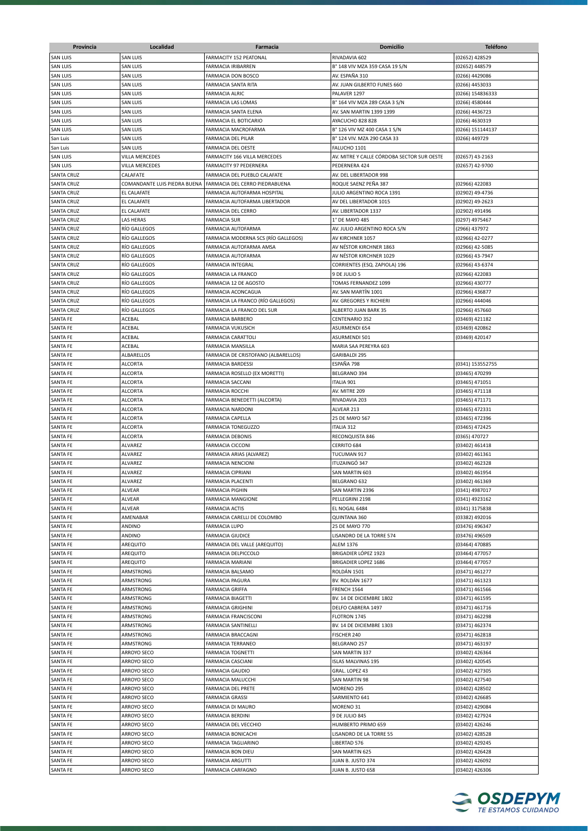| Provincia                   | Localidad                    | Farmacia                                              | <b>Domicilio</b>                           | <b>Teléfono</b>                  |
|-----------------------------|------------------------------|-------------------------------------------------------|--------------------------------------------|----------------------------------|
| <b>SAN LUIS</b>             | <b>SAN LUIS</b>              | FARMACITY 152 PEATONAL                                | RIVADAVIA 602                              | (02652) 428529                   |
| <b>SAN LUIS</b>             | <b>SAN LUIS</b>              | FARMACIA IRIBARREN                                    | B° 148 VIV MZA 359 CASA 19 S/N             | (02652) 448579                   |
| <b>SAN LUIS</b>             | <b>SAN LUIS</b>              | FARMACIA DON BOSCO                                    | AV. ESPAÑA 310                             | (0266) 4429086                   |
| <b>SAN LUIS</b>             | <b>SAN LUIS</b>              | FARMACIA SANTA RITA                                   | AV. JUAN GILBERTO FUNES 660                | (0266) 4453033                   |
| <b>SAN LUIS</b>             | <b>SAN LUIS</b>              | <b>FARMACIA ALRIC</b>                                 | PALAVER 1297                               | (0266) 154836333                 |
| <b>SAN LUIS</b>             | <b>SAN LUIS</b>              | FARMACIA LAS LOMAS                                    | B° 164 VIV MZA 289 CASA 3 S/N              | (0266) 4580444                   |
| <b>SAN LUIS</b>             | <b>SAN LUIS</b>              | FARMACIA SANTA ELENA                                  | AV. SAN MARTIN 1399 1399                   | (0266) 4436723                   |
| <b>SAN LUIS</b>             | <b>SAN LUIS</b>              | FARMACIA EL BOTICARIO                                 | AYACUCHO 828 828                           | (0266) 4630319                   |
| <b>SAN LUIS</b>             | <b>SAN LUIS</b>              | FARMACIA MACROFARMA                                   | B° 126 VIV MZ 400 CASA 1 S/N               | (0266) 151144137                 |
| San Luis                    | <b>SAN LUIS</b>              | FARMACIA DEL PILAR                                    | B° 124 VIV. MZA 290 CASA 33                | (0266) 449729                    |
| San Luis                    | <b>SAN LUIS</b>              | FARMACIA DEL OESTE                                    | FALUCHO 1101                               |                                  |
| <b>SAN LUIS</b>             | VILLA MERCEDES               | FARMACITY 166 VILLA MERCEDES                          | AV. MITRE Y CALLE CÓRDOBA SECTOR SUR OESTE | (02657) 43-2163                  |
| <b>SAN LUIS</b>             | VILLA MERCEDES               | FARMACITY 97 PEDERNERA                                | PEDERNERA 424                              | (02657) 42-9700                  |
| <b>SANTA CRUZ</b>           | CALAFATE                     | FARMACIA DEL PUEBLO CALAFATE                          | AV. DEL LIBERTADOR 998                     |                                  |
| <b>SANTA CRUZ</b>           | COMANDANTE LUIS PIEDRA BUENA | FARMACIA DEL CERRO PIEDRABUENA                        | ROQUE SAENZ PEÑA 387                       | (02966) 422083                   |
| <b>SANTA CRUZ</b>           | <b>EL CALAFATE</b>           | FARMACIA AUTOFARMA HOSPITAL                           | JULIO ARGENTINO ROCA 1391                  | (02902) 49-4736                  |
| <b>SANTA CRUZ</b>           | <b>EL CALAFATE</b>           | FARMACIA AUTOFARMA LIBERTADOR                         | AV DEL LIBERTADOR 1015                     | (02902) 49-2623                  |
| <b>SANTA CRUZ</b>           | EL CALAFATE                  | FARMACIA DEL CERRO                                    | AV. LIBERTADOR 1337                        | (02902) 491496                   |
| <b>SANTA CRUZ</b>           | LAS HERAS                    | <b>FARMACIA SUR</b>                                   | 1° DE MAYO 485                             | (0297) 4975467                   |
| <b>SANTA CRUZ</b>           | RÍO GALLEGOS                 | FARMACIA AUTOFARMA                                    | AV. JULIO ARGENTINO ROCA S/N               | (2966) 437972                    |
| <b>SANTA CRUZ</b>           | RÍO GALLEGOS                 | FARMACIA MODERNA SCS (RÍO GALLEGOS)                   | AV KIRCHNER 1057                           | (02966) 42-0277                  |
| <b>SANTA CRUZ</b>           | <b>RÍO GALLEGOS</b>          | FARMACIA AUTOFARMA AMSA                               | AV NÉSTOR KIRCHNER 1863                    | (02966) 42-5085                  |
| <b>SANTA CRUZ</b>           | <b>RÍO GALLEGOS</b>          | FARMACIA AUTOFARMA                                    | AV NÉSTOR KIRCHNER 1029                    | (02966) 43-7947                  |
| <b>SANTA CRUZ</b>           | <b>RÍO GALLEGOS</b>          | FARMACIA INTEGRAL                                     | CORRIENTES (ESQ. ZAPIOLA) 196              | (02966) 43-6374                  |
| <b>SANTA CRUZ</b>           | <b>RÍO GALLEGOS</b>          | <b>FARMACIA LA FRANCO</b>                             | 9 DE JULIO 5                               | (02966) 422083                   |
| <b>SANTA CRUZ</b>           | <b>RÍO GALLEGOS</b>          | FARMACIA 12 DE AGOSTO                                 | TOMAS FERNANDEZ 1099                       | (02966) 430777                   |
| <b>SANTA CRUZ</b>           | RÍO GALLEGOS                 | FARMACIA ACONCAGUA                                    | AV. SAN MARTÍN 1001                        | (02966) 436877                   |
| <b>SANTA CRUZ</b>           | <b>RÍO GALLEGOS</b>          | FARMACIA LA FRANCO (RÍO GALLEGOS)                     | AV. GREGORES Y RICHIERI                    | (02966) 444046                   |
| <b>SANTA CRUZ</b>           | <b>RÍO GALLEGOS</b>          | FARMACIA LA FRANCO DEL SUR                            | ALBERTO JUAN BARK 35                       | (02966) 457660                   |
| <b>SANTA FE</b>             | ACEBAL                       | <b>FARMACIA BARBERO</b>                               | CENTENARIO 352                             | (03469) 421182                   |
| SANTA FE<br><b>SANTA FE</b> | <b>ACEBAL</b><br>ACEBAL      | <b>FARMACIA VUKUSICH</b><br><b>FARMACIA CARATTOLI</b> | ASURMENDI 654<br><b>ASURMENDI 501</b>      | (03469) 420862<br>(03469) 420147 |
| <b>SANTA FE</b>             | ACEBAL                       | FARMACIA MANSILLA                                     | MARIA SAA PEREYRA 603                      |                                  |
| <b>SANTA FE</b>             | ALBARELLOS                   | FARMACIA DE CRISTOFANO (ALBARELLOS)                   | GARIBALDI 295                              |                                  |
| <b>SANTA FE</b>             | <b>ALCORTA</b>               | <b>FARMACIA BARDESSI</b>                              | ESPAÑA 798                                 | (0341) 153552755                 |
| <b>SANTA FE</b>             | <b>ALCORTA</b>               | FARMACIA ROSELLO (EX MORETTI)                         | BELGRANO 394                               | (03465) 470299                   |
| <b>SANTA FE</b>             | <b>ALCORTA</b>               | <b>FARMACIA SACCANI</b>                               | <b>ITALIA 901</b>                          | (03465) 471051                   |
| <b>SANTA FE</b>             | <b>ALCORTA</b>               | <b>FARMACIA ROCCHI</b>                                | AV. MITRE 209                              | (03465) 471118                   |
| <b>SANTA FE</b>             | <b>ALCORTA</b>               | FARMACIA BENEDETTI (ALCORTA)                          | RIVADAVIA 203                              | (03465) 471171                   |
| <b>SANTA FE</b>             | <b>ALCORTA</b>               | <b>FARMACIA NARDONI</b>                               | ALVEAR 213                                 | (03465) 472331                   |
| <b>SANTA FE</b>             | <b>ALCORTA</b>               | FARMACIA CAPELLA                                      | 25 DE MAYO 567                             | (03465) 472396                   |
| <b>SANTA FE</b>             | <b>ALCORTA</b>               | <b>FARMACIA TONEGUZZO</b>                             | <b>ITALIA 312</b>                          | (03465) 472425                   |
| <b>SANTA FE</b>             | <b>ALCORTA</b>               | <b>FARMACIA DEBONIS</b>                               | RECONQUISTA 846                            | (0365) 470727                    |
| <b>SANTA FE</b>             | ALVAREZ                      | <b>FARMACIA CICCONI</b>                               | CERRITO 684                                | (03402) 461418                   |
| <b>SANTA FE</b>             | ALVAREZ                      | FARMACIA ARIAS (ALVAREZ)                              | TUCUMAN 917                                | (03402) 461361                   |
| <b>SANTA FE</b>             | <b>ALVAREZ</b>               | <b>FARMACIA NENCIONI</b>                              | ITUZAINGÓ 347                              | (03402) 462328                   |
| <b>SANTA FE</b>             | <b>ALVAREZ</b>               | <b>FARMACIA CIPRIANI</b>                              | SAN MARTIN 603                             | (03402) 461954                   |
| <b>SANTA FE</b>             | ALVAREZ                      | <b>FARMACIA PLACENTI</b>                              | BELGRANO 632                               | (03402) 461369                   |
| SANTA FE<br>SANTA FE        | ALVEAR                       | <b>FARMACIA PIGHIN</b>                                | SAN MARTIN 2396                            | (0341) 4987017                   |
| <b>SANTA FE</b>             | ALVEAR<br><b>ALVEAR</b>      | <b>FARMACIA MANGIONE</b>                              | PELLEGRINI 2198                            | (0341) 4923162                   |
| SANTA FE                    | AMENABAR                     | <b>FARMACIA ACTIS</b><br>FARMACIA CARELLI DE COLOMBO  | EL NOGAL 6484<br>QUINTANA 360              | (0341) 3175838<br>(03382) 492016 |
| <b>SANTA FE</b>             | ANDINO                       | <b>FARMACIA LUPO</b>                                  | 25 DE MAYO 770                             | (03476) 496347                   |
| <b>SANTA FE</b>             | ANDINO                       | <b>FARMACIA GIUDICE</b>                               | LISANDRO DE LA TORRE 574                   | (03476) 496509                   |
| <b>SANTA FE</b>             | AREQUITO                     | FARMACIA DEL VALLE (AREQUITO)                         | <b>ALEM 1376</b>                           | (03464) 470885                   |
| <b>SANTA FE</b>             | AREQUITO                     | FARMACIA DELPICCOLO                                   | BRIGADIER LÓPEZ 1923                       | (03464) 477057                   |
| SANTA FE                    | AREQUITO                     | FARMACIA MARIANI                                      | <b>BRIGADIER LOPEZ 1686</b>                | (03464) 477057                   |
| <b>SANTA FE</b>             | ARMSTRONG                    | FARMACIA BALSAMO                                      | ROLDÁN 1501                                | (03471) 461277                   |
| <b>SANTA FE</b>             | ARMSTRONG                    | FARMACIA PAGURA                                       | BV. ROLDÁN 1677                            | (03471) 461323                   |
| <b>SANTA FE</b>             | ARMSTRONG                    | <b>FARMACIA GRIFFA</b>                                | FRENCH 1564                                | (03471) 461566                   |
| <b>SANTA FE</b>             | ARMSTRONG                    | <b>FARMACIA BIAGETTI</b>                              | BV. 14 DE DICIEMBRE 1802                   | (03471) 461595                   |
| <b>SANTA FE</b>             | ARMSTRONG                    | <b>FARMACIA GRIGHINI</b>                              | DELFO CABRERA 1497                         | (03471) 461716                   |
| <b>SANTA FE</b>             | ARMSTRONG                    | FARMACIA FRANCISCONI                                  | FLOTRON 1745                               | (03471) 462298                   |
| <b>SANTA FE</b>             | ARMSTRONG                    | FARMACIA SANTINELLI                                   | BV. 14 DE DICIEMBRE 1303                   | (03471) 462374                   |
| <b>SANTA FE</b>             | ARMSTRONG                    | FARMACIA BRACCAGNI                                    | FISCHER 240                                | (03471) 462818                   |
| <b>SANTA FE</b>             | ARMSTRONG                    | <b>FARMACIA TERRANEO</b>                              | BELGRANO 257                               | (03471) 463197                   |
| <b>SANTA FE</b>             | ARROYO SECO                  | <b>FARMACIA TOGNETTI</b>                              | SAN MARTIN 337                             | (03402) 426364                   |
| <b>SANTA FE</b>             | ARROYO SECO                  | FARMACIA CASCIANI                                     | <b>ISLAS MALVINAS 195</b>                  | (03402) 420545                   |
| <b>SANTA FE</b>             | ARROYO SECO                  | <b>FARMACIA GAUDIO</b>                                | GRAL. LOPEZ 43                             | (03402) 427305                   |
| <b>SANTA FE</b>             | ARROYO SECO                  | FARMACIA MALUCCHI                                     | SAN MARTIN 98                              | (03402) 427540                   |
| <b>SANTA FE</b>             | ARROYO SECO                  | FARMACIA DEL PRETE                                    | MORENO <sub>295</sub>                      | (03402) 428502                   |
| <b>SANTA FE</b>             | ARROYO SECO                  | <b>FARMACIA GRASSI</b>                                | SARMIENTO 641                              | (03402) 426685                   |
| SANTA FE                    | ARROYO SECO                  | FARMACIA DI MAURO                                     | MORENO 31                                  | (03402) 429084                   |
| <b>SANTA FE</b>             | ARROYO SECO                  | <b>FARMACIA BERDINI</b>                               | 9 DE JULIO 845                             | (03402) 427924                   |
| <b>SANTA FE</b>             | ARROYO SECO                  | FARMACIA DEL VECCHIO                                  | HUMBERTO PRIMO 659                         | (03402) 426246                   |
| <b>SANTA FE</b>             | ARROYO SECO                  | FARMACIA BONICACHI                                    | LISANDRO DE LA TORRE 55                    | (03402) 428528                   |
| <b>SANTA FE</b>             | ARROYO SECO                  | FARMACIA TAGLIARINO                                   | LIBERTAD 576                               | (03402) 429245                   |
| <b>SANTA FE</b>             | ARROYO SECO                  | FARMACIA BON DIEU                                     | SAN MARTIN 625                             | (03402) 426428                   |
| SANTA FE                    | ARROYO SECO                  | <b>FARMACIA ARGUTTI</b>                               | JUAN B. JUSTO 374                          | (03402) 426092                   |
| <b>SANTA FE</b>             | ARROYO SECO                  | FARMACIA CARFAGNO                                     | JUAN B. JUSTO 658                          | (03402) 426306                   |

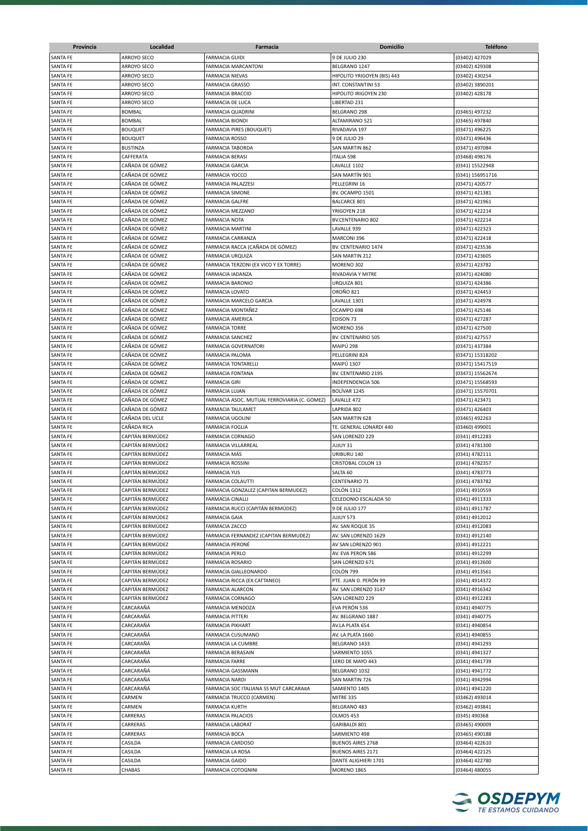| Provincia                   | Localidad                          | Farmacia                                     | <b>Domicilio</b>            | <b>Teléfono</b>                  |
|-----------------------------|------------------------------------|----------------------------------------------|-----------------------------|----------------------------------|
| <b>SANTA FE</b>             | ARROYO SECO                        | <b>FARMACIA GUIDI</b>                        | 9 DE JULIO 230              | (03402) 427029                   |
| <b>SANTA FE</b>             | <b>ARROYO SECO</b>                 | <b>FARMACIA MARCANTONI</b>                   | BELGRANO 1247               | (03402) 429308                   |
|                             |                                    |                                              |                             |                                  |
| SANTA FE                    | ARROYO SECO                        | <b>FARMACIA NIEVAS</b>                       | HIPOLITO YRIGOYEN (BIS) 443 | (03402) 430254                   |
| <b>SANTA FE</b>             | ARROYO SECO                        | <b>FARMACIA GRASSO</b>                       | INT. CONSTANTINI 53         | (03402) 3890201                  |
| SANTA FE                    | ARROYO SECO                        | <b>FARMACIA BRACCIO</b>                      | HIPOLITO IRIGOYEN 230       | (03402) 428178                   |
| <b>SANTA FE</b>             | ARROYO SECO                        | <b>FARMACIA DE LUCA</b>                      | LIBERTAD 231                |                                  |
| SANTA FE                    | <b>BOMBAL</b>                      | <b>FARMACIA QUADRINI</b>                     | BELGRANO 298                | (03465) 497232                   |
| SANTA FE                    | BOMBAL                             | <b>FARMACIA BIONDI</b>                       | ALTAMIRANO 521              | (03465) 497840                   |
| <b>SANTA FE</b>             | <b>BOUQUET</b>                     | <b>FARMACIA PIRES (BOUQUET)</b>              | RIVADAVIA 197               | (03471) 496225                   |
| <b>SANTA FE</b>             | <b>BOUQUET</b>                     | <b>FARMACIA ROSSO</b>                        | 9 DE JULIO 29               | (03471) 496436                   |
| <b>SANTA FE</b>             | <b>BUSTINZA</b>                    | <b>FARMACIA TABORDA</b>                      | SAN MARTIN 862              | (03471) 497084                   |
| <b>SANTA FE</b>             | CAFFERATA                          | <b>FARMACIA BERASI</b>                       | <b>ITALIA 598</b>           | (03468) 498176                   |
| SANTA FE                    | CAÑADA DE GÓMEZ                    | <b>FARMACIA GARCIA</b>                       | LAVALLE 1102                | (0341) 15522948                  |
| SANTA FE                    | CAÑADA DE GÓMEZ                    | <b>FARMACIA YOCCO</b>                        | SAN MARTÍN 901              | (0341) 156951716                 |
| SANTA FE                    | CAÑADA DE GÓMEZ                    | FARMACIA PALAZZESI                           | PELLEGRINI 16               | (03471) 420577                   |
| SANTA FE                    | CAÑADA DE GÓMEZ                    | <b>FARMACIA SIMONE</b>                       | BV. OCAMPO 1501             | (03471) 421381                   |
| SANTA FE                    | CAÑADA DE GÓMEZ                    | <b>FARMACIA GALFRE</b>                       | <b>BALCARCE 801</b>         | (03471) 421961                   |
| SANTA FE                    | CAÑADA DE GÓMEZ                    | FARMACIA MEZZANO                             | YRIGOYEN 218                | (03471) 422214                   |
| SANTA FE                    | CAÑADA DE GÓMEZ                    | <b>FARMACIA NOTA</b>                         | <b>BV.CENTENARIO 802</b>    | (03471) 422214                   |
| SANTA FE                    | CAÑADA DE GÓMEZ                    | <b>FARMACIA MARTINI</b>                      | LAVALLE 939                 | (03471) 422323                   |
| SANTA FE                    | CAÑADA DE GÓMEZ                    | <b>FARMACIA CARRANZA</b>                     | MARCONI 396                 | (03471) 422418                   |
| <b>SANTA FE</b>             | CAÑADA DE GÓMEZ                    | FARMACIA RACCA (CAÑADA DE GÓMEZ)             | BV. CENTENARIO 1474         | (03471) 423536                   |
| SANTA FE                    | CAÑADA DE GÓMEZ                    | <b>FARMACIA URQUIZA</b>                      | SAN MARTIN 212              | (03471) 423605                   |
| <b>SANTA FE</b>             | CAÑADA DE GÓMEZ                    | FARMACIA TERZONI (EX VICO Y EX TORRE)        | MORENO 302                  | (03471) 423782                   |
| <b>SANTA FE</b>             | CAÑADA DE GÓMEZ                    | <b>FARMACIA IADANZA</b>                      | RIVADAVIA Y MITRE           | (03471) 424080                   |
| SANTA FE                    | CAÑADA DE GÓMEZ                    | <b>FARMACIA BARONIO</b>                      | URQUIZA 801                 | (03471) 424386                   |
| SANTA FE                    | CAÑADA DE GÓMEZ                    | <b>FARMACIA LOVATO</b>                       | <b>OROÑO 821</b>            | (03471) 424453                   |
| SANTA FE                    | CAÑADA DE GÓMEZ                    | FARMACIA MARCELO GARCIA                      | LAVALLE 1301                | (03471) 424978                   |
| SANTA FE                    | CAÑADA DE GÓMEZ                    | FARMACIA MONTAÑEZ                            | OCAMPO 698                  | (03471) 425146                   |
| SANTA FE                    | CAÑADA DE GÓMEZ                    | <b>FARMACIA AMERICA</b>                      | EDISON 73                   | (03471) 427287                   |
| <b>SANTA FE</b>             | CAÑADA DE GÓMEZ                    | <b>FARMACIA TORRE</b>                        | MORENO 356                  | (03471) 427500                   |
| <b>SANTA FE</b>             | CAÑADA DE GÓMEZ                    | <b>FARMACIA SANCHEZ</b>                      | BV. CENTENARIO 505          | (03471) 427557                   |
| SANTA FE                    | CAÑADA DE GÓMEZ                    | <b>FARMACIA GOVERNATORI</b>                  | MAIPÚ 298                   | (03471) 437384                   |
| SANTA FE                    | CAÑADA DE GÓMEZ                    | FARMACIA PALOMA                              | PELLEGRINI 824              | (03471) 15318202                 |
| SANTA FE                    | CAÑADA DE GÓMEZ                    | <b>FARMACIA TONTARELLI</b>                   | <b>MAIPÚ 1307</b>           | (03471) 15417519                 |
| <b>SANTA FE</b>             | CAÑADA DE GÓMEZ                    | <b>FARMACIA FONTANA</b>                      | BV. CENTENARIO 2195         |                                  |
|                             | CAÑADA DE GÓMEZ                    | <b>FARMACIA GIRI</b>                         |                             | (03471) 15562674                 |
| SANTA FE                    |                                    |                                              | <b>INDEPENDENCIA 506</b>    | (03471) 15568593                 |
| SANTA FE                    | CAÑADA DE GÓMEZ                    | FARMACIA LUJAN                               | BOLÍVAR 1245                | (03471) 15570701                 |
| SANTA FE                    | CAÑADA DE GÓMEZ<br>CAÑADA DE GÓMEZ | FARMACIA ASOC. MUTUAL FERROVIARIA (C. GOMEZ) | LAVALLE 472                 | (03471) 423471                   |
| SANTA FE                    |                                    | <b>FARMACIA TAULAMET</b>                     | LAPRIDA 802                 | (03471) 426403                   |
| SANTA FE<br><b>SANTA FE</b> | CAÑADA DEL UCLE                    | <b>FARMACIA UGOLINI</b>                      | SAN MARTIN 628              | (03465) 492263                   |
|                             | CAÑADA RICA<br>CAPITÁN BERMÚDEZ    | <b>FARMACIA FOGLIA</b>                       | TE. GENERAL LONARDI 440     | (03460) 499001<br>(0341) 4912283 |
| SANTA FE                    |                                    | <b>FARMACIA CORNAGO</b>                      | SAN LORENZO 229             |                                  |
| SANTA FE                    | CAPITÁN BERMÚDEZ                   | <b>FARMACIA VILLARREAL</b>                   | JUJUY 31                    | (0341) 4781300                   |
| SANTA FE                    | CAPITÁN BERMÚDEZ                   | <b>FARMACIA MÁS</b>                          | URIBURU 140                 | (0341) 4782111                   |
| <b>SANTA FE</b>             | CAPITÁN BERMÚDEZ                   | <b>FARMACIA ROSSINI</b>                      | CRISTOBAL COLON 13          | (0341) 4782357                   |
| <b>SANTA FE</b>             | CAPITÁN BERMÚDEZ                   | <b>FARMACIA YUS</b>                          | SALTA 60                    | (0341) 4783773                   |
| SANTA FE                    | CAPITÁN BERMÚDEZ                   | <b>FARMACIA COLAUTTI</b>                     | <b>CENTENARIO 71</b>        | (0341) 4783782                   |
| <b>SANTA FE</b>             | CAPITÁN BERMÚDEZ                   | FARMACIA GONZALEZ (CAPITAN BERMUDEZ)         | <b>COLÓN 1312</b>           | (0341) 4910559                   |
| <b>SANTA FE</b>             | CAPITÁN BERMÚDEZ                   | <b>FARMACIA CINALLI</b>                      | CELEDONIO ESCALADA 50       | (0341) 4911333                   |
| SANTA FE                    | CAPITÁN BERMÚDEZ                   | FARMACIA RUCCI (CAPITÁN BERMÚDEZ)            | 9 DE JULIO 177              | (0341) 4911787                   |
| <b>SANTA FE</b>             | CAPITÁN BERMÚDEZ                   | <b>FARMACIA GAIA</b>                         | JUJUY 573                   | (0341) 4912012                   |
| <b>SANTA FE</b>             | CAPITÁN BERMÚDEZ                   | <b>FARMACIA ZACCO</b>                        | AV. SAN ROQUE 35            | (0341) 4912083                   |
| SANTA FE                    | CAPITÁN BERMÚDEZ                   | FARMACIA FERNANDEZ (CAPITAN BERMUDEZ)        | AV. SAN LORENZO 1629        | (0341) 4912140                   |
| SANTA FE                    | CAPITÁN BERMÚDEZ                   | FARMACIA PERONÉ                              | AV SAN LORENZO 901          | (0341) 4912221                   |
| SANTA FE                    | CAPITÁN BERMÚDEZ                   | <b>FARMACIA PERLO</b>                        | AV. EVA PERON 586           | (0341) 4912299                   |
| SANTA FE                    | CAPITÁN BERMÚDEZ                   | FARMACIA ROSARIO                             | SAN LORENZO 671             | (0341) 4912600                   |
| SANTA FE                    | CAPITÁN BERMÚDEZ                   | FARMACIA GIALLEONARDO                        | COLÓN 799                   | (0341) 4913561                   |
| SANTA FE                    | CAPITÁN BERMÚDEZ                   | FARMACIA RICCA (EX CATTANEO)                 | PTE. JUAN D. PERÓN 99       | (0341) 4914372                   |
| SANTA FE                    | CAPITÁN BERMÚDEZ                   | <b>FARMACIA ALARCON</b>                      | AV. SAN LORENZO 3147        | (0341) 4916342                   |
| SANTA FE                    | CAPITÁN BERMÚDEZ                   | FARMACIA CORNAGO                             | SAN LORENZO 229             | (0341) 4912283                   |
| SANTA FE                    | CARCARAÑÁ                          | FARMACIA MENDOZA                             | EVA PERÓN 536               | (0341) 4940775                   |
| SANTA FE                    | CARCARAÑÁ                          | <b>FARMACIA PITTERI</b>                      | AV. BELGRANO 1887           | (0341) 4940775                   |
| SANTA FE                    | CARCARAÑÁ                          | <b>FARMACIA PIKHART</b>                      | AV.LA PLATA 654             | (0341) 4940854                   |
| SANTA FE                    | CARCARAÑÁ                          | FARMACIA CUSUMANO                            | AV. LA PLATA 1660           | (0341) 4940855                   |
| SANTA FE                    | CARCARAÑÁ                          | FARMACIA LA CUMBRE                           | BELGRANO 1433               | (0341) 4941293                   |
| SANTA FE                    | CARCARAÑÁ                          | FARMACIA BERASAIN                            | SARMIENTO 1055              | (0341) 4941327                   |
| SANTA FE                    | CARCARAÑÁ                          | <b>FARMACIA FARRE</b>                        | 1ERO DE MAYO 443            | (0341) 4941739                   |
| <b>SANTA FE</b>             | CARCARAÑÁ                          | FARMACIA GASSMANN                            | BELGRANO 1032               | (0341) 4941772                   |
| SANTA FE                    | CARCARAÑÁ                          | <b>FARMACIA NARDI</b>                        | SAN MARTIN 726              | (0341) 4942994                   |
| SANTA FE                    | CARCARAÑÁ                          | FARMACIA SOC ITALIANA SS MUT CARCARA¤A       | SAMIENTO 1405               | (0341) 4941220                   |
| SANTA FE                    | CARMEN                             | FARMACIA TRUCCO (CARMEN)                     | MITRE 335                   | (03462) 493014                   |
| SANTA FE                    | CARMEN                             | <b>FARMACIA KURTH</b>                        | BELGRANO 483                | (03462) 493841                   |
| SANTA FE                    | CARRERAS                           | <b>FARMACIA PALACIOS</b>                     | OLMOS 453                   | (0345) 490368                    |
| SANTA FE                    | CARRERAS                           | <b>FARMACIA LABORAT</b>                      | GARIBALDI 801               | (03465) 490009                   |
| SANTA FE                    | CARRERAS                           | <b>FARMACIA BOCA</b>                         | SARMIENTO 498               | (03465) 490188                   |
| SANTA FE                    | CASILDA                            | <b>FARMACIA CARDOSO</b>                      | <b>BUENOS AIRES 2768</b>    | (03464) 422610                   |
| SANTA FE                    | CASILDA                            | FARMACIA LA ROSA                             | <b>BUENOS AIRES 2171</b>    | (03464) 422125                   |
|                             |                                    |                                              |                             |                                  |
| SANTA FE                    | CASILDA                            | <b>FARMACIA GAIDO</b>                        | DANTE ALIGHIERI 1701        | (03464) 422780                   |
| SANTA FE                    | CHABAS                             | FARMACIA COTOGNINI                           | <b>MORENO 1865</b>          | (03464) 480055                   |

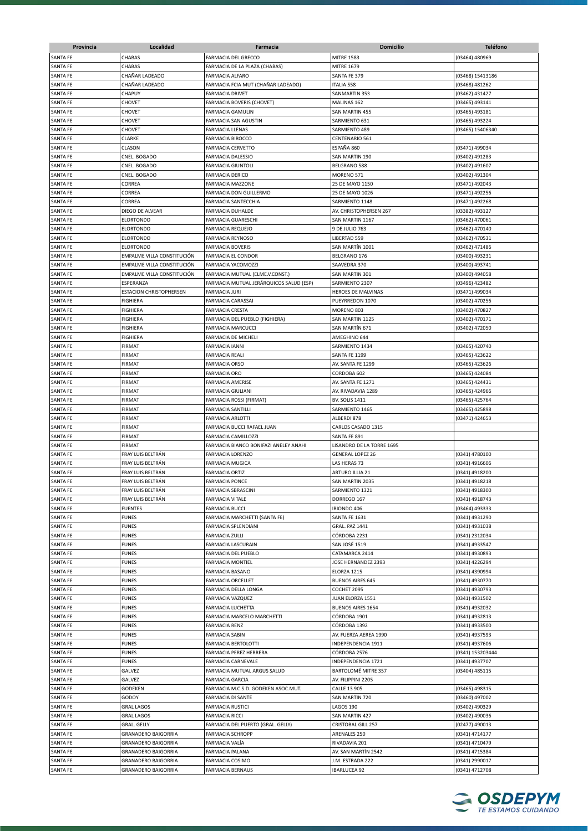| Provincia       | Localidad                      | Farmacia                                | <b>Domicilio</b>           | <b>Teléfono</b>  |
|-----------------|--------------------------------|-----------------------------------------|----------------------------|------------------|
| <b>SANTA FE</b> | <b>CHABAS</b>                  | <b>FARMACIA DEL GRECCO</b>              | <b>MITRE 1583</b>          | (03464) 480969   |
| <b>SANTA FE</b> | CHABAS                         | FARMACIA DE LA PLAZA (CHABAS)           | <b>MITRE 1679</b>          |                  |
| SANTA FE        | CHAÑAR LADEADO                 | <b>FARMACIA ALFARO</b>                  | SANTA FE 379               | (03468) 15413186 |
| <b>SANTA FE</b> | CHAÑAR LADEADO                 | FARMACIA FCIA MUT (CHAÑAR LADEADO)      | <b>ITALIA 558</b>          | (03468) 481262   |
| SANTA FE        | CHAPUY                         | <b>FARMACIA DRIVET</b>                  | SANMARTIN 353              | (03462) 431427   |
| SANTA FE        | CHOVET                         | FARMACIA BOVERIS (CHOVET)               | MALINAS 162                | (03465) 493141   |
| SANTA FE        | CHOVET                         | <b>FARMACIA GAMULIN</b>                 | SAN MARTIN 455             | (03465) 493181   |
| SANTA FE        | CHOVET                         | FARMACIA SAN AGUSTIN                    | SARMIENTO 631              | (03465) 493224   |
| <b>SANTA FE</b> | CHOVET                         | <b>FARMACIA LLENAS</b>                  | SARMIENTO 489              | (03465) 15406340 |
| <b>SANTA FE</b> | CLARKE                         | <b>FARMACIA BIROCCO</b>                 | CENTENARIO 561             |                  |
| <b>SANTA FE</b> | CLASON                         | <b>FARMACIA CERVETTO</b>                | ESPAÑA 860                 | (03471) 499034   |
| <b>SANTA FE</b> | CNEL. BOGADO                   | <b>FARMACIA DALESSIO</b>                | SAN MARTIN 190             | (03402) 491283   |
| <b>SANTA FE</b> | CNEL. BOGADO                   | <b>FARMACIA GIUNTOLI</b>                | BELGRANO 588               | (03402) 491607   |
| SANTA FE        | CNEL. BOGADO                   | <b>FARMACIA DERICO</b>                  | MORENO 571                 | (03402) 491304   |
| SANTA FE        | CORREA                         | <b>FARMACIA MAZZONE</b>                 | 25 DE MAYO 1150            | (03471) 492043   |
| SANTA FE        | CORREA                         | FARMACIA DON GUILLERMO                  | 25 DE MAYO 1026            | (03471) 492256   |
| SANTA FE        | CORREA                         | FARMACIA SANTECCHIA                     | SARMIENTO 1148             | (03471) 492268   |
| SANTA FE        | DIEGO DE ALVEAR                | FARMACIA DUHALDE                        | AV. CHRISTOPHERSEN 267     | (03382) 493127   |
| SANTA FE        | ELORTONDO                      | <b>FARMACIA GUARESCHI</b>               | SAN MARTIN 1167            | (03462) 470061   |
| SANTA FE        | <b>ELORTONDO</b>               | <b>FARMACIA REQUEJO</b>                 | 9 DE JULIO 763             | (03462) 470140   |
| SANTA FE        | ELORTONDO                      | <b>FARMACIA REYNOSO</b>                 | LIBERTAD 559               | (03462) 470531   |
| <b>SANTA FE</b> | <b>ELORTONDO</b>               | <b>FARMACIA BOVERIS</b>                 | SAN MARTÍN 1001            | (03462) 471486   |
| SANTA FE        | EMPALME VILLA CONSTITUCIÓN     | <b>FARMACIA EL CONDOR</b>               | BELGRANO 176               | (03400) 493231   |
| <b>SANTA FE</b> | EMPALME VILLA CONSTITUCIÓN     | FARMACIA YACOMOZZI                      | SAAVEDRA 370               | (03400) 493741   |
| SANTA FE        | EMPALME VILLA CONSTITUCIÓN     | FARMACIA MUTUAL (ELME.V.CONST.)         | <b>SAN MARTIN 301</b>      | (03400) 494058   |
| SANTA FE        | ESPERANZA                      | FARMACIA MUTUAL JERÁRQUICOS SALUD (ESP) | SARMIENTO 2307             | (03496) 423482   |
| SANTA FE        | <b>ESTACION CHRISTOPHERSEN</b> | <b>FARMACIA JURI</b>                    | HEROES DE MALVINAS         | (03471) 499034   |
| SANTA FE        | <b>FIGHIERA</b>                | <b>FARMACIA CARASSAI</b>                | PUEYRREDON 1070            | (03402) 470256   |
| SANTA FE        | <b>FIGHIERA</b>                | <b>FARMACIA CRESTA</b>                  | MORENO 803                 | (03402) 470827   |
| <b>SANTA FE</b> | FIGHIERA                       | FARMACIA DEL PUEBLO (FIGHIERA)          | SAN MARTIN 1125            | (03402) 470171   |
| <b>SANTA FE</b> | FIGHIERA                       | FARMACIA MARCUCCI                       | SAN MARTÍN 671             | (03402) 472050   |
| <b>SANTA FE</b> | FIGHIERA                       | FARMACIA DE MICHELI                     | AMEGHINO 644               |                  |
| <b>SANTA FE</b> | FIRMAT                         | <b>FARMACIA IANNI</b>                   | SARMIENTO 1434             | (03465) 420740   |
| <b>SANTA FE</b> | FIRMAT                         | <b>FARMACIA REALI</b>                   | SANTA FE 1199              | (03465) 423622   |
| <b>SANTA FE</b> | FIRMAT                         | <b>FARMACIA ORSO</b>                    | AV. SANTA FE 1299          | (03465) 423626   |
| <b>SANTA FE</b> | FIRMAT                         | <b>FARMACIA ORO</b>                     | CORDOBA 602                | (03465) 424084   |
| SANTA FE        | <b>FIRMAT</b>                  | <b>FARMACIA AMERISE</b>                 | AV. SANTA FE 1271          | (03465) 424431   |
| SANTA FE        | <b>FIRMAT</b>                  | <b>FARMACIA GIULIANI</b>                | AV. RIVADAVIA 1289         | (03465) 424966   |
| <b>SANTA FE</b> | <b>FIRMAT</b>                  | FARMACIA ROSSI (FIRMAT)                 | <b>BV. SOLIS 1411</b>      | (03465) 425764   |
| <b>SANTA FE</b> | <b>FIRMAT</b>                  | <b>FARMACIA SANTILLI</b>                | SARMIENTO 1465             | (03465) 425898   |
| SANTA FE        | <b>FIRMAT</b>                  | <b>FARMACIA ARLOTTI</b>                 | ALBERDI 878                | (03471) 424653   |
| <b>SANTA FE</b> | <b>FIRMAT</b>                  | FARMACIA BUCCI RAFAEL JUAN              | CARLOS CASADO 1315         |                  |
| SANTA FE        | <b>FIRMAT</b>                  | FARMACIA CAMILLOZZI                     | SANTA FE 891               |                  |
| <b>SANTA FE</b> | <b>FIRMAT</b>                  | FARMACIA BIANCO BONIFAZI ANELEY ANAHI   | LISANDRO DE LA TORRE 1695  |                  |
| <b>SANTA FE</b> | FRAY LUIS BELTRÁN              | <b>FARMACIA LORENZO</b>                 | <b>GENERAL LOPEZ 26</b>    | (0341) 4780100   |
| SANTA FE        | FRAY LUIS BELTRÁN              | <b>FARMACIA MUGICA</b>                  | LAS HERAS 73               | (0341) 4916606   |
| <b>SANTA FE</b> | FRAY LUIS BELTRÁN              | <b>FARMACIA ORTIZ</b>                   | ARTURO ILLIA 21            | (0341) 4918200   |
| SANTA FE        | FRAY LUIS BELTRÁN              | <b>FARMACIA PONCE</b>                   | SAN MARTIN 2035            | (0341) 4918218   |
| <b>SANTA FE</b> | FRAY LUIS BELTRÁN              | FARMACIA SBRASCINI                      | SARMIENTO 1321             | (0341) 4918300   |
| <b>SANTA FE</b> | FRAY LUIS BELTRÁN              | <b>FARMACIA VITALE</b>                  | DORREGO 167                | (0341) 4918743   |
| SANTA FE        | <b>FUENTES</b>                 | <b>FARMACIA BUCCI</b>                   | IRIONDO 406                | (03464) 493333   |
| <b>SANTA FE</b> | <b>FUNES</b>                   | FARMACIA MARCHETTI (SANTA FE)           | SANTA FE 1631              | (0341) 4931290   |
| <b>SANTA FE</b> | <b>FUNES</b>                   | FARMACIA SPLENDIANI                     | GRAL. PAZ 1441             | (0341) 4931038   |
| <b>SANTA FE</b> | <b>FUNES</b>                   | <b>FARMACIA ZULLI</b>                   | CÓRDOBA 2231               | (0341) 2312034   |
| SANTA FE        | <b>FUNES</b>                   | FARMACIA LASCURAIN                      | SAN JOSÉ 1519              | (0341) 4933547   |
| SANTA FE        | <b>FUNES</b>                   | FARMACIA DEL PUEBLO                     | CATAMARCA 2414             | (0341) 4930893   |
| SANTA FE        | <b>FUNES</b>                   | <b>FARMACIA MONTIEL</b>                 | <b>JOSE HERNANDEZ 2393</b> | (0341) 4226294   |
| SANTA FE        | <b>FUNES</b>                   | FARMACIA BASANO                         | <b>ELORZA 1215</b>         | (0341) 4390994   |
| SANTA FE        | <b>FUNES</b>                   | FARMACIA ORCELLET                       | <b>BUENOS AIRES 645</b>    | (0341) 4930770   |
| SANTA FE        | <b>FUNES</b>                   | FARMACIA DELLA LONGA                    | COCHET 2095                | (0341) 4930793   |
| SANTA FE        | <b>FUNES</b>                   | FARMACIA VAZQUEZ                        | JUAN ELORZA 1551           | (0341) 4931502   |
| SANTA FE        | <b>FUNES</b>                   | FARMACIA LUCHETTA                       | <b>BUENOS AIRES 1654</b>   | (0341) 4932032   |
| SANTA FE        | <b>FUNES</b>                   | FARMACIA MARCELO MARCHETTI              | CÓRDOBA 1901               | (0341) 4932813   |
| SANTA FE        | <b>FUNES</b>                   | <b>FARMACIA RENZ</b>                    | CÓRDOBA 1392               | (0341) 4933500   |
| SANTA FE        | <b>FUNES</b>                   | <b>FARMACIA SABIN</b>                   | AV. FUERZA AEREA 1990      | (0341) 4937593   |
| SANTA FE        | <b>FUNES</b>                   | FARMACIA BERTOLOTTI                     | INDEPENDENCIA 1911         | (0341) 4937606   |
| SANTA FE        | <b>FUNES</b>                   | FARMACIA PEREZ HERRERA                  | CÓRDOBA 2576               | (0341) 153203444 |
| SANTA FE        | <b>FUNES</b>                   | FARMACIA CARNEVALE                      | INDEPENDENCIA 1721         | (0341) 4937707   |
| SANTA FE        | GALVEZ                         | FARMACIA MUTUAL ARGUS SALUD             | BARTOLOMÉ MITRE 357        | (03404) 485115   |
| SANTA FE        | GALVEZ                         | <b>FARMACIA GARCIA</b>                  | AV. FILIPPINI 2205         |                  |
| SANTA FE        | GODEKEN                        | FARMACIA M.C.S.D. GODEKEN ASOC.MUT.     | <b>CALLE 13 905</b>        | (03465) 498315   |
| SANTA FE        | GODOY                          | FARMACIA DI SANTE                       | SAN MARTIN 720             | (03460) 497002   |
| SANTA FE        | <b>GRAL LAGOS</b>              | <b>FARMACIA RUSTICI</b>                 | LAGOS 190                  | (03402) 490329   |
| SANTA FE        | <b>GRAL LAGOS</b>              | <b>FARMACIA RICCI</b>                   | SAN MARTIN 427             | (03402) 490036   |
| SANTA FE        | <b>GRAL. GELLY</b>             | FARMACIA DEL PUERTO (GRAL. GELLY)       | CRISTOBAL GILL 257         | (02477) 490013   |
| SANTA FE        | <b>GRANADERO BAIGORRIA</b>     | <b>FARMACIA SCHROPP</b>                 | ARENALES 250               | (0341) 4714177   |
| SANTA FE        | <b>GRANADERO BAIGORRIA</b>     | FARMACIA VALÍA                          | RIVADAVIA 201              | (0341) 4710479   |
| SANTA FE        | <b>GRANADERO BAIGORRIA</b>     | FARMACIA PALANA                         | AV. SAN MARTÍN 2542        | (0341) 4715384   |
| SANTA FE        | <b>GRANADERO BAIGORRIA</b>     | FARMACIA COSIMO                         | J.M. ESTRADA 222           | (0341) 2990017   |
| SANTA FE        | <b>GRANADERO BAIGORRIA</b>     | <b>FARMACIA BERNAUS</b>                 | <b>IBARLUCEA 92</b>        | (0341) 4712708   |

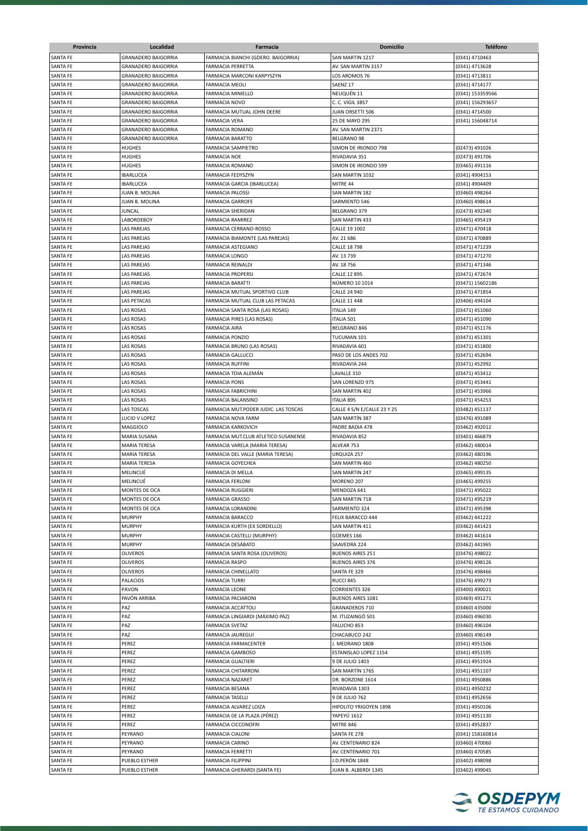| Provincia       | Localidad                  | Farmacia                             | Domicilio                   | <b>Teléfono</b>  |
|-----------------|----------------------------|--------------------------------------|-----------------------------|------------------|
| SANTA FE        | <b>GRANADERO BAIGORRIA</b> | FARMACIA BIANCHI (GDERO. BAIGORRIA)  | SAN MARTIN 1217             | (0341) 4710463   |
| SANTA FE        | GRANADERO BAIGORRIA        | <b>FARMACIA PERRETTA</b>             | AV. SAN MARTIN 3157         | (0341) 4713628   |
| <b>SANTA FE</b> | <b>GRANADERO BAIGORRIA</b> | FARMACIA MARCONI KARPYSZYN           | LOS AROMOS 76               | (0341) 4713811   |
| <b>SANTA FE</b> | <b>GRANADERO BAIGORRIA</b> | <b>FARMACIA MEOLI</b>                | SAENZ 17                    | (0341) 4714177   |
| SANTA FE        | <b>GRANADERO BAIGORRIA</b> | FARMACIA MINIELLO                    | NEUQUÉN 11                  | (0341) 153359566 |
| <b>SANTA FE</b> | <b>GRANADERO BAIGORRIA</b> | <b>FARMACIA NOVO</b>                 | C. C. VIGIL 3857            | (0341) 156293657 |
| <b>SANTA FE</b> | <b>GRANADERO BAIGORRIA</b> | FARMACIA MUTUAL JOHN DEERE           | JUAN ORSETTI 506            | (0341) 4714500   |
| <b>SANTA FE</b> | <b>GRANADERO BAIGORRIA</b> | <b>FARMACIA VERA</b>                 | 25 DE MAYO 295              | (0341) 156048714 |
| <b>SANTA FE</b> | <b>GRANADERO BAIGORRIA</b> | <b>FARMACIA ROMANO</b>               | AV. SAN MARTIN 2371         |                  |
| <b>SANTA FE</b> | <b>GRANADERO BAIGORRIA</b> | <b>FARMACIA BARATTO</b>              | BELGRANO 98                 |                  |
| SANTA FE        | HUGHES                     | FARMACIA SAMPIETRO                   | SIMON DE IRIONDO 798        | (02473) 491026   |
| <b>SANTA FE</b> | <b>HUGHES</b>              | <b>FARMACIA NOE</b>                  | RIVADAVIA 351               | (02473) 491706   |
| SANTA FE        | <b>HUGHES</b>              | <b>FARMACIA ROMANO</b>               | SIMON DE IRIONDO 599        | (03465) 491116   |
| <b>SANTA FE</b> | <b>IBARLUCEA</b>           | <b>FARMACIA FEDYSZYN</b>             | SAN MARTIN 1032             | (0341) 4904153   |
| <b>SANTA FE</b> | <b>IBARLUCEA</b>           | FARMACIA GARCIA (IBARLUCEA)          | MITRE 44                    | (0341) 4904409   |
| <b>SANTA FE</b> | JUAN B. MOLINA             | <b>FARMACIA PALOSSI</b>              | SAN MARTIN 182              | (03460) 498264   |
| <b>SANTA FE</b> | JUAN B. MOLINA             | <b>FARMACIA GARROFE</b>              | SARMIENTO 546               | (03460) 498614   |
| SANTA FE        | JUNCAL                     | <b>FARMACIA SHERIDAN</b>             | BELGRANO 379                | (02473) 492340   |
| SANTA FE        | LABORDEBOY                 | FARMACIA RAMIREZ                     | SAN MARTIN 433              | (03465) 495419   |
| SANTA FE        | LAS PAREJAS                | FARMACIA CERRANO-ROSSO               | CALLE 19 1002               | (03471) 470418   |
| SANTA FE        | LAS PAREJAS                | FARMACIA BIAMONTE (LAS PAREJAS)      | AV. 21 686                  | (03471) 470889   |
| SANTA FE        | LAS PAREJAS                | FARMACIA ASTEGIANO                   | <b>CALLE 18 798</b>         | (03471) 471239   |
| SANTA FE        | LAS PAREJAS                | <b>FARMACIA LONGO</b>                | AV. 13 739                  | (03471) 471270   |
| <b>SANTA FE</b> | LAS PAREJAS                | <b>FARMACIA REINALDI</b>             | AV. 18 756                  | (03471) 471346   |
| SANTA FE        | LAS PAREJAS                | <b>FARMACIA PROPERSI</b>             | <b>CALLE 12 895</b>         | (03471) 472674   |
| <b>SANTA FE</b> | LAS PAREJAS                | <b>FARMACIA BARATTI</b>              | NÚMERO 10 1014              | (03471) 15602186 |
| <b>SANTA FE</b> | LAS PAREJAS                | FARMACIA MUTUAL SPORTIVO CLUB        | <b>CALLE 24 940</b>         | (03471) 471854   |
| SANTA FE        | <b>LAS PETACAS</b>         | FARMACIA MUTUAL CLUB LAS PETACAS     | <b>CALLE 11 448</b>         | (03406) 494104   |
| <b>SANTA FE</b> | <b>LAS ROSAS</b>           | FARMACIA SANTA ROSA (LAS ROSAS)      | <b>ITALIA 149</b>           | (03471) 451060   |
| SANTA FE        | LAS ROSAS                  | FARMACIA PIRES (LAS ROSAS)           | ITALIA 501                  | (03471) 451090   |
| SANTA FE        | LAS ROSAS                  | <b>FARMACIA AIRA</b>                 | BELGRANO 846                | (03471) 451176   |
| <b>SANTA FE</b> | LAS ROSAS                  | <b>FARMACIA PONZIO</b>               | TUCUMAN 101                 | (03471) 451301   |
| <b>SANTA FE</b> | LAS ROSAS                  | FARMACIA BRUNO (LAS ROSAS)           | RIVADAVIA 601               | (03471) 451800   |
| SANTA FE        | LAS ROSAS                  | <b>FARMACIA GALLUCCI</b>             | PASO DE LOS ANDES 702       | (03471) 452694   |
| SANTA FE        | LAS ROSAS                  | <b>FARMACIA RUFFINI</b>              | RIVADAVIA 244               | (03471) 452992   |
| <b>SANTA FE</b> | LAS ROSAS                  | FARMACIA TOIA ALEMÁN                 | LAVALLE 310                 | (03471) 453412   |
| <b>SANTA FE</b> | LAS ROSAS                  | <b>FARMACIA PONS</b>                 | SAN LORENZO 975             | (03471) 453441   |
| <b>SANTA FE</b> | LAS ROSAS                  | <b>FARMACIA FABRICHINI</b>           | SAN MARTIN 402              | (03471) 453966   |
| SANTA FE        | LAS ROSAS                  | FARMACIA BALANSINO                   | <b>ITALIA 895</b>           | (03471) 454253   |
| SANTA FE        | LAS TOSCAS                 | FARMACIA MUT.PODER JUDIC. LAS TOSCAS | CALLE 4 S/N E/CALLE 23 Y 25 | (03482) 451137   |
| SANTA FE        | LUCIO V LOPEZ              | FARMACIA NOVA FARM                   | SAN MARTÍN 387              | (03476) 491089   |
| SANTA FE        | MAGGIOLO                   | <b>FARMACIA KARKOVICH</b>            | PADRE BADIA 478             | (03462) 492012   |
| SANTA FE        | MARIA SUSANA               | FARMACIA MUT.CLUB ATLETICO SUSANENSE | RIVADAVIA 852               | (03401) 466879   |
| SANTA FE        | MARIA TERESA               | FARMACIA VARELA (MARIA TERESA)       | ALVEAR 753                  | (03462) 480014   |
| <b>SANTA FE</b> | MARIA TERESA               | FARMACIA DEL VALLE (MARIA TERESA)    | URQUIZA 257                 | (03462) 480196   |
| <b>SANTA FE</b> | <b>MARIA TERESA</b>        | <b>FARMACIA GOYECHEA</b>             | SAN MARTIN 460              | (03462) 480250   |
| <b>SANTA FE</b> | MELINCUÉ                   | FARMACIA DI MELLA                    | SAN MARTIN 247              | (03465) 499135   |
| <b>SANTA FE</b> | MELINCUÉ                   | <b>FARMACIA FERLONI</b>              | MORENO 207                  | (03465) 499255   |
| <b>SANTA FE</b> | MONTES DE OCA              | <b>FARMACIA RUGGIERI</b>             | MENDOZA 641                 | (03471) 495022   |
| SANTA FE        | MONTES DE OCA              | <b>FARMACIA GRASSO</b>               | SAN MARTIN 718              | (03471) 495219   |
| <b>SANTA FE</b> | MONTES DE OCA              | FARMACIA LORANDINI                   | SARMIENTO 324               | (03471) 495398   |
| <b>SANTA FE</b> | <b>MURPHY</b>              | <b>FARMACIA BARACCO</b>              | FELIX BARACCO 444           | (03462) 441222   |
| SANTA FE        | <b>MURPHY</b>              | FARMACIA KURTH (EX SORDELLO)         | <b>SAN MARTIN 411</b>       | (03462) 441423   |
| SANTA FE        | <b>MURPHY</b>              | FARMACIA CASTELLI (MURPHY)           | GÜEMES 166                  | (03462) 441614   |
| SANTA FE        | <b>MURPHY</b>              | FARMACIA DESÁBATO                    | SAAVEDRA 224                | (03462) 441965   |
| SANTA FE        | <b>OLIVEROS</b>            | FARMACIA SANTA ROSA (OLIVEROS)       | <b>BUENOS AIRES 251</b>     | (03476) 498022   |
| SANTA FE        | <b>OLIVEROS</b>            | <b>FARMACIA RASPO</b>                | <b>BUENOS AIRES 376</b>     | (03476) 498126   |
| SANTA FE        | <b>OLIVEROS</b>            | FARMACIA CHINELLATO                  | SANTA FE 329                | (03476) 498466   |
| SANTA FE        | PALACIOS                   | <b>FARMACIA TURRI</b>                | RUCCI 845                   | (03476) 499273   |
| SANTA FE        | PAVON                      | <b>FARMACIA LEONE</b>                | <b>CORRIENTES 326</b>       | (03400) 490021   |
| SANTA FE        | PAVÓN ARRIBA               | FARMACIA PACIARONI                   | <b>BUENOS AIRES 1081</b>    | (03469) 491271   |
| SANTA FE        | PAZ                        | FARMACIA ACCATTOLI                   | <b>GRANADEROS 710</b>       | (03460) 435000   |
| SANTA FE        | PAZ                        | FARMACIA LINGIARDI (MÁXIMO PAZ)      | M. ITUZAINGÓ 501            | (03460) 496030   |
| SANTA FE        | PAZ                        | <b>FARMACIA SVETAZ</b>               | FALUCHO 853                 | (03460) 496104   |
| SANTA FE        | PAZ                        | FARMACIA JAUREGUI                    | CHACABUCO 242               | (03460) 496149   |
| SANTA FE        | PEREZ                      | FARMACIA FARMACENTER                 | J. MEDRANO 1808             | (0341) 4951506   |
| SANTA FE        | PEREZ                      | <b>FARMACIA GAMBOSO</b>              | ESTANISLAO LOPEZ 1154       | (0341) 4951595   |
| SANTA FE        | PEREZ                      | FARMACIA GUALTIERI                   | 9 DE JULIO 1403             | (0341) 4951924   |
| SANTA FE        | PEREZ                      | FARMACIA CHITARRONI                  | SAN MARTÍN 1765             | (0341) 4951107   |
| SANTA FE        | PEREZ                      | FARMACIA NAZARET                     | DR. BORZONE 1614            | (0341) 4950886   |
| <b>SANTA FE</b> | PEREZ                      | FARMACIA BESANA                      | RIVADAVIA 1303              | (0341) 4950232   |
| <b>SANTA FE</b> | PEREZ                      | <b>FARMACIA TASELLI</b>              | 9 DE JULIO 762              | (0341) 4952656   |
| SANTA FE        | PEREZ                      | FARMACIA ALVAREZ LOIZA               | HIPOLITO YRIGOYEN 1898      | (0341) 4950106   |
| SANTA FE        | PEREZ                      | FARMACIA DE LA PLAZA (PÉREZ)         | YAPEYÚ 1612                 | (0341) 4951130   |
| SANTA FE        | PEREZ                      | FARMACIA CICCONOFRI                  | MITRE 846                   | (0341) 4952837   |
| SANTA FE        | PEYRANO                    | <b>FARMACIA CIALONI</b>              | SANTA FE 278                | (0341) 158160814 |
| SANTA FE        | PEYRANO                    | <b>FARMACIA CARINO</b>               | AV. CENTENARIO 824          | (03460) 470060   |
| SANTA FE        | PEYRANO                    | <b>FARMACIA FERRETTI</b>             | AV. CENTENARIO 701          | (03460) 470585   |
| SANTA FE        | PUEBLO ESTHER              | FARMACIA FILIPPINI                   | J.D.PERÓN 1848              | (03402) 498098   |
| SANTA FE        | PUEBLO ESTHER              | FARMACIA GHERARDI (SANTA FE)         | JUAN B. ALBERDI 1345        | (03402) 499045   |

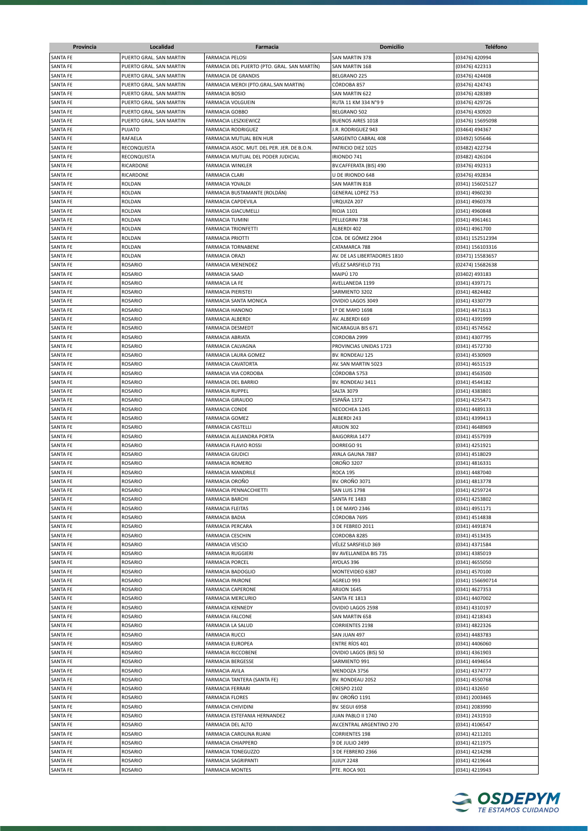| Provincia                          | Localidad                        | Farmacia                                          | Domicilio                            | <b>Teléfono</b>                  |
|------------------------------------|----------------------------------|---------------------------------------------------|--------------------------------------|----------------------------------|
| SANTA FE                           | PUERTO GRAL. SAN MARTIN          | <b>FARMACIA PELOSI</b>                            | SAN MARTIN 378                       | (03476) 420994                   |
| SANTA FE                           | PUERTO GRAL. SAN MARTIN          | FARMACIA DEL PUERTO (PTO. GRAL. SAN MARTÍN)       | SAN MARTIN 168                       | (03476) 422313                   |
| SANTA FE                           | PUERTO GRAL. SAN MARTIN          | FARMACIA DE GRANDIS                               | BELGRANO 225                         | (03476) 424408                   |
| SANTA FE                           | PUERTO GRAL. SAN MARTIN          | FARMACIA MEROI (PTO.GRAL.SAN MARTIN)              | CÓRDOBA 857                          | (03476) 424743                   |
| SANTA FE                           | PUERTO GRAL. SAN MARTIN          | <b>FARMACIA BOSIO</b>                             | SAN MARTIN 622                       | (03476) 428389                   |
| SANTA FE                           | PUERTO GRAL. SAN MARTIN          | <b>FARMACIA VOLGUEIN</b>                          | RUTA 11 KM 334 N°9 9                 | (03476) 429726                   |
| <b>SANTA FE</b>                    | PUERTO GRAL. SAN MARTIN          | <b>FARMACIA GOBBO</b>                             | BELGRANO 502                         | (03476) 430920                   |
| <b>SANTA FE</b>                    | PUERTO GRAL. SAN MARTIN          | FARMACIA LESZKIEWICZ                              | <b>BUENOS AIRES 1018</b>             | (03476) 15695098                 |
| SANTA FE                           | PUJATO                           | <b>FARMACIA RODRIGUEZ</b>                         | J.R. RODRIGUEZ 943                   | (03464) 494367                   |
| SANTA FE                           | RAFAELA                          | FARMACIA MUTUAL BEN HUR                           | SARGENTO CABRAL 408                  | (03492) 505646                   |
| SANTA FE                           | RECONQUISTA                      | FARMACIA ASOC. MUT. DEL PER. JER. DE B.O.N.       | PATRICIO DIEZ 1025                   | (03482) 422734                   |
| SANTA FE                           | RECONQUISTA                      | FARMACIA MUTUAL DEL PODER JUDICIAL                | IRIONDO 741                          | (03482) 426104                   |
| SANTA FE                           | RICARDONE                        | <b>FARMACIA WINKLER</b>                           | BV.CAFFERATA (BIS) 490               | (03476) 492313                   |
| SANTA FE                           | RICARDONE                        | <b>FARMACIA CLARI</b>                             | U DE IRIONDO 648                     | (03476) 492834                   |
| <b>SANTA FE</b>                    | ROLDAN                           | FARMACIA YOVALDI                                  | SAN MARTIN 818                       | (0341) 156025127                 |
| <b>SANTA FE</b>                    | <b>ROLDAN</b>                    | FARMACIA BUSTAMANTE (ROLDÁN)                      | <b>GENERAL LOPEZ 753</b>             | (0341) 4960230                   |
| <b>SANTA FE</b>                    | <b>ROLDAN</b>                    | <b>FARMACIA CAPDEVILA</b>                         | URQUIZA 207                          | (0341) 4960378                   |
| <b>SANTA FE</b>                    | <b>ROLDAN</b>                    | <b>FARMACIA GIACUMELLI</b>                        | <b>RIOJA 1101</b>                    | (0341) 4960848                   |
| <b>SANTA FE</b>                    | ROLDAN                           | <b>FARMACIA TUMINI</b>                            | PELLEGRINI 738                       | (0341) 4961461                   |
| SANTA FE                           | ROLDAN                           | <b>FARMACIA TRIONFETTI</b>                        | ALBERDI 402                          | (0341) 4961700                   |
| SANTA FE                           | ROLDAN                           | <b>FARMACIA PRIOTTI</b>                           | CDA. DE GÓMEZ 2904                   | (0341) 152512394                 |
| <b>SANTA FE</b>                    | ROLDAN                           | <b>FARMACIA TORNABENE</b>                         | CATAMARCA 788                        | (0341) 156103316                 |
| SANTA FE                           | ROLDAN                           | <b>FARMACIA ORAZI</b>                             | AV. DE LAS LIBERTADORES 1810         | (03471) 15583657                 |
| <b>SANTA FE</b>                    | <b>ROSARIO</b>                   | FARMACIA MENENDEZ                                 | VÉLEZ SARSFIELD 731                  | (02474) 15682638                 |
| SANTA FE                           | <b>ROSARIO</b>                   | <b>FARMACIA SAAD</b>                              | MAIPU 170                            | (03402) 493183                   |
| SANTA FE                           | <b>ROSARIO</b>                   | <b>FARMACIA LA FE</b>                             | AVELLANEDA 1199                      | (0341) 4397171                   |
| <b>SANTA FE</b>                    | <b>ROSARIO</b>                   | <b>FARMACIA PIERISTEI</b>                         | SARMIENTO 3202                       | (0341) 4824482                   |
| <b>SANTA FE</b>                    | <b>ROSARIO</b>                   | FARMACIA SANTA MONICA                             | OVIDIO LAGOS 3049                    | (0341) 4330779                   |
| SANTA FE<br>SANTA FE               | <b>ROSARIO</b><br><b>ROSARIO</b> | <b>FARMACIA HANONO</b><br><b>FARMACIA ALBERDI</b> | 1º DE MAYO 1698<br>AV. ALBERDI 669   | (0341) 4471613                   |
| SANTA FE                           | <b>ROSARIO</b>                   | <b>FARMACIA DESMEDT</b>                           | NICARAGUA BIS 671                    | (0341) 4391999                   |
| SANTA FE                           | <b>ROSARIO</b>                   | <b>FARMACIA ABRIATA</b>                           | CORDOBA 2999                         | (0341) 4574562<br>(0341) 4307795 |
| SANTA FE                           | <b>ROSARIO</b>                   | <b>FARMACIA CALVAGNA</b>                          | PROVINCIAS UNIDAS 1723               | (0341) 4572730                   |
| SANTA FE                           | <b>ROSARIO</b>                   | FARMACIA LAURA GOMEZ                              | BV. RONDEAU 125                      | (0341) 4530909                   |
| SANTA FE                           | <b>ROSARIO</b>                   | FARMACIA CAVATORTA                                | AV. SAN MARTIN 5023                  | (0341) 4651519                   |
| <b>SANTA FE</b>                    | <b>ROSARIO</b>                   | FARMACIA VIA CORDOBA                              | CÓRDOBA 5753                         | (0341) 4563500                   |
| SANTA FE                           | <b>ROSARIO</b>                   | <b>FARMACIA DEL BARRIO</b>                        | BV. RONDEAU 3411                     | (0341) 4544182                   |
| <b>SANTA FE</b>                    | ROSARIO                          | <b>FARMACIA RUPPEL</b>                            | <b>SALTA 3079</b>                    | (0341) 4383801                   |
| <b>SANTA FE</b>                    | <b>ROSARIO</b>                   | <b>FARMACIA GIRAUDO</b>                           | ESPAÑA 1372                          | (0341) 4255471                   |
| <b>SANTA FE</b>                    | <b>ROSARIO</b>                   | <b>FARMACIA CONDE</b>                             | NECOCHEA 1245                        | (0341) 4489133                   |
| SANTA FE                           | <b>ROSARIO</b>                   | <b>FARMACIA GOMEZ</b>                             | ALBERDI 243                          | (0341) 4399413                   |
| SANTA FE                           | <b>ROSARIO</b>                   | <b>FARMACIA CASTELLI</b>                          | ARIJON 302                           | (0341) 4648969                   |
| SANTA FE                           | <b>ROSARIO</b>                   | FARMACIA ALEJANDRA PORTA                          | <b>BAIGORRIA 1477</b>                | (0341) 4557939                   |
| SANTA FE                           | <b>ROSARIO</b>                   | FARMACIA FLAVIO ROSSI                             | DORREGO 91                           | (0341) 4251921                   |
| <b>SANTA FE</b>                    | <b>ROSARIO</b>                   | <b>FARMACIA GIUDICI</b>                           | AYALA GAUNA 7887                     | (0341) 4518029                   |
| SANTA FE                           | ROSARIO                          | <b>FARMACIA ROMERO</b>                            | <b>OROÑO 3207</b>                    | (0341) 4816331                   |
| <b>SANTA FE</b>                    | <b>ROSARIO</b>                   | <b>FARMACIA MANDRILE</b>                          | <b>ROCA 195</b>                      | (0341) 4487040                   |
| SANTA FE                           | <b>ROSARIO</b>                   | <b>FARMACIA OROÑO</b>                             | <b>BV. OROÑO 3071</b>                | (0341) 4813778                   |
| <b>SANTA FE</b><br><b>SANTA FE</b> | <b>ROSARIO</b><br>ROSARIO        | FARMACIA PENNACCHIETTI<br><b>FARMACIA BARCHI</b>  | SAN LUIS 1798<br>SANTA FE 1483       | (0341) 4259724<br>(0341) 4253802 |
| SANTA FE                           | ROSARIO                          | <b>FARMACIA FLEITAS</b>                           | 1 DE MAYO 2346                       | (0341) 4951171                   |
| <b>SANTA FE</b>                    | ROSARIO                          | <b>FARMACIA BADIA</b>                             | CÓRDOBA 7695                         | (0341) 4514838                   |
| <b>SANTA FE</b>                    | ROSARIO                          | <b>FARMACIA PERCARA</b>                           | 3 DE FEBREO 2011                     | (0341) 4491874                   |
| SANTA FE                           | ROSARIO                          | <b>FARMACIA CESCHIN</b>                           | CORDOBA 8285                         | (0341) 4513435                   |
| SANTA FE                           | ROSARIO                          | <b>FARMACIA VESCIO</b>                            | VÉLEZ SARSFIELD 369                  | (0341) 4371584                   |
| <b>SANTA FE</b>                    | <b>ROSARIO</b>                   | <b>FARMACIA RUGGIERI</b>                          | BV AVELLANEDA BIS 735                | (0341) 4385019                   |
| SANTA FE                           | <b>ROSARIO</b>                   | <b>FARMACIA PORCEL</b>                            | AYOLAS 396                           | (0341) 4655050                   |
| SANTA FE                           | <b>ROSARIO</b>                   | FARMACIA BADOGLIO                                 | MONTEVIDEO 6387                      | (0341) 4570100                   |
| SANTA FE                           | <b>ROSARIO</b>                   | <b>FARMACIA PAIRONE</b>                           | AGRELO 993                           | (0341) 156690714                 |
| SANTA FE                           | <b>ROSARIO</b>                   | <b>FARMACIA CAPERONE</b>                          | <b>ARIJON 1645</b>                   | (0341) 4627353                   |
| SANTA FE                           | <b>ROSARIO</b>                   | <b>FARMACIA MERCURIO</b>                          | SANTA FE 1813                        | (0341) 4407002                   |
| SANTA FE                           | <b>ROSARIO</b>                   | FARMACIA KENNEDY                                  | OVIDIO LAGOS 2598                    | (0341) 4310197                   |
| SANTA FE                           | <b>ROSARIO</b>                   | <b>FARMACIA FALCONE</b>                           | SAN MARTIN 658                       | (0341) 4218343                   |
| SANTA FE                           | ROSARIO                          | FARMACIA LA SALUD                                 | CORRIENTES 2198                      | (0341) 4822326                   |
| SANTA FE                           | ROSARIO                          | <b>FARMACIA RUCCI</b>                             | SAN JUAN 497                         | (0341) 4483783                   |
| SANTA FE                           | ROSARIO                          | <b>FARMACIA EUROPEA</b>                           | <b>ENTRE RÍOS 401</b>                | (0341) 4406060                   |
| SANTA FE                           | ROSARIO                          | FARMACIA RICCOBENE                                | OVIDIO LAGOS (BIS) 50                | (0341) 4361903                   |
| SANTA FE                           | ROSARIO                          | <b>FARMACIA BERGESSE</b>                          | SARMIENTO 991                        | (0341) 4494654                   |
| SANTA FE                           | <b>ROSARIO</b>                   | FARMACIA AVILA                                    | MENDOZA 3756                         | (0341) 4374777                   |
| SANTA FE                           | ROSARIO                          | FARMACIA TANTERA (SANTA FE)                       | BV. RONDEAU 2052                     | (0341) 4550768                   |
| SANTA FE                           | <b>ROSARIO</b>                   | <b>FARMACIA FERRARI</b>                           | <b>CRESPO 2102</b>                   | (0341) 432650                    |
| SANTA FE                           | <b>ROSARIO</b>                   | <b>FARMACIA FLORES</b>                            | BV. OROÑO 1191                       | (0341) 2003465                   |
| SANTA FE                           | <b>ROSARIO</b>                   | <b>FARMACIA CHIVIDINI</b>                         | BV. SEGUI 6958                       | (0341) 2083990                   |
| SANTA FE                           | ROSARIO                          | FARMACIA ESTEFANIA HERNANDEZ                      | JUAN PABLO II 1740                   | (0341) 2431910                   |
| <b>SANTA FE</b>                    | ROSARIO                          | <b>FARMACIA DEL ALTO</b>                          | AV.CENTRAL ARGENTINO 270             | (0341) 4106547                   |
| SANTA FE                           | ROSARIO                          | FARMACIA CAROLINA RUANI                           | CORRIENTES 198                       | (0341) 4211201                   |
| <b>SANTA FE</b><br>SANTA FE        | ROSARIO<br>ROSARIO               | FARMACIA CHIAPPERO<br><b>FARMACIA TONEGUZZO</b>   | 9 DE JULIO 2499<br>3 DE FEBRERO 2366 | (0341) 4211975<br>(0341) 4214298 |
| SANTA FE                           | <b>ROSARIO</b>                   | FARMACIA SAGRIPANTI                               | <b>JUJUY 2248</b>                    | (0341) 4219644                   |
| SANTA FE                           | <b>ROSARIO</b>                   | <b>FARMACIA MONTES</b>                            | PTE. ROCA 901                        | (0341) 4219943                   |
|                                    |                                  |                                                   |                                      |                                  |

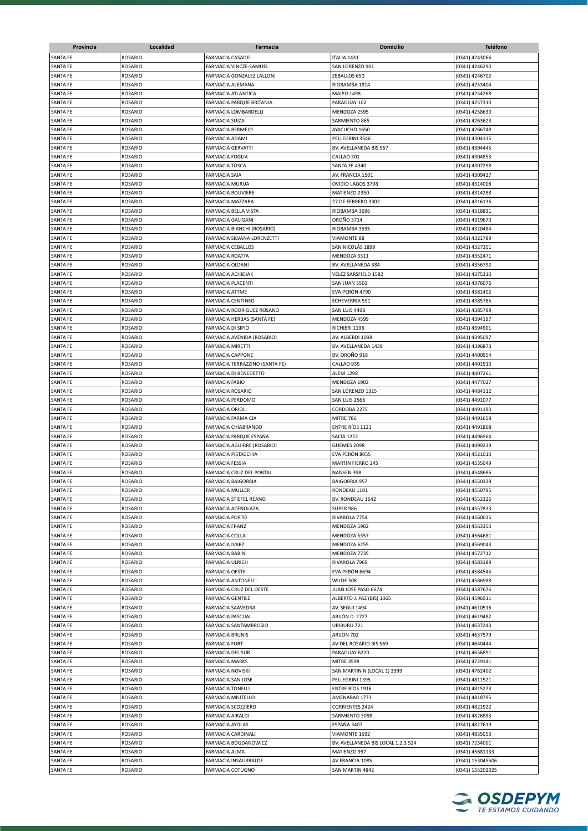| Provincia       | Localidad      | Farmacia                       | <b>Domicilio</b>                   | <b>Teléfono</b>  |
|-----------------|----------------|--------------------------------|------------------------------------|------------------|
| <b>SANTA FE</b> | <b>ROSARIO</b> | <b>FARMACIA CASADEI</b>        | ITALIA 1431                        | (0341) 4243066   |
| SANTA FE        | <b>ROSARIO</b> | FARMACIA VINCZE-SAMUEL         | SAN LORENZO 901                    | (0341) 4246290   |
| SANTA FE        | <b>ROSARIO</b> | FARMACIA GONZALEZ LALLONI      | ZEBALLOS 650                       | (0341) 4246702   |
| <b>SANTA FE</b> | <b>ROSARIO</b> | FARMACIA ALEMANA               | RIOBAMBA 1814                      | (0341) 4253404   |
| SANTA FE        | ROSARIO        | FARMACIA ATLANTICA             | <b>MAIPÚ 1498</b>                  | (0341) 4254268   |
| SANTA FE        | <b>ROSARIO</b> | FARMACIA PARQUE BRITANIA       | PARAGUAY 102                       | (0341) 4257310   |
| SANTA FE        | <b>ROSARIO</b> | FARMACIA LOMBARDELLI           | MENDOZA 2595                       | (0341) 4258630   |
|                 |                |                                |                                    |                  |
| SANTA FE        | ROSARIO        | FARMACIA SUIZA                 | SARMIENTO 865                      | (0341) 4263623   |
| SANTA FE        | ROSARIO        | FARMACIA BERMEJO               | AYACUCHO 1650                      | (0341) 4266748   |
| <b>SANTA FE</b> | <b>ROSARIO</b> | FARMACIA ADAMI                 | PELLEGRINI 3546                    | (0341) 4304135   |
| <b>SANTA FE</b> | <b>ROSARIO</b> | <b>FARMACIA GERVATTI</b>       | BV. AVELLANEDA BIS 967             | (0341) 4304445   |
| SANTA FE        | <b>ROSARIO</b> | <b>FARMACIA FOGLIA</b>         | CALLAO 301                         | (0341) 4304853   |
| <b>SANTA FE</b> | <b>ROSARIO</b> | <b>FARMACIA TOSCA</b>          | SANTA FE 4340                      | (0341) 4307298   |
| <b>SANTA FE</b> | <b>ROSARIO</b> | <b>FARMACIA SAIA</b>           | AV. FRANCIA 1501                   | (0341) 4309427   |
| SANTA FE        | <b>ROSARIO</b> | <b>FARMACIA MURUA</b>          | OVIDIO LAGOS 3798                  | (0341) 4314008   |
| SANTA FE        | <b>ROSARIO</b> | <b>FARMACIA ROUVIERE</b>       | MATIENZO 2350                      | (0341) 4314288   |
| SANTA FE        | ROSARIO        | FARMACIA MAZZARA               | 27 DE FEBRERO 3302                 | (0341) 4316136   |
| SANTA FE        | <b>ROSARIO</b> | FARMACIA BELLA VISTA           | RIOBAMBA 3696                      | (0341) 4318831   |
| SANTA FE        | ROSARIO        | FARMACIA GALIGANI              | OROÑO 3714                         | (0341) 4319670   |
| SANTA FE        | <b>ROSARIO</b> | FARMACIA BIANCHI (ROSARIO)     | RIOBAMBA 3595                      | (0341) 4320484   |
| <b>SANTA FE</b> | <b>ROSARIO</b> | FARMACIA SILVANA LORENZETTI    | <b>VIAMONTE 88</b>                 | (0341) 4321789   |
| <b>SANTA FE</b> | <b>ROSARIO</b> | <b>FARMACIA CEBALLOS</b>       | SAN NICOLÁS 1899                   | (0341) 4327351   |
| SANTA FE        | <b>ROSARIO</b> | <b>FARMACIA ROATTA</b>         | MENDOZA 3311                       | (0341) 4352471   |
| SANTA FE        | <b>ROSARIO</b> | FARMACIA OLDANI                | BV. AVELLANEDA 384                 | (0341) 4356792   |
| SANTA FE        | <b>ROSARIO</b> | FARMACIA ACHIDIAK              | VÉLEZ SARSFIELD 1582               | (0341) 4375310   |
| SANTA FE        | <b>ROSARIO</b> | FARMACIA PLACENTI              | SAN JUAN 3501                      | (0341) 4376076   |
| <b>SANTA FE</b> | <b>ROSARIO</b> | <b>FARMACIA ATTME</b>          | EVA PERÓN 4790                     | (0341) 4381402   |
| SANTA FE        | <b>ROSARIO</b> | <b>FARMACIA CENTINEO</b>       | <b>ECHEVERRIA 591</b>              | (0341) 4385785   |
| SANTA FE        | <b>ROSARIO</b> | FARMACIA RODRIGUEZ ROSANO      | SAN LUIS 4498                      | (0341) 4385799   |
| <b>SANTA FE</b> | <b>ROSARIO</b> | FARMACIA HERBAS (SANTA FE)     | MENDOZA 4599                       | (0341) 4394197   |
| SANTA FE        | <b>ROSARIO</b> |                                |                                    |                  |
|                 |                | FARMACIA DI SIPIO              | RICHIERI 1198                      | (0341) 4394901   |
| SANTA FE        | ROSARIO        | FARMACIA AVENIDA (ROSARIO)     | AV. ALBERDI 1098                   | (0341) 4395097   |
| <b>SANTA FE</b> | <b>ROSARIO</b> | <b>FARMACIA MIRETTI</b>        | BV. AVELLANEDA 1439                | (0341) 4396873   |
| <b>SANTA FE</b> | <b>ROSARIO</b> | <b>FARMACIA CAPPONE</b>        | BV. OROÑO 918                      | (0341) 4400954   |
| SANTA FE        | <b>ROSARIO</b> | FARMACIA TERRAZZINO (SANTA FE) | CALLAO 935                         | (0341) 4401510   |
| SANTA FE        | ROSARIO        | FARMACIA DI BENEDETTO          | <b>ALEM 1298</b>                   | (0341) 4407261   |
| SANTA FE        | <b>ROSARIO</b> | <b>FARMACIA FABIO</b>          | MENDOZA 1903                       | (0341) 4477027   |
| SANTA FE        | <b>ROSARIO</b> | <b>FARMACIA ROSARIO</b>        | SAN LORENZO 1315                   | (0341) 4484112   |
| SANTA FE        | <b>ROSARIO</b> | FARMACIA PERDOMO               | SAN LUIS 2566                      | (0341) 4491077   |
| SANTA FE        | <b>ROSARIO</b> | FARMACIA ORIOLI                | CÓRDOBA 2275                       | (0341) 4491190   |
| SANTA FE        | <b>ROSARIO</b> | FARMACIA FARMA CIA             | <b>MITRE 786</b>                   | (0341) 4491658   |
| SANTA FE        | <b>ROSARIO</b> | FARMACIA CHIABRANDO            | <b>ENTRE RÍOS 1121</b>             | (0341) 4491808   |
| SANTA FE        | <b>ROSARIO</b> | FARMACIA PARQUE ESPAÑA         | SALTA 1222                         | (0341) 4496964   |
| SANTA FE        | <b>ROSARIO</b> | FARMACIA AGUIRRE (ROSARIO)     | GÜEMES 2098                        | (0341) 4499239   |
| SANTA FE        | <b>ROSARIO</b> | <b>FARMACIA PISTACCHIA</b>     | EVA PERÓN 8055                     | (0341) 4521010   |
| SANTA FE        | <b>ROSARIO</b> | <b>FARMACIA FESSIA</b>         | <b>MARTIN FIERRO 245</b>           | (0341) 4535049   |
| SANTA FE        | <b>ROSARIO</b> | FARMACIA CRUZ DEL PORTAL       | NANSEN 398                         | (0341) 4548686   |
| SANTA FE        | <b>ROSARIO</b> | <b>FARMACIA BAIGORRIA</b>      | <b>BAIGORRIA 957</b>               | (0341) 4550338   |
| <b>SANTA FE</b> | <b>ROSARIO</b> | FARMACIA MULLER                | RONDEAU 1101                       | (0341) 4550795   |
| <b>SANTA FE</b> | ROSARIO        | FARMACIA STIEFEL REANO         | BV. RONDEAU 1642                   | (0341) 4552326   |
| SANTA FE        | ROSARIO        | FARMACIA ACEÑOLAZA             | SUPER 986                          | (0341) 4557833   |
| SANTA FE        | ROSARIO        | <b>FARMACIA PORTO</b>          | RIVAROLA 7754                      | (0341) 4560035   |
| SANTA FE        | <b>ROSARIO</b> | <b>FARMACIA FRANZ</b>          |                                    |                  |
|                 |                |                                | MENDOZA 5902                       | (0341) 4563350   |
| SANTA FE        | ROSARIO        | FARMACIA COLLA                 | MENDOZA 5357                       | (0341) 4564681   |
| SANTA FE        | <b>ROSARIO</b> | <b>FARMACIA IVARZ</b>          | MENDOZA 6255                       | (0341) 4569043   |
| SANTA FE        | <b>ROSARIO</b> | <b>FARMACIA BABINI</b>         | MENDOZA 7735                       | (0341) 4572712   |
| SANTA FE        | <b>ROSARIO</b> | <b>FARMACIA ULRICH</b>         | RIVAROLA 7969                      | (0341) 4583189   |
| SANTA FE        | <b>ROSARIO</b> | FARMACIA OESTE                 | EVA PERÓN 6694                     | (0341) 4584545   |
| SANTA FE        | ROSARIO        | FARMACIA ANTONELLI             | WILDE 508                          | (0341) 4586988   |
| SANTA FE        | ROSARIO        | FARMACIA CRUZ DEL OESTE        | JUAN JOSE PASO 6674                | (0341) 4587676   |
| SANTA FE        | <b>ROSARIO</b> | <b>FARMACIA GENTILE</b>        | ALBERTO J. PAZ (BIS) 1065          | (0341) 4596911   |
| SANTA FE        | ROSARIO        | FARMACIA SAAVEDRA              | AV. SEGUI 1494                     | (0341) 4610516   |
| SANTA FE        | <b>ROSARIO</b> | FARMACIA PASCUAL               | ARIJÓN D. 2727                     | (0341) 4619482   |
| SANTA FE        | ROSARIO        | FARMACIA SANTAMBROSIO          | URIBURU 721                        | (0341) 4637243   |
| SANTA FE        | <b>ROSARIO</b> | <b>FARMACIA BRUNIS</b>         | ARIJON 702                         | (0341) 4637579   |
| SANTA FE        | <b>ROSARIO</b> | <b>FARMACIA FORT</b>           | AV DEL ROSARIO BIS 569             | (0341) 4640444   |
| SANTA FE        | <b>ROSARIO</b> | FARMACIA DEL SUR               | PARAGUAY 6220                      | (0341) 4656891   |
| SANTA FE        | ROSARIO        | <b>FARMACIA MARKS</b>          | <b>MITRE 3598</b>                  | (0341) 4729141   |
| <b>SANTA FE</b> | <b>ROSARIO</b> | <b>FARMACIA NOVISKI</b>        | SAN MARTIN N (LOCAL 1) 3399        | (0341) 4762402   |
| SANTA FE        | ROSARIO        | FARMACIA SAN JOSE              | PELLEGRINI 1395                    | (0341) 4811521   |
| SANTA FE        | <b>ROSARIO</b> | <b>FARMACIA TONELLI</b>        | <b>ENTRE RÍOS 1916</b>             | (0341) 4815273   |
| SANTA FE        | ROSARIO        | FARMACIA MILITELLO             | AMENABAR 1773                      | (0341) 4818795   |
| SANTA FE        | <b>ROSARIO</b> | FARMACIA SCOZZIERO             | <b>CORRIENTES 2424</b>             | (0341) 4821922   |
|                 |                |                                |                                    |                  |
| SANTA FE        | <b>ROSARIO</b> | <b>FARMACIA AIRALDI</b>        | SARMIENTO 3098                     | (0341) 4826883   |
| SANTA FE        | <b>ROSARIO</b> | FARMACIA AYOLAS                | ESPAÑA 3407                        | (0341) 4827619   |
| SANTA FE        | ROSARIO        | FARMACIA CARDINALI             | VIAMONTE 1592                      | (0341) 4855053   |
| SANTA FE        | <b>ROSARIO</b> | FARMACIA BOGDANOWICZ           | BV. AVELLANEDA BIS LOCAL 1,2,3 524 | (0341) 7234001   |
| SANTA FE        | <b>ROSARIO</b> | FARMACIA ALMA                  | MATIENZO 997                       | (0341) 45681133  |
| SANTA FE        | ROSARIO        | FARMACIA INSAURRALDE           | AV FRANCIA 1085                    | (0341) 153045506 |
| SANTA FE        | <b>ROSARIO</b> | FARMACIA COTUGNO               | SAN MARTIN 4842                    | (0341) 155202025 |

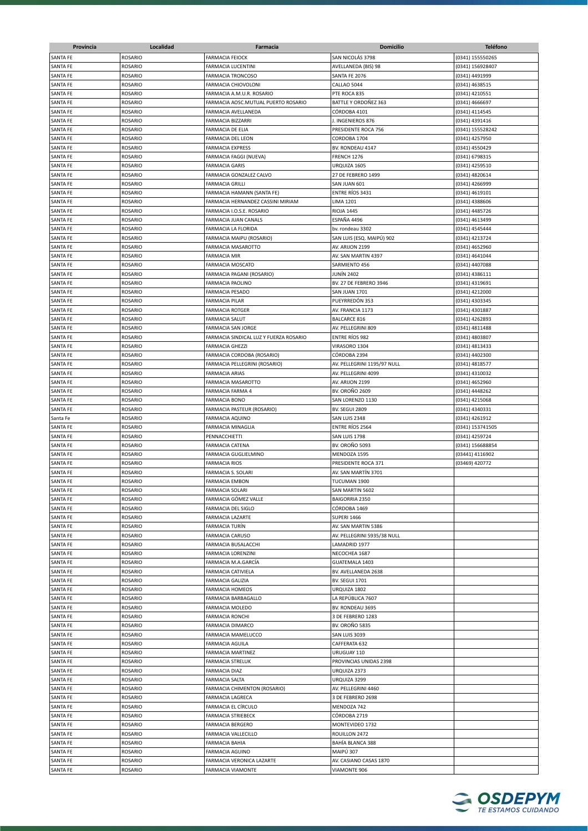| Provincia       | Localidad      | Farmacia                                         | <b>Domicilio</b>            | <b>Teléfono</b>  |
|-----------------|----------------|--------------------------------------------------|-----------------------------|------------------|
| <b>SANTA FE</b> | <b>ROSARIO</b> | <b>FARMACIA FEIOCK</b>                           | SAN NICOLÁS 3798            | (0341) 155550265 |
| <b>SANTA FE</b> | ROSARIO        | <b>FARMACIA LUCENTINI</b>                        | AVELLANEDA (BIS) 98         | (0341) 156928407 |
| <b>SANTA FE</b> | <b>ROSARIO</b> | <b>FARMACIA TRONCOSO</b>                         | SANTA FE 2076               | (0341) 4491999   |
| <b>SANTA FE</b> | <b>ROSARIO</b> | FARMACIA CHIOVOLONI                              | CALLAO 5044                 | (0341) 4638515   |
| <b>SANTA FE</b> | <b>ROSARIO</b> | FARMACIA A.M.U.R. ROSARIO                        | PTE ROCA 835                | (0341) 4210551   |
| <b>SANTA FE</b> | <b>ROSARIO</b> | FARMACIA AOSC.MUTUAL PUERTO ROSARIO              | BATTLE Y ORDOÑEZ 363        | (0341) 4666697   |
|                 | <b>ROSARIO</b> | FARMACIA AVELLANEDA                              |                             |                  |
| <b>SANTA FE</b> |                |                                                  | CÓRDOBA 4101                | (0341) 4114545   |
| SANTA FE        | <b>ROSARIO</b> | FARMACIA BIZZARRI                                | J. INGENIEROS 876           | (0341) 4391416   |
| <b>SANTA FE</b> | ROSARIO        | FARMACIA DE ELIA                                 | PRESIDENTE ROCA 756         | (0341) 155528242 |
| <b>SANTA FE</b> | <b>ROSARIO</b> | <b>FARMACIA DEL LEON</b>                         | CORDOBA 1704                | (0341) 4257950   |
| <b>SANTA FE</b> | ROSARIO        | <b>FARMACIA EXPRESS</b>                          | BV. RONDEAU 4147            | (0341) 4550429   |
| <b>SANTA FE</b> | <b>ROSARIO</b> | <b>FARMACIA FAGGI (NUEVA)</b>                    | FRENCH 1276                 | (0341) 6798315   |
| <b>SANTA FE</b> | <b>ROSARIO</b> | <b>FARMACIA GARIS</b>                            | URQUIZA 1605                | (0341) 4259510   |
| SANTA FE        | <b>ROSARIO</b> | FARMACIA GONZALEZ CALVO                          | 27 DE FEBRERO 1499          | (0341) 4820614   |
| <b>SANTA FE</b> | <b>ROSARIO</b> | <b>FARMACIA GRILLI</b>                           | SAN JUAN 601                | (0341) 4266999   |
| <b>SANTA FE</b> | ROSARIO        | FARMACIA HAMANN (SANTA FE)                       | <b>ENTRE RÍOS 3431</b>      | (0341) 4619101   |
| <b>SANTA FE</b> | <b>ROSARIO</b> | FARMACIA HERNANDEZ CASSINI MIRIAM                | <b>LIMA 1201</b>            | (0341) 4388606   |
| <b>SANTA FE</b> | ROSARIO        | FARMACIA I.O.S.E. ROSARIO                        | <b>RIOJA 1445</b>           | (0341) 4485726   |
| SANTA FE        | ROSARIO        | FARMACIA JUAN CANALS                             | ESPAÑA 4496                 | (0341) 4613499   |
| SANTA FE        | <b>ROSARIO</b> | FARMACIA LA FLORIDA                              | bv. rondeau 3302            | (0341) 4545444   |
| SANTA FE        | <b>ROSARIO</b> | FARMACIA MAIPU (ROSARIO)                         | SAN LUIS (ESQ. MAIPÚ) 902   | (0341) 4213724   |
| <b>SANTA FE</b> | <b>ROSARIO</b> | FARMACIA MASAROTTO                               | AV. ARIJON 2199             | (0341) 4652960   |
| <b>SANTA FE</b> | <b>ROSARIO</b> | <b>FARMACIA MIR</b>                              | AV. SAN MARTIN 4397         | (0341) 4641044   |
| <b>SANTA FE</b> | <b>ROSARIO</b> | <b>FARMACIA MOSCATO</b>                          | SARMIENTO 456               | (0341) 4407088   |
| <b>SANTA FE</b> | <b>ROSARIO</b> | FARMACIA PAGANI (ROSARIO)                        | JUNÍN 2402                  | (0341) 4386111   |
| <b>SANTA FE</b> | <b>ROSARIO</b> | <b>FARMACIA PAOLINO</b>                          | BV. 27 DE FEBRERO 3946      | (0341) 4319691   |
| <b>SANTA FE</b> | <b>ROSARIO</b> | <b>FARMACIA PESADO</b>                           | SAN JUAN 1701               | (0341) 4212000   |
| <b>SANTA FE</b> | <b>ROSARIO</b> | <b>FARMACIA PILAR</b>                            | PUEYRREDÓN 353              | (0341) 4303345   |
| SANTA FE        | <b>ROSARIO</b> | <b>FARMACIA ROTGER</b>                           | AV. FRANCIA 1173            | (0341) 4301887   |
| <b>SANTA FE</b> | <b>ROSARIO</b> | <b>FARMACIA SALUT</b>                            | <b>BALCARCE 816</b>         | (0341) 4262893   |
| SANTA FE        | <b>ROSARIO</b> | <b>FARMACIA SAN JORGE</b>                        |                             | (0341) 4811488   |
|                 |                |                                                  | AV. PELLEGRINI 809          |                  |
| <b>SANTA FE</b> | <b>ROSARIO</b> | FARMACIA SINDICAL LUZ Y FUERZA ROSARIO           | ENTRE RÍOS 982              | (0341) 4803807   |
| SANTA FE        | <b>ROSARIO</b> | <b>FARMACIA GHEZZI</b>                           | VIRASORO 1304               | (0341) 4813433   |
| SANTA FE        | <b>ROSARIO</b> | FARMACIA CORDOBA (ROSARIO)                       | CÓRDOBA 2394                | (0341) 4402300   |
| SANTA FE        | <b>ROSARIO</b> | FARMACIA PELLEGRINI (ROSARIO)                    | AV. PELLEGRINI 1195/97 NULL | (0341) 4818577   |
| SANTA FE        | <b>ROSARIO</b> | <b>FARMACIA ARIAS</b>                            | AV. PELLEGRINI 4099         | (0341) 4310032   |
| <b>SANTA FE</b> | ROSARIO        | FARMACIA MASAROTTO                               | AV. ARIJON 2199             | (0341) 4652960   |
| <b>SANTA FE</b> | ROSARIO        | FARMACIA FARMA 4                                 | <b>BV. OROÑO 2609</b>       | (0341) 4448262   |
| <b>SANTA FE</b> | ROSARIO        | <b>FARMACIA BONO</b>                             | SAN LORENZO 1130            | (0341) 4215068   |
| <b>SANTA FE</b> | <b>ROSARIO</b> | FARMACIA PASTEUR (ROSARIO)                       | BV. SEGUI 2809              | (0341) 4340331   |
| Santa Fe        | <b>ROSARIO</b> | <b>FARMACIA AQUINO</b>                           | SAN LUIS 2348               | (0341) 4261912   |
| <b>SANTA FE</b> | <b>ROSARIO</b> | <b>FARMACIA MINAGLIA</b>                         | <b>ENTRE RIOS 2564</b>      | (0341) 153741505 |
| <b>SANTA FE</b> | <b>ROSARIO</b> | PENNACCHIETTI                                    | SAN LUIS 1798               | (0341) 4259724   |
| <b>SANTA FE</b> | <b>ROSARIO</b> | <b>FARMACIA CATENA</b>                           | <b>BV. OROÑO 5093</b>       | (0341) 156688854 |
| <b>SANTA FE</b> | <b>ROSARIO</b> | FARMACIA GUGLIELMINO                             | MENDOZA 1595                | (03441) 4116902  |
| <b>SANTA FE</b> | <b>ROSARIO</b> | <b>FARMACIA RIOS</b>                             | PRESIDENTE ROCA 371         | (03469) 420772   |
| <b>SANTA FE</b> | <b>ROSARIO</b> | FARMACIA S. SOLARI                               | AV. SAN MARTÍN 3701         |                  |
| SANTA FE        | <b>ROSARIO</b> | <b>FARMACIA EMBON</b>                            | TUCUMAN 1900                |                  |
| <b>SANTA FE</b> | <b>ROSARIO</b> | <b>FARMACIA SOLARI</b>                           | SAN MARTIN 5602             |                  |
| <b>SANTA FE</b> | ROSARIO        | FARMACIA GÓMEZ VALLE                             | <b>BAIGORRIA 2350</b>       |                  |
| <b>SANTA FE</b> | ROSARIO        | FARMACIA DEL SIGLO                               | CÓRDOBA 1469                |                  |
| <b>SANTA FE</b> | <b>ROSARIO</b> | <b>FARMACIA LAZARTE</b>                          | <b>SUPERI 1466</b>          |                  |
| <b>SANTA FE</b> | <b>ROSARIO</b> | <b>FARMACIA TURÍN</b>                            | AV. SAN MARTIN 5386         |                  |
| <b>SANTA FE</b> | <b>ROSARIO</b> | <b>FARMACIA CARUSO</b>                           | AV. PELLEGRINI 5935/38 NULL |                  |
|                 |                |                                                  |                             |                  |
| <b>SANTA FE</b> | <b>ROSARIO</b> | FARMACIA BUSALACCHI<br><b>FARMACIA LORENZINI</b> | LAMADRID 1977               |                  |
| SANTA FE        | <b>ROSARIO</b> |                                                  | NECOCHEA 1687               |                  |
| <b>SANTA FE</b> | <b>ROSARIO</b> | FARMACIA M.A.GARCÍA                              | GUATEMALA 1403              |                  |
| <b>SANTA FE</b> | <b>ROSARIO</b> | FARMACIA CATIVIELA                               | BV. AVELLANEDA 2638         |                  |
| SANTA FE        | ROSARIO        | <b>FARMACIA GALIZIA</b>                          | <b>BV. SEGUI 1701</b>       |                  |
| SANTA FE        | ROSARIO        | <b>FARMACIA HOMEOS</b>                           | URQUIZA 1802                |                  |
| SANTA FE        | ROSARIO        | FARMACIA BARBAGALLO                              | LA REPÚBLICA 7607           |                  |
| SANTA FE        | ROSARIO        | FARMACIA MOLEDO                                  | BV. RONDEAU 3695            |                  |
| <b>SANTA FE</b> | ROSARIO        | <b>FARMACIA RONCHI</b>                           | 3 DE FEBRERO 1283           |                  |
| <b>SANTA FE</b> | <b>ROSARIO</b> | <b>FARMACIA DIMARCO</b>                          | <b>BV. OROÑO 5835</b>       |                  |
| SANTA FE        | <b>ROSARIO</b> | FARMACIA MAMELUCCO                               | SAN LUIS 3039               |                  |
| SANTA FE        | <b>ROSARIO</b> | <b>FARMACIA AGUILA</b>                           | CAFFERATA 632               |                  |
| SANTA FE        | <b>ROSARIO</b> | <b>FARMACIA MARTINEZ</b>                         | URUGUAY 110                 |                  |
| SANTA FE        | <b>ROSARIO</b> | <b>FARMACIA STRELUK</b>                          | PROVINCIAS UNIDAS 2398      |                  |
| SANTA FE        | <b>ROSARIO</b> | <b>FARMACIA DIAZ</b>                             | URQUIZA 2373                |                  |
| SANTA FE        | <b>ROSARIO</b> | <b>FARMACIA SALTA</b>                            | URQUIZA 3299                |                  |
| SANTA FE        | <b>ROSARIO</b> | FARMACIA CHIMENTON (ROSARIO)                     | AV. PELLEGRINI 4460         |                  |
| SANTA FE        | <b>ROSARIO</b> | FARMACIA LAGRECA                                 | 3 DE FEBRERO 2698           |                  |
| SANTA FE        | <b>ROSARIO</b> | FARMACIA EL CÍRCULO                              | MENDOZA 742                 |                  |
| <b>SANTA FE</b> | <b>ROSARIO</b> | <b>FARMACIA STRIEBECK</b>                        | CÓRDOBA 2719                |                  |
| <b>SANTA FE</b> | <b>ROSARIO</b> | <b>FARMACIA BERGERO</b>                          | MONTEVIDEO 1732             |                  |
|                 |                |                                                  |                             |                  |
| SANTA FE        | ROSARIO        | FARMACIA VALLECILLO                              | ROUILLON 2472               |                  |
| SANTA FE        | <b>ROSARIO</b> | <b>FARMACIA BAHIA</b>                            | BAHÍA BLANCA 388            |                  |
| SANTA FE        | <b>ROSARIO</b> | <b>FARMACIA AGUINO</b>                           | MAIPÚ 307                   |                  |
| SANTA FE        | <b>ROSARIO</b> | FARMACIA VERONICA LAZARTE                        | AV. CASIANO CASAS 1870      |                  |
| SANTA FE        | <b>ROSARIO</b> | FARMACIA VIAMONTE                                | <b>VIAMONTE 906</b>         |                  |

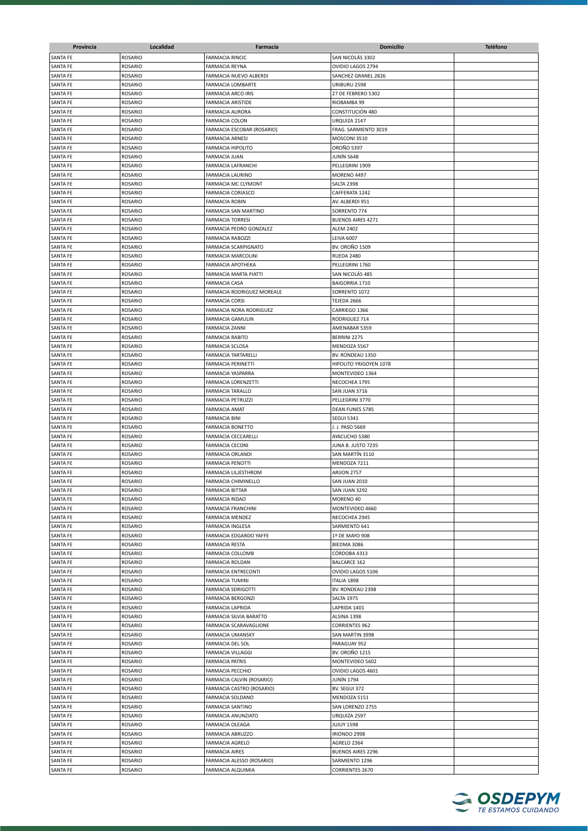| Provincia            | Localidad                        | Farmacia                                          | <b>Domicilio</b>                     | <b>Teléfono</b> |
|----------------------|----------------------------------|---------------------------------------------------|--------------------------------------|-----------------|
| SANTA FE             | <b>ROSARIO</b>                   | <b>FARMACIA RINCIC</b>                            | SAN NICOLÁS 3302                     |                 |
| SANTA FE             | <b>ROSARIO</b>                   | <b>FARMACIA REYNA</b>                             | OVIDIO LAGOS 2794                    |                 |
| SANTA FE             | <b>ROSARIO</b>                   | FARMACIA NUEVO ALBERDI                            | SANCHEZ GRANEL 2826                  |                 |
| <b>SANTA FE</b>      | <b>ROSARIO</b>                   | FARMACIA LOMBARTE                                 | URIBURU 2598                         |                 |
| SANTA FE             | <b>ROSARIO</b>                   | FARMACIA ARCO IRIS                                | 27 DE FEBRERO 5302                   |                 |
| SANTA FE             | <b>ROSARIO</b>                   | <b>FARMACIA ARISTIDE</b>                          | RIOBAMBA 99                          |                 |
| SANTA FE             | <b>ROSARIO</b>                   | FARMACIA AURORA                                   | CONSTITUCIÓN 480                     |                 |
| SANTA FE             | <b>ROSARIO</b>                   | FARMACIA COLON                                    | URQUIZA 2147                         |                 |
| SANTA FE             | <b>ROSARIO</b>                   | FARMACIA ESCOBAR (ROSARIO)                        | FRAG. SARMIENTO 3019                 |                 |
| <b>SANTA FE</b>      | <b>ROSARIO</b>                   | <b>FARMACIA ARNESI</b>                            | MOSCONI 3510                         |                 |
| SANTA FE             | ROSARIO                          | FARMACIA HIPOLITO                                 | <b>OROÑO 5397</b>                    |                 |
| SANTA FE<br>SANTA FE | <b>ROSARIO</b><br><b>ROSARIO</b> | FARMACIA JUAN<br>FARMACIA LAFRANCHI               | <b>JUNÍN 5648</b><br>PELLEGRINI 1909 |                 |
| SANTA FE             | <b>ROSARIO</b>                   | <b>FARMACIA LAURINO</b>                           | MORENO 4497                          |                 |
| SANTA FE             | <b>ROSARIO</b>                   | FARMACIA MC CLYMONT                               | SALTA 2398                           |                 |
| SANTA FE             | <b>ROSARIO</b>                   | FARMACIA CORIASCO                                 | CAFFERATA 1242                       |                 |
| SANTA FE             | ROSARIO                          | <b>FARMACIA ROBIN</b>                             | AV. ALBERDI 951                      |                 |
| SANTA FE             | <b>ROSARIO</b>                   | FARMACIA SAN MARTINO                              | SORRENTO 774                         |                 |
| SANTA FE             | <b>ROSARIO</b>                   | <b>FARMACIA TORRESI</b>                           | <b>BUENOS AIRES 4271</b>             |                 |
| SANTA FE             | <b>ROSARIO</b>                   | FARMACIA PEDRO GONZALEZ                           | <b>ALEM 2402</b>                     |                 |
| SANTA FE             | <b>ROSARIO</b>                   | <b>FARMACIA RABOZZI</b>                           | <b>LEIVA 6007</b>                    |                 |
| <b>SANTA FE</b>      | <b>ROSARIO</b>                   | FARMACIA SCARPIGNATO                              | <b>BV. OROÑO 1509</b>                |                 |
| <b>SANTA FE</b>      | <b>ROSARIO</b>                   | FARMACIA MARCOLINI                                | RUEDA 2480                           |                 |
| SANTA FE             | ROSARIO                          | FARMACIA APOTHEKA                                 | PELLEGRINI 1760                      |                 |
| <b>SANTA FE</b>      | <b>ROSARIO</b>                   | FARMACIA MARTA PIATTI                             | SAN NICOLÁS 485                      |                 |
| <b>SANTA FE</b>      | <b>ROSARIO</b>                   | <b>FARMACIA CASA</b>                              | BAIGORRIA 1710                       |                 |
| <b>SANTA FE</b>      | ROSARIO                          | FARMACIA RODRIGUEZ MOREALE                        | SORRENTO 1072                        |                 |
| SANTA FE             | ROSARIO                          | FARMACIA CORSI                                    | TEJEDA 2666                          |                 |
| SANTA FE             | <b>ROSARIO</b>                   | FARMACIA NORA RODRIGUEZ                           | CARRIEGO 1366                        |                 |
| SANTA FE             | <b>ROSARIO</b>                   | <b>FARMACIA GAMULIN</b>                           | RODRIGUEZ 714                        |                 |
| SANTA FE             | <b>ROSARIO</b>                   | <b>FARMACIA ZANNI</b>                             | AMENABAR 5359                        |                 |
| SANTA FE             | ROSARIO                          | <b>FARMACIA RABITO</b>                            | BERRINI 2275                         |                 |
| SANTA FE             | <b>ROSARIO</b>                   | FARMACIA SCLOSA                                   | MENDOZA 5567                         |                 |
| SANTA FE             | <b>ROSARIO</b>                   | <b>FARMACIA TARTARELLI</b>                        | BV. RONDEAU 1350                     |                 |
| SANTA FE             | <b>ROSARIO</b>                   | FARMACIA PERINETTI                                | HIPOLITO YRIGOYEN 1078               |                 |
| SANTA FE<br>SANTA FE | ROSARIO<br><b>ROSARIO</b>        | FARMACIA YASPARRA<br>FARMACIA LORENZETTI          | MONTEVIDEO 1364<br>NECOCHEA 1795     |                 |
| SANTA FE             | ROSARIO                          | FARMACIA TARALLO                                  | SAN JUAN 3716                        |                 |
| SANTA FE             | <b>ROSARIO</b>                   | FARMACIA PETRUZZI                                 | PELLEGRINI 3770                      |                 |
| SANTA FE             | <b>ROSARIO</b>                   | FARMACIA AMAT                                     | DEAN FUNES 5785                      |                 |
| <b>SANTA FE</b>      | <b>ROSARIO</b>                   | <b>FARMACIA BINI</b>                              | <b>SEGUI 5341</b>                    |                 |
| <b>SANTA FE</b>      | <b>ROSARIO</b>                   | <b>FARMACIA BONETTO</b>                           | J. J. PASO 5669                      |                 |
| SANTA FE             | <b>ROSARIO</b>                   | FARMACIA CECCARELLI                               | AYACUCHO 5380                        |                 |
| <b>SANTA FE</b>      | <b>ROSARIO</b>                   | <b>FARMACIA CECONI</b>                            | JUNA B. JUSTO 7235                   |                 |
| <b>SANTA FE</b>      | <b>ROSARIO</b>                   | FARMACIA ORLANDI                                  | SAN MARTÍN 3110                      |                 |
| <b>SANTA FE</b>      | <b>ROSARIO</b>                   | <b>FARMACIA PENOTTI</b>                           | MENDOZA 7211                         |                 |
| <b>SANTA FE</b>      | ROSARIO                          | FARMACIA LILJESTHROM                              | ARIJON 2757                          |                 |
| SANTA FE             | <b>ROSARIO</b>                   | FARMACIA CHIMINELLO                               | SAN JUAN 2010                        |                 |
| SANTA FE             | <b>ROSARIO</b>                   | <b>FARMACIA BITTAR</b>                            | SAN JUAN 3292                        |                 |
| SANTA FE             | <b>ROSARIO</b>                   | <b>FARMACIA RIDAO</b>                             | MORENO 40                            |                 |
| SANTA FE             | <b>ROSARIO</b>                   | FARMACIA FRANCHINI                                | MONTEVIDEO 4660                      |                 |
| SANTA FE             | <b>ROSARIO</b>                   | <b>FARMACIA MENDEZ</b>                            | NECOCHEA 2945                        |                 |
| SANTA FE             | <b>ROSARIO</b>                   | <b>FARMACIA INGLESA</b>                           | SARMIENTO 641                        |                 |
| SANTA FE             | <b>ROSARIO</b>                   | FARMACIA EDGARDO YAFFE                            | 1º DE MAYO 908                       |                 |
| SANTA FE             | <b>ROSARIO</b>                   | <b>FARMACIA RESTA</b>                             | BIEDMA 3086                          |                 |
| <b>SANTA FE</b>      | ROSARIO                          | FARMACIA COLLOMB                                  | CÓRDOBA 4313                         |                 |
| SANTA FE             | ROSARIO                          | FARMACIA ROLDAN                                   | <b>BALCARCE 162</b>                  |                 |
| SANTA FE             | ROSARIO                          | FARMACIA ENTRECONTI                               | OVIDIO LAGOS 5106                    |                 |
| SANTA FE             | <b>ROSARIO</b>                   | FARMACIA TUMINI                                   | ITALIA 1898                          |                 |
| <b>SANTA FE</b>      | <b>ROSARIO</b>                   | <b>FARMACIA SDRIGOTTI</b>                         | BV. RONDEAU 2398                     |                 |
| SANTA FE             | <b>ROSARIO</b>                   | <b>FARMACIA BERGONZI</b>                          | <b>SALTA 1975</b>                    |                 |
| SANTA FE             | ROSARIO                          | <b>FARMACIA LAPRIDA</b>                           | LAPRIDA 1401                         |                 |
| SANTA FE<br>SANTA FE | <b>ROSARIO</b><br><b>ROSARIO</b> | FARMACIA SILVIA BARATTO<br>FARMACIA SCARAVAGLIONE | ALSINA 1398<br><b>CORRIENTES 962</b> |                 |
| SANTA FE             | <b>ROSARIO</b>                   | <b>FARMACIA UMANSKY</b>                           | SAN MARTIN 3998                      |                 |
| <b>SANTA FE</b>      | ROSARIO                          | FARMACIA DEL SOL                                  | PARAGUAY 952                         |                 |
| SANTA FE             | ROSARIO                          | <b>FARMACIA VILLAGGI</b>                          | <b>BV. OROÑO 1215</b>                |                 |
| SANTA FE             | ROSARIO                          | <b>FARMACIA PATRIS</b>                            | MONTEVIDEO 5602                      |                 |
| <b>SANTA FE</b>      | <b>ROSARIO</b>                   | <b>FARMACIA PECCHIO</b>                           | OVIDIO LAGOS 4601                    |                 |
| SANTA FE             | <b>ROSARIO</b>                   | FARMACIA CALVIN (ROSARIO)                         | <b>JUNÍN 1794</b>                    |                 |
| SANTA FE             | <b>ROSARIO</b>                   | FARMACIA CASTRO (ROSARIO)                         | BV. SEGUI 372                        |                 |
| SANTA FE             | <b>ROSARIO</b>                   | FARMACIA SOLDANO                                  | MENDOZA 5151                         |                 |
| SANTA FE             | <b>ROSARIO</b>                   | <b>FARMACIA SANTINO</b>                           | SAN LORENZO 2755                     |                 |
| SANTA FE             | <b>ROSARIO</b>                   | FARMACIA ANUNZIATO                                | URQUIZA 2597                         |                 |
| SANTA FE             | <b>ROSARIO</b>                   | FARMACIA OLEAGA                                   | <b>JUJUY 1598</b>                    |                 |
| SANTA FE             | <b>ROSARIO</b>                   | FARMACIA ABRUZZO                                  | IRIONDO 2998                         |                 |
| SANTA FE             | <b>ROSARIO</b>                   | FARMACIA AGRELO                                   | AGRELO 2364                          |                 |
| SANTA FE             | <b>ROSARIO</b>                   | <b>FARMACIA AIRES</b>                             | <b>BUENOS AIRES 2296</b>             |                 |
| SANTA FE             | <b>ROSARIO</b>                   | FARMACIA ALESSO (ROSARIO)                         | SARMIENTO 1296                       |                 |
| SANTA FE             | ROSARIO                          | FARMACIA ALQUIMIA                                 | <b>CORRIENTES 2670</b>               |                 |

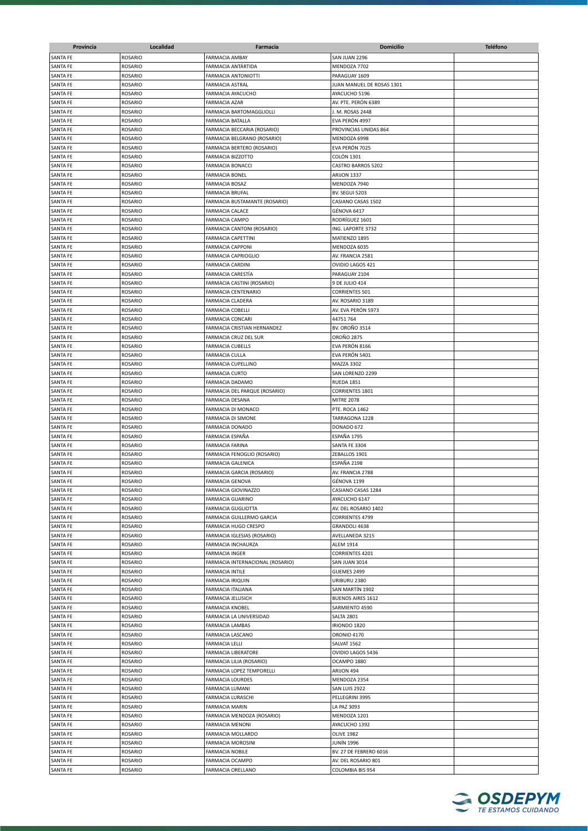| Provincia       | Localidad      | Farmacia                         | <b>Domicilio</b>                      | <b>Teléfono</b> |
|-----------------|----------------|----------------------------------|---------------------------------------|-----------------|
| <b>SANTA FE</b> | <b>ROSARIO</b> | <b>FARMACIA AMBAY</b>            | SAN JUAN 2296                         |                 |
| SANTA FE        | <b>ROSARIO</b> | FARMACIA ANTÁRTIDA               | MENDOZA 7702                          |                 |
| <b>SANTA FE</b> | <b>ROSARIO</b> | <b>FARMACIA ANTONIOTTI</b>       | PARAGUAY 1609                         |                 |
| <b>SANTA FE</b> | <b>ROSARIO</b> | <b>FARMACIA ASTRAL</b>           | JUAN MANUEL DE ROSAS 1301             |                 |
| SANTA FE        | ROSARIO        | FARMACIA AYACUCHO                | AYACUCHO 5196                         |                 |
| SANTA FE        | <b>ROSARIO</b> | FARMACIA AZAR                    | AV. PTE. PERÓN 6389                   |                 |
| SANTA FE        | <b>ROSARIO</b> | FARMACIA BARTOMAGGLIOLLI         | J. M. ROSAS 2448                      |                 |
| <b>SANTA FE</b> |                | FARMACIA BATALLA                 | EVA PERÓN 4997                        |                 |
|                 | ROSARIO        |                                  |                                       |                 |
| SANTA FE        | ROSARIO        | FARMACIA BECCARIA (ROSARIO)      | PROVINCIAS UNIDAS 864                 |                 |
| SANTA FE        | <b>ROSARIO</b> | FARMACIA BELGRANO (ROSARIO)      | MENDOZA 6998                          |                 |
| SANTA FE        | <b>ROSARIO</b> | FARMACIA BERTERO (ROSARIO)       | EVA PERÓN 7025                        |                 |
| SANTA FE        | <b>ROSARIO</b> | <b>FARMACIA BIZZOTTO</b>         | COLÓN 1301                            |                 |
| SANTA FE        | <b>ROSARIO</b> | <b>FARMACIA BONACCI</b>          | <b>CASTRO BARROS 5202</b>             |                 |
| SANTA FE        | <b>ROSARIO</b> | <b>FARMACIA BONEL</b>            | ARIJON 1337                           |                 |
| SANTA FE        | <b>ROSARIO</b> | <b>FARMACIA BOSAZ</b>            | MENDOZA 7940                          |                 |
| SANTA FE        | <b>ROSARIO</b> | FARMACIA BRUFAL                  | <b>BV. SEGUI 5203</b>                 |                 |
| SANTA FE        | <b>ROSARIO</b> | FARMACIA BUSTAMANTE (ROSARIO)    | CASIANO CASAS 1502                    |                 |
| SANTA FE        | <b>ROSARIO</b> | <b>FARMACIA CALACE</b>           | GÉNOVA 6417                           |                 |
| SANTA FE        | ROSARIO        | FARMACIA CAMPO                   | RODRÍGUEZ 1601                        |                 |
| SANTA FE        | <b>ROSARIO</b> | FARMACIA CANTONI (ROSARIO)       | ING. LAPORTE 3732                     |                 |
| SANTA FE        | <b>ROSARIO</b> | <b>FARMACIA CAPETTINI</b>        | MATIENZO 1895                         |                 |
| <b>SANTA FE</b> | <b>ROSARIO</b> | <b>FARMACIA CAPPONI</b>          | MENDOZA 6035                          |                 |
| SANTA FE        | <b>ROSARIO</b> | FARMACIA CAPRIOGLIO              | AV. FRANCIA 2581                      |                 |
| SANTA FE        | <b>ROSARIO</b> | <b>FARMACIA CARDINI</b>          | OVIDIO LAGOS 421                      |                 |
| <b>SANTA FE</b> | <b>ROSARIO</b> | FARMACIA CARESTÍA                | PARAGUAY 2104                         |                 |
| SANTA FE        | ROSARIO        | FARMACIA CASTINI (ROSARIO)       | 9 DE JULIO 414                        |                 |
| SANTA FE        | <b>ROSARIO</b> | FARMACIA CENTENARIO              | <b>CORRIENTES 501</b>                 |                 |
| SANTA FE        | <b>ROSARIO</b> | FARMACIA CLADERA                 | AV. ROSARIO 3189                      |                 |
| <b>SANTA FE</b> | <b>ROSARIO</b> | <b>FARMACIA COBELLI</b>          | AV. EVA PERÓN 5973                    |                 |
| SANTA FE        | <b>ROSARIO</b> | <b>FARMACIA CONCARI</b>          | 44751764                              |                 |
| <b>SANTA FE</b> | <b>ROSARIO</b> | FARMACIA CRISTIAN HERNANDEZ      | <b>BV. OROÑO 3514</b>                 |                 |
| SANTA FE        | ROSARIO        | FARMACIA CRUZ DEL SUR            | OROÑO 2875                            |                 |
| SANTA FE        | <b>ROSARIO</b> | <b>FARMACIA CUBELLS</b>          | EVA PERÓN 8166                        |                 |
| SANTA FE        | <b>ROSARIO</b> | <b>FARMACIA CULLA</b>            | EVA PERÓN 5401                        |                 |
| SANTA FE        | <b>ROSARIO</b> | FARMACIA CUPELLINO               | MAZZA 3302                            |                 |
|                 |                | <b>FARMACIA CURTO</b>            |                                       |                 |
| SANTA FE        | ROSARIO        |                                  | SAN LORENZO 2299<br><b>RUEDA 1851</b> |                 |
| SANTA FE        | <b>ROSARIO</b> | FARMACIA DADAMO                  |                                       |                 |
| SANTA FE        | <b>ROSARIO</b> | FARMACIA DEL PARQUE (ROSARIO)    | <b>CORRIENTES 1801</b>                |                 |
| SANTA FE        | <b>ROSARIO</b> | FARMACIA DESANA                  | <b>MITRE 2078</b>                     |                 |
| SANTA FE        | <b>ROSARIO</b> | FARMACIA DI MONACO               | PTE. ROCA 1462                        |                 |
| <b>SANTA FE</b> | <b>ROSARIO</b> | FARMACIA DI SIMONE               | TARRAGONA 1228                        |                 |
| SANTA FE        | <b>ROSARIO</b> | <b>FARMACIA DONADO</b>           | DONADO 672                            |                 |
| <b>SANTA FE</b> | <b>ROSARIO</b> | FARMACIA ESPAÑA                  | ESPAÑA 1795                           |                 |
| SANTA FE        | <b>ROSARIO</b> | FARMACIA FARINA                  | SANTA FE 3304                         |                 |
| SANTA FE        | <b>ROSARIO</b> | FARMACIA FENOGLIO (ROSARIO)      | ZEBALLOS 1901                         |                 |
| <b>SANTA FE</b> | <b>ROSARIO</b> | <b>FARMACIA GALENICA</b>         | ESPAÑA 2198                           |                 |
| <b>SANTA FE</b> | <b>ROSARIO</b> | FARMACIA GARCIA (ROSARIO)        | AV. FRANCIA 2788                      |                 |
| SANTA FE        | ROSARIO        | <b>FARMACIA GENOVA</b>           | GÉNOVA 1199                           |                 |
| <b>SANTA FE</b> | ROSARIO        | FARMACIA GIOVINAZZO              | CASIANO CASAS 1284                    |                 |
| <b>SANTA FE</b> | ROSARIO        | FARMACIA GUARINO                 | AYACUCHO 6147                         |                 |
| SANTA FE        | ROSARIO        | <b>FARMACIA GUGLIOTTA</b>        | AV. DEL ROSARIO 1402                  |                 |
| <b>SANTA FE</b> | <b>ROSARIO</b> | FARMACIA GUILLERMO GARCIA        | <b>CORRIENTES 4799</b>                |                 |
| SANTA FE        | <b>ROSARIO</b> | FARMACIA HUGO CRESPO             | GRANDOLI 4638                         |                 |
| <b>SANTA FE</b> | <b>ROSARIO</b> | FARMACIA IGLESIAS (ROSARIO)      | AVELLANEDA 3215                       |                 |
| SANTA FE        | <b>ROSARIO</b> | <b>FARMACIA INCHAURZA</b>        | <b>ALEM 1914</b>                      |                 |
| SANTA FE        | <b>ROSARIO</b> | <b>FARMACIA INGER</b>            | <b>CORRIENTES 4201</b>                |                 |
| SANTA FE        | <b>ROSARIO</b> | FARMACIA INTERNACIONAL (ROSARIO) | SAN JUAN 3014                         |                 |
| SANTA FE        | <b>ROSARIO</b> | <b>FARMACIA INTILE</b>           | <b>GUEMES 2499</b>                    |                 |
| SANTA FE        | ROSARIO        | <b>FARMACIA IRIQUIN</b>          | URIBURU 2380                          |                 |
| SANTA FE        | ROSARIO        | FARMACIA ITALIANA                | SAN MARTÍN 1902                       |                 |
| SANTA FE        | <b>ROSARIO</b> | FARMACIA JELUSICH                | <b>BUENOS AIRES 1612</b>              |                 |
| SANTA FE        | ROSARIO        | <b>FARMACIA KNOBEL</b>           | SARMIENTO 4590                        |                 |
| SANTA FE        | <b>ROSARIO</b> | FARMACIA LA UNIVERSIDAD          | SALTA 2801                            |                 |
| SANTA FE        | ROSARIO        | <b>FARMACIA LAMBAS</b>           | IRIONDO 1820                          |                 |
|                 |                |                                  |                                       |                 |
| SANTA FE        | <b>ROSARIO</b> | FARMACIA LASCANO                 | ORONIO 4170                           |                 |
| SANTA FE        | ROSARIO        | <b>FARMACIA LELLI</b>            | SALVAT 1562                           |                 |
| SANTA FE        | <b>ROSARIO</b> | FARMACIA LIBERATORE              | OVIDIO LAGOS 5436                     |                 |
| SANTA FE        | ROSARIO        | FARMACIA LILIA (ROSARIO)         | OCAMPO 1880                           |                 |
| SANTA FE        | <b>ROSARIO</b> | FARMACIA LOPEZ TEMPORELLI        | ARIJON 494                            |                 |
| SANTA FE        | ROSARIO        | <b>FARMACIA LOURDES</b>          | MENDOZA 2354                          |                 |
| SANTA FE        | ROSARIO        | FARMACIA LUMANI                  | SAN LUIS 2922                         |                 |
| SANTA FE        | ROSARIO        | FARMACIA LURASCHI                | PELLEGRINI 3995                       |                 |
| SANTA FE        | ROSARIO        | <b>FARMACIA MARIN</b>            | LA PAZ 3093                           |                 |
| SANTA FE        | <b>ROSARIO</b> | FARMACIA MENDOZA (ROSARIO)       | MENDOZA 1201                          |                 |
| SANTA FE        | <b>ROSARIO</b> | <b>FARMACIA MENONI</b>           | AYACUCHO 1392                         |                 |
| SANTA FE        | <b>ROSARIO</b> | FARMACIA MOLLARDO                | <b>OLIVE 1982</b>                     |                 |
| SANTA FE        | <b>ROSARIO</b> | FARMACIA MOROSINI                | JUNÍN 1996                            |                 |
| SANTA FE        | <b>ROSARIO</b> | <b>FARMACIA NOBILE</b>           | BV. 27 DE FEBRERO 6016                |                 |
| SANTA FE        | ROSARIO        | FARMACIA OCAMPO                  | AV. DEL ROSARIO 801                   |                 |
| SANTA FE        | ROSARIO        | FARMACIA ORELLANO                | COLOMBIA BIS 954                      |                 |
|                 |                |                                  |                                       |                 |

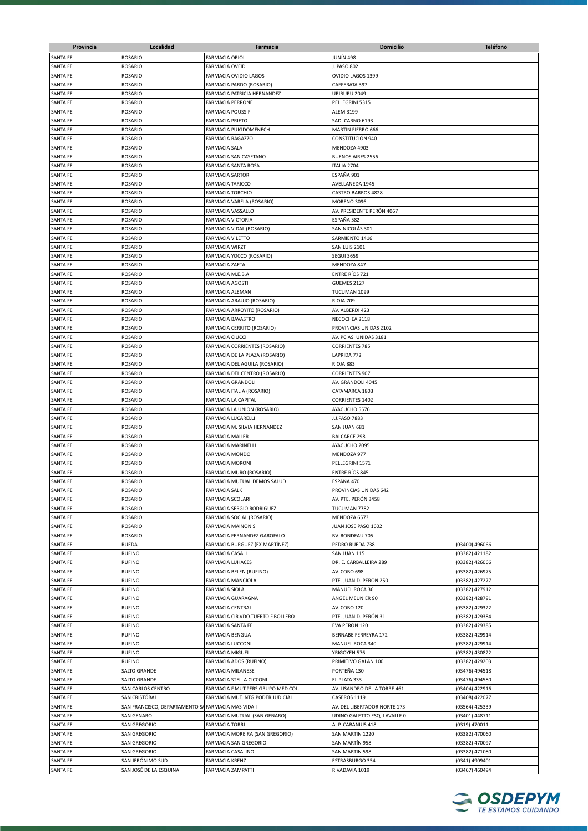| Provincia            | Localidad                        | Farmacia                                                        | <b>Domicilio</b>                       | <b>Teléfono</b>                  |
|----------------------|----------------------------------|-----------------------------------------------------------------|----------------------------------------|----------------------------------|
| <b>SANTA FE</b>      | <b>ROSARIO</b>                   | <b>FARMACIA ORIOL</b>                                           | JUNÍN 498                              |                                  |
| <b>SANTA FE</b>      | <b>ROSARIO</b>                   | <b>FARMACIA OVEID</b>                                           | J. PASO 802                            |                                  |
| <b>SANTA FE</b>      | <b>ROSARIO</b>                   | FARMACIA OVIDIO LAGOS                                           | OVIDIO LAGOS 1399                      |                                  |
| <b>SANTA FE</b>      | <b>ROSARIO</b>                   | FARMACIA PARDO (ROSARIO)                                        | CAFFERATA 397                          |                                  |
| <b>SANTA FE</b>      | ROSARIO                          | FARMACIA PATRICIA HERNANDEZ                                     | URIBURU 2049                           |                                  |
| <b>SANTA FE</b>      | <b>ROSARIO</b>                   | <b>FARMACIA PERRONE</b>                                         | PELLEGRINI 5315                        |                                  |
| <b>SANTA FE</b>      | ROSARIO                          | <b>FARMACIA POUSSIF</b>                                         | <b>ALEM 3199</b>                       |                                  |
| <b>SANTA FE</b>      | <b>ROSARIO</b>                   | FARMACIA PRIETO                                                 | SADI CARNO 6193                        |                                  |
| <b>SANTA FE</b>      | <b>ROSARIO</b>                   | FARMACIA PUIGDOMENECH                                           | MARTIN FIERRO 666                      |                                  |
| SANTA FE             | <b>ROSARIO</b>                   | <b>FARMACIA RAGAZZO</b>                                         | CONSTITUCIÓN 940                       |                                  |
| <b>SANTA FE</b>      | <b>ROSARIO</b>                   | FARMACIA SALA                                                   | MENDOZA 4903                           |                                  |
| SANTA FE             | <b>ROSARIO</b>                   | FARMACIA SAN CAYETANO                                           | <b>BUENOS AIRES 2556</b>               |                                  |
| SANTA FE             | <b>ROSARIO</b>                   | FARMACIA SANTA ROSA                                             | ITALIA 2704                            |                                  |
| <b>SANTA FE</b>      | <b>ROSARIO</b>                   | <b>FARMACIA SARTOR</b>                                          | ESPAÑA 901                             |                                  |
| SANTA FE             | <b>ROSARIO</b>                   | <b>FARMACIA TARICCO</b>                                         | AVELLANEDA 1945                        |                                  |
| <b>SANTA FE</b>      | <b>ROSARIO</b>                   | <b>FARMACIA TORCHIO</b>                                         | CASTRO BARROS 4828                     |                                  |
| <b>SANTA FE</b>      | <b>ROSARIO</b>                   | FARMACIA VARELA (ROSARIO)                                       | <b>MORENO 3096</b>                     |                                  |
| SANTA FE             | <b>ROSARIO</b>                   | FARMACIA VASSALLO                                               | AV. PRESIDENTE PERÓN 4067              |                                  |
| SANTA FE             | ROSARIO                          | <b>FARMACIA VICTORIA</b>                                        | ESPAÑA 582                             |                                  |
| <b>SANTA FE</b>      | <b>ROSARIO</b>                   | FARMACIA VIDAL (ROSARIO)                                        | SAN NICOLÁS 301                        |                                  |
| <b>SANTA FE</b>      | <b>ROSARIO</b>                   | FARMACIA VILETTO                                                | SARMIENTO 1416                         |                                  |
| SANTA FE             | <b>ROSARIO</b>                   | <b>FARMACIA WIRZT</b>                                           | SAN LUIS 2101                          |                                  |
| SANTA FE             | <b>ROSARIO</b>                   | FARMACIA YOCCO (ROSARIO)                                        | <b>SEGUI 3659</b>                      |                                  |
| <b>SANTA FE</b>      | <b>ROSARIO</b>                   | FARMACIA ZAETA                                                  | MENDOZA 847                            |                                  |
| <b>SANTA FE</b>      | <b>ROSARIO</b>                   | FARMACIA M.E.B.A                                                | <b>ENTRE RÍOS 721</b>                  |                                  |
| <b>SANTA FE</b>      | ROSARIO                          | <b>FARMACIA AGOSTI</b>                                          | GUEMES 2127                            |                                  |
| <b>SANTA FE</b>      | <b>ROSARIO</b>                   | FARMACIA ALEMAN                                                 | TUCUMAN 1099                           |                                  |
| <b>SANTA FE</b>      | ROSARIO                          | FARMACIA ARAUJO (ROSARIO)                                       | RIOJA 709                              |                                  |
| <b>SANTA FE</b>      | <b>ROSARIO</b>                   | FARMACIA ARROYITO (ROSARIO)                                     | AV. ALBERDI 423                        |                                  |
| <b>SANTA FE</b>      | <b>ROSARIO</b>                   | FARMACIA BAVASTRO                                               | NECOCHEA 2118                          |                                  |
| <b>SANTA FE</b>      | <b>ROSARIO</b>                   | FARMACIA CERRITO (ROSARIO)                                      | PROVINCIAS UNIDAS 2102                 |                                  |
| <b>SANTA FE</b>      | <b>ROSARIO</b>                   | FARMACIA CIUCCI                                                 | AV. PCIAS. UNIDAS 3181                 |                                  |
| SANTA FE<br>SANTA FE | <b>ROSARIO</b><br><b>ROSARIO</b> | FARMACIA CORRIENTES (ROSARIO)<br>FARMACIA DE LA PLAZA (ROSARIO) | <b>CORRIENTES 785</b><br>LAPRIDA 772   |                                  |
| SANTA FE             | <b>ROSARIO</b>                   | FARMACIA DEL AGUILA (ROSARIO)                                   | RIOJA 883                              |                                  |
| <b>SANTA FE</b>      | <b>ROSARIO</b>                   | FARMACIA DEL CENTRO (ROSARIO)                                   | <b>CORRIENTES 907</b>                  |                                  |
| <b>SANTA FE</b>      | <b>ROSARIO</b>                   | <b>FARMACIA GRANDOLI</b>                                        | AV. GRANDOLI 4045                      |                                  |
| <b>SANTA FE</b>      | <b>ROSARIO</b>                   | FARMACIA ITALIA (ROSARIO)                                       | CATAMARCA 1803                         |                                  |
| <b>SANTA FE</b>      | <b>ROSARIO</b>                   | FARMACIA LA CAPITAL                                             | <b>CORRIENTES 1402</b>                 |                                  |
| <b>SANTA FE</b>      | <b>ROSARIO</b>                   | FARMACIA LA UNION (ROSARIO)                                     | AYACUCHO 5576                          |                                  |
| <b>SANTA FE</b>      | <b>ROSARIO</b>                   | FARMACIA LUCARELLI                                              | J.J.PASO 7883                          |                                  |
| SANTA FE             | <b>ROSARIO</b>                   | FARMACIA M. SILVIA HERNANDEZ                                    | SAN JUAN 681                           |                                  |
| <b>SANTA FE</b>      | <b>ROSARIO</b>                   | <b>FARMACIA MAILER</b>                                          | <b>BALCARCE 298</b>                    |                                  |
| SANTA FE             | <b>ROSARIO</b>                   | FARMACIA MARINELLI                                              | AYACUCHO 2095                          |                                  |
| SANTA FE             | <b>ROSARIO</b>                   | <b>FARMACIA MONDO</b>                                           | MENDOZA 977                            |                                  |
| <b>SANTA FE</b>      | <b>ROSARIO</b>                   | <b>FARMACIA MORONI</b>                                          | PELLEGRINI 1571                        |                                  |
| <b>SANTA FE</b>      | <b>ROSARIO</b>                   | FARMACIA MURO (ROSARIO)                                         | <b>ENTRE RÍOS 845</b>                  |                                  |
| SANTA FE             | <b>ROSARIO</b>                   | FARMACIA MUTUAL DEMOS SALUD                                     | ESPAÑA 470                             |                                  |
| <b>SANTA FE</b>      | <b>ROSARIO</b>                   | <b>FARMACIA SALK</b>                                            | PROVINCIAS UNIDAS 642                  |                                  |
| <b>SANTA FE</b>      | ROSARIO                          | <b>FARMACIA SCOLARI</b>                                         | AV. PTE. PERÓN 3458                    |                                  |
| SANTA FE             | ROSARIO                          | FARMACIA SERGIO RODRIGUEZ                                       | TUCUMAN 7782                           |                                  |
| <b>SANTA FE</b>      | <b>ROSARIO</b>                   | FARMACIA SOCIAL (ROSARIO)                                       | MENDOZA 6573                           |                                  |
| SANTA FE             | ROSARIO                          | <b>FARMACIA MAINONIS</b>                                        | JUAN JOSE PASO 1602                    |                                  |
| <b>SANTA FE</b>      | ROSARIO                          | FARMACIA FERNANDEZ GAROFALO                                     | BV. RONDEAU 705                        |                                  |
| SANTA FE             | RUEDA                            | FARMACIA BURGUEZ (EX MARTÍNEZ)                                  | PEDRO RUEDA 738                        | (03400) 496066                   |
| SANTA FE             | <b>RUFINO</b>                    | <b>FARMACIA CASALI</b>                                          | SAN JUAN 115                           | (03382) 421182                   |
| SANTA FE             | <b>RUFINO</b>                    | <b>FARMACIA LUHACES</b>                                         | DR. E. CARBALLEIRA 289                 | (03382) 426066                   |
| SANTA FE             | <b>RUFINO</b>                    | FARMACIA BELEN (RUFINO)                                         | AV. COBO 698                           | (03382) 426975                   |
| <b>SANTA FE</b>      | <b>RUFINO</b>                    | FARMACIA MANCIOLA                                               | PTE. JUAN D. PERON 250                 | (03382) 427277                   |
| SANTA FE             | <b>RUFINO</b>                    | FARMACIA SIOLA                                                  | MANUEL ROCA 36                         | (03382) 427912                   |
| SANTA FE             | <b>RUFINO</b>                    | FARMACIA GUARAGNA                                               | ANGEL MEUNIER 90                       | (03382) 428791                   |
| SANTA FE             | <b>RUFINO</b>                    | FARMACIA CENTRAL                                                | AV. COBO 120                           | (03382) 429322                   |
| SANTA FE<br>SANTA FE | <b>RUFINO</b><br><b>RUFINO</b>   | FARMACIA CIR.VDO.TUERTO F.BOLLERO<br>FARMACIA SANTA FE          | PTE. JUAN D. PERÓN 31<br>EVA PERON 120 | (03382) 429384<br>(03382) 429385 |
| SANTA FE             | <b>RUFINO</b>                    | FARMACIA BENGUA                                                 | BERNABE FERREYRA 172                   | (03382) 429914                   |
| SANTA FE             | <b>RUFINO</b>                    | FARMACIA LUCCONI                                                | MANUEL ROCA 340                        | (03382) 429914                   |
| SANTA FE             | <b>RUFINO</b>                    | <b>FARMACIA MIGUEL</b>                                          | YRIGOYEN 576                           | (03382) 430822                   |
| SANTA FE             | <b>RUFINO</b>                    | FARMACIA ADOS (RUFINO)                                          | PRIMITIVO GALAN 100                    | (03382) 429203                   |
| SANTA FE             | SALTO GRANDE                     | FARMACIA MILANESE                                               | PORTEÑA 130                            | (03476) 494518                   |
| SANTA FE             | <b>SALTO GRANDE</b>              | FARMACIA STELLA CICCONI                                         | EL PLATA 333                           | (03476) 494580                   |
| SANTA FE             | SAN CARLOS CENTRO                | FARMACIA F.MUT.PERS.GRUPO MED.COL.                              | AV. LISANDRO DE LA TORRE 461           | (03404) 422916                   |
| SANTA FE             | SAN CRISTÓBAL                    | FARMACIA MUT.INTG.PODER JUDICIAL                                | CASEROS 1119                           | (03408) 422077                   |
| SANTA FE             | SAN FRANCISCO, DEPARTAMENTO S    | FARMACIA MAS VIDA I                                             | AV. DEL LIBERTADOR NORTE 173           | (03564) 425339                   |
| SANTA FE             | SAN GENARO                       | FARMACIA MUTUAL (SAN GENARO)                                    | UDINO GALETTO ESQ. LAVALLE 0           | (03401) 448711                   |
| SANTA FE             | <b>SAN GREGORIO</b>              | <b>FARMACIA TORRI</b>                                           | A. P. CABANIUS 418                     | (0319) 470011                    |
| SANTA FE             | <b>SAN GREGORIO</b>              | FARMACIA MOREIRA (SAN GREGORIO)                                 | SAN MARTIN 1220                        | (03382) 470060                   |
| SANTA FE             | <b>SAN GREGORIO</b>              | FARMACIA SAN GREGORIO                                           | SAN MARTÍN 958                         | (03382) 470097                   |
| SANTA FE             | <b>SAN GREGORIO</b>              | FARMACIA CASALINO                                               | SAN MARTIN 598                         | (03382) 471080                   |
| SANTA FE             | SAN JERÓNIMO SUD                 | <b>FARMACIA KRENZ</b>                                           | ESTRASBURGO 354                        | (0341) 4909401                   |
| SANTA FE             | SAN JOSÉ DE LA ESQUINA           | FARMACIA ZAMPATTI                                               | RIVADAVIA 1019                         | (03467) 460494                   |

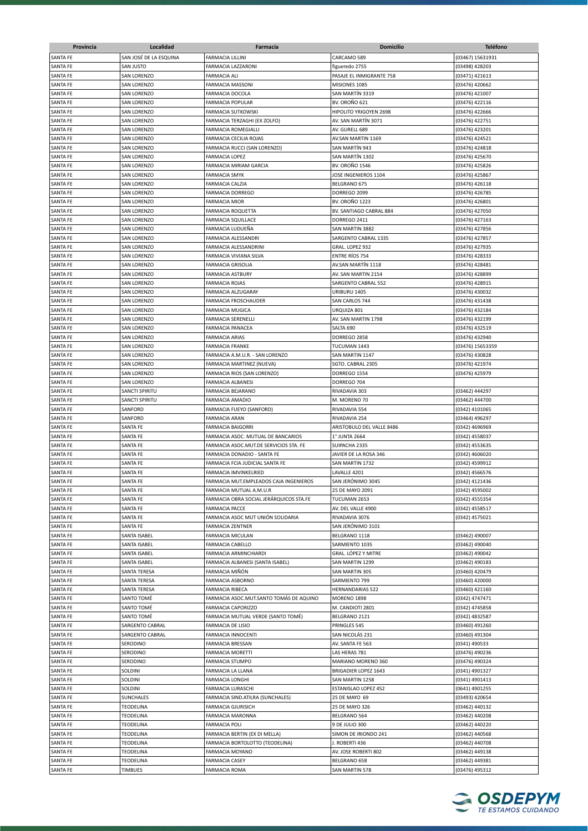| Provincia                          | Localidad                   | Farmacia                                                   | Domicilio                                   | <b>Teléfono</b>                  |
|------------------------------------|-----------------------------|------------------------------------------------------------|---------------------------------------------|----------------------------------|
| SANTA FE                           | SAN JOSÉ DE LA ESQUINA      | <b>FARMACIA LILLINI</b>                                    | CARCAMO 589                                 | (03467) 15631931                 |
| SANTA FE                           | SAN JUSTO                   | FARMACIA LAZZARONI                                         | figueredo 2755                              | (03498) 428203                   |
| <b>SANTA FE</b>                    | <b>SAN LORENZO</b>          | <b>FARMACIA ALI</b>                                        | PASAJE EL INMIGRANTE 758                    | (03471) 421613                   |
| <b>SANTA FE</b>                    | <b>SAN LORENZO</b>          | <b>FARMACIA MASSONI</b>                                    | MISIONES 1085                               | (03476) 420662                   |
| SANTA FE                           | SAN LORENZO                 | <b>FARMACIA DOCOLA</b>                                     | SAN MARTÍN 3319                             | (03476) 421007                   |
| <b>SANTA FE</b>                    | SAN LORENZO                 | <b>FARMACIA POPULAR</b>                                    | <b>BV. OROÑO 621</b>                        | (03476) 422116                   |
| SANTA FE                           | SAN LORENZO                 | <b>FARMACIA SUTKOWSKI</b>                                  | HIPOLITO YRIGOYEN 2698                      | (03476) 422666                   |
| <b>SANTA FE</b>                    | SAN LORENZO                 | FARMACIA TERZAGHI (EX ZOLFO)                               | AV. SAN MARTÍN 3071                         | (03476) 422751                   |
| <b>SANTA FE</b><br><b>SANTA FE</b> | SAN LORENZO<br>SAN LORENZO  | FARMACIA ROMEGIALLI<br>FARMACIA CECILIA ROJAS              | AV. GURELL 689<br>AV.SAN MARTIN 1169        | (03476) 423201<br>(03476) 424521 |
| SANTA FE                           | SAN LORENZO                 | FARMACIA RUCCI (SAN LORENZO)                               | SAN MARTIN 943                              | (03476) 424818                   |
| <b>SANTA FE</b>                    | SAN LORENZO                 | <b>FARMACIA LOPEZ</b>                                      | SAN MARTÍN 1302                             | (03476) 425670                   |
| SANTA FE                           | SAN LORENZO                 | FARMACIA MIRIAM GARCIA                                     | <b>BV. OROÑO 1546</b>                       | (03476) 425826                   |
| SANTA FE                           | SAN LORENZO                 | <b>FARMACIA SMYK</b>                                       | JOSE INGENIEROS 1104                        | (03476) 425867                   |
| <b>SANTA FE</b>                    | SAN LORENZO                 | <b>FARMACIA CALZIA</b>                                     | BELGRANO 675                                | (03476) 426118                   |
| <b>SANTA FE</b>                    | <b>SAN LORENZO</b>          | <b>FARMACIA DORREGO</b>                                    | DORREGO 2099                                | (03476) 426785                   |
| SANTA FE                           | <b>SAN LORENZO</b>          | <b>FARMACIA MIOR</b>                                       | <b>BV. OROÑO 1223</b>                       | (03476) 426801                   |
| SANTA FE                           | SAN LORENZO                 | FARMACIA ROQUETTA                                          | BV. SANTIAGO CABRAL 884                     | (03476) 427050                   |
| SANTA FE                           | SAN LORENZO                 | <b>FARMACIA SQUILLACE</b>                                  | DORREGO 2411                                | (03476) 427163                   |
| SANTA FE                           | SAN LORENZO                 | FARMACIA LUDUEÑA                                           | SAN MARTIN 3882                             | (03476) 427856                   |
| SANTA FE                           | SAN LORENZO                 | FARMACIA ALESSANDRI                                        | SARGENTO CABRAL 1335                        | (03476) 427857                   |
| SANTA FE                           | SAN LORENZO                 | FARMACIA ALESSANDRINI                                      | GRAL. LOPEZ 932                             | (03476) 427935                   |
| SANTA FE                           | SAN LORENZO                 | FARMACIA VIVIANA SILVA<br><b>FARMACIA GRISOLIA</b>         | <b>ENTRE RIOS 754</b><br>AV.SAN MARTÍN 1118 | (03476) 428333                   |
| SANTA FE<br>SANTA FE               | SAN LORENZO<br>SAN LORENZO  | <b>FARMACIA ASTBURY</b>                                    | AV. SAN MARTIN 2154                         | (03476) 428481<br>(03476) 428899 |
| <b>SANTA FE</b>                    | <b>SAN LORENZO</b>          | <b>FARMACIA ROJAS</b>                                      | SARGENTO CABRAL 552                         | (03476) 428915                   |
| SANTA FE                           | SAN LORENZO                 | FARMACIA ALZUGARAY                                         | URIBURU 1405                                | (03476) 430032                   |
| SANTA FE                           | <b>SAN LORENZO</b>          | <b>FARMACIA FROSCHAUDER</b>                                | SAN CARLOS 744                              | (03476) 431438                   |
| <b>SANTA FE</b>                    | <b>SAN LORENZO</b>          | <b>FARMACIA MUGICA</b>                                     | URQUIZA 801                                 | (03476) 432184                   |
| SANTA FE                           | SAN LORENZO                 | <b>FARMACIA SERENELLI</b>                                  | AV. SAN MARTIN 1798                         | (03476) 432199                   |
| SANTA FE                           | SAN LORENZO                 | <b>FARMACIA PANACEA</b>                                    | SALTA 690                                   | (03476) 432519                   |
| SANTA FE                           | SAN LORENZO                 | <b>FARMACIA ARIAS</b>                                      | DORREGO 2858                                | (03476) 432940                   |
| SANTA FE                           | SAN LORENZO                 | <b>FARMACIA FRANKE</b>                                     | TUCUMAN 1443                                | (03476) 15653359                 |
| SANTA FE                           | SAN LORENZO                 | FARMACIA A.M.U.R. - SAN LORENZO                            | SAN MARTIN 1147                             | (03476) 430828                   |
| SANTA FE                           | SAN LORENZO                 | FARMACIA MARTINEZ (NUEVA)                                  | SGTO. CABRAL 2305                           | (03476) 421974                   |
| SANTA FE                           | SAN LORENZO                 | FARMACIA RIOS (SAN LORENZO)                                | DORREGO 1554                                | (03476) 425979                   |
| SANTA FE                           | SAN LORENZO                 | FARMACIA ALBANESI                                          | DORREGO 704                                 |                                  |
| SANTA FE                           | SANCTI SPIRITU              | <b>FARMACIA BEJARANO</b><br>FARMACIA AMADIO                | RIVADAVIA 303                               | (03462) 444297                   |
| SANTA FE<br>SANTA FE               | SANCTI SPIRITU<br>SANFORD   | FARMACIA FUEYO (SANFORD)                                   | M. MORENO 70<br>RIVADAVIA 554               | (03462) 444700<br>(0342) 4101065 |
| SANTA FE                           | SANFORD                     | <b>FARMACIA ARAN</b>                                       | RIVADAVIA 254                               | (03464) 496297                   |
| SANTA FE                           | SANTA FE                    | <b>FARMACIA BAIGORRI</b>                                   | ARISTOBULO DEL VALLE 8486                   | (0342) 4696969                   |
| <b>SANTA FE</b>                    | SANTA FE                    | FARMACIA ASOC. MUTUAL DE BANCARIOS                         | 1° JUNTA 2664                               | (0342) 4558037                   |
| <b>SANTA FE</b>                    | SANTA FE                    | FARMACIA ASOC.MUT.DE SERVICIOS STA. FE                     | SUIPACHA 2335                               | (0342) 4553635                   |
| SANTA FE                           | SANTA FE                    | FARMACIA DONADIO - SANTA FE                                | JAVIER DE LA ROSA 346                       | (0342) 4606020                   |
| SANTA FE                           | SANTA FE                    | FARMACIA FCIA JUDICIAL SANTA FE                            | SAN MARTIN 1732                             | (0342) 4599912                   |
| <b>SANTA FE</b>                    | SANTA FE                    | FARMACIA IMVINKELRIED                                      | LAVALLE 4201                                | (0342) 4566576                   |
| <b>SANTA FE</b>                    | SANTA FE                    | FARMACIA MUT.EMPLEADOS CAJA INGENIEROS                     | SAN JERÓNIMO 3045                           | (0342) 4121436                   |
| <b>SANTA FE</b>                    | SANTA FE                    | FARMACIA MUTUAL A.M.U.R                                    | 25 DE MAYO 2091                             | (0342) 4595002                   |
| <b>SANTA FE</b>                    | SANTA FE                    | FARMACIA OBRA SOCIAL JERÁRQUICOS STA.FE                    | TUCUMAN 2653                                | (0342) 4555354                   |
| <b>SANTA FE</b>                    | SANTA FE                    | <b>FARMACIA PACCE</b><br>FARMACIA ASOC MUT UNIÓN SOLIDARIA | AV. DEL VALLE 4900                          | (0342) 4558517                   |
| SANTA FE<br>SANTA FE               | SANTA FE<br>SANTA FE        | <b>FARMACIA ZENTNER</b>                                    | RIVADAVIA 3076<br>SAN JERÓNIMO 3101         | (0342) 4575021                   |
| SANTA FE                           | SANTA ISABEL                | FARMACIA MICULAN                                           | BELGRANO 1118                               | (03462) 490007                   |
| SANTA FE                           | SANTA ISABEL                | FARMACIA CABELLO                                           | SARMIENTO 1035                              | (03462) 490040                   |
| SANTA FE                           | SANTA ISABEL                | FARMACIA ARMINCHIARDI                                      | GRAL. LÓPEZ Y MITRE                         | (03462) 490042                   |
| SANTA FE                           | SANTA ISABEL                | FARMACIA ALBANESI (SANTA ISABEL)                           | SAN MARTIN 1299                             | (03462) 490183                   |
| SANTA FE                           | SANTA TERESA                | FARMACIA MIÑÓN                                             | SAN MARTIN 305                              | (03460) 420479                   |
| SANTA FE                           | SANTA TERESA                | FARMACIA ASBORNO                                           | SARMIENTO 799                               | (03460) 420000                   |
| <b>SANTA FE</b>                    | SANTA TERESA                | <b>FARMACIA RIBECA</b>                                     | <b>HERNANDARIAS 522</b>                     | (03460) 421160                   |
| SANTA FE                           | SANTO TOMÉ                  | FARMACIA ASOC.MUT.SANTO TOMÁS DE AQUINO                    | <b>MORENO 1898</b>                          | (0342) 4747471                   |
| SANTA FE                           | SANTO TOMÉ                  | FARMACIA CAPORIZZO                                         | M. CANDIOTI 2801                            | (0342) 4745858                   |
| SANTA FE                           | SANTO TOMÉ                  | FARMACIA MUTUAL VERDE (SANTO TOMÉ)                         | BELGRANO 2121                               | (0342) 4832587                   |
| SANTA FE                           | SARGENTO CABRAL             | FARMACIA DE LISIO                                          | PRINGLES 545                                | (03460) 491260                   |
| SANTA FE<br>SANTA FE               | SARGENTO CABRAL<br>SERODINO | FARMACIA INNOCENTI<br>FARMACIA BRESSAN                     | SAN NICOLÁS 231<br>AV. SANTA FE 563         | (03460) 491304<br>(0341) 490533  |
| SANTA FE                           | SERODINO                    | <b>FARMACIA MORETTI</b>                                    | LAS HERAS 781                               | (03476) 490236                   |
| SANTA FE                           | SERODINO                    | FARMACIA STUMPO                                            | MARIANO MORENO 360                          | (03476) 490324                   |
| SANTA FE                           | SOLDINI                     | FARMACIA LA LLANA                                          | <b>BRIGADIER LOPEZ 1643</b>                 | (0341) 4901327                   |
| SANTA FE                           | Soldini                     | <b>FARMACIA LONGHI</b>                                     | SAN MARTIN 1258                             | (0341) 4901413                   |
| SANTA FE                           | SOLDINI                     | <b>FARMACIA LURASCHI</b>                                   | ESTANISLAO LOPEZ 452                        | (0641) 4901255                   |
| SANTA FE                           | SUNCHALES                   | FARMACIA SIND.ATILRA (SUNCHALES)                           | 25 DE MAYO 69                               | (03493) 420654                   |
| SANTA FE                           | <b>TEODELINA</b>            | <b>FARMACIA GJURISICH</b>                                  | 25 DE MAYO 326                              | (03462) 440132                   |
| SANTA FE                           | TEODELINA                   | FARMACIA MARONNA                                           | BELGRANO 564                                | (03462) 440208                   |
| SANTA FE                           | TEODELINA                   | <b>FARMACIA POLI</b>                                       | 9 DE JULIO 300                              | (03462) 440220                   |
| SANTA FE                           | TEODELINA                   | FARMACIA BERTIN (EX DI MELLA)                              | SIMON DE IRIONDO 241                        | (03462) 440568                   |
| SANTA FE                           | TEODELINA                   | FARMACIA BORTOLOTTO (TEODELINA)                            | J. ROBERTI 436                              | (03462) 440708                   |
| SANTA FE                           | TEODELINA                   | FARMACIA MOYANO                                            | AV. JOSE ROBERTI 802                        | (03462) 449138                   |
| SANTA FE<br>SANTA FE               | TEODELINA<br>TIMBUES        | <b>FARMACIA CASEY</b><br><b>FARMACIA ROMA</b>              | BELGRANO 658<br>SAN MARTIN 578              | (03462) 449381<br>(03476) 495312 |
|                                    |                             |                                                            |                                             |                                  |

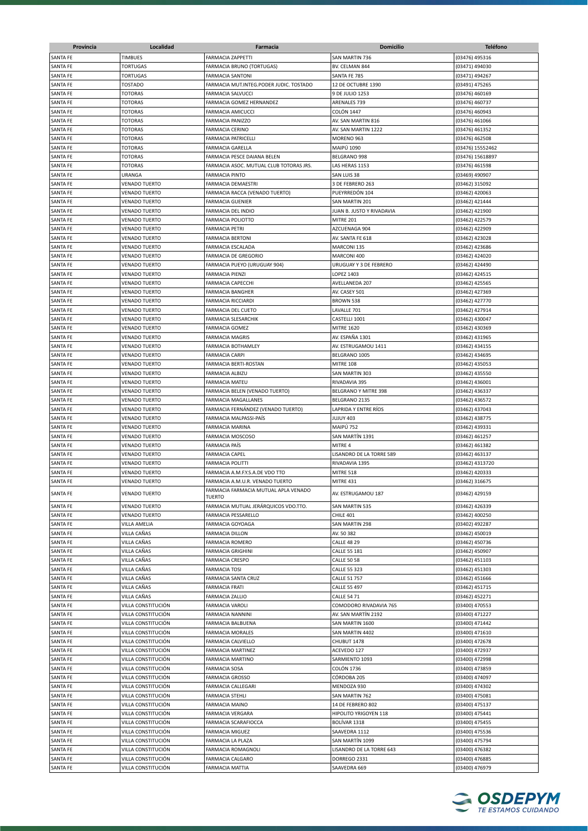| Provincia                          | Localidad                                    | Farmacia                                              | <b>Domicilio</b>                      | <b>Teléfono</b>                  |
|------------------------------------|----------------------------------------------|-------------------------------------------------------|---------------------------------------|----------------------------------|
| SANTA FE                           | <b>TIMBUES</b>                               | <b>FARMACIA ZAPPETTI</b>                              | SAN MARTIN 736                        | (03476) 495316                   |
| SANTA FE                           | <b>TORTUGAS</b>                              | FARMACIA BRUNO (TORTUGAS)                             | BV. CELMAN 844                        | (03471) 494030                   |
| SANTA FE                           | <b>TORTUGAS</b>                              | <b>FARMACIA SANTONI</b>                               | SANTA FE 785                          | (03471) 494267                   |
| SANTA FE                           | TOSTADO                                      | FARMACIA MUT.INTEG.PODER JUDIC. TOSTADO               | 12 DE OCTUBRE 1390                    | (03491) 475265                   |
| SANTA FE                           | <b>TOTORAS</b>                               | <b>FARMACIA SALVUCCI</b>                              | 9 DE JULIO 1253                       | (03476) 460169                   |
| <b>SANTA FE</b>                    | <b>TOTORAS</b>                               | FARMACIA GOMEZ HERNANDEZ                              | ARENALES 739                          | (03476) 460737                   |
| <b>SANTA FE</b>                    | <b>TOTORAS</b>                               | <b>FARMACIA AMICUCCI</b>                              | COLÓN 1447                            | (03476) 460943                   |
| SANTA FE                           | <b>TOTORAS</b>                               | <b>FARMACIA PANIZZO</b>                               | AV. SAN MARTIN 816                    | (03476) 461066                   |
| SANTA FE                           | <b>TOTORAS</b>                               | <b>FARMACIA CERINO</b>                                | AV. SAN MARTIN 1222                   | (03476) 461352                   |
| SANTA FE                           | <b>TOTORAS</b>                               | FARMACIA PATRICELLI                                   | MORENO 963                            | (03476) 462508                   |
| <b>SANTA FE</b>                    | <b>TOTORAS</b>                               | <b>FARMACIA GARELLA</b>                               | <b>MAIPÚ 1090</b>                     | (03476) 15552462                 |
| <b>SANTA FE</b>                    | <b>TOTORAS</b>                               | FARMACIA PESCE DAIANA BELEN                           | BELGRANO 998                          | (03476) 15618897                 |
| <b>SANTA FE</b>                    | <b>TOTORAS</b>                               | FARMACIA ASOC. MUTUAL CLUB TOTORAS JRS.               | LAS HERAS 1153                        | (03476) 461598                   |
| SANTA FE                           | URANGA                                       | <b>FARMACIA PINTO</b>                                 | SAN LUIS 38                           | (03469) 490907                   |
| SANTA FE                           | <b>VENADO TUERTO</b>                         | FARMACIA DEMAESTRI                                    | 3 DE FEBRERO 263                      | (03462) 315092                   |
| <b>SANTA FE</b>                    | <b>VENADO TUERTO</b>                         | FARMACIA RACCA (VENADO TUERTO)                        | PUEYRREDÓN 104                        | (03462) 420063                   |
| <b>SANTA FE</b>                    | <b>VENADO TUERTO</b>                         | <b>FARMACIA GUENIER</b>                               | SAN MARTIN 201                        | (03462) 421444                   |
| <b>SANTA FE</b>                    | <b>VENADO TUERTO</b>                         | FARMACIA DEL INDIO                                    | JUAN B. JUSTO Y RIVADAVIA             | (03462) 421900                   |
| SANTA FE                           | <b>VENADO TUERTO</b>                         | <b>FARMACIA POLIOTTO</b>                              | MITRE 201                             | (03462) 422579                   |
| <b>SANTA FE</b>                    | <b>VENADO TUERTO</b>                         | <b>FARMACIA PETRI</b>                                 | AZCUENAGA 904                         | (03462) 422909                   |
| <b>SANTA FE</b>                    | <b>VENADO TUERTO</b>                         | <b>FARMACIA BERTONI</b>                               | AV. SANTA FE 618                      | (03462) 423028                   |
| <b>SANTA FE</b>                    | <b>VENADO TUERTO</b>                         | FARMACIA ESCALADA                                     | MARCONI 135                           | (03462) 423686                   |
| <b>SANTA FE</b>                    | <b>VENADO TUERTO</b>                         | FARMACIA DE GREGORIO                                  | MARCONI 400                           | (03462) 424020                   |
| <b>SANTA FE</b>                    | <b>VENADO TUERTO</b>                         | FARMACIA PUEYO (URUGUAY 904)                          | URUGUAY Y 3 DE FEBRERO                | (03462) 424490                   |
| SANTA FE                           | <b>VENADO TUERTO</b>                         | <b>FARMACIA PIENZI</b>                                | LOPEZ 1403                            | (03462) 424515                   |
| <b>SANTA FE</b>                    | <b>VENADO TUERTO</b>                         | <b>FARMACIA CAPECCHI</b>                              | AVELLANEDA 207                        | (03462) 425565                   |
| <b>SANTA FE</b>                    | <b>VENADO TUERTO</b>                         | <b>FARMACIA BANGHER</b>                               | AV. CASEY 501                         | (03462) 427369                   |
| <b>SANTA FE</b>                    | <b>VENADO TUERTO</b>                         | <b>FARMACIA RICCIARDI</b>                             | BROWN 538                             | (03462) 427770                   |
| <b>SANTA FE</b>                    | <b>VENADO TUERTO</b>                         | <b>FARMACIA DEL CUETO</b>                             | LAVALLE 701                           | (03462) 427914                   |
| <b>SANTA FE</b>                    | <b>VENADO TUERTO</b>                         | FARMACIA SLESARCHIK                                   | CASTELLI 1001                         | (03462) 430047                   |
| <b>SANTA FE</b>                    | <b>VENADO TUERTO</b>                         | <b>FARMACIA GOMEZ</b>                                 | <b>MITRE 1620</b>                     | (03462) 430369                   |
| <b>SANTA FE</b>                    | <b>VENADO TUERTO</b>                         | <b>FARMACIA MAGRIS</b>                                | AV. ESPAÑA 1301                       | (03462) 431965                   |
| <b>SANTA FE</b>                    | <b>VENADO TUERTO</b><br><b>VENADO TUERTO</b> | FARMACIA BOTHAMLEY                                    | AV. ESTRUGAMOU 1411                   | (03462) 434155                   |
| <b>SANTA FE</b><br><b>SANTA FE</b> |                                              | <b>FARMACIA CARPI</b><br>FARMACIA BERTI-ROSTAN        | BELGRANO 1005                         | (03462) 434695                   |
|                                    | <b>VENADO TUERTO</b>                         |                                                       | <b>MITRE 108</b>                      | (03462) 435053                   |
| SANTA FE                           | <b>VENADO TUERTO</b>                         | FARMACIA ALBIZU                                       | SAN MARTIN 303                        | (03462) 435550                   |
| SANTA FE                           | <b>VENADO TUERTO</b>                         | FARMACIA MATEU                                        | RIVADAVIA 395                         | (03462) 436001                   |
| SANTA FE<br>SANTA FE               | <b>VENADO TUERTO</b><br><b>VENADO TUERTO</b> | FARMACIA BELEN (VENADO TUERTO)<br>FARMACIA MAGALLANES | BELGRANO Y MITRE 398<br>BELGRANO 2135 | (03462) 436337                   |
| SANTA FE                           | <b>VENADO TUERTO</b>                         | FARMACIA FERNÁNDEZ (VENADO TUERTO)                    | LAPRIDA Y ENTRE RÍOS                  | (03462) 436572                   |
| <b>SANTA FE</b>                    | <b>VENADO TUERTO</b>                         | FARMACIA MALPASSI-PAÍS                                | JUJUY 403                             | (03462) 437043<br>(03462) 438775 |
| <b>SANTA FE</b>                    | <b>VENADO TUERTO</b>                         | FARMACIA MARINA                                       | MAIPÚ 752                             | (03462) 439331                   |
| <b>SANTA FE</b>                    | <b>VENADO TUERTO</b>                         | <b>FARMACIA MOSCOSO</b>                               | SAN MARTÍN 1391                       | (03462) 461257                   |
| <b>SANTA FE</b>                    | <b>VENADO TUERTO</b>                         | FARMACIA PAÍS                                         | MITRE 4                               | (03462) 461382                   |
| <b>SANTA FE</b>                    | <b>VENADO TUERTO</b>                         | <b>FARMACIA CAPEL</b>                                 | LISANDRO DE LA TORRE 589              | (03462) 463137                   |
| SANTA FE                           | <b>VENADO TUERTO</b>                         | <b>FARMACIA POLITTI</b>                               | RIVADAVIA 1395                        | (03462) 4313720                  |
| <b>SANTA FE</b>                    | <b>VENADO TUERTO</b>                         | FARMACIA A.M.F.Y.S.A.DE VDO TTO                       | MITRE 518                             | (03462) 420333                   |
| <b>SANTA FE</b>                    | <b>VENADO TUERTO</b>                         | FARMACIA A.M.U.R. VENADO TUERTO                       | MITRE 431                             | (03462) 316675                   |
|                                    |                                              | FARMACIA FARMACIA MUTUAL APLA VENADO                  |                                       |                                  |
| <b>SANTA FE</b>                    | <b>VENADO TUERTO</b>                         | <b>TUERTO</b>                                         | AV. ESTRUGAMOU 187                    | (03462) 429159                   |
| <b>SANTA FE</b>                    | <b>VENADO TUERTO</b>                         | FARMACIA MUTUAL JERÁRQUICOS VDO.TTO.                  | SAN MARTIN 535                        | (03462) 426339                   |
| SANTA FE                           | <b>VENADO TUERTO</b>                         | FARMACIA PESSARELLO                                   | CHILE 401                             | (03462) 400250                   |
| <b>SANTA FE</b>                    | <b>VILLA AMELIA</b>                          | FARMACIA GOYOAGA                                      | SAN MARTIN 298                        | (03402) 492287                   |
| SANTA FE                           | VILLA CAÑAS                                  | <b>FARMACIA DILLON</b>                                | AV. 50 382                            | (03462) 450019                   |
| SANTA FE                           | VILLA CAÑAS                                  | <b>FARMACIA ROMERO</b>                                | <b>CALLE 48 29</b>                    | (03462) 450736                   |
| SANTA FE                           | VILLA CAÑAS                                  | <b>FARMACIA GRIGHINI</b>                              | <b>CALLE 55 181</b>                   | (03462) 450907                   |
| SANTA FE                           | VILLA CAÑAS                                  | <b>FARMACIA CRESPO</b>                                | <b>CALLE 50 58</b>                    | (03462) 451103                   |
| SANTA FE                           | VILLA CAÑAS                                  | <b>FARMACIA TOSI</b>                                  | <b>CALLE 55 323</b>                   | (03462) 451303                   |
| SANTA FE                           | VILLA CAÑAS                                  | FARMACIA SANTA CRUZ                                   | <b>CALLE 51 757</b>                   | (03462) 451666                   |
| <b>SANTA FE</b>                    | VILLA CAÑAS                                  | <b>FARMACIA FRATI</b>                                 | <b>CALLE 55 497</b>                   | (03462) 451715                   |
| SANTA FE                           | VILLA CAÑAS                                  | FARMACIA ZALLIO                                       | <b>CALLE 54 71</b>                    | (03462) 452271                   |
| SANTA FE                           | VILLA CONSTITUCIÓN                           | <b>FARMACIA VAROLI</b>                                | COMODORO RIVADAVIA 765                | (03400) 470553                   |
| SANTA FE                           | VILLA CONSTITUCIÓN                           | FARMACIA NANNINI                                      | AV. SAN MARTÍN 2192                   | (03400) 471227                   |
| SANTA FE                           | VILLA CONSTITUCIÓN                           | FARMACIA BALBUENA                                     | SAN MARTIN 1600                       | (03400) 471442                   |
| SANTA FE                           | VILLA CONSTITUCIÓN                           | <b>FARMACIA MORALES</b>                               | SAN MARTIN 4402                       | (03400) 471610                   |
| SANTA FE                           | VILLA CONSTITUCIÓN                           | FARMACIA CALVIELLO                                    | CHUBUT 1478                           | (03400) 472678                   |
| SANTA FE                           | VILLA CONSTITUCIÓN                           | FARMACIA MARTINEZ                                     | ACEVEDO 127                           | (03400) 472937                   |
| <b>SANTA FE</b>                    | VILLA CONSTITUCIÓN                           | <b>FARMACIA MARTINO</b>                               | SARMIENTO 1093                        | (03400) 472998                   |
| SANTA FE                           | VILLA CONSTITUCIÓN                           | <b>FARMACIA SOSA</b>                                  | COLÓN 1736                            | (03400) 473859                   |
| SANTA FE                           | VILLA CONSTITUCIÓN                           | <b>FARMACIA GROSSO</b>                                | CÓRDOBA 205                           | (03400) 474097                   |
| SANTA FE                           | VILLA CONSTITUCIÓN                           | FARMACIA CALLEGARI                                    | MENDOZA 930                           | (03400) 474302                   |
| SANTA FE                           | VILLA CONSTITUCIÓN                           | <b>FARMACIA STEHLI</b>                                | SAN MARTIN 762                        | (03400) 475081                   |
| <b>SANTA FE</b>                    | VILLA CONSTITUCIÓN                           | FARMACIA MAINO                                        | 14 DE FEBRERO 802                     | (03400) 475137                   |
| <b>SANTA FE</b>                    | VILLA CONSTITUCIÓN                           | FARMACIA VERGARA                                      | HIPOLITO YRIGOYEN 118                 | (03400) 475441                   |
| SANTA FE                           | VILLA CONSTITUCIÓN                           | FARMACIA SCARAFIOCCA                                  | BOLÍVAR 1318                          | (03400) 475455                   |
| SANTA FE                           | VILLA CONSTITUCIÓN                           | FARMACIA MIGUEZ                                       | SAAVEDRA 1112                         | (03400) 475536                   |
| SANTA FE                           | VILLA CONSTITUCIÓN                           | FARMACIA LA PLAZA                                     | SAN MARTÍN 1099                       | (03400) 475794                   |
| SANTA FE                           | VILLA CONSTITUCIÓN                           | FARMACIA ROMAGNOLI                                    | LISANDRO DE LA TORRE 643              | (03400) 476382                   |
| SANTA FE                           | VILLA CONSTITUCIÓN                           | FARMACIA CALGARO                                      | DORREGO 2331                          | (03400) 476885                   |
| <b>SANTA FE</b>                    | VILLA CONSTITUCIÓN                           | FARMACIA MATTIA                                       | SAAVEDRA 669                          | (03400) 476979                   |